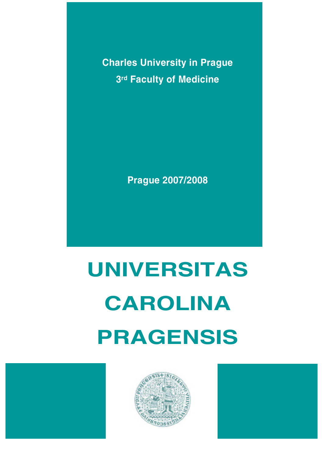**Charles University in Prague 3rd Faculty of Medicine** 

**Prague 2007/2008**

# **UNIVERSITAS CAROLINA PRAGENSIS**





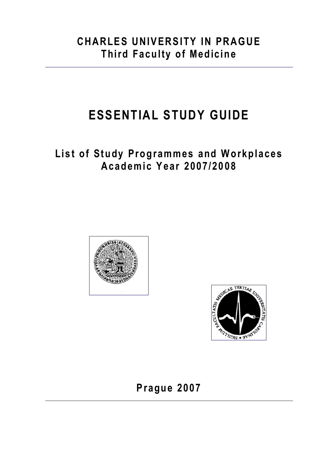# **CHARLES UNIVERSITY IN PRAGUE Third Faculty of Medicine**

# **ESSENTIAL STUDY GUIDE**

# **List of Study Programmes and Workplaces Academic Year 2007/2008**





**Prague 2007**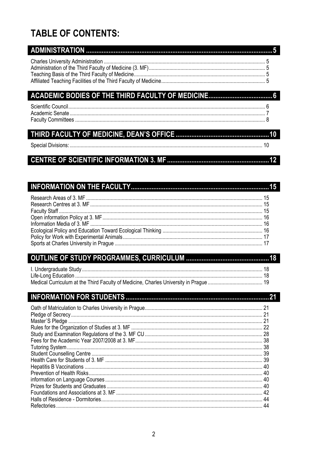# **TABLE OF CONTENTS:**

# 

# 

#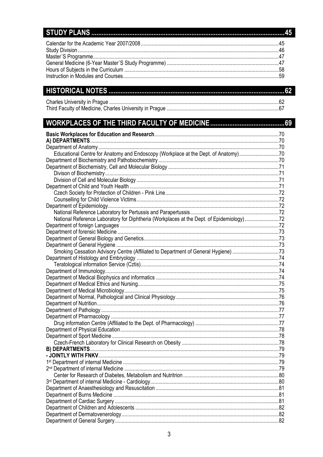# 

# **WORKPLACES OF THE THIRD FACULTY OF MEDICINE.**

| Educational Centre for Anatomy and Endoscopy (Workplace at the Dept. of Anatomy)70       |  |
|------------------------------------------------------------------------------------------|--|
|                                                                                          |  |
|                                                                                          |  |
|                                                                                          |  |
|                                                                                          |  |
|                                                                                          |  |
|                                                                                          |  |
|                                                                                          |  |
|                                                                                          |  |
|                                                                                          |  |
| National Reference Laboratory for Diphtheria (Workplaces at the Dept. of Epidemiology)72 |  |
|                                                                                          |  |
|                                                                                          |  |
|                                                                                          |  |
|                                                                                          |  |
| Smoking Cessation Advisory Centre (Affiliated to Department of General Hygiene) 73       |  |
|                                                                                          |  |
|                                                                                          |  |
|                                                                                          |  |
|                                                                                          |  |
|                                                                                          |  |
|                                                                                          |  |
|                                                                                          |  |
|                                                                                          |  |
|                                                                                          |  |
|                                                                                          |  |
|                                                                                          |  |
|                                                                                          |  |
|                                                                                          |  |
|                                                                                          |  |
|                                                                                          |  |
|                                                                                          |  |
|                                                                                          |  |
|                                                                                          |  |
|                                                                                          |  |
|                                                                                          |  |
|                                                                                          |  |
|                                                                                          |  |
|                                                                                          |  |
|                                                                                          |  |
|                                                                                          |  |
|                                                                                          |  |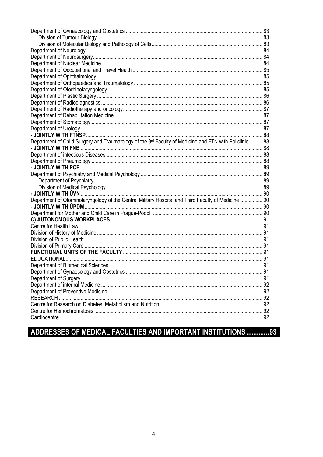| Department of Child Surgery and Traumatology of the 3rd Faculty of Medicine and FTN with Policlinic 88 |  |
|--------------------------------------------------------------------------------------------------------|--|
|                                                                                                        |  |
|                                                                                                        |  |
|                                                                                                        |  |
|                                                                                                        |  |
|                                                                                                        |  |
|                                                                                                        |  |
|                                                                                                        |  |
|                                                                                                        |  |
| Department of Otorhinolaryngology of the Central Military Hospital and Third Faculty of Medicine 90    |  |
|                                                                                                        |  |
|                                                                                                        |  |
|                                                                                                        |  |
|                                                                                                        |  |
|                                                                                                        |  |
|                                                                                                        |  |
|                                                                                                        |  |
|                                                                                                        |  |
|                                                                                                        |  |
|                                                                                                        |  |
|                                                                                                        |  |
|                                                                                                        |  |
|                                                                                                        |  |
|                                                                                                        |  |
|                                                                                                        |  |
|                                                                                                        |  |
|                                                                                                        |  |
|                                                                                                        |  |

# ADDRESSES OF MEDICAL FACULTIES AND IMPORTANT INSTITUTIONS ..............93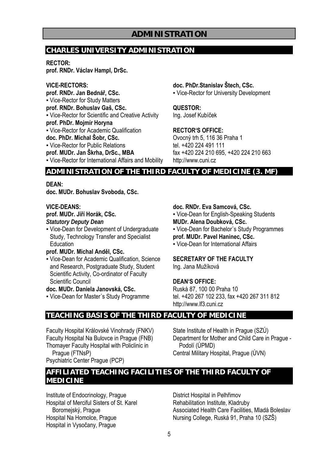# **CHARLES UNIVERSITY ADMINISTRATION**

**RECTOR:** 

**prof. RNDr. Václav Hampl, DrSc.** 

**VICE-RECTORS: prof. RNDr. Jan Bednář, CSc. • Vice-Rector for Study Matters prof. RNDr. Bohuslav Gaš, CSc. .** Vice-Rector for Scientific and Creative Activity **prof. PhDr. Mojmír Horyna • Vice-Rector for Academic Qualification doc. PhDr. Michal Šobr, CSc.**  ▪ Vice-Rector for Public Relations **prof. MUDr. Jan Škrha, DrSc., MBA**  ▪ Vice-Rector for International Affairs and Mobility **doc. PhDr.Stanislav Štech, CSc.**  ▪ Vice-Rector for University Development

**QUESTOR:**  Ing. Josef Kubíček

## **RECTOR'S OFFICE:**

Ovocný trh 5, 116 36 Praha 1 tel. +420 224 491 111 fax +420 224 210 695, +420 224 210 663 http://www.cuni.cz

# **ADMINISTRATION OF THE THIRD FACULTY OF MEDICINE (3. MF)**

**DEAN:** 

**doc. MUDr. Bohuslav Svoboda, CSc.** 

# **VICE-DEANS:**

## **prof. MUDr. Jiří Horák, CSc.**

*Statutory Deputy Dean* 

▪ Vice-Dean for Development of Undergraduate Study, Technology Transfer and Specialist **Education** 

# **prof. MUDr. Michal Anděl, CSc.**

**.** Vice-Dean for Academic Qualification, Science and Research, Postgraduate Study, Student Scientific Activity, Co-ordinator of Faculty Scientific Council

**doc. MUDr. Daniela Janovská, CSc.** 

▪ Vice-Dean for Master´s Study Programme

# **doc. RNDr. Eva Samcová, CSc.**

• Vice-Dean for English-Speaking Students **MUDr. Alena Doubková, CSc.** 

▪ Vice-Dean for Bachelor´s Study Programmes **prof. MUDr. Pavel Haninec, CSc.** 

▪ Vice-Dean for International Affairs

# **SECRETARY OF THE FACULTY** Ing. Jana Mužíková

# **DEAN'S OFFICE:**

Ruská 87, 100 00 Praha 10 tel. +420 267 102 233, fax +420 267 311 812 http://www.lf3.cuni.cz

# **TEACHING BASIS OF THE THIRD FACULTY OF MEDICINE**

Faculty Hospital Královské Vinohrady (FNKV) Faculty Hospital Na Bulovce in Prague (FNB) Thomayer Faculty Hospital with Policlinic in Prague (FTNsP) Psychiatric Center Prague (PCP)

State Institute of Health in Prague (SZÚ) Department for Mother and Child Care in Prague - Podolí (ÚPMD) Central Military Hospital, Prague (ÚVN)

# **AFFILIATED TEACHING FACILITIES OF THE THIRD FACULTY OF MEDICINE**

Institute of Endocrinology, Prague Hospital of Merciful Sisters of St. Karel Boromejský, Prague Hospital Na Homolce, Prague Hospital in Vysočany, Prague

District Hospital in Pelhřimov Rehabilitation Institute, Kladruby Associated Health Care Facilities, Mladá Boleslav Nursing College, Ruská 91, Praha 10 (SZŠ)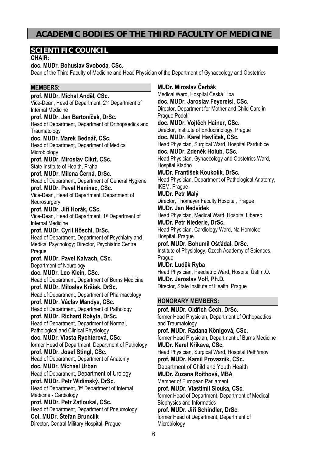# **ACADEMIC BODIES OF THE THIRD FACULTY OF MEDICINE**

# **SCIENTIFIC COUNCIL**

**CHAIR:** 

#### **doc. MUDr. Bohuslav Svoboda, CSc.**

Dean of the Third Faculty of Medicine and Head Physician of the Department of Gynaecology and Obstetrics

# **MEMBERS:**

**prof. MUDr. Michal Anděl, CSc.**  Vice-Dean, Head of Department, 2nd Department of Internal Medicine **prof. MUDr. Jan Bartoníček, DrSc.**  Head of Department, Department of Orthopaedics and **Traumatology doc. MUDr. Marek Bednář, CSc.**  Head of Department, Department of Medical **Microbiology prof. MUDr. Miroslav Cikrt, CSc.**  State Institute of Health, Praha **prof. MUDr. Milena Černá, DrSc.**  Head of Department, Department of General Hygiene **prof. MUDr. Pavel Haninec, CSc.**  Vice-Dean, Head of Department, Department of **Neurosurgery prof. MUDr. Jiří Horák, CSc.**  Vice-Dean, Head of Department, 1st Department of Internal Medicine **prof. MUDr. Cyril Höschl, DrSc.**  Head of Department, Department of Psychiatry and Medical Psychology; Director, Psychiatric Centre **Prague prof. MUDr. Pavel Kalvach, CSc.**  Department of Neurology **doc. MUDr. Leo Klein, CSc.**  Head of Department, Department of Burns Medicine **prof. MUDr. Miloslav Kršiak, DrSc.**  Head of Department, Department of Pharmacology **prof. MUDr. Václav Mandys, CSc.**  Head of Department, Department of Pathology **prof. MUDr. Richard Rokyta, DrSc.**  Head of Department, Department of Normal, Pathological and Clinical Physiology **doc. MUDr. Vlasta Rychterová, CSc.**  former Head of Department, Department of Pathology **prof. MUDr. Josef Stingl, CSc.**  Head of Department, Department of Anatomy **doc. MUDr. Michael Urban** Head of Department, Department of Urology **prof. MUDr. Petr Widimský, DrSc.**  Head of Department, 3rd Department of Internal Medicine - Cardiology **prof. MUDr. Petr Zatloukal, CSc.**  Head of Department, Department of Pneumology **Col. MUDr. Štefan Brunclík**  Director, Central Military Hospital, Prague

**MUDr. Miroslav Čerbák**  Medical Ward, Hospital Česká Lípa **doc. MUDr. Jaroslav Feyereisl, CSc.**  Director, Department for Mother and Child Care in Prague Podolí **doc. MUDr. Vojtěch Hainer, CSc.**  Director, Institute of Endocrinology, Prague **doc. MUDr. Karel Havlíček, CSc.**  Head Physician, Surgical Ward, Hospital Pardubice **doc. MUDr. Zdeněk Holub, CSc.**  Head Physician, Gynaecology and Obstetrics Ward, Hospital Kladno **MUDr. František Koukolík, DrSc.**  Head Physician, Department of Pathological Anatomy, IKEM, Prague **MUDr. Petr Malý**  Director, Thomayer Faculty Hospital, Prague **MUDr. Jan Nedvídek**  Head Physician, Medical Ward, Hospital Liberec **MUDr. Petr Niederle, DrSc.**  Head Physician, Cardiology Ward, Na Homolce Hospital, Prague **prof. MUDr. Bohumil Ošťádal, DrSc.**  Institute of Physiology, Czech Academy of Sciences, Prague **MUDr. Luděk Ryba**  Head Physician, Paediatric Ward, Hospital Ústí n.O. **MUDr. Jaroslav Volf, Ph.D.**  Director, State Institute of Health, Prague **HONORARY MEMBERS: prof. MUDr. Oldřich Čech, DrSc.**  former Head Physician, Department of Orthopaedics and Traumatology **prof. MUDr. Radana Königová, CSc.**  former Head Physician, Department of Burns Medicine **MUDr. Karel Křikava, CSc.**  Head Physician, Surgical Ward, Hospital Pelhřimov **prof. MUDr. Kamil Provazník, CSc.**  Department of Child and Youth Health **MUDr. Zuzana Roithová, MBA**  Member of European Parliament **prof. MUDr. Vlastimil Slouka, CSc.**  former Head of Department, Department of Medical Biophysics and Informatics

**prof. MUDr. Jiří Schindler, DrSc.**  former Head of Department, Department of Microbiology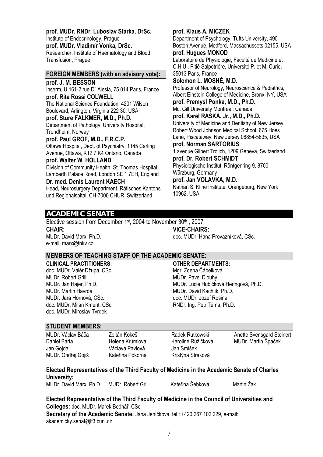**prof. MUDr. RNDr. Luboslav Stárka, DrSc.** 

Institute of Endocrinology, Prague **prof. MUDr. Vladimír Vonka, DrSc.**  Researcher, Institute of Haematology and Blood Transfusion, Prague

#### **FOREIGN MEMBERS (with an advisory vote):**

**prof. J. M. BESSON**  Inserm, U 161-2 rue D` Alesia, 75 014 Paris, France **prof. Rita Rossi COLWELL**  The National Science Foundation, 4201 Wilson Boulevard, Arlington, Virginia 222 30, USA **prof. Sture FALKMER, M.D., Ph.D.**  Department of Pathology, University Hospital, Trondheim, Norway **prof. Paul GROF, M.D., F.R.C.P.**  Ottawa Hospital, Dept. of Psychiatry, 1145 Carling Avenue, Ottawa, K12 7 K4 Ontario, Canada

#### **prof. Walter W. HOLLAND**

Division of Community Health, St. Thomas Hospital, Lamberth Palace Road, London SE 1 7EH, England **Dr. med. Denis Laurent KAECH**

Head, Neurosurgery Department, Rätisches Kantons und Regionalspital, CH-7000 CHUR, Switzerland

Department of Psychology, Tufts University, 490 Boston Avenue, Medford, Massachussets 02155, USA **prof. Hugues MONOD**  Laboratoire de Physiologie, Faculté de Medicine et C.H.U., Pitié Salpetriére, Université P. et M. Curie, 35013 Paris, France **Solomon L. MOSHÉ, M.D.**  Professor of Neurology, Neuroscience & Pediatrics, Albert Einstein College of Medicine, Bronx, NY, USA **prof. Premysl Ponka, M.D., Ph.D.**  Mc. Gill University Montreal, Canada **prof. Karel RAŠKA, Jr., M.D., Ph.D.**  University of Medicine and Dentistry of New Jersey, Robert Wood Johnson Medical School, 675 Hoes Lane, Piscataway, New Jersey 08854-5635, USA **prof. Norman SARTORIUS**  1 avenue Gilbert Trolich, 1209 Geneva, Switzerland **prof. Dr. Robert SCHMIDT**  Physiologische Institut, Röntgenring 9, 8700 Würzburg, Germany **prof. Jan VOLAVKA, M.D.**  Nathan S. Kline Institute, Orangeburg, New York

**ACADEMIC SENATE** 

Elective session from December 1<sup>st</sup>, 2004 to November 30<sup>th</sup>, 2007 **CHAIR:**  MUDr. David Marx, Ph.D. e-mail: marx@fnkv.cz **VICE-CHAIRS:**  doc. MUDr. Hana Provazníková, CSc.

# **MEMBERS OF TEACHING STAFF OF THE ACADEMIC SENATE:**

**CLINICAL PRACTITIONERS:**  doc. MUDr. Valér Džupa, CSc. MUDr. Robert Grill MUDr. Jan Hajer, Ph.D. MUDr. Martin Havrda MUDr. Jara Hornová, CSc. doc. MUDr. Milan Kment, CSc. doc. MUDr. Miroslav Tvrdek

# **OTHER DEPARTMENTS:**

10962, USA

**prof. Klaus A. MICZEK** 

Mgr. Zdena Čábelková MUDr. Pavel Dlouhý MUDr. Lucie Hubičková Heringová, Ph.D. MUDr. David Kachlík, Ph.D. doc. MUDr. Jozef Rosina RNDr. Ing. Petr Tůma, Ph.D.

## **STUDENT MEMBERS:**

MUDr. Václav Báča Daniel Bárta Jan Gojda MUDr. Ondřej Gojiš

Zoltán Kokeš Helena Krumlová Václava Pavlová Kateřina Pokorná Radek Rutkowski Karoline Růžičková Jan Smíšek Kristýna Straková

Anette Svensgard Steinert MUDr. Martin Špaček

# **Elected Representatives of the Third Faculty of Medicine in the Academic Senate of Charles University:**

MUDr. David Marx, Ph.D. MUDr. Robert Grill Kateřina Šebková Martin Žák

**Elected Representative of the Third Faculty of Medicine in the Council of Universities and Colleges:** doc. MUDr. Marek Bednář, CSc.

**Secretary of the Academic Senate:** Jana Jeníčková, tel.: +420 267 102 229, e-mail: akademicky.senat@lf3.cuni.cz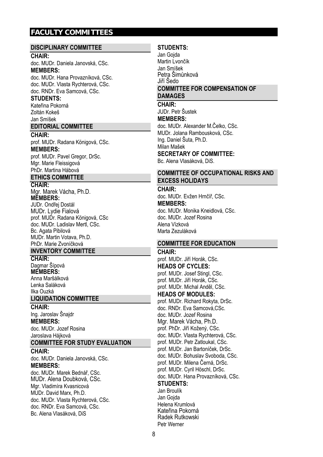# **FACULTY COMMITTEES**

#### **DISCIPLINARY COMMITTEE**

#### **CHAIR:**

doc. MUDr. Daniela Janovská, CSc. **MEMBERS:** 

doc. MUDr. Hana Provazníková, CSc. doc. MUDr. Vlasta Rychterová, CSc. doc. RNDr. Eva Samcová, CSc.

# **STUDENTS:**

Kateřina Pokorná Zoltán Kokeš Jan Smíšek

#### **EDITORIAL COMMITTEE**

**CHAIR:**  prof. MUDr. Radana Königová, CSc. **MEMBERS:**  prof. MUDr. Pavel Gregor, DrSc. Mgr. Marie Fleissigová

#### PhDr. Martina Hábová **ETHICS COMMITTEE**

# **CHAIR:**

Mgr. Marek Vácha, Ph.D. **MEMBERS:**  JUDr. Ondřej Dostál MUDr. Lydie Fialová prof. MUDr. Radana Königová, CSc

doc. MUDr. Ladislav Mertl, CSc. Bc. Agata Pibilová MUDr. Martin Votava, Ph.D. PhDr. Marie Zvoníčková

#### **INVENTORY COMMITTEE**

**CHAIR:**  Dagmar Šípová **MEMBERS:**  Anna Maršálková Lenka Saláková Ilka Ouzká

#### **LIQUIDATION COMMITTEE**

**CHAIR:** 

Ing. Jaroslav Šnajdr **MEMBERS:**  doc. MUDr. Jozef Rosina Jaroslava Hájková

#### **COMMITTEE FOR STUDY EVALUATION**

**CHAIR:**  doc. MUDr. Daniela Janovská, CSc. **MEMBERS:** 

doc. MUDr. Marek Bednář, CSc. MUDr. Alena Doubková, CSc. Mgr. Vladimíra Kvasnicová MUDr. David Marx, Ph.D. doc. MUDr. Vlasta Rychterová, CSc. doc. RNDr. Eva Samcová, CSc. Bc. Alena Vlasáková, DiS

# **STUDENTS:**

Jan Gojda Martin Lvončík Jan Smíšek Petra Šimůnková Jiří Šedo **COMMITTEE FOR COMPENSATION OF DAMAGES** 

# **CHAIR:**

JUDr. Petr Šustek **MEMBERS:**  doc. MUDr. Alexander M.Čelko, CSc. MUDr. Jolana Rambousková, CSc. Ing. Daniel Šuta, Ph.D.

Milan Mašek **SECRETARY OF COMMITTEE:** 

Bc. Alena Vlasáková, DiS.

# **COMMITTEE OF OCCUPATIONAL RISKS AND EXCESS HOLIDAYS**

**CHAIR:** 

doc. MUDr. Evžen Hrnčíř, CSc. **MEMBERS:** 

doc. MUDr. Monika Kneidlová, CSc. doc. MUDr. Jozef Rosina Alena Vízková Marta Zezuláková

## **COMMITTEE FOR EDUCATION**

#### **CHAIR:**

prof. MUDr. Jiří Horák, CSc. **HEADS OF CYCLES:**  prof. MUDr. Josef Stingl, CSc. prof. MUDr. Jiří Horák, CSc. prof. MUDr. Michal Anděl, CSc.

**HEADS OF MODULES:** 

prof. MUDr. Richard Rokyta, DrSc. doc. RNDr. Eva Samcová,CSc. doc. MUDr. Jozef Rosina Mgr. Marek Vácha, Ph.D. prof. PhDr. Jiří Kožený, CSc. doc. MUDr. Vlasta Rychterová, CSc. prof. MUDr. Petr Zatloukal, CSc. prof. MUDr. Jan Bartoníček, DrSc. doc. MUDr. Bohuslav Svoboda, CSc. prof. MUDr. Milena Černá, DrSc. prof. MUDr. Cyril Höschl, DrSc. doc. MUDr. Hana Provazníková, CSc. **STUDENTS:** 

Jan Broulík Jan Gojda Helena Krumlová Kateřina Pokorná Radek Rutkowski Petr Werner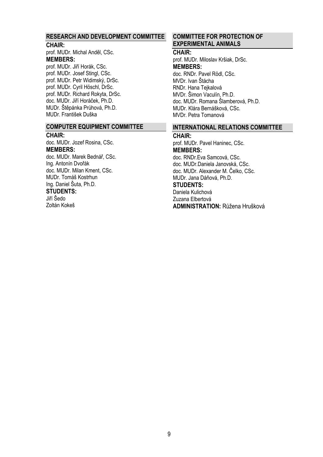#### **RESEARCH AND DEVELOPMENT COMMITTEE**

#### **CHAIR:**

prof. MUDr. Michal Anděl, CSc. **MEMBERS:** 

prof. MUDr. Jiří Horák, CSc. prof. MUDr. Josef Stingl, CSc. prof. MUDr. Petr Widimský, DrSc. prof. MUDr. Cyril Höschl, DrSc. prof. MUDr. Richard Rokyta, DrSc. doc. MUDr. Jiří Horáček, Ph.D. MUDr. Štěpánka Průhová, Ph.D. MUDr. František Duška

#### **COMPUTER EQUIPMENT COMMITTEE**

#### **CHAIR:**

doc. MUDr. Jozef Rosina, CSc. **MEMBERS:**  doc. MUDr. Marek Bednář, CSc. Ing. Antonín Dvořák doc. MUDr. Milan Kment, CSc. MUDr. Tomáš Kostrhun Ing. Daniel Šuta, Ph.D. **STUDENTS:**  Jiří Šedo Zoltán Kokeš

# **COMMITTEE FOR PROTECTION OF EXPERIMENTAL ANIMALS**

# **CHAIR:**

prof. MUDr. Miloslav Kršiak, DrSc. **MEMBERS:**  doc. RNDr. Pavel Rödl, CSc. MVDr. Ivan Štácha RNDr. Hana Tejkalová MVDr. Šimon Vaculín, Ph.D. doc. MUDr. Romana Šlamberová, Ph.D. MUDr. Klára Bernášková, CSc. MVDr. Petra Tomanová

#### **INTERNATIONAL RELATIONS COMMITTEE**

## **CHAIR:**

prof. MUDr. Pavel Haninec, CSc. **MEMBERS:**  doc. RNDr.Eva Samcová, CSc. doc. MUDr.Daniela Janovská, CSc. doc. MUDr. Alexander M. Čelko, CSc. MUDr. Jana Dáňová, Ph.D.

# **STUDENTS:**

Daniela Kulichová Zuzana Elbertová **ADMINISTRATION:** Růžena Hrušková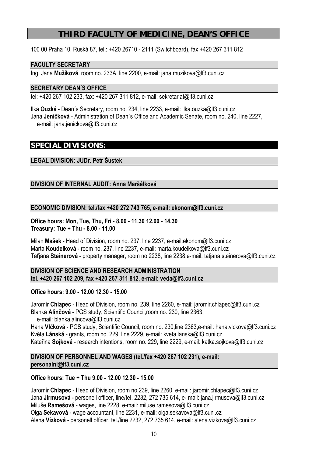# **THIRD FACULTY OF MEDICINE, DEAN'S OFFICE**

100 00 Praha 10, Ruská 87, tel.: +420 26710 - 2111 (Switchboard), fax +420 267 311 812

# **FACULTY SECRETARY**

Ing. Jana **Mužíková**, room no. 233A, line 2200, e-mail: jana.muzikova@lf3.cuni.cz

# **SECRETARY DEAN´S OFFICE**

tel: +420 267 102 233, fax: +420 267 311 812, e-mail: sekretariat@lf3.cuni.cz

Ilka **Ouzká** - Dean´s Secretary, room no. 234, line 2233, e-mail: ilka.ouzka@lf3.cuni.cz Jana **Jeníčková** - Administration of Dean´s Office and Academic Senate, room no. 240, line 2227, e-mail: jana.jenickova@lf3.cuni.cz

# **SPECIAL DIVISIONS:**

# **LEGAL DIVISION: JUDr. Petr Šustek**

# **DIVISION OF INTERNAL AUDIT: Anna Maršálková**

## **ECONOMIC DIVISION: tel./fax +420 272 743 765, e-mail: ekonom@lf3.cuni.cz**

**Office hours: Mon, Tue, Thu, Fri - 8.00 - 11.30 12.00 - 14.30 Treasury: Tue + Thu - 8.00 - 11.00** 

Milan **Mašek** - Head of Division, room no. 237, line 2237, e-mail:ekonom@lf3.cuni.cz Marta **Koudelková** - room no. 237, line 2237, e-mail: marta.koudelkova@lf3.cuni.cz Taťjana **Steinerová** - property manager, room no.2238, line 2238,e-mail: tatjana.steinerova@lf3.cuni.cz

# **DIVISION OF SCIENCE AND RESEARCH ADMINISTRATION tel. +420 267 102 209, fax +420 267 311 812, e-mail: veda@lf3.cuni.cz**

## **Office hours: 9.00 - 12.00 12.30 - 15.00**

Jaromír **Chlapec** - Head of Division, room no. 239, line 2260, e-mail: jaromir.chlapec@lf3.cuni.cz Blanka **Alinčová** - PGS study, Scientific Council,room no. 230, line 2363, e-mail: blanka.alincova@lf3.cuni.cz Hana **Vlčková** - PGS study, Scientific Council, room no. 230,line 2363,e-mail: hana.vlckova@lf3.cuni.cz

Květa **Lánská** - grants, room no. 229, line 2229, e-mail: kveta.lanska@lf3.cuni.cz Kateřina **Sojková** - research intentions, room no. 229, line 2229, e-mail: katka.sojkova@lf3.cuni.cz

# **DIVISION OF PERSONNEL AND WAGES (tel./fax +420 267 102 231), e-mail: personalni@lf3.cuni.cz**

# **Office hours: Tue + Thu 9.00 - 12.00 12.30 - 15.00**

Jaromír **Chlapec** - Head of Division, room no.239, line 2260, e-mail: jaromir.chlapec@lf3.cuni.cz Jana **Jirmusová** - personell officer, line/tel. 2232, 272 735 614, e- mail: jana.jirmusova@lf3.cuni.cz Miluše **Ramešová** - wages, line 2228, e-mail: miluse.ramesova@lf3.cuni.cz Olga **Sekavová** - wage accountant, line 2231, e-mail: olga.sekavova@lf3.cuni.cz Alena **Vízková** - personell officer, tel./line 2232, 272 735 614, e-mail: alena.vizkova@lf3.cuni.cz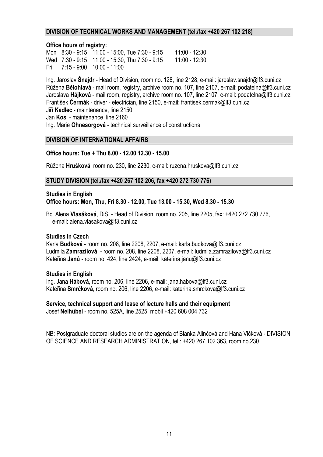#### **DIVISION OF TECHNICAL WORKS AND MANAGEMENT (tel./fax +420 267 102 218)**

#### **Office hours of registry:**

Mon 8:30 - 9:15 11:00 - 15:00, Tue 7:30 - 9:15 11:00 - 12:30 Wed 7:30 - 9:15 11:00 - 15:30, Thu 7:30 - 9:15 11:00 - 12:30 Fri 7:15 - 9:00 10:00 - 11:00

Ing. Jaroslav **Šnajdr** - Head of Division, room no. 128, line 2128, e-mail: jaroslav.snajdr@lf3.cuni.cz Růžena **Bělohlavá** - mail room, registry, archive room no. 107, line 2107, e-mail: podatelna@lf3.cuni.cz Jaroslava **Hájková** - mail room, registry, archive room no. 107, line 2107, e-mail: podatelna@lf3.cuni.cz František **Čermák** - driver - electrician, line 2150, e-mail: frantisek.cermak@lf3.cuni.cz Jiří **Kadlec** - maintenance, line 2150 Jan **Kos** - maintenance, line 2160 Ing. Marie **Ohnesorgová** - technical surveillance of constructions

## **DIVISION OF INTERNATIONAL AFFAIRS**

## **Office hours: Tue + Thu 8.00 - 12.00 12.30 - 15.00**

Růžena **Hrušková**, room no. 230, line 2230, e-mail: ruzena.hruskova@lf3.cuni.cz

#### **STUDY DIVISION (tel./fax +420 267 102 206, fax +420 272 730 776)**

#### **Studies in English Office hours: Mon, Thu, Fri 8.30 - 12.00, Tue 13.00 - 15.30, Wed 8.30 - 15.30**

Bc. Alena **Vlasáková**, DiS. - Head of Division, room no. 205, line 2205, fax: +420 272 730 776, e-mail: alena.vlasakova@lf3.cuni.cz

## **Studies in Czech**

Karla **Budková** - room no. 208, line 2208, 2207, e-mail: karla.budkova@lf3.cuni.cz Ludmila **Zamrazilová** - room no. 208, line 2208, 2207, e-mail: ludmila.zamrazilova@lf3.cuni.cz Kateřina **Janů** - room no. 424, line 2424, e-mail: katerina.janu@lf3.cuni.cz

#### **Studies in English**

Ing. Jana **Hábová**, room no. 206, line 2206, e-mail: jana.habova@lf3.cuni.cz Kateřina **Smrčková**, room no. 206, line 2206, e-mail: katerina.smrckova@lf3.cuni.cz

**Service, technical support and lease of lecture halls and their equipment**  Josef **Nelhübel** - room no. 525A, line 2525, mobil +420 608 004 732

NB: Postgraduate doctoral studies are on the agenda of Blanka Alinčová and Hana Vlčková - DIVISION OF SCIENCE AND RESEARCH ADMINISTRATION, tel.: +420 267 102 363, room no.230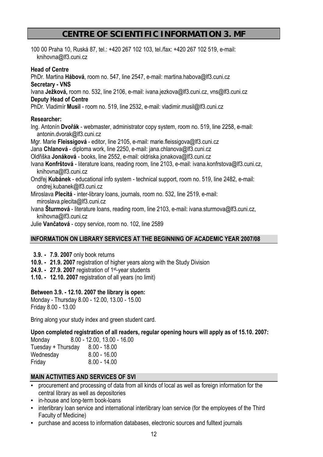# **CENTRE OF SCIENTIFIC INFORMATION 3. MF**

100 00 Praha 10, Ruská 87, tel.: +420 267 102 103, tel./fax: +420 267 102 519, e-mail: knihovna@lf3.cuni.cz

# **Head of Centre**

PhDr. Martina **Hábová**, room no. 547, line 2547, e-mail: martina.habova@lf3.cuni.cz

**Secretary - VNS** 

Ivana **Ježková,** room no. 532, line 2106, e-mail: ivana.jezkova@lf3.cuni.cz, vns@lf3.cuni.cz

**Deputy Head of Centre** 

PhDr. Vladimír **Musil** - room no. 519, line 2532, e-mail: vladimir.musil@lf3.cuni.cz

# **Researcher:**

Ing. Antonín **Dvořák** - webmaster, administrator copy system, room no. 519, line 2258, e-mail: antonin.dvorak@lf3.cuni.cz

Mgr. Marie **Fleissigová** - editor, line 2105, e-mail: marie.fleissigova@lf3.cuni.cz

Jana **Chlanová** - diploma work, line 2250, e-mail: jana.chlanova@lf3.cuni.cz

Oldřiška **Jonáková** - books, line 2552, e-mail: oldriska.jonakova@lf3.cuni.cz

- Ivana **Konfrštová** literature loans, reading room, line 2103, e-mail: ivana.konfrstova@lf3.cuni.cz, knihovna@lf3.cuni.cz
- Ondřej **Kubánek** educational info system technical support, room no. 519, line 2482, e-mail: ondrej.kubanek@lf3.cuni.cz
- Miroslava **Plecitá** inter-library loans, journals, room no. 532, line 2519, e-mail: miroslava.plecita@lf3.cuni.cz
- Ivana **Šturmová** literature loans, reading room, line 2103, e-mail: ivana.sturmova@lf3.cuni.cz, knihovna@lf3.cuni.cz
- Julie **Vančatová** copy service, room no. 102, line 2589

# **INFORMATION ON LIBRARY SERVICES AT THE BEGINNING OF ACADEMIC YEAR 2007/08**

- **3.9. 7.9. 2007** only book returns
- **10.9. 21.9. 2007** registration of higher years along with the Study Division
- **24.9. 27.9. 2007** registration of 1st-year students
- **1.10. 12.10. 2007** registration of all years (no limit)

# **Between 3.9. - 12.10. 2007 the library is open:**

Monday - Thursday 8.00 - 12.00, 13.00 - 15.00 Friday 8.00 - 13.00

Bring along your study index and green student card.

**Upon completed registration of all readers, regular opening hours will apply as of 15.10. 2007:** 

| Monday             | $8.00 - 12.00, 13.00 - 16.00$ |
|--------------------|-------------------------------|
| Tuesday + Thursday | $8.00 - 18.00$                |
| Wednesday          | $8.00 - 16.00$                |
| Friday             | $8.00 - 14.00$                |

# **MAIN ACTIVITIES AND SERVICES OF SVI**

- procurement and processing of data from all kinds of local as well as foreign information for the central library as well as depositories
- **•** in-house and long-term book-loans
- **•** interlibrary loan service and international interlibrary loan service (for the employees of the Third Faculty of Medicine)
- purchase and access to information databases, electronic sources and fulltext journals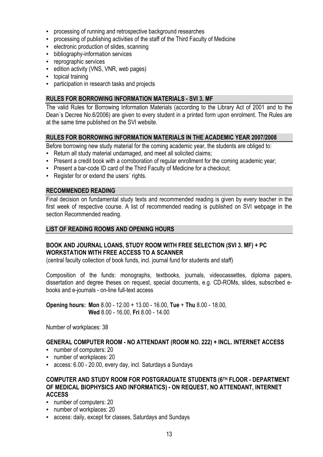- processing of running and retrospective background researches
- processing of publishing activities of the staff of the Third Faculty of Medicine
- **EXECTED** electronic production of slides, scanning
- **•** bibliography-information services
- reprographic services
- **EXECT** edition activity (VNS, VNR, web pages)
- **•** topical training
- participation in research tasks and projects

# **RULES FOR BORROWING INFORMATION MATERIALS - SVI 3. MF**

The valid Rules for Borrowing Information Materials (according to the Library Act of 2001 and to the Dean´s Decree No.6/2006) are given to every student in a printed form upon enrolment. The Rules are at the same time published on the SVI website.

# **RULES FOR BORROWING INFORMATION MATERIALS IN THE ACADEMIC YEAR 2007/2008**

Before borrowing new study material for the coming academic year, the students are obliged to:

- **EXECT** Return all study material undamaged, and meet all solicited claims;
- Present a credit book with a corroboration of regular enrollment for the coming academic year;
- **Present a bar-code ID card of the Third Faculty of Medicine for a checkout;**
- **Register for or extend the users' rights.**

#### **RECOMMENDED READING**

Final decision on fundamental study texts and recommended reading is given by every teacher in the first week of respective course. A list of recommended reading is published on SVI webpage in the section Recommended reading.

#### **LIST OF READING ROOMS AND OPENING HOURS**

# **BOOK AND JOURNAL LOANS, STUDY ROOM WITH FREE SELECTION (SVI 3. MF) + PC WORKSTATION WITH FREE ACCESS TO A SCANNER**

(central faculty collection of book funds, incl. journal fund for students and staff)

Composition of the funds: monographs, textbooks, journals, videocassettes, diploma papers, dissertation and degree theses on request, special documents, e.g. CD-ROMs, slides, subscribed ebooks and e-journals - on-line full-text access

**Opening hours: Mon** 8.00 - 12.00 + 13.00 - 16.00, **Tue** + **Thu** 8.00 - 18.00, **Wed** 8.00 - 16.00, **Fri** 8.00 - 14.00

Number of workplaces: 38

## **GENERAL COMPUTER ROOM - NO ATTENDANT (ROOM NO. 222) + INCL. INTERNET ACCESS**

- number of computers: 20
- number of workplaces: 20
- access: 6.00 20.00, every day, incl. Saturdays a Sundays

# **COMPUTER AND STUDY ROOM FOR POSTGRADUATE STUDENTS (6TH FLOOR - DEPARTMENT OF MEDICAL BIOPHYSICS AND INFORMATICS) - ON REQUEST, NO ATTENDANT, INTERNET ACCESS**

- number of computers: 20
- number of workplaces: 20
- **EXECCES**: daily, except for classes, Saturdays and Sundays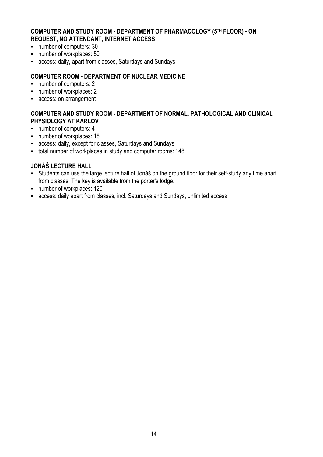# **COMPUTER AND STUDY ROOM - DEPARTMENT OF PHARMACOLOGY (5TH FLOOR) - ON REQUEST, NO ATTENDANT, INTERNET ACCESS**

- number of computers: 30
- number of workplaces: 50
- access: daily, apart from classes, Saturdays and Sundays

# **COMPUTER ROOM - DEPARTMENT OF NUCLEAR MEDICINE**

- number of computers: 2
- number of workplaces: 2
- access: on arrangement

# **COMPUTER AND STUDY ROOM - DEPARTMENT OF NORMAL, PATHOLOGICAL AND CLINICAL PHYSIOLOGY AT KARLOV**

- number of computers: 4
- number of workplaces: 18
- access: daily, except for classes, Saturdays and Sundays
- total number of workplaces in study and computer rooms: 148

# **JONÁŠ LECTURE HALL**

- Students can use the large lecture hall of Jonáš on the ground floor for their self-study any time apart from classes. The key is available from the porter's lodge.
- number of workplaces: 120
- access: daily apart from classes, incl. Saturdays and Sundays, unlimited access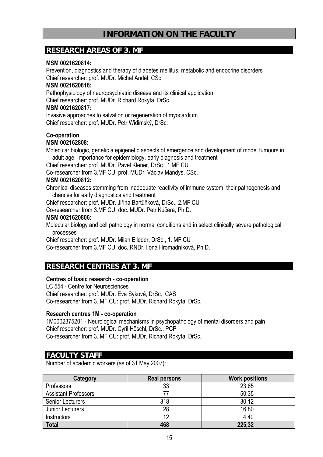# **INFORMATION ON THE FACULTY**

# **RESEARCH AREAS OF 3. MF**

# **MSM 0021620814:**

Prevention, diagnostics and therapy of diabetes mellitus, metabolic and endocrine disorders Chief researcher: prof. MUDr. Michal Anděl, CSc.

# **MSM 0021620816:**

Pathophysiology of neuropsychiatric disease and its clinical application Chief researcher: prof. MUDr. Richard Rokyta, DrSc.

# **MSM 0021620817:**

Invasive approaches to salvation or regeneration of myocardium Chief researcher: prof. MUDr. Petr Widimský, DrSc.

# **Co-operation**

# **MSM 002162808:**

Molecular biologic, genetic a epigenetic aspects of emergence and development of model tumours in adult age. Importance for epidemiology, early diagnosis and treatment

Chief researcher: prof. MUDr. Pavel Klener, DrSc., 1.MF CU

Co-researcher from 3.MF CU: prof. MUDr. Václav Mandys, CSc.

# **MSM 0021620812:**

Chronical diseases stemming from inadequate reactivity of immune system, their pathogenesis and chances for early diagnostics and treatment

Chief researcher: prof. MUDr. Jiřina Bartůňková, DrSc., 2.MF CU

Co-researcher from 3.MF CU: doc. MUDr. Petr Kučera, Ph.D.

# **MSM 0021620806:**

Molecular biology and cell pathology in normal conditions and in select clinically severe pathological processes

Chief researcher: prof. MUDr. Milan Elleder, DrSc., 1. MF CU

Co-researcher from 3.MF CU: doc. RNDr. Ilona Hromadníková, Ph.D.

# **RESEARCH CENTRES AT 3. MF**

## **Centres of basic research - co-operation**

LC 554 - Centre for Neurosciences Chief researcher: prof. MUDr. Eva Syková, DrSc., CAS Co-researcher from 3. MF CU: prof. MUDr. Richard Rokyta, DrSc.

# **Research centres 1M - co-operation**

1M0002375201 - Neurological mechanisms in psychopathology of mental disorders and pain Chief researcher: prof. MUDr. Cyril Höschl, DrSc., PCP Co-researcher from 3. MF CU: prof. MUDr. Richard Rokyta, DrSc.

# **FACULTY STAFF**

Number of academic workers (as of 31 May 2007):

| <b>Category</b>             | <b>Real persons</b> | <b>Work positions</b> |
|-----------------------------|---------------------|-----------------------|
| <b>Professors</b>           | 33                  | 23,65                 |
| <b>Assistant Professors</b> |                     | 50,35                 |
| <b>Senior Lecturers</b>     | 318                 | 130,12                |
| Junior Lecturers            | 28                  | 16,80                 |
| Instructors                 | 12                  | 4.40                  |
| <b>Total</b>                | 468                 | 225,32                |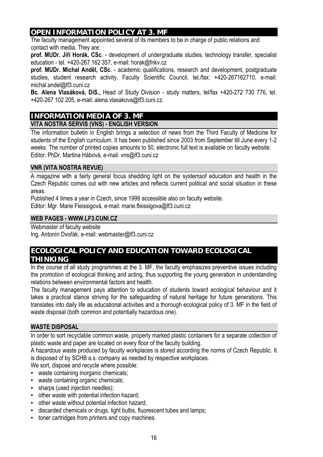# **OPEN INFORMATION POLICY AT 3. MF**

The faculty management appointed several of its members to be in charge of public relations and contact with media. They are:

**prof. MUDr. Jiří Horák, CSc**. - development of undergraduate studies, technology transfer, specialist education - tel. +420-267 162 357, e-mail: horak@fnkv.cz

**prof. MUDr. Michal Anděl, CSc**. - academic qualifications, research and development, postgraduate studies, student research activity, Faculty Scientific Council, tel./fax: +420-267162710, e-mail: michal.andel@lf3.cuni.cz

**Bc. Alena Vlasáková, DiS.,** Head of Study Division - study matters, tel/fax +420-272 730 776, tel. +420-267 102 205, e-mail: alena.vlasakova@lf3.cuni.cz.

# **INFORMATION MEDIA OF 3. MF VITA NOSTRA SERVIS (VNS) - ENGLISH VERSION**

The information bulletin in English brings a selection of news from the Third Faculty of Medicine for students of the English curriculum. It has been published since 2003 from September till June every 1-2 weeks. The number of printed copies amounts to 50, electronic full text is available on faculty website. Editor: PhDr. Martina Hábová, e-mail: vns@lf3.cuni.cz

# **VNR (VITA NOSTRA REVUE)**

A magazine with a fairly general focus shedding light on the systemsof education and health in the Czech Republic comes out with new articles and reflects current political and social situation in these areas.

Published 4 times a year in Czech, since 1999 accessible also on faculty website. Editor: Mgr. Marie Fleissigová, e-mail: marie.fleissigova@lf3.cuni.cz

# **WEB PAGES - WWW.LF3.CUNI.CZ**

Webmaster of faculty website

Ing. Antonín Dvořák, e-mail: webmaster@lf3.cuni.cz

# **ECOLOGICAL POLICY AND EDUCATION TOWARD ECOLOGICAL THINKING**

In the course of all study programmes at the 3. MF, the faculty emphasizes preventive issues including the promotion of ecological thinking and acting, thus supporting the young generation in understanding relations between environmental factors and health.

The faculty management pays attention to education of students toward ecological behaviour and it takes a practical stance striving for the safeguarding of natural heritage for future generations. This translates into daily life as educational activities and a thorough ecological policy of 3. MF in the field of waste disposal (both common and potentially hazardous one).

# **WASTE DISPOSAL**

In order to sort recyclable common waste, properly marked plastic containers for a separate collection of plastic waste and paper are located on every floor of the faculty building.

A hazardous waste produced by faculty workplaces is stored according the norms of Czech Republic. It is disposed of by SCHB a.s. company as needed by respective workplaces.

We sort, dispose and recycle where possible:

- waste containing inorganic chemicals;
- waste containing organic chemicals;
- **•** sharps (used injection needles);
- other waste with potential infection hazard;
- other waste without potential infection hazard;
- discarded chemicals or drugs, light bulbs, fluorescent tubes and lamps;
- toner cartridges from printers and copy machines.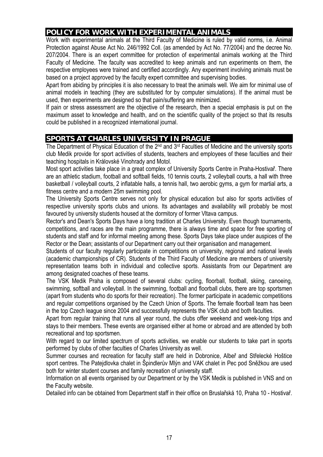# **POLICY FOR WORK WITH EXPERIMENTAL ANIMALS**

Work with experimental animals at the Third Faculty of Medicine is ruled by valid norms, i.e. Animal Protection against Abuse Act No. 246/1992 Coll. (as amended by Act No. 77/2004) and the decree No. 207/2004. There is an expert committee for protection of experimental animals working at the Third Faculty of Medicine. The faculty was accredited to keep animals and run experiments on them, the respective employees were trained and certified accordingly. Any experiment involving animals must be based on a project approved by the faculty expert committee and supervising bodies.

Apart from abiding by principles it is also necessary to treat the animals well. We aim for minimal use of animal models in teaching (they are substituted for by computer simulations). If the animal must be used, then experiments are designed so that pain/suffering are minimized.

If pain or stress assessment are the objective of the research, then a special emphasis is put on the maximum asset to knowledge and health, and on the scientific quality of the project so that its results could be published in a recognized international journal.

# **SPORTS AT CHARLES UNIVERSITY IN PRAGUE**

The Department of Physical Education of the 2<sup>nd</sup> and 3<sup>rd</sup> Faculties of Medicine and the university sports club Medik provide for sport activities of students, teachers and employees of these faculties and their teaching hospitals in Královské Vinohrady and Motol.

Most sport activities take place in a great complex of University Sports Centre in Praha-Hostivař. There are an athletic stadium, football and softball fields, 10 tennis courts, 2 volleyball courts, a hall with three basketball / volleyball courts, 2 inflatable halls, a tennis hall, two aerobic gyms, a gym for martial arts, a fitness centre and a modern 25m swimming pool.

The University Sports Centre serves not only for physical education but also for sports activities of respective university sports clubs and unions. Its advantages and availability will probably be most favoured by university students housed at the dormitory of former Vltava campus.

Rector's and Dean's Sports Days have a long tradition at Charles University. Even though tournaments, competitions, and races are the main programme, there is always time and space for free sporting of students and staff and for informal meeting among these. Sports Days take place under auspices of the Rector or the Dean; assistants of our Department carry out their organisation and management.

Students of our faculty regularly participate in competitions on university, regional and national levels (academic championships of CR). Students of the Third Faculty of Medicine are members of university representation teams both in individual and collective sports. Assistants from our Department are among designated coaches of these teams.

The VSK Medik Praha is composed of several clubs: cycling, floorball, football, skiing, canoeing, swimming, softball and volleyball. In the swimming, football and floorball clubs, there are top sportsmen (apart from students who do sports for their recreation). The former participate in academic competitions and regular competitions organised by the Czech Union of Sports. The female floorball team has been in the top Czech league since 2004 and successfully represents the VSK club and both faculties.

Apart from regular training that runs all year round, the clubs offer weekend and week-long trips and stays to their members. These events are organised either at home or abroad and are attended by both recreational and top sportsmen.

With regard to our limited spectrum of sports activities, we enable our students to take part in sports performed by clubs of other faculties of Charles University as well.

Summer courses and recreation for faculty staff are held in Dobronice, Albeř and Střelecké Hoštice sport centres. The Patejdlovka chalet in Špindlerův Mlýn and VAK chalet in Pec pod Sněžkou are used both for winter student courses and family recreation of university staff.

Information on all events organised by our Department or by the VSK Medik is published in VNS and on the Faculty website.

Detailed info can be obtained from Department staff in their office on Bruslařská 10, Praha 10 - Hostivař.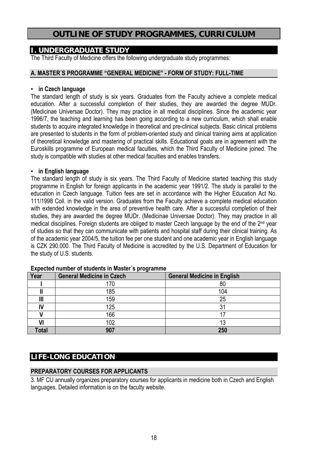# **OUTLINE OF STUDY PROGRAMMES, CURRICULUM**

# **I. UNDERGRADUATE STUDY**

The Third Faculty of Medicine offers the following undergraduate study programmes:

# **A. MASTER´S PROGRAMME "GENERAL MEDICINE" - FORM OF STUDY: FULL-TIME**

# ▪ **in Czech language**

The standard length of study is six years. Graduates from the Faculty achieve a complete medical education. After a successful completion of their studies, they are awarded the degree MUDr. (Medicinae Universae Doctor). They may practice in all medical disciplines. Since the academic year 1996/7, the teaching and learning has been going according to a new curriculum, which shall enable students to acquire integrated knowledge in theoretical and pre-clinical subjects. Basic clinical problems are presented to students in the form of problem-oriented study and clinical training aims at application of theoretical knowledge and mastering of practical skills. Educational goals are in agreement with the Euroskills programme of European medical faculties, which the Third Faculty of Medicine joined. The study is compatible with studies at other medical faculties and enables transfers.

# ▪ **in English language**

The standard length of study is six years. The Third Faculty of Medicine started teaching this study programme in English for foreign applicants in the academic year 1991/2. The study is parallel to the education in Czech language. Tuition fees are set in accordance with the Higher Education Act No. 111/1998 Coll. in the valid version. Graduates from the Faculty achieve a complete medical education with extended knowledge in the area of preventive health care. After a successful completion of their studies, they are awarded the degree MUDr. (Medicinae Universae Doctor). They may practice in all medical disciplines. Foreign students are obliged to master Czech language by the end of the 2<sup>nd</sup> year of studies so that they can communicate with patients and hospital staff during their clinical training. As of the academic year 2004/5, the tuition fee per one student and one academic year in English language is CZK 290.000. The Third Faculty of Medicine is accredited by the U.S. Department of Education for the study of U.S. students.

| Year  | <b>General Medicine in Czech</b> | <b>General Medicine in English</b> |
|-------|----------------------------------|------------------------------------|
|       | 170                              | 80                                 |
|       | 185                              | 104                                |
| Ш     | 159                              | 25                                 |
|       | 125                              |                                    |
|       | 166                              |                                    |
| VI    | 102                              |                                    |
| Total | 907                              | 250                                |

**Expected number of students in Master´s programme** 

# **LIFE-LONG EDUCATION**

# **PREPARATORY COURSES FOR APPLICANTS**

3. MF CU annually organizes preparatory courses for applicants in medicine both in Czech and English languages. Detailed information is on the faculty website.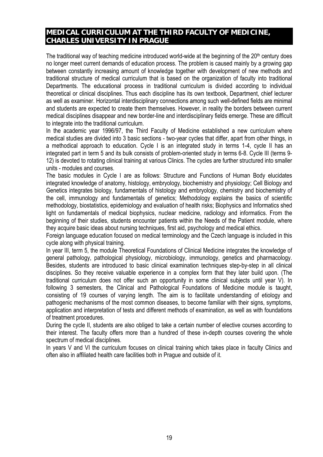# **MEDICAL CURRICULUM AT THE THIRD FACULTY OF MEDICINE, CHARLES UNIVERSITY IN PRAGUE**

The traditional way of teaching medicine introduced world-wide at the beginning of the  $20<sup>th</sup>$  century does no longer meet current demands of education process. The problem is caused mainly by a growing gap between constantly increasing amount of knowledge together with development of new methods and traditional structure of medical curriculum that is based on the organization of faculty into traditional Departments. The educational process in traditional curriculum is divided according to individual theoretical or clinical disciplines. Thus each discipline has its own textbook, Department, chief lecturer as well as examiner. Horizontal interdisciplinary connections among such well-defined fields are minimal and students are expected to create them themselves. However, in reality the borders between current medical disciplines disappear and new border-line and interdisciplinary fields emerge. These are difficult to integrate into the traditional curriculum.

In the academic year 1996/97, the Third Faculty of Medicine established a new curriculum where medical studies are divided into 3 basic sections - two-year cycles that differ, apart from other things, in a methodical approach to education. Cycle I is an integrated study in terms 1-4, cycle II has an integrated part in term 5 and its bulk consists of problem-oriented study in terms 6-8. Cycle III (terms 9- 12) is devoted to rotating clinical training at various Clinics. The cycles are further structured into smaller units - modules and courses.

The basic modules in Cycle I are as follows: Structure and Functions of Human Body elucidates integrated knowledge of anatomy, histology, embryology, biochemistry and physiology; Cell Biology and Genetics integrates biology, fundamentals of histology and embryology, chemistry and biochemistry of the cell, immunology and fundamentals of genetics; Methodology explains the basics of scientific methodology, biostatistics, epidemiology and evaluation of health risks; Biophysics and Informatics shed light on fundamentals of medical biophysics, nuclear medicine, radiology and informatics. From the beginning of their studies, students encounter patients within the Needs of the Patient module, where they acquire basic ideas about nursing techniques, first aid, psychology and medical ethics.

Foreign language education focused on medical terminology and the Czech language is included in this cycle along with physical training.

In year III, term 5, the module Theoretical Foundations of Clinical Medicine integrates the knowledge of general pathology, pathological physiology, microbiology, immunology, genetics and pharmacology. Besides, students are introduced to basic clinical examination techniques step-by-step in all clinical disciplines. So they receive valuable experience in a complex form that they later build upon. (The traditional curriculum does not offer such an opportunity in some clinical subjects until year V). In following 3 semesters, the Clinical and Pathological Foundations of Medicine module is taught, consisting of 19 courses of varying length. The aim is to facilitate understanding of etiology and pathogenic mechanisms of the most common diseases, to become familiar with their signs, symptoms, application and interpretation of tests and different methods of examination, as well as with foundations of treatment procedures.

During the cycle II, students are also obliged to take a certain number of elective courses according to their interest. The faculty offers more than a hundred of these in-depth courses covering the whole spectrum of medical disciplines.

In years V and VI the curriculum focuses on clinical training which takes place in faculty Clinics and often also in affiliated health care facilities both in Prague and outside of it.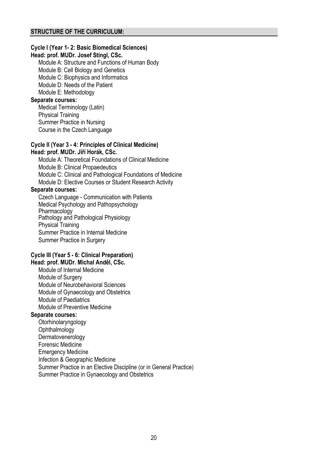# **Cycle I (Year 1- 2: Basic Biomedical Sciences)**

# **Head: prof. MUDr. Josef Stingl, CSc.**

Module A: Structure and Functions of Human Body Module B: Cell Biology and Genetics Module C: Biophysics and Informatics Module D: Needs of the Patient Module E: Methodology **Separate courses:**  Medical Terminology (Latin)

Physical Training

Summer Practice in Nursing Course in the Czech Language

#### **Cycle II (Year 3 - 4: Principles of Clinical Medicine) Head: prof. MUDr. Jiří Horák, CSc.**

Module A: Theoretical Foundations of Clinical Medicine Module B: Clinical Propaedeutics Module C: Clinical and Pathological Foundations of Medicine Module D: Elective Courses or Student Research Activity

# **Separate courses:**

Czech Language - Communication with Patients Medical Psychology and Pathopsychology Pharmacology Pathology and Pathological Physiology Physical Training Summer Practice in Internal Medicine Summer Practice in Surgery

#### **Cycle III (Year 5 - 6: Clinical Preparation) Head: prof. MUDr. Michal Anděl, CSc.**

Module of Internal Medicine Module of Surgery Module of Neurobehavioral Sciences Module of Gynaecology and Obstetrics Module of Paediatrics Module of Preventive Medicine

## **Separate courses:**

**Otorhinolaryngology Ophthalmology Dermatovenerology** Forensic Medicine Emergency Medicine Infection & Geographic Medicine Summer Practice in an Elective Discipline (or in General Practice) Summer Practice in Gynaecology and Obstetrics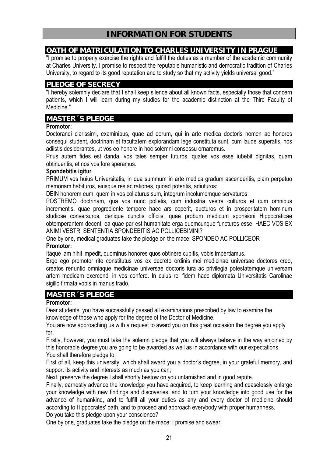# **OATH OF MATRICULATION TO CHARLES UNIVERSITY IN PRAGUE**

"I promise to properly exercise the rights and fulfill the duties as a member of the academic community at Charles University. I promise to respect the reputable humanistic and democratic tradition of Charles University, to regard to its good reputation and to study so that my activity yields universal good."

# **PLEDGE OF SECRECY**

"I hereby solemnly declare that I shall keep silence about all known facts, especially those that concern patients, which I will learn during my studies for the academic distinction at the Third Faculty of Medicine."

# **MASTER´S PLEDGE**

# **Promotor:**

Doctorandi clarissimi, examinibus, quae ad eorum, qui in arte medica doctoris nomen ac honores consequi student, doctrinam et facultatem explorandam lege constituta sunt, cum laude superatis, nos adiistis desiderantes, ut vos eo honore in hoc solemni consessu ornaremus.

Prius autem fides est danda, vos tales semper futuros, quales vos esse iubebit dignitas, quam obtinueritis, et nos vos fore speramus.

# **Spondebitis igitur**

PRIMUM vos huius Universitatis, in qua summum in arte medica gradum ascenderitis, piam perpetuo memoriam habituros, eiusque res ac rationes, quoad poteritis, adiuturos:

DEIN honorem eum, quem in vos collaturus sum, integrum incolumemque servaturos:

POSTREMO doctrinam, qua vos nunc polletis, cum industria vestra culturos et cum omnibus incrementis, quae progrediente tempore haec ars ceperit, aucturos et in prosperitatem hominum studiose conversuros, denique cunctis officiis, quae probum medicum sponsioni Hippocraticae obtemperantem decent, ea quae par est humanitate erga quemcunque functuros esse; HAEC VOS EX ANIMI VESTRI SENTENTIA SPONDEBITIS AC POLLICEBIMINI?

One by one, medical graduates take the pledge on the mace: SPONDEO AC POLLICEOR **Promotor:** 

Itaque iam nihil impedit, quominus honores quos obtinere cupitis, vobis impertiamus.

Ergo ego promotor rite constitutus vos ex decreto ordinis mei medicinae universae doctores creo, creatos renuntio omniaque medicinae universae doctoris iura ac privilegia potestatemque universam artem medicam exercendi in vos confero. In cuius rei fidem haec diplomata Universitatis Carolinae sigillo firmata vobis in manus trado.

# **MASTER´S PLEDGE**

# **Promotor:**

Dear students, you have successfully passed all examinations prescribed by law to examine the knowledge of those who apply for the degree of the Doctor of Medicine.

You are now approaching us with a request to award you on this great occasion the degree you apply for.

Firstly, however, you must take the solemn pledge that you will always behave in the way enjoined by this honorable degree you are going to be awarded as well as in accordance with our expectations. You shall therefore pledge to:

First of all, keep this university, which shall award you a doctor's degree, in your grateful memory, and support its activity and interests as much as you can;

Next, preserve the degree I shall shortly bestow on you untarnished and in good repute.

Finally, earnestly advance the knowledge you have acquired, to keep learning and ceaselessly enlarge your knowledge with new findings and discoveries, and to turn your knowledge into good use for the advance of humankind, and to fulfill all your duties as any and every doctor of medicine should according to Hippocrates' oath, and to proceed and approach everybody with proper humanness.

Do you take this pledge upon your conscience?

One by one, graduates take the pledge on the mace: I promise and swear.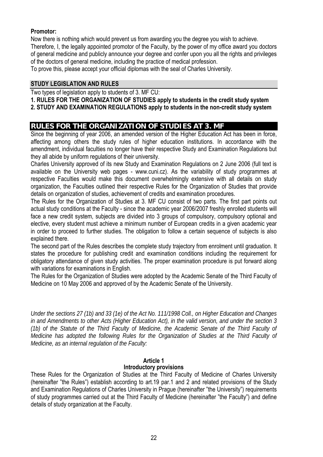# **Promotor:**

Now there is nothing which would prevent us from awarding you the degree you wish to achieve.

Therefore, I, the legally appointed promotor of the Faculty, by the power of my office award you doctors of general medicine and publicly announce your degree and confer upon you all the rights and privileges of the doctors of general medicine, including the practice of medical profession.

To prove this, please accept your official diplomas with the seal of Charles University.

# **STUDY LEGISLATION AND RULES**

Two types of legislation apply to students of 3. MF CU:

# **1. RULES FOR THE ORGANIZATION OF STUDIES apply to students in the credit study system**

**2. STUDY AND EXAMINATION REGULATIONS apply to students in the non-credit study system** 

# **RULES FOR THE ORGANIZATION OF STUDIES AT 3. MF**

Since the beginning of year 2006, an amended version of the Higher Education Act has been in force, affecting among others the study rules of higher education institutions. In accordance with the amendment, individual faculties no longer have their respective Study and Examination Regulations but they all abide by uniform regulations of their university.

Charles University approved of its new Study and Examination Regulations on 2 June 2006 (full text is available on the University web pages - www.cuni.cz). As the variability of study programmes at respective Faculties would make this document overwhelmingly extensive with all details on study organization, the Faculties outlined their respective Rules for the Organization of Studies that provide details on organization of studies, achievement of credits and examination procedures.

The Rules for the Organization of Studies at 3. MF CU consist of two parts. The first part points out actual study conditions at the Faculty - since the academic year 2006/2007 freshly enrolled students will face a new credit system, subjects are divided into 3 groups of compulsory, compulsory optional and elective, every student must achieve a minimum number of European credits in a given academic year in order to proceed to further studies. The obligation to follow a certain sequence of subjects is also explained there.

The second part of the Rules describes the complete study trajectory from enrolment until graduation. It states the procedure for publishing credit and examination conditions including the requirement for obligatory attendance of given study activities. The proper examination procedure is put forward along with variations for examinations in English.

The Rules for the Organization of Studies were adopted by the Academic Senate of the Third Faculty of Medicine on 10 May 2006 and approved of by the Academic Senate of the University.

*Under the sections 27 (1b) and 33 (1e) of the Act No. 111/1998 Coll., on Higher Education and Changes in and Amendments to other Acts (Higher Education Act), in the valid version, and under the section 3 (1b) of the Statute of the Third Faculty of Medicine, the Academic Senate of the Third Faculty of Medicine has adopted the following Rules for the Organization of Studies at the Third Faculty of Medicine, as an internal regulation of the Faculty:* 

#### **Article 1 Introductory provisions**

These Rules for the Organization of Studies at the Third Faculty of Medicine of Charles University (hereinafter "the Rules") establish according to art.19 par.1 and 2 and related provisions of the Study and Examination Regulations of Charles University in Prague (hereinafter "the University") requirements of study programmes carried out at the Third Faculty of Medicine (hereinafter "the Faculty") and define details of study organization at the Faculty.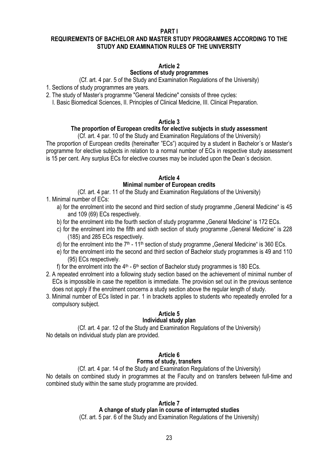**PART I** 

# **REQUIREMENTS OF BACHELOR AND MASTER STUDY PROGRAMMES ACCORDING TO THE STUDY AND EXAMINATION RULES OF THE UNIVERSITY**

# **Article 2**

# **Sections of study programmes**

(Cf. art. 4 par. 5 of the Study and Examination Regulations of the University)

- 1. Sections of study programmes are years.
- 2. The study of Master's programme "General Medicine" consists of three cycles:
	- I. Basic Biomedical Sciences, II. Principles of Clinical Medicine, III. Clinical Preparation.

## **Article 3**

# **The proportion of European credits for elective subjects in study assessment**

(Cf. art. 4 par. 10 of the Study and Examination Regulations of the University)

The proportion of European credits (hereinafter "ECs") acquired by a student in Bachelor´s or Master's programme for elective subjects in relation to a normal number of ECs in respective study assessment is 15 per cent. Any surplus ECs for elective courses may be included upon the Dean´s decision.

# **Article 4 Minimal number of European credits**

(Cf. art. 4 par. 11 of the Study and Examination Regulations of the University)

- 1. Minimal number of ECs:
	- a) for the enrolment into the second and third section of study programme "General Medicine" is 45 and 109 (69) ECs respectively.
	- b) for the enrolment into the fourth section of study programme "General Medicine" is 172 ECs.
	- c) for the enrolment into the fifth and sixth section of study programme "General Medicine" is 228 (185) and 285 ECs respectively.
	- d) for the enrolment into the  $7<sup>th</sup>$  11<sup>th</sup> section of study programme "General Medicine" is 360 ECs.
	- e) for the enrolment into the second and third section of Bachelor study programmes is 49 and 110 (95) ECs respectively.

f) for the enrolment into the  $4<sup>th</sup>$  - 6<sup>th</sup> section of Bachelor study programmes is 180 ECs.

- 2. A repeated enrolment into a following study section based on the achievement of minimal number of ECs is impossible in case the repetition is immediate. The provision set out in the previous sentence does not apply if the enrolment concerns a study section above the regular length of study.
- 3. Minimal number of ECs listed in par. 1 in brackets applies to students who repeatedly enrolled for a compulsory subject.

# **Article 5**

# **Individual study plan**

(Cf. art. 4 par. 12 of the Study and Examination Regulations of the University) No details on individual study plan are provided.

# **Article 6**

# **Forms of study, transfers**

(Cf. art. 4 par. 14 of the Study and Examination Regulations of the University) No details on combined study in programmes at the Faculty and on transfers between full-time and combined study within the same study programme are provided.

# **Article 7**

## **A change of study plan in course of interrupted studies**

(Cf. art. 5 par. 6 of the Study and Examination Regulations of the University)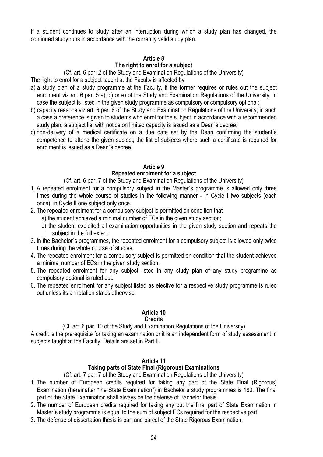If a student continues to study after an interruption during which a study plan has changed, the continued study runs in accordance with the currently valid study plan.

# **Article 8**

# **The right to enrol for a subject**

(Cf. art. 6 par. 2 of the Study and Examination Regulations of the University)

The right to enrol for a subject taught at the Faculty is affected by

- a) a study plan of a study programme at the Faculty, if the former requires or rules out the subject enrolment viz art. 6 par. 5 a), c) or e) of the Study and Examination Regulations of the University, in case the subject is listed in the given study programme as compulsory or compulsory optional;
- b) capacity reasons viz art. 6 par. 6 of the Study and Examination Regulations of the University; in such a case a preference is given to students who enrol for the subject in accordance with a recommended study plan; a subject list with notice on limited capacity is issued as a Dean´s decree;
- c) non-delivery of a medical certificate on a due date set by the Dean confirming the student´s competence to attend the given subject; the list of subjects where such a certificate is required for enrolment is issued as a Dean´s decree.

#### **Article 9 Repeated enrolment for a subject**

(Cf. art. 6 par. 7 of the Study and Examination Regulations of the University)

- 1. A repeated enrolment for a compulsory subject in the Master´s programme is allowed only three times during the whole course of studies in the following manner - in Cycle I two subjects (each once), in Cycle II one subject only once.
- 2. The repeated enrolment for a compulsory subject is permitted on condition that
	- a) the student achieved a minimal number of ECs in the given study section;
	- b) the student exploited all examination opportunities in the given study section and repeats the subject in the full extent.
- 3. In the Bachelor´s programmes, the repeated enrolment for a compulsory subject is allowed only twice times during the whole course of studies.
- 4. The repeated enrolment for a compulsory subject is permitted on condition that the student achieved a minimal number of ECs in the given study section.
- 5. The repeated enrolment for any subject listed in any study plan of any study programme as compulsory optional is ruled out.
- 6. The repeated enrolment for any subject listed as elective for a respective study programme is ruled out unless its annotation states otherwise.

#### **Article 10 Credits**

# (Cf. art. 6 par. 10 of the Study and Examination Regulations of the University)

A credit is the prerequisite for taking an examination or it is an independent form of study assessment in subjects taught at the Faculty. Details are set in Part II.

# **Article 11**

# **Taking parts of State Final (Rigorous) Examinations**

(Cf. art. 7 par. 7 of the Study and Examination Regulations of the University)

- 1. The number of European credits required for taking any part of the State Final (Rigorous) Examination (hereinafter "the State Examination") in Bachelor´s study programmes is 180. The final part of the State Examination shall always be the defense of Bachelor thesis.
- 2. The number of European credits required for taking any but the final part of State Examination in Master´s study programme is equal to the sum of subject ECs required for the respective part.
- 3. The defense of dissertation thesis is part and parcel of the State Rigorous Examination.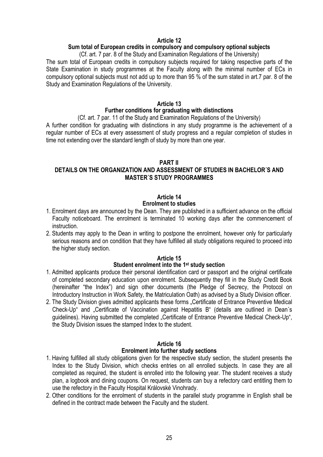# **Article 12**

# **Sum total of European credits in compulsory and compulsory optional subjects**

(Cf. art. 7 par. 8 of the Study and Examination Regulations of the University) The sum total of European credits in compulsory subjects required for taking respective parts of the State Examination in study programmes at the Faculty along with the minimal number of ECs in compulsory optional subjects must not add up to more than 95 % of the sum stated in art.7 par. 8 of the Study and Examination Regulations of the University.

# **Article 13**

# **Further conditions for graduating with distinctions**

(Cf. art. 7 par. 11 of the Study and Examination Regulations of the University)

A further condition for graduating with distinctions in any study programme is the achievement of a regular number of ECs at every assessment of study progress and a regular completion of studies in time not extending over the standard length of study by more than one year.

## **PART II**

# **DETAILS ON THE ORGANIZATION AND ASSESSMENT OF STUDIES IN BACHELOR´S AND MASTER´S STUDY PROGRAMMES**

# **Article 14**

## **Enrolment to studies**

- 1. Enrolment days are announced by the Dean. They are published in a sufficient advance on the official Faculty noticeboard. The enrolment is terminated 10 working days after the commencement of instruction.
- 2. Students may apply to the Dean in writing to postpone the enrolment, however only for particularly serious reasons and on condition that they have fulfilled all study obligations required to proceed into the higher study section.

# **Article 15**

# **Student enrolment into the 1st study section**

- 1. Admitted applicants produce their personal identification card or passport and the original certificate of completed secondary education upon enrolment. Subsequently they fill in the Study Credit Book (hereinafter "the Index") and sign other documents (the Pledge of Secrecy, the Protocol on Introductory Instruction in Work Safety, the Matriculation Oath) as advised by a Study Division officer.
- 2. The Study Division gives admitted applicants these forms "Certificate of Entrance Preventive Medical Check-Up" and "Certificate of Vaccination against Hepatitis B" (details are outlined in Dean's guidelines). Having submitted the completed "Certificate of Entrance Preventive Medical Check-Up", the Study Division issues the stamped Index to the student.

# **Article 16**

## **Enrolment into further study sections**

- 1. Having fulfilled all study obligations given for the respective study section, the student presents the Index to the Study Division, which checks entries on all enrolled subjects. In case they are all completed as required, the student is enrolled into the following year. The student receives a study plan, a logbook and dining coupons. On request, students can buy a refectory card entitling them to use the refectory in the Faculty Hospital Královské Vinohrady.
- 2. Other conditions for the enrolment of students in the parallel study programme in English shall be defined in the contract made between the Faculty and the student.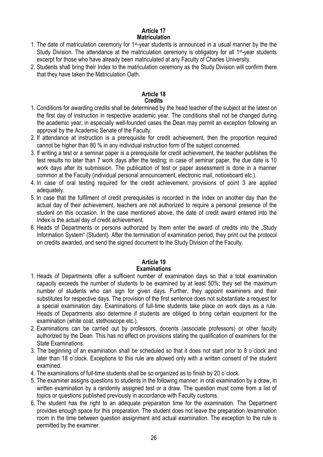# **Article 17 Matriculation**

- 1. The date of matriculation ceremony for 1st-year students is announced in a usual manner by the the Study Division. The attendance at the matriculation ceremony is obligatory for all 1<sup>st-</sup>year students excerpt for those who have already been matriculated at any Faculty of Charles University.
- 2. Students shall bring their Index to the matriculation ceremony as the Study Division will confirm there that they have taken the Matriculation Oath.

# **Article 18 Credits**

- 1. Conditions for awarding credits shall be determined by the head teacher of the subject at the latest on the first day of instruction in respective academic year. The conditions shall not be changed during the academic year; in especially well-founded cases the Dean may permit an exception following an approval by the Academic Senate of the Faculty.
- 2. If attendance at instruction is a prerequisite for credit achievement, then the proportion required cannot be higher than 80 % in any individual instruction form of the subject concerned.
- 3. If writing a test or a seminar paper is a prerequisite for credit achievement, the teacher publishes the test results no later than 7 work days after the testing; in case of seminar paper, the due date is 10 work days after its submission. The publication of test or paper assessment is done in a manner common at the Faculty (individual personal announcement, electronic mail, noticeboard etc.).
- 4. In case of oral testing required for the credit achievement, provisions of point 3 are applied adequately.
- 5. In case that the fulfilment of credit prerequisites is recorded in the Index on another day than the actual day of their achievement, teachers are not authorized to require a personal presence of the student on this occasion. In the case mentioned above, the date of credit award entered into the Index is the actual day of credit achievement.
- 6. Heads of Departments or persons authorized by them enter the award of credits into the "Study Information System" (Student). After the termination of examination period, they print out the protocol on credits awarded, and send the signed document to the Study Division of the Faculty.

# **Article 19**

# **Examinations**

- 1. Heads of Departments offer a sufficient number of examination days so that a total examination capacity exceeds the number of students to be examined by at least 50%; they set the maximum number of students who can sign for given days. Further, they appoint examiners and their substitutes for respective days. The provision of the first sentence does not substantiate a request for a special examination day. Examinations of full-time students take place on work days as a rule. Heads of Departments also determine if students are obliged to bring certain equipment for the examination (white coat, stethoscope etc.).
- 2. Examinations can be carried out by professors, docents (associate professors) or other faculty authorized by the Dean. This has no effect on provisions stating the qualification of examiners for the State Examinations.
- 3. The beginning of an examination shall be scheduled so that it does not start prior to 8 o´clock and later than 18 o´clock. Exceptions to this rule are allowed only with a written consent of the student examined.
- 4. The examinations of full-time students shall be so organized as to finish by 20 o´clock.
- 5. The examiner assigns questions to students in the following manner: in oral examination by a draw, in written examination by a randomly assigned test or a draw. The question must come from a list of topics or questions published previously in accordance with Faculty customs.
- 6. The student has the right to an adequate preparation time for the examination. The Department provides enough space for this preparation. The student does not leave the preparation /examination room in the time between question assignment and actual examination. The exception to the rule is permitted by the examiner.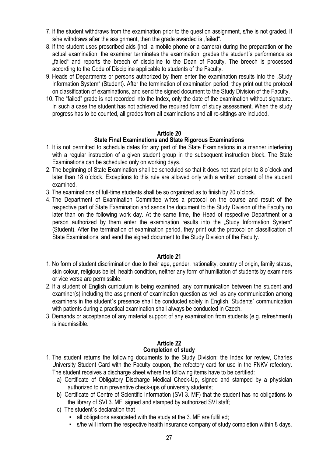- 7. If the student withdraws from the examination prior to the question assignment, s/he is not graded. If s/he withdraws after the assignment, then the grade awarded is "failed".
- 8. If the student uses proscribed aids (incl. a mobile phone or a camera) during the preparation or the actual examination, the examiner terminates the examination, grades the student´s performance as "failed" and reports the breech of discipline to the Dean of Faculty. The breech is processed according to the Code of Discipline applicable to students of the Faculty.
- 9. Heads of Departments or persons authorized by them enter the examination results into the "Study Information System" (Student). After the termination of examination period, they print out the protocol on classification of examinations, and send the signed document to the Study Division of the Faculty.
- 10. The "failed" grade is not recorded into the Index, only the date of the examination without signature. In such a case the student has not achieved the required form of study assessment. When the study progress has to be counted, all grades from all examinations and all re-sittings are included.

# **Article 20**

# **State Final Examinations and State Rigorous Examinations**

- 1. It is not permitted to schedule dates for any part of the State Examinations in a manner interfering with a regular instruction of a given student group in the subsequent instruction block. The State Examinations can be scheduled only on working days.
- 2. The beginning of State Examination shall be scheduled so that it does not start prior to 8 o´clock and later than 18 o´clock. Exceptions to this rule are allowed only with a written consent of the student examined.
- 3. The examinations of full-time students shall be so organized as to finish by 20 o´clock.
- 4. The Department of Examination Committee writes a protocol on the course and result of the respective part of State Examination and sends the document to the Study Division of the Faculty no later than on the following work day. At the same time, the Head of respective Department or a person authorized by them enter the examination results into the "Study Information System" (Student). After the termination of examination period, they print out the protocol on classification of State Examinations, and send the signed document to the Study Division of the Faculty.

# **Article 21**

- 1. No form of student discrimination due to their age, gender, nationality, country of origin, family status, skin colour, religious belief, health condition, neither any form of humiliation of students by examiners or vice versa are permissible.
- 2. If a student of English curriculum is being examined, any communication between the student and examiner(s) including the assignment of examination question as well as any communication among examiners in the student´s presence shall be conducted solely in English. Students´ communication with patients during a practical examination shall always be conducted in Czech.
- 3. Demands or acceptance of any material support of any examination from students (e.g. refreshment) is inadmissible.

#### **Article 22 Completion of study**

- 1. The student returns the following documents to the Study Division: the Index for review, Charles University Student Card with the Faculty coupon, the refectory card for use in the FNKV refectory. The student receives a discharge sheet where the following items have to be certified:
	- a) Certificate of Obligatory Discharge Medical Check-Up, signed and stamped by a physician authorized to run preventive check-ups of university students;
	- b) Certificate of Centre of Scientific Information (SVI 3. MF) that the student has no obligations to the library of SVI 3. MF, signed and stamped by authorized SVI staff;
	- c) The student´s declaration that
		- all obligations associated with the study at the 3. MF are fulfilled;
		- s/he will inform the respective health insurance company of study completion within 8 days.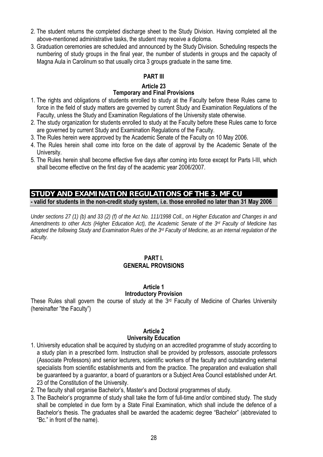- 2. The student returns the completed discharge sheet to the Study Division. Having completed all the above-mentioned administrative tasks, the student may receive a diploma.
- 3. Graduation ceremonies are scheduled and announced by the Study Division. Scheduling respects the numbering of study groups in the final year, the number of students in groups and the capacity of Magna Aula in Carolinum so that usually circa 3 groups graduate in the same time.

# **PART III**

# **Article 23**

# **Temporary and Final Provisions**

- 1. The rights and obligations of students enrolled to study at the Faculty before these Rules came to force in the field of study matters are governed by current Study and Examination Regulations of the Faculty, unless the Study and Examination Regulations of the University state otherwise.
- 2. The study organization for students enrolled to study at the Faculty before these Rules came to force are governed by current Study and Examination Regulations of the Faculty.
- 3. The Rules herein were approved by the Academic Senate of the Faculty on 10 May 2006.
- 4. The Rules herein shall come into force on the date of approval by the Academic Senate of the University.
- 5. The Rules herein shall become effective five days after coming into force except for Parts I-III, which shall become effective on the first day of the academic year 2006/2007.

# **STUDY AND EXAMINATION REGULATIONS OF THE 3. MF CU - valid for students in the non-credit study system, i.e. those enrolled no later than 31 May 2006**

*Under sections 27 (1) (b) and 33 (2) (f) of the Act No. 111/1998 Coll., on Higher Education and Changes in and Amendments to other Acts (Higher Education Act), the Academic Senate of the 3rd Faculty of Medicine has adopted the following Study and Examination Rules of the 3rd Faculty of Medicine, as an internal regulation of the Faculty.* 

# **PART I. GENERAL PROVISIONS**

#### **Article 1 Introductory Provision**

These Rules shall govern the course of study at the 3rd Faculty of Medicine of Charles University (hereinafter "the Faculty")

## **Article 2 University Education**

- 1. University education shall be acquired by studying on an accredited programme of study according to a study plan in a prescribed form. Instruction shall be provided by professors, associate professors (Associate Professors) and senior lecturers, scientific workers of the faculty and outstanding external specialists from scientific establishments and from the practice. The preparation and evaluation shall be guaranteed by a guarantor, a board of guarantors or a Subject Area Council established under Art. 23 of the Constitution of the University.
- 2. The faculty shall organise Bachelor's, Master's and Doctoral programmes of study.
- 3. The Bachelor's programme of study shall take the form of full-time and/or combined study. The study shall be completed in due form by a State Final Examination, which shall include the defence of a Bachelor's thesis. The graduates shall be awarded the academic degree "Bachelor" (abbreviated to "Bc." in front of the name).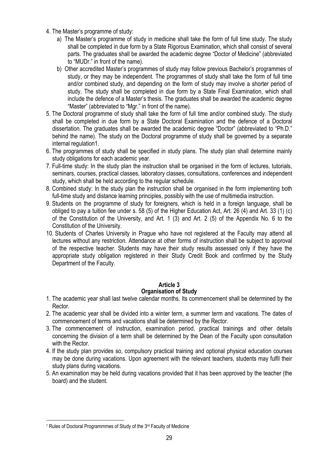- 4. The Master's programme of study:
	- a) The Master's programme of study in medicine shall take the form of full time study. The study shall be completed in due form by a State Rigorous Examination, which shall consist of several parts. The graduates shall be awarded the academic degree "Doctor of Medicine" (abbreviated to "MUDr." in front of the name).
	- b) Other accredited Master's programmes of study may follow previous Bachelor's programmes of study, or they may be independent. The programmes of study shall take the form of full time and/or combined study, and depending on the form of study may involve a shorter period of study. The study shall be completed in due form by a State Final Examination, which shall include the defence of a Master's thesis. The graduates shall be awarded the academic degree "Master" (abbreviated to "Mgr." in front of the name).
- 5. The Doctoral programme of study shall take the form of full time and/or combined study. The study shall be completed in due form by a State Doctoral Examination and the defence of a Doctoral dissertation. The graduates shall be awarded the academic degree "Doctor" (abbreviated to "Ph.D." behind the name). The study on the Doctoral programme of study shall be governed by a separate internal regulation1.
- 6. The programmes of study shall be specified in study plans. The study plan shall determine mainly study obligations for each academic year.
- 7. Full-time study: In the study plan the instruction shall be organised in the form of lectures, tutorials, seminars, courses, practical classes, laboratory classes, consultations, conferences and independent study, which shall be held according to the regular schedule.
- 8. Combined study: In the study plan the instruction shall be organised in the form implementing both full-time study and distance learning principles, possibly with the use of multimedia instruction.
- 9. Students on the programme of study for foreigners, which is held in a foreign language, shall be obliged to pay a tuition fee under s. 58 (5) of the Higher Education Act, Art. 26 (4) and Art. 33 (1) (c) of the Constitution of the University, and Art. 1 (3) and Art. 2 (5) of the Appendix No. 6 to the Constitution of the University.
- 10. Students of Charles University in Prague who have not registered at the Faculty may attend all lectures without any restriction. Attendance at other forms of instruction shall be subject to approval of the respective teacher. Students may have their study results assessed only if they have the appropriate study obligation registered in their Study Credit Book and confirmed by the Study Department of the Faculty.

# **Article 3 Organisation of Study**

- 1. The academic year shall last twelve calendar months. Its commencement shall be determined by the Rector.
- 2. The academic year shall be divided into a winter term, a summer term and vacations. The dates of commencement of terms and vacations shall be determined by the Rector.
- 3. The commencement of instruction, examination period, practical trainings and other details concerning the division of a term shall be determined by the Dean of the Faculty upon consultation with the Rector.
- 4. If the study plan provides so, compulsory practical training and optional physical education courses may be done during vacations. Upon agreement with the relevant teachers, students may fulfil their study plans during vacations.
- 5. An examination may be held during vacations provided that it has been approved by the teacher (the board) and the student.

<sup>&</sup>lt;u>.</u> 1 Rules of Doctoral Programmmes of Study of the 3rd Faculty of Medicine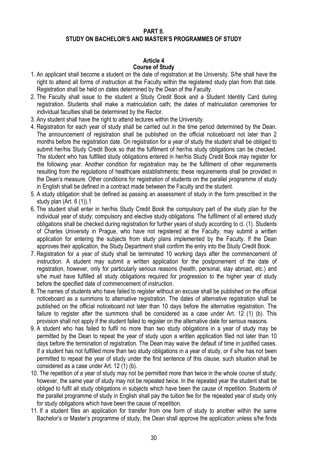# **PART II. STUDY ON BACHELOR'S AND MASTER'S PROGRAMMES OF STUDY**

# **Article 4**

# **Course of Study**

- 1. An applicant shall become a student on the date of registration at the University. S/he shall have the right to attend all forms of instruction at the Faculty within the registered study plan from that date. Registration shall be held on dates determined by the Dean of the Faculty.
- 2. The Faculty shall issue to the student a Study Credit Book and a Student Identity Card during registration. Students shall make a matriculation oath; the dates of matriculation ceremonies for individual faculties shall be determined by the Rector.
- 3. Any student shall have the right to attend lectures within the University.
- 4. Registration for each year of study shall be carried out in the time period determined by the Dean. The announcement of registration shall be published on the official noticeboard not later than 2 months before the registration date. On registration for a year of study the student shall be obliged to submit her/his Study Credit Book so that the fulfilment of her/his study obligations can be checked. The student who has fulfilled study obligations entered in her/his Study Credit Book may register for the following year. Another condition for registration may be the fulfilment of other requirements resulting from the regulations of healthcare establishments; these requirements shall be provided in the Dean's measure. Other conditions for registration of students on the parallel programme of study in English shall be defined in a contract made between the Faculty and the student.
- 5. A study obligation shall be defined as passing an assessment of study in the form prescribed in the study plan (Art. 6 (1)).1
- 6. The student shall enter in her/his Study Credit Book the compulsory part of the study plan for the individual year of study: compulsory and elective study obligations. The fulfilment of all entered study obligations shall be checked during registration for further years of study according to cl. (1). Students of Charles University in Prague, who have not registered at the Faculty, may submit a written application for entering the subjects from study plans implemented by the Faculty. If the Dean approves their application, the Study Department shall confirm the entry into the Study Credit Book.
- 7. Registration for a year of study shall be terminated 10 working days after the commencement of instruction. A student may submit a written application for the postponement of the date of registration, however, only for particularly serious reasons (health, personal, stay abroad, etc.) and s/he must have fulfilled all study obligations required for progression to the higher year of study before the specified date of commencement of instruction.
- 8. The names of students who have failed to register without an excuse shall be published on the official noticeboard as a summons to alternative registration. The dates of alternative registration shall be published on the official noticeboard not later than 10 days before the alternative registration. The failure to register after the summons shall be considered as a case under Art. 12 (1) (b). This provision shall not apply if the student failed to register on the alternative date for serious reasons.
- 9. A student who has failed to fulfil no more than two study obligations in a year of study may be permitted by the Dean to repeat the year of study upon a written application filed not later than 10 days before the termination of registration. The Dean may waive the default of time in justified cases. If a student has not fulfilled more than two study obligations in a year of study, or if s/he has not been permitted to repeat the year of study under the first sentence of this clause, such situation shall be considered as a case under Art. 12 (1) (b).
- 10. The repetition of a year of study may not be permitted more than twice in the whole course of study; however, the same year of study may not be repeated twice. In the repeated year the student shall be obliged to fulfil all study obligations in subjects which have been the cause of repetition. Students of the parallel programme of study in English shall pay the tuition fee for the repeated year of study only for study obligations which have been the cause of repetition.
- 11. If a student files an application for transfer from one form of study to another within the same Bachelor's or Master's programme of study, the Dean shall approve the application unless s/he finds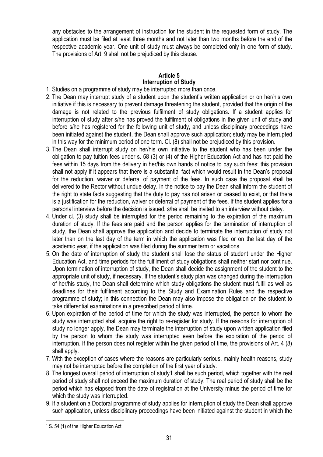any obstacles to the arrangement of instruction for the student in the requested form of study. The application must be filed at least three months and not later than two months before the end of the respective academic year. One unit of study must always be completed only in one form of study. The provisions of Art. 9 shall not be prejudiced by this clause.

# **Article 5 Interruption of Study**

- 1. Studies on a programme of study may be interrupted more than once.
- 2. The Dean may interrupt study of a student upon the student's written application or on her/his own initiative if this is necessary to prevent damage threatening the student, provided that the origin of the damage is not related to the previous fulfilment of study obligations. If a student applies for interruption of study after s/he has proved the fulfilment of obligations in the given unit of study and before s/he has registered for the following unit of study, and unless disciplinary proceedings have been initiated against the student, the Dean shall approve such application; study may be interrupted in this way for the minimum period of one term. Cl. (8) shall not be prejudiced by this provision.
- 3. The Dean shall interrupt study on her/his own initiative to the student who has been under the obligation to pay tuition fees under s. 58 (3) or (4) of the Higher Education Act and has not paid the fees within 15 days from the delivery in her/his own hands of notice to pay such fees; this provision shall not apply if it appears that there is a substantial fact which would result in the Dean's proposal for the reduction, waiver or deferral of payment of the fees. In such case the proposal shall be delivered to the Rector without undue delay. In the notice to pay the Dean shall inform the student of the right to state facts suggesting that the duty to pay has not arisen or ceased to exist, or that there is a justification for the reduction, waiver or deferral of payment of the fees. If the student applies for a personal interview before the decision is issued, s/he shall be invited to an interview without delay.
- 4. Under cl. (3) study shall be interrupted for the period remaining to the expiration of the maximum duration of study. If the fees are paid and the person applies for the termination of interruption of study, the Dean shall approve the application and decide to terminate the interruption of study not later than on the last day of the term in which the application was filed or on the last day of the academic year, if the application was filed during the summer term or vacations.
- 5. On the date of interruption of study the student shall lose the status of student under the Higher Education Act, and time periods for the fulfilment of study obligations shall neither start nor continue. Upon termination of interruption of study, the Dean shall decide the assignment of the student to the appropriate unit of study, if necessary. If the student's study plan was changed during the interruption of her/his study, the Dean shall determine which study obligations the student must fulfil as well as deadlines for their fulfilment according to the Study and Examination Rules and the respective programme of study; in this connection the Dean may also impose the obligation on the student to take differential examinations in a prescribed period of time.
- 6. Upon expiration of the period of time for which the study was interrupted, the person to whom the study was interrupted shall acquire the right to re-register for study. If the reasons for interruption of study no longer apply, the Dean may terminate the interruption of study upon written application filed by the person to whom the study was interrupted even before the expiration of the period of interruption. If the person does not register within the given period of time, the provisions of Art. 4 (8) shall apply.
- 7. With the exception of cases where the reasons are particularly serious, mainly health reasons, study may not be interrupted before the completion of the first year of study.
- 8. The longest overall period of interruption of study1 shall be such period, which together with the real period of study shall not exceed the maximum duration of study. The real period of study shall be the period which has elapsed from the date of registration at the University minus the period of time for which the study was interrupted.
- 9. If a student on a Doctoral programme of study applies for interruption of study the Dean shall approve such application, unless disciplinary proceedings have been initiated against the student in which the

<u>.</u>

<sup>1</sup> S. 54 (1) of the Higher Education Act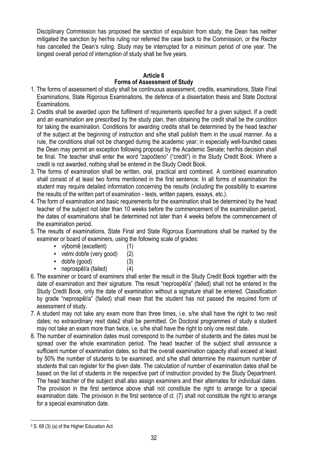Disciplinary Commission has proposed the sanction of expulsion from study, the Dean has neither mitigated the sanction by her/his ruling nor referred the case back to the Commission, or the Rector has cancelled the Dean's ruling. Study may be interrupted for a minimum period of one year. The longest overall period of interruption of study shall be five years.

# **Article 6**

# **Forms of Assessment of Study**

- 1. The forms of assessment of study shall be continuous assessment, credits, examinations, State Final Examinations, State Rigorous Examinations, the defence of a dissertation thesis and State Doctoral Examinations.
- 2. Credits shall be awarded upon the fulfilment of requirements specified for a given subject. If a credit and an examination are prescribed by the study plan, then obtaining the credit shall be the condition for taking the examination. Conditions for awarding credits shall be determined by the head teacher of the subject at the beginning of instruction and s/he shall publish them in the usual manner. As a rule, the conditions shall not be changed during the academic year; in especially well-founded cases the Dean may permit an exception following proposal by the Academic Senate; her/his decision shall be final. The teacher shall enter the word "započteno" ("credit") in the Study Credit Book. Where a credit is not awarded, nothing shall be entered in the Study Credit Book.
- 3. The forms of examination shall be written, oral, practical and combined. A combined examination shall consist of at least two forms mentioned in the first sentence. In all forms of examination the student may require detailed information concerning the results (including the possibility to examine the results of the written part of examination - tests, written papers, essays, etc.).
- 4. The form of examination and basic requirements for the examination shall be determined by the head teacher of the subject not later than 10 weeks before the commencement of the examination period, the dates of examinations shall be determined not later than 4 weeks before the commencement of the examination period.
- 5. The results of examinations, State Final and State Rigorous Examinations shall be marked by the examiner or board of examiners, using the following scale of grades:
	- výborně (excellent) (1)
	- velmi dobře (very good) (2)
	- dobře (good) (3)
	- neprospěl/a (failed) (4)
- 6. The examiner or board of examiners shall enter the result in the Study Credit Book together with the date of examination and their signature. The result "neprospěl/a" (failed) shall not be entered in the Study Credit Book, only the date of examination without a signature shall be entered. Classification by grade "neprospěl/a" (failed) shall mean that the student has not passed the required form of assessment of study.
- 7. A student may not take any exam more than three times, i.e. s/he shall have the right to two resit dates; no extraordinary resit date2 shall be permitted. On Doctoral programmes of study a student may not take an exam more than twice, i.e. s/he shall have the right to only one resit date.
- 8. The number of examination dates must correspond to the number of students and the dates must be spread over the whole examination period. The head teacher of the subject shall announce a sufficient number of examination dates, so that the overall examination capacity shall exceed at least by 50% the number of students to be examined, and s/he shall determine the maximum number of students that can register for the given date. The calculation of number of examination dates shall be based on the list of students in the respective part of instruction provided by the Study Department. The head teacher of the subject shall also assign examiners and their alternates for individual dates. The provision in the first sentence above shall not constitute the right to arrange for a special examination date. The provision in the first sentence of cl. (7) shall not constitute the right to arrange for a special examination date.

 $\overline{\phantom{a}}$ 2 S. 68 (3) (a) of the Higher Education Act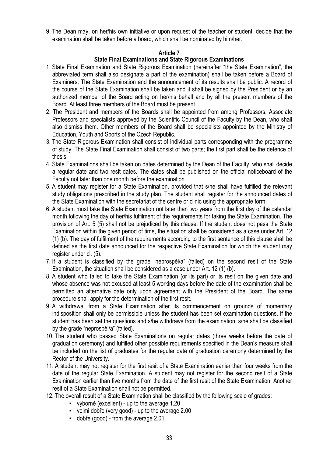9. The Dean may, on her/his own initiative or upon request of the teacher or student, decide that the examination shall be taken before a board, which shall be nominated by him/her.

# **Article 7**

# **State Final Examinations and State Rigorous Examinations**

- 1. State Final Examination and State Rigorous Examination (hereinafter "the State Examination", the abbreviated term shall also designate a part of the examination) shall be taken before a Board of Examiners. The State Examination and the announcement of its results shall be public. A record of the course of the State Examination shall be taken and it shall be signed by the President or by an authorized member of the Board acting on her/his behalf and by all the present members of the Board. At least three members of the Board must be present.
- 2. The President and members of the Boards shall be appointed from among Professors, Associate Professors and specialists approved by the Scientific Council of the Faculty by the Dean, who shall also dismiss them. Other members of the Board shall be specialists appointed by the Ministry of Education, Youth and Sports of the Czech Republic.
- 3. The State Rigorous Examination shall consist of individual parts corresponding with the programme of study. The State Final Examination shall consist of two parts; the first part shall be the defence of thesis.
- 4. State Examinations shall be taken on dates determined by the Dean of the Faculty, who shall decide a regular date and two resit dates. The dates shall be published on the official noticeboard of the Faculty not later than one month before the examination.
- 5. A student may register for a State Examination, provided that s/he shall have fulfilled the relevant study obligations prescribed in the study plan. The student shall register for the announced dates of the State Examination with the secretariat of the centre or clinic using the appropriate form.
- 6. A student must take the State Examination not later than two years from the first day of the calendar month following the day of her/his fulfilment of the requirements for taking the State Examination. The provision of Art. 5 (5) shall not be prejudiced by this clause. If the student does not pass the State Examination within the given period of time, the situation shall be considered as a case under Art. 12 (1) (b). The day of fulfilment of the requirements according to the first sentence of this clause shall be defined as the first date announced for the respective State Examination for which the student may register under cl. (5).
- 7. If a student is classified by the grade "neprospěl/a" (failed) on the second resit of the State Examination, the situation shall be considered as a case under Art. 12 (1) (b).
- 8. A student who failed to take the State Examination (or its part) or its resit on the given date and whose absence was not excused at least 5 working days before the date of the examination shall be permitted an alternative date only upon agreement with the President of the Board. The same procedure shall apply for the determination of the first resit.
- 9. A withdrawal from a State Examination after its commencement on grounds of momentary indisposition shall only be permissible unless the student has been set examination questions. If the student has been set the questions and s/he withdraws from the examination, s/he shall be classified by the grade "neprospěl/a" (failed).
- 10. The student who passed State Examinations on regular dates (three weeks before the date of graduation ceremony) and fulfilled other possible requirements specified in the Dean's measure shall be included on the list of graduates for the regular date of graduation ceremony determined by the Rector of the University.
- 11. A student may not register for the first resit of a State Examination earlier than four weeks from the date of the regular State Examination. A student may not register for the second resit of a State Examination earlier than five months from the date of the first resit of the State Examination. Another resit of a State Examination shall not be permitted.
- 12. The overall result of a State Examination shall be classified by the following scale of grades:
	- výborně (excellent) up to the average 1.20
	- velmi dobře (very good) up to the average 2.00
	- dobře (good) from the average 2.01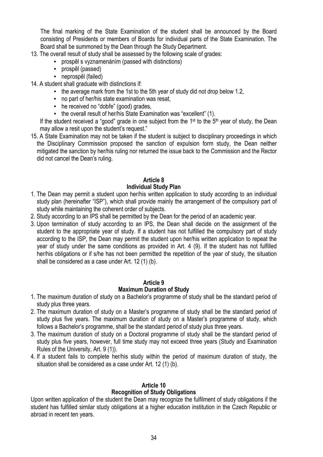The final marking of the State Examination of the student shall be announced by the Board consisting of Presidents or members of Boards for individual parts of the State Examination. The Board shall be summoned by the Dean through the Study Department.

- 13. The overall result of study shall be assessed by the following scale of grades:
	- prospěl s vyznamenáním (passed with distinctions)
	- prospěl (passed)
	- neprospěl (failed)
- 14. A student shall graduate with distinctions if:
	- the average mark from the 1st to the 5th year of study did not drop below 1.2,
	- no part of her/his state examination was resat,
	- he received no "dobře" (good) grades,
	- the overall result of her/his State Examination was "excellent" (1).

If the student received a "good" grade in one subject from the 1<sup>st</sup> to the 5<sup>th</sup> year of study, the Dean may allow a resit upon the student's request."

15. A State Examination may not be taken if the student is subject to disciplinary proceedings in which the Disciplinary Commission proposed the sanction of expulsion form study, the Dean neither mitigated the sanction by her/his ruling nor returned the issue back to the Commission and the Rector did not cancel the Dean's ruling.

# **Article 8 Individual Study Plan**

- 1. The Dean may permit a student upon her/his written application to study according to an individual study plan (hereinafter "ISP"), which shall provide mainly the arrangement of the compulsory part of study while maintaining the coherent order of subjects.
- 2. Study according to an IPS shall be permitted by the Dean for the period of an academic year.
- 3. Upon termination of study according to an IPS, the Dean shall decide on the assignment of the student to the appropriate year of study. If a student has not fulfilled the compulsory part of study according to the ISP, the Dean may permit the student upon her/his written application to repeat the year of study under the same conditions as provided in Art. 4 (9). If the student has not fulfilled her/his obligations or if s/he has not been permitted the repetition of the year of study, the situation shall be considered as a case under Art. 12 (1) (b).

#### **Article 9 Maximum Duration of Study**

- 1. The maximum duration of study on a Bachelor's programme of study shall be the standard period of study plus three years.
- 2. The maximum duration of study on a Master's programme of study shall be the standard period of study plus five years. The maximum duration of study on a Master's programme of study, which follows a Bachelor's programme, shall be the standard period of study plus three years.
- 3. The maximum duration of study on a Doctoral programme of study shall be the standard period of study plus five years, however, full time study may not exceed three years (Study and Examination Rules of the University, Art. 9 (1)).
- 4. If a student fails to complete her/his study within the period of maximum duration of study, the situation shall be considered as a case under Art. 12 (1) (b).

#### **Article 10 Recognition of Study Obligations**

Upon written application of the student the Dean may recognize the fulfilment of study obligations if the student has fulfilled similar study obligations at a higher education institution in the Czech Republic or abroad in recent ten years.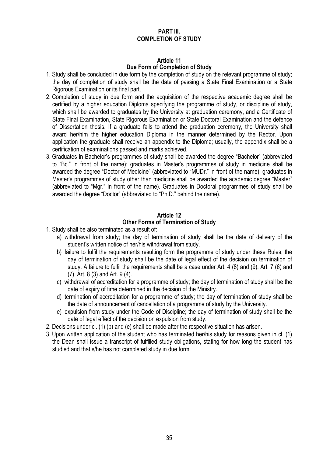# **PART III. COMPLETION OF STUDY**

# **Article 11 Due Form of Completion of Study**

- 1. Study shall be concluded in due form by the completion of study on the relevant programme of study; the day of completion of study shall be the date of passing a State Final Examination or a State Rigorous Examination or its final part.
- 2. Completion of study in due form and the acquisition of the respective academic degree shall be certified by a higher education Diploma specifying the programme of study, or discipline of study, which shall be awarded to graduates by the University at graduation ceremony, and a Certificate of State Final Examination, State Rigorous Examination or State Doctoral Examination and the defence of Dissertation thesis. If a graduate fails to attend the graduation ceremony, the University shall award her/him the higher education Diploma in the manner determined by the Rector. Upon application the graduate shall receive an appendix to the Diploma; usually, the appendix shall be a certification of examinations passed and marks achieved.
- 3. Graduates in Bachelor's programmes of study shall be awarded the degree "Bachelor" (abbreviated to "Bc." in front of the name); graduates in Master's programmes of study in medicine shall be awarded the degree "Doctor of Medicine" (abbreviated to "MUDr." in front of the name); graduates in Master's programmes of study other than medicine shall be awarded the academic degree "Master" (abbreviated to "Mgr." in front of the name). Graduates in Doctoral programmes of study shall be awarded the degree "Doctor" (abbreviated to "Ph.D." behind the name).

# **Article 12 Other Forms of Termination of Study**

- 1. Study shall be also terminated as a result of:
	- a) withdrawal from study; the day of termination of study shall be the date of delivery of the student's written notice of her/his withdrawal from study.
	- b) failure to fulfil the requirements resulting form the programme of study under these Rules; the day of termination of study shall be the date of legal effect of the decision on termination of study. A failure to fulfil the requirements shall be a case under Art. 4 (8) and (9), Art. 7 (6) and (7), Art. 8 (3) and Art. 9 (4).
	- c) withdrawal of accreditation for a programme of study; the day of termination of study shall be the date of expiry of time determined in the decision of the Ministry.
	- d) termination of accreditation for a programme of study; the day of termination of study shall be the date of announcement of cancellation of a programme of study by the University.
	- e) expulsion from study under the Code of Discipline; the day of termination of study shall be the date of legal effect of the decision on expulsion from study.
- 2. Decisions under cl. (1) (b) and (e) shall be made after the respective situation has arisen.
- 3. Upon written application of the student who has terminated her/his study for reasons given in cl. (1) the Dean shall issue a transcript of fulfilled study obligations, stating for how long the student has studied and that s/he has not completed study in due form.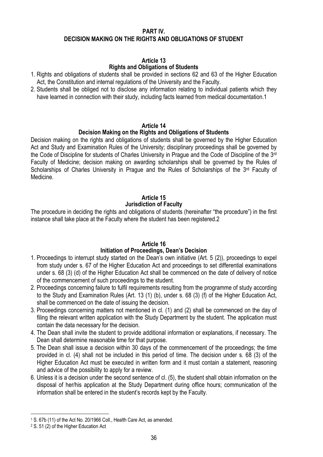#### **PART IV. DECISION MAKING ON THE RIGHTS AND OBLIGATIONS OF STUDENT**

## **Article 13**

## **Rights and Obligations of Students**

- 1. Rights and obligations of students shall be provided in sections 62 and 63 of the Higher Education Act, the Constitution and internal regulations of the University and the Faculty.
- 2. Students shall be obliged not to disclose any information relating to individual patients which they have learned in connection with their study, including facts learned from medical documentation.1

## **Article 14**

## **Decision Making on the Rights and Obligations of Students**

Decision making on the rights and obligations of students shall be governed by the Higher Education Act and Study and Examination Rules of the University; disciplinary proceedings shall be governed by the Code of Discipline for students of Charles University in Prague and the Code of Discipline of the 3rd Faculty of Medicine; decision making on awarding scholarships shall be governed by the Rules of Scholarships of Charles University in Prague and the Rules of Scholarships of the 3<sup>rd</sup> Faculty of Medicine.

## **Article 15**

## **Jurisdiction of Faculty**

The procedure in deciding the rights and obligations of students (hereinafter "the procedure") in the first instance shall take place at the Faculty where the student has been registered.2

## **Article 16**

## **Initiation of Proceedings, Dean's Decision**

- 1. Proceedings to interrupt study started on the Dean's own initiative (Art. 5 (2)), proceedings to expel from study under s. 67 of the Higher Education Act and proceedings to set differential examinations under s. 68 (3) (d) of the Higher Education Act shall be commenced on the date of delivery of notice of the commencement of such proceedings to the student.
- 2. Proceedings concerning failure to fulfil requirements resulting from the programme of study according to the Study and Examination Rules (Art. 13 (1) (b), under s. 68 (3) (f) of the Higher Education Act, shall be commenced on the date of issuing the decision.
- 3. Proceedings concerning matters not mentioned in cl. (1) and (2) shall be commenced on the day of filing the relevant written application with the Study Department by the student. The application must contain the data necessary for the decision.
- 4. The Dean shall invite the student to provide additional information or explanations, if necessary. The Dean shall determine reasonable time for that purpose.
- 5. The Dean shall issue a decision within 30 days of the commencement of the proceedings; the time provided in cl. (4) shall not be included in this period of time. The decision under s. 68 (3) of the Higher Education Act must be executed in written form and it must contain a statement, reasoning and advice of the possibility to apply for a review.
- 6. Unless it is a decision under the second sentence of cl. (5), the student shall obtain information on the disposal of her/his application at the Study Department during office hours; communication of the information shall be entered in the student's records kept by the Faculty.

 $\overline{\phantom{a}}$ 

<sup>1</sup> S. 67b (11) of the Act No. 20/1966 Coll., Health Care Act, as amended.

<sup>2</sup> S. 51 (2) of the Higher Education Act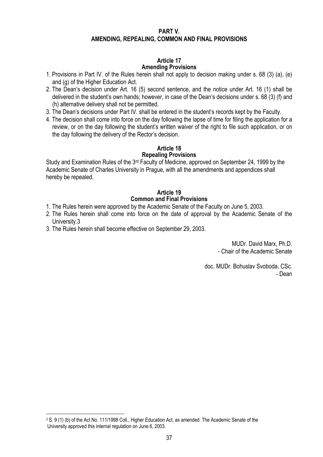#### **PART V. AMENDING, REPEALING, COMMON AND FINAL PROVISIONS**

#### **Article 17 Amending Provisions**

- 1. Provisions in Part IV. of the Rules herein shall not apply to decision making under s. 68 (3) (a), (e) and (g) of the Higher Education Act.
- 2. The Dean's decision under Art. 16 (5) second sentence, and the notice under Art. 16 (1) shall be delivered in the student's own hands; however, in case of the Dean's decisions under s. 68 (3) (f) and (h) alternative delivery shall not be permitted.
- 3. The Dean's decisions under Part IV. shall be entered in the student's records kept by the Faculty.
- 4. The decision shall come into force on the day following the lapse of time for filing the application for a review, or on the day following the student's written waiver of the right to file such application, or on the day following the delivery of the Rector's decision.

## **Article 18**

## **Repealing Provisions**

Study and Examination Rules of the 3rd Faculty of Medicine, approved on September 24, 1999 by the Academic Senate of Charles University in Prague, with all the amendments and appendices shall hereby be repealed.

## **Article 19 Common and Final Provisions**

- 1. The Rules herein were approved by the Academic Senate of the Faculty on June 5, 2003.
- 2. The Rules herein shall come into force on the date of approval by the Academic Senate of the University.3
- 3. The Rules herein shall become effective on September 29, 2003.

MUDr. David Marx, Ph.D. - Chair of the Academic Senate

doc. MUDr. Bohuslav Svoboda, CSc. - Dean

<u>.</u>

<sup>3</sup> S. 9 (1) (b) of the Act No. 111/1998 Coll., Higher Education Act, as amended. The Academic Senate of the University approved this internal regulation on June 6, 2003.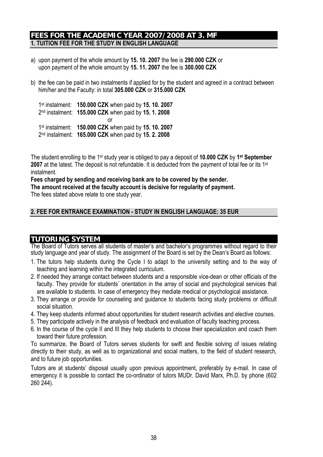## **FEES FOR THE ACADEMIC YEAR 2007/2008 AT 3. MF 1. TUITION FEE FOR THE STUDY IN ENGLISH LANGUAGE**

- a) upon payment of the whole amount by **15. 10. 2007** the fee is **290.000 CZK** or upon payment of the whole amount by **15. 11. 2007** the fee is **300.000 CZK**
- b) the fee can be paid in two instalments if applied for by the student and agreed in a contract between him/her and the Faculty: in total **305.000 CZK** or **315.000 CZK**

1st instalment: **150.000 CZK** when paid by **15. 10. 2007** 2nd instalment: **155.000 CZK** when paid by **15. 1. 2008 or** and the state of the state of the state of the state of the state of the state of the state of the state of the state of the state of the state of the state of the state of the state of the state of the state of the s 1st instalment: **150.000 CZK** when paid by **15. 10. 2007** 2nd instalment: **165.000 CZK** when paid by **15. 2. 2008**

The student enrolling to the 1st study year is obliged to pay a deposit of **10.000 CZK** by **1st September 2007** at the latest. The deposit is not refundable. It is deducted from the payment of total fee or its 1<sup>st</sup> instalment.

**Fees charged by sending and receiving bank are to be covered by the sender. The amount received at the faculty account is decisive for regularity of payment.** 

The fees stated above relate to one study year.

## **2. FEE FOR ENTRANCE EXAMINATION - STUDY IN ENGLISH LANGUAGE: 35 EUR**

## **TUTORING SYSTEM**

The Board of Tutors serves all students of master's and bachelor's programmes without regard to their study language and year of study. The assignment of the Board is set by the Dean's Board as follows:

- 1. The tutors help students during the Cycle I to adapt to the university setting and to the way of teaching and learning within the integrated curriculum.
- 2. If needed they arrange contact between students and a responsible vice-dean or other officials of the faculty. They provide for students´ orientation in the array of social and psychological services that are available to students. In case of emergency they mediate medical or psychological assistance.
- 3. They arrange or provide for counseling and guidance to students facing study problems or difficult social situation.
- 4. They keep students informed about opportunities for student research activities and elective courses.
- 5. They participate actively in the analysis of feedback and evaluation of faculty teaching process.
- 6. In the course of the cycle II and III they help students to choose their specialization and coach them toward their future profession.

To summarize, the Board of Tutors serves students for swift and flexible solving of issues relating directly to their study, as well as to organizational and social matters, to the field of student research, and to future job opportunities.

Tutors are at students' disposal usually upon previous appointment, preferably by e-mail. In case of emergency it is possible to contact the co-ordinator of tutors MUDr. David Marx, Ph.D. by phone (602 260 244).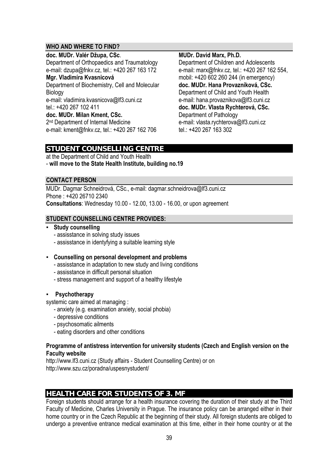## **WHO AND WHERE TO FIND?**

#### **doc. MUDr. Valér Džupa, CSc**.

Department of Orthopaedics and Traumatology e-mail: dzupa@fnkv.cz, tel.: +420 267 163 172

## **Mgr. Vladimíra Kvasnicová**

Department of Biochemistry, Cell and Molecular Biology e-mail: vladimira.kvasnicova@lf3.cuni.cz

tel.: +420 267 102 411

#### **doc. MUDr. Milan Kment, CSc.**

2<sup>nd</sup> Department of Internal Medicine e-mail: kment@fnkv.cz, tel.: +420 267 162 706

#### **MUDr. David Marx, Ph.D.**

Department of Children and Adolescents e-mail: marx@fnkv.cz, tel.: +420 267 162 554, mobil: +420 602 260 244 (in emergency) **doc. MUDr. Hana Provazníková, CSc.**  Department of Child and Youth Health e-mail: hana.provaznikova@lf3.cuni.cz **doc. MUDr. Vlasta Rychterová, CSc.**  Department of Pathology e-mail: vlasta.rychterova@lf3.cuni.cz tel.: +420 267 163 302

## **STUDENT COUNSELLING CENTRE**

at the Department of Child and Youth Health - **will move to the State Health Institute, building no.19** 

## **CONTACT PERSON**

MUDr. Dagmar Schneidrová, CSc., e-mail: dagmar.schneidrova@lf3.cuni.cz Phone : +420 26710 2340 **Consultations**: Wednesday 10.00 - 12.00, 13.00 - 16.00, or upon agreement

## **STUDENT COUNSELLING CENTRE PROVIDES:**

#### ▪ **Study counselling**

- assisstance in solving study issues
- assisstance in identyfying a suitable learning style

## ▪ **Counselling on personal development and problems**

- assisstance in adaptation to new study and living conditions
- assisstance in difficult personal situation
- stress management and support of a healthy lifestyle

## **Psychotherapy**

systemic care aimed at managing :

- anxiety (e.g. examination anxiety, social phobia)
- depressive conditions
- psychosomatic ailments
- eating disorders and other conditions

## **Programme of antistress intervention for university students (Czech and English version on the Faculty website**

http://www.lf3.cuni.cz (Study affairs - Student Counselling Centre) or on http://www.szu.cz/poradna/uspesnystudent/

## **HEALTH CARE FOR STUDENTS OF 3. MF**

Foreign students should arrange for a health insurance covering the duration of their study at the Third Faculty of Medicine, Charles University in Prague. The insurance policy can be arranged either in their home country or in the Czech Republic at the beginning of their study. All foreign students are obliged to undergo a preventive entrance medical examination at this time, either in their home country or at the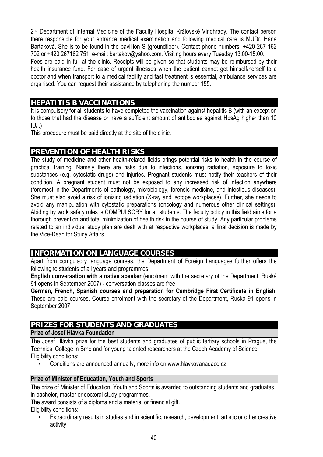2nd Department of Internal Medicine of the Faculty Hospital Královské Vinohrady. The contact person there responsible for your entrance medical examination and following medical care is MUDr. Hana Bartaková. She is to be found in the pavillion S (groundfloor). Contact phone numbers: +420 267 162 702 or +420 267162 751, e-mail: bartakov@yahoo.com. Visiting hours every Tuesday 13:00-15:00. Fees are paid in full at the clinic. Receipts will be given so that students may be reimbursed by their health insurance fund. For case of urgent illnesses when the patient cannot get himself/herself to a doctor and when transport to a medical facility and fast treatment is essential, ambulance services are organised. You can request their assistance by telephoning the number 155.

## **HEPATITIS B VACCINATIONS**

It is compulsory for all students to have completed the vaccination against hepatitis B (with an exception to those that had the disease or have a sufficient amount of antibodies against HbsAg higher than 10  $IU/I$ .)

This procedure must be paid directly at the site of the clinic.

## **PREVENTION OF HEALTH RISKS**

The study of medicine and other health-related fields brings potential risks to health in the course of practical training. Namely there are risks due to infections, ionizing radiation, exposure to toxic substances (e.g. cytostatic drugs) and injuries. Pregnant students must notify their teachers of their condition. A pregnant student must not be exposed to any increased risk of infection anywhere (foremost in the Departments of pathology, microbiology, forensic medicine, and infectious diseases). She must also avoid a risk of ionizing radiation (X-ray and isotope workplaces). Further, she needs to avoid any manipulation with cytostatic preparations (oncology and numerous other clinical settings). Abiding by work safety rules is COMPULSORY for all students. The faculty policy in this field aims for a thorough prevention and total minimization of health risk in the course of study. Any particular problems related to an individual study plan are dealt with at respective workplaces, a final decision is made by the Vice-Dean for Study Affairs.

## **INFORMATION ON LANGUAGE COURSES**

Apart from compulsory language courses, the Department of Foreign Languages further offers the following to students of all years and programmes:

**English conversation with a native speaker** (enrolment with the secretary of the Department, Ruská 91 opens in September 2007) - conversation classes are free;

**German, French, Spanish courses and preparation for Cambridge First Certificate in English.** These are paid courses. Course enrolment with the secretary of the Department, Ruská 91 opens in September 2007.

## **PRIZES FOR STUDENTS AND GRADUATES**

## **Prize of Josef Hlávka Foundation**

The Josef Hlávka prize for the best students and graduates of public tertiary schools in Prague, the Technical College in Brno and for young talented researchers at the Czech Academy of Science. Eligibility conditions:

Conditions are announced annually, more info on www.hlavkovanadace.cz

## **Prize of Minister of Education, Youth and Sports**

The prize of Minister of Education, Youth and Sports is awarded to outstanding students and graduates in bachelor, master or doctoral study programmes.

The award consists of a diploma and a material or financial gift. Eligibility conditions:

Extraordinary results in studies and in scientific, research, development, artistic or other creative activity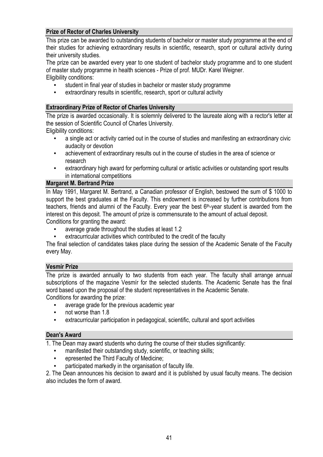## **Prize of Rector of Charles University**

This prize can be awarded to outstanding students of bachelor or master study programme at the end of their studies for achieving extraordinary results in scientific, research, sport or cultural activity during their university studies.

The prize can be awarded every year to one student of bachelor study programme and to one student of master study programme in health sciences - Prize of prof. MUDr. Karel Weigner. Eligibility conditions:

- student in final year of studies in bachelor or master study programme
- extraordinary results in scientific, research, sport or cultural activity

## **Extraordinary Prize of Rector of Charles University**

The prize is awarded occasionally. It is solemnly delivered to the laureate along with a rector's letter at the session of Scientific Council of Charles University.

Eligibility conditions:

- a single act or activity carried out in the course of studies and manifesting an extraordinary civic audacity or devotion
- achievement of extraordinary results out in the course of studies in the area of science or research
- extraordinary high award for performing cultural or artistic activities or outstanding sport results in international competitions

## **Margaret M. Bertrand Prize**

In May 1991, Margaret M. Bertrand, a Canadian professor of English, bestowed the sum of \$ 1000 to support the best graduates at the Faculty. This endowment is increased by further contributions from teachers, friends and alumni of the Faculty. Every year the best 6<sup>th</sup>-year student is awarded from the interest on this deposit. The amount of prize is commensurate to the amount of actual deposit. Conditions for granting the award:

- average grade throughout the studies at least 1.2
- extracurricular activities which contributed to the credit of the faculty

The final selection of candidates takes place during the session of the Academic Senate of the Faculty every May.

## **Vesmír Prize**

The prize is awarded annually to two students from each year. The faculty shall arrange annual subscriptions of the magazine Vesmír for the selected students. The Academic Senate has the final word based upon the proposal of the student representatives in the Academic Senate. Conditions for awarding the prize:

- average grade for the previous academic year
- not worse than 1.8
- extracurricular participation in pedagogical, scientific, cultural and sport activities

#### **Dean's Award**

1. The Dean may award students who during the course of their studies significantly:

- manifested their outstanding study, scientific, or teaching skills;
- epresented the Third Faculty of Medicine;
- participated markedly in the organisation of faculty life.

2. The Dean announces his decision to award and it is published by usual faculty means. The decision also includes the form of award.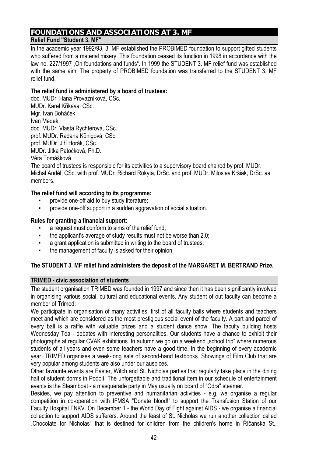# **FOUNDATIONS AND ASSOCIATIONS AT 3. MF**

## **Relief Fund "Student 3. MF"**

In the academic year 1992/93, 3. MF established the PROBIMED foundation to support gifted students who suffered from a material misery. This foundation ceased its function in 1998 in accordance with the law no. 227/1997 . On foundations and funds". In 1999 the STUDENT 3. MF relief fund was established with the same aim. The property of PROBIMED foundation was transferred to the STUDENT 3. MF relief fund.

#### **The relief fund is administered by a board of trustees:**

doc. MUDr. Hana Provazníková, CSc. MUDr. Karel Křikava, CSc. Mgr. Ivan Boháček Ivan Medek doc. MUDr. Vlasta Rychterová, CSc. prof. MUDr. Radana Königová, CSc. prof. MUDr. Jiří Horák, CSc. MUDr. Jitka Patočková, Ph.D. Věra Tomášková

The board of trustees is responsible for its activities to a supervisory board chaired by prof. MUDr. Michal Anděl, CSc. with prof. MUDr. Richard Rokyta, DrSc. and prof. MUDr. Miloslav Kršiak, DrSc. as members.

## **The relief fund will according to its programme:**

- provide one-off aid to buy study literature;
- provide one-off support in a sudden aggravation of social situation.

#### **Rules for granting a financial support:**

- a request must conform to aims of the relief fund;
- **•** the applicant's average of study results must not be worse than 2.0;
- a grant application is submitted in writing to the board of trustees;
- the management of faculty is asked for their opinion.

## **The STUDENT 3. MF relief fund administers the deposit of the MARGARET M. BERTRAND Prize.**

## **TRIMED - civic association of students**

The student organisation TRIMED was founded in 1997 and since then it has been significantly involved in organising various social, cultural and educational events. Any student of out faculty can become a member of Trimed.

We participate in organisation of many activities, first of all faculty balls where students and teachers meet and which are considered as the most prestigious social event of the faculty. A part and parcel of every ball is a raffle with valuable prizes and a student dance show. The faculty building hosts Wednesday Tea - debates with interesting personalities. Our students have a chance to exhibit their photographs at regular CVAK exhibitions. In autumn we go on a weekend "school trip" where numerous students of all years and even some teachers have a good time. In the beginning of every academic year, TRIMED organises a week-long sale of second-hand textbooks. Showings of Film Club that are very popular among students are also under our auspices.

Other favourite events are Easter, Witch and St. Nicholas parties that regularly take place in the dining hall of student dorms in Podolí. The unforgettable and traditional item in our schedule of entertainment events is the Steamboat - a masquerade party in May usually on board of "Odra" steamer.

Besides, we pay attention to preventive and humanitarian activities - e.g. we organise a regular competition in co-operation with IFMSA "Donate blood!" to support the Transfusion Station of our Faculty Hospital FNKV. On December 1 - the World Day of Fight against AIDS - we organise a financial collection to support AIDS sufferers. Around the feast of St. Nicholas we run another collection called "Chocolate for Nicholas" that is destined for children from the children's home in Říčanská St.,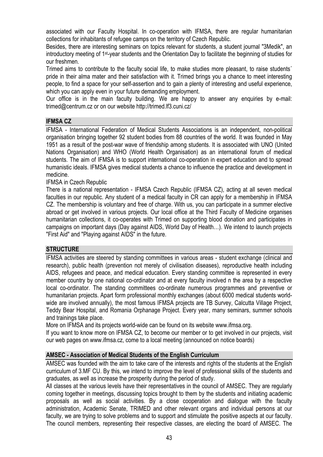associated with our Faculty Hospital. In co-operation with IFMSA, there are regular humanitarian collections for inhabitants of refugee camps on the territory of Czech Republic.

Besides, there are interesting seminars on topics relevant for students, a student journal "3Medik", an introductory meeting of 1st-year students and the Orientation Day to facilitate the beginning of studies for our freshmen.

Trimed aims to contribute to the faculty social life, to make studies more pleasant, to raise students´ pride in their alma mater and their satisfaction with it. Trimed brings you a chance to meet interesting people, to find a space for your self-assertion and to gain a plenty of interesting and useful experience, which you can apply even in your future demanding employment.

Our office is in the main faculty building. We are happy to answer any enquiries by e-mail: trimed@centrum.cz or on our website http://trimed.lf3.cuni.cz/

## **IFMSA CZ**

IFMSA - International Federation of Medical Students Associations is an independent, non-political organisation bringing together 92 student bodies from 88 countries of the world. It was founded in May 1951 as a result of the post-war wave of friendship among students. It is associated with UNO (United Nations Organisation) and WHO (World Health Organisation) as an international forum of medical students. The aim of IFMSA is to support international co-operation in expert education and to spread humanistic ideals. IFMSA gives medical students a chance to influence the practice and development in medicine.

IFMSA in Czech Republic

There is a national representation - IFMSA Czech Republic (IFMSA CZ), acting at all seven medical faculties in our republic. Any student of a medical faculty in CR can apply for a membership in IFMSA CZ. The membership is voluntary and free of charge. With us, you can participate in a summer elective abroad or get involved in various projects. Our local office at the Third Faculty of Medicine organises humanitarian collections, it co-operates with Trimed on supporting blood donation and participates in campaigns on important days (Day against AIDS, World Day of Health…). We intend to launch projects "First Aid" and "Playing against AIDS" in the future.

## **STRUCTURE**

IFMSA activities are steered by standing committees in various areas - student exchange (clinical and research), public health (prevention not merely of civilisation diseases), reproductive health including AIDS, refugees and peace, and medical education. Every standing committee is represented in every member country by one national co-ordinator and at every faculty involved n the area by a respective local co-ordinator. The standing committees co-ordinate numerous programmes and preventive or humanitarian projects. Apart form professional monthly exchanges (about 6000 medical students worldwide are involved annually), the most famous IFMSA projects are TB Survey, Calcutta Village Project, Teddy Bear Hospital, and Romania Orphanage Project. Every year, many seminars, summer schools and trainings take place.

More on IFMSA and its projects world-wide can be found on its website www.ifmsa.org.

If you want to know more on IFMSA CZ, to become our member or to get involved in our projects, visit our web pages on www.ifmsa.cz, come to a local meeting (announced on notice boards)

## **AMSEC - Association of Medical Students of the English Curriculum**

AMSEC was founded with the aim to take care of the interests and rights of the students at the English curriculum of 3.MF CU. By this, we intend to improve the level of professional skills of the students and graduates, as well as increase the prosperity during the period of study.

All classes at the various levels have their representatives in the council of AMSEC. They are regularly coming together in meetings, discussing topics brought to them by the students and initiating academic proposals as well as social activities. By a close cooperation and dialogue with the faculty administration, Academic Senate, TRIMED and other relevant organs and individual persons at our faculty, we are trying to solve problems and to support and stimulate the positive aspects at our faculty. The council members, representing their respective classes, are electing the board of AMSEC. The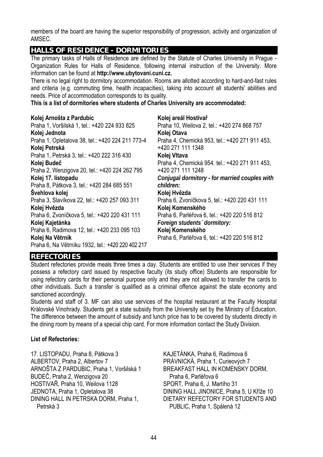members of the board are having the superior responsibility of progression, activity and organization of AMSEC.

## **HALLS OF RESIDENCE - DORMITORIES**

The primary tasks of Halls of Residence are defined by the Statute of Charles University in Prague - Organization Rules for Halls of Residence, following internal instruction of the University. More information can be found at **http://www.ubytovani.cuni.cz.** 

There is no legal right to dormitory accommodation. Rooms are allotted according to hard-and-fast rules and criteria (e.g. commuting time, health incapacities), taking into account all students' abilities and needs. Price of accommodation corresponds to its quality.

**Kolej areál Hostivař**

**This is a list of dormitories where students of Charles University are accommodated:**

#### **Kolej Arnošta z Pardubic**

Praha 1, Voršilská 1, tel.: +420 224 933 825 **Kolej Jednota**  Praha 1, Opletalova 38, tel.: +420 224 211 773-4 **Kolej Petrská**  Praha 1, Petrská 3, tel.: +420 222 316 430 **Kolej Budeč** Praha 2, Wenzigova 20, tel.: +420 224 262 795 **Kolej 17. listopadu**  Praha 8, Pátkova 3, tel.: +420 284 685 551 **Švehlova kolej**  Praha 3, Slavíkova 22, tel.: +420 257 093 311 **Kolej Hvězda**  Praha 6, Zvoníčkova 5, tel.: +420 220 431 111 **Kolej Kajetánka**  Praha 6, Radimova 12, tel.: +420 233 095 103 **Kolej Na Větrník**  Praha 6, Na Větrníku 1932, tel.: +420 220 402 217 Praha 10, Weilova 2, tel.: +420 274 868 757 **Kolej Otava**  +420 271 111 1348 **Kolej Vltava**  +420 271 111 1248 *children:*  **Kolej Hvězda Kolej Komenského Kolej Komenského**  Praha 6, Parléřova 6, tel.: +420 220 516 812

Praha 4, Chemická 953, tel.: +420 271 911 453, Praha 4, Chemická 954. tel.: +420 271 911 453, *Conjugal dormitory - for married couples with*  Praha 6, Zvoníčkova 5, tel.: +420 220 431 111 Praha 6, Parléřova 6, tel.: +420 220 516 812 *Foreign students´ dormitory:* 

## **REFECTORIES**

Student refectories provide meals three times a day. Students are entitled to use their services if they possess a refectory card issued by respective faculty (its study office) Students are responsible for using refectory cards for their personal purpose only and they are not allowed to transfer the cards to other individuals. Such a transfer is qualified as a criminal offence against the state economy and sanctioned accordingly.

Students and staff of 3. MF can also use services of the hospital restaurant at the Faculty Hospital Královské Vinohrady. Students get a state subsidy from the University set by the Ministry of Education. The difference between the amount of subsidy and lunch price has to be covered by students directly in the dining room by means of a special chip card. For more information contact the Study Division.

## **List of Refectories:**

17. LISTOPADU, Praha 8, Pátkova 3 ALBERTOV, Praha 2, Albertov 7 ARNOŠTA Z PARDUBIC, Praha 1, Voršilská 1 BUDEČ, Praha 2, Wenzigova 20 HOSTIVAŘ, Praha 10, Weilova 1128 JEDNOTA, Praha 1, Opletalova 38 DINING HALL IN PETRSKA DORM, Praha 1, Petrská 3

KAJETÁNKA, Praha 6, Radimova 6 PRÁVNICKÁ, Praha 1, Curieových 7 BREAKFAST HALL IN KOMENSKY DORM, Praha 6, Parléřova 6 SPORT, Praha 6, J. Martího 31 DINING HALL JINONICE, Praha 5, U Kříže 10 DIETARY REFECTORY FOR STUDENTS AND PUBLIC, Praha 1, Spálená 12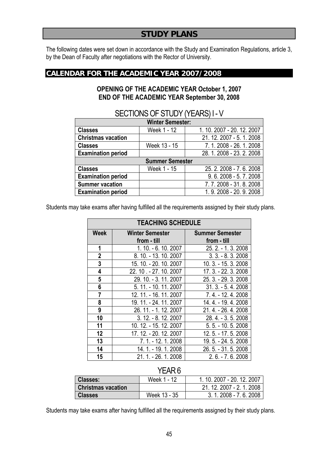## **STUDY PLANS**

The following dates were set down in accordance with the Study and Examination Regulations, article 3, by the Dean of Faculty after negotiations with the Rector of University.

## **CALENDAR FOR THE ACADEMIC YEAR 2007/2008**

## **OPENING OF THE ACADEMIC YEAR October 1, 2007 END OF THE ACADEMIC YEAR September 30, 2008**

|                           | <b>Winter Semester:</b> |                            |
|---------------------------|-------------------------|----------------------------|
| <b>Classes</b>            | Week 1 - 12             | 1. 10. 2007 - 20. 12. 2007 |
| <b>Christmas vacation</b> |                         | 21. 12. 2007 - 5. 1. 2008  |
| <b>Classes</b>            | Week 13 - 15            | 7.1.2008 - 26.1.2008       |
| <b>Examination period</b> |                         | 28.1.2008 - 23.2.2008      |
|                           | <b>Summer Semester</b>  |                            |
| <b>Classes</b>            | Week 1 - 15             | 25.2.2008 - 7.6.2008       |
| <b>Examination period</b> |                         | $9.6.2008 - 5.7.2008$      |
| <b>Summer vacation</b>    |                         | 7.7.2008 - 31.8.2008       |
| <b>Examination period</b> |                         | 1.9.2008 - 20.9.2008       |

## SECTIONS OF STUDY (YEARS) I - V

Students may take exams after having fulfilled all the requirements assigned by their study plans.

|                | <b>TEACHING SCHEDULE</b>              |                                       |  |  |  |  |  |  |  |
|----------------|---------------------------------------|---------------------------------------|--|--|--|--|--|--|--|
| Week           | <b>Winter Semester</b><br>from - till | <b>Summer Semester</b><br>from - till |  |  |  |  |  |  |  |
| 1              | 1.10. - 6.10.2007                     | 25. 2. - 1. 3. 2008                   |  |  |  |  |  |  |  |
| $\mathbf 2$    | 8. 10. - 13. 10. 2007                 | $3.3 - 8.3$ . 2008                    |  |  |  |  |  |  |  |
| 3              | 15. 10. - 20. 10. 2007                | 10. 3. - 15. 3. 2008                  |  |  |  |  |  |  |  |
| 4              | 22. 10. - 27. 10. 2007                | 17. 3. - 22. 3. 2008                  |  |  |  |  |  |  |  |
| 5              | 29. 10. - 3. 11. 2007                 | 25. 3. - 29. 3. 2008                  |  |  |  |  |  |  |  |
| 6              | 5. 11. - 10. 11. 2007                 | $31.3 - 5.4.2008$                     |  |  |  |  |  |  |  |
| $\overline{7}$ | 12. 11. - 16. 11. 2007                | 7.4. - 12.4.2008                      |  |  |  |  |  |  |  |
| 8              | 19. 11. - 24. 11. 2007                | 14.4. - 19.4.2008                     |  |  |  |  |  |  |  |
| 9              | 26. 11. - 1. 12. 2007                 | 21.4. - 26.4.2008                     |  |  |  |  |  |  |  |
| 10             | $3.12 - 8.12.2007$                    | 28.4. - 3.5.2008                      |  |  |  |  |  |  |  |
| 11             | 10. 12. - 15. 12. 2007                | $5.5 - 10.5$ . 2008                   |  |  |  |  |  |  |  |
| 12             | 17. 12. - 20. 12. 2007                | 12.5. - 17.5.2008                     |  |  |  |  |  |  |  |
| 13             | 7.1. - 12.1.2008                      | 19.5. - 24.5.2008                     |  |  |  |  |  |  |  |
| 14             | 14. 1. - 19. 1. 2008                  | 26.5. - 31.5.2008                     |  |  |  |  |  |  |  |
| 15             | 21.1. - 26.1.2008                     | $2.6 - 7.6$ . 2008                    |  |  |  |  |  |  |  |

## YEAR 6

| <b>Classes:</b>           | Week 1 - 12  | 1, 10, 2007 - 20, 12, 2007 |
|---------------------------|--------------|----------------------------|
| <b>Christmas vacation</b> |              | 21, 12, 2007 - 2, 1, 2008  |
| <b>Classes</b>            | Week 13 - 35 | $3.1.2008 - 7.6.2008$      |

Students may take exams after having fulfilled all the requirements assigned by their study plans.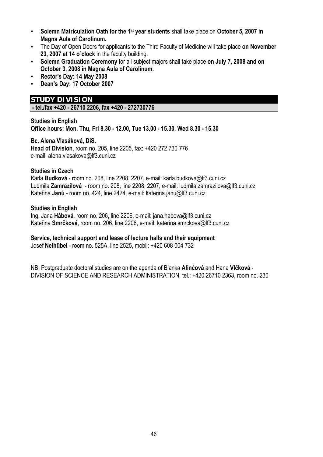- **Solemn Matriculation Oath for the 1st year students** shall take place on **October 5, 2007 in Magna Aula of Carolinum.**
- The Day of Open Doors for applicants to the Third Faculty of Medicine will take place **on November 23, 2007 at 14 o´clock** in the faculty building.
- **Solemn Graduation Ceremony** for all subject majors shall take place **on July 7, 2008 and on October 3, 2008 in Magna Aula of Carolinum.**
- **Rector's Day: 14 May 2008**
- **Dean's Day: 17 October 2007**

## **STUDY DIVISION**

 **- tel./fax +420 - 26710 2206, fax +420 - 272730776** 

## **Studies in English Office hours: Mon, Thu, Fri 8.30 - 12.00, Tue 13.00 - 15.30, Wed 8.30 - 15.30**

#### **Bc. Alena Vlasáková, DiS.**

**Head of Division**, room no. 205, line 2205, fax: +420 272 730 776 e-mail: alena.vlasakova@lf3.cuni.cz

## **Studies in Czech**

Karla **Budková** - room no. 208, line 2208, 2207, e-mail: karla.budkova@lf3.cuni.cz Ludmila **Zamrazilová** - room no. 208, line 2208, 2207, e-mail: ludmila.zamrazilova@lf3.cuni.cz Kateřina **Janů** - room no. 424, line 2424, e-mail: katerina.janu@lf3.cuni.cz

#### **Studies in English**

Ing. Jana **Hábová**, room no. 206, line 2206, e-mail: jana.habova@lf3.cuni.cz Kateřina **Smrčková**, room no. 206, line 2206, e-mail: katerina.smrckova@lf3.cuni.cz

## **Service, technical support and lease of lecture halls and their equipment**

Josef **Nelhübel** - room no. 525A, line 2525, mobil: +420 608 004 732

NB: Postgraduate doctoral studies are on the agenda of Blanka **Alinčová** and Hana **Vlčková** - DIVISION OF SCIENCE AND RESEARCH ADMINISTRATION, tel.: +420 26710 2363, room no. 230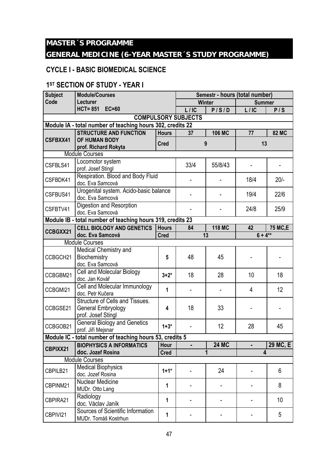## **MASTER´S PROGRAMME**

## **GENERAL MEDICINE (6-YEAR MASTER´S STUDY PROGRAMME)**

## **CYCLE I - BASIC BIOMEDICAL SCIENCE**

## **1ST SECTION OF STUDY - YEAR I**

| <b>Subject</b> | <b>Module/Courses</b>                                                       | Semestr - hours (total number) |                            |               |               |                |
|----------------|-----------------------------------------------------------------------------|--------------------------------|----------------------------|---------------|---------------|----------------|
| Code           | Lecturer                                                                    |                                |                            | <b>Winter</b> | <b>Summer</b> |                |
|                | <b>HCT=851</b><br>$EC=60$                                                   |                                | L/IC                       | P/S/D         | L/IC          | P/S            |
|                |                                                                             |                                | <b>COMPULSORY SUBJECTS</b> |               |               |                |
|                | Module IA - total number of teaching hours 302, credits 22                  |                                |                            |               |               |                |
|                | <b>STRUCTURE AND FUNCTION</b>                                               | <b>Hours</b>                   | 37                         | <b>106 MC</b> | 77            | <b>82 MC</b>   |
| CSFBXX41       | OF HUMAN BODY                                                               | <b>Cred</b>                    |                            | 9             | 13            |                |
|                | prof. Richard Rokyta                                                        |                                |                            |               |               |                |
|                | <b>Module Courses</b>                                                       |                                |                            |               |               |                |
| CSFBLS41       | Locomotor system<br>prof. Josef Stingl                                      |                                | 33/4                       | 55/8/43       |               |                |
| CSFBDK41       | Respiration. Blood and Body Fluid<br>doc. Eva Samcová                       |                                |                            |               | 18/4          | $20/-$         |
| CSFBUS41       | Urogenital system. Acido-basic balance<br>doc. Eva Samcová                  |                                |                            |               | 19/4          | 22/6           |
| CSFBTV41       | Digestion and Resorption<br>doc. Eva Samcová                                |                                |                            |               | 24/8          | 25/9           |
|                | Module IB - total number of teaching hours 319, credits 23                  |                                |                            |               |               |                |
| CCBGXX21       | <b>CELL BIOLOGY AND GENETICS</b>                                            | <b>Hours</b>                   | 84                         | <b>118 MC</b> | 42            | <b>75 MC,E</b> |
|                | doc. Eva Samcová                                                            | <b>Cred</b>                    |                            | 13            | $6 + 4^{**}$  |                |
|                | <b>Module Courses</b>                                                       |                                |                            |               |               |                |
| CCBGCH21       | <b>Medical Chemistry and</b><br>Biochemistry<br>doc. Eva Samcová            | 5                              | 48                         | 45            |               |                |
| CCBGBM21       | Cell and Molecular Biology<br>doc. Jan Kovář                                | $3 + 2^*$                      | 18                         | 28            | 10            | 18             |
| CCBGMI21       | Cell and Molecular Immunology<br>doc. Petr Kučera                           | 1                              |                            |               | 4             | 12             |
| CCBGSE21       | Structure of Cells and Tissues.<br>General Embryology<br>prof. Josef Stingl | 4                              | 18                         | 33            |               |                |
| CCBGOB21       | <b>General Biology and Genetics</b><br>prof. Jiří Mejsnar                   | $1 + 3*$                       |                            | 12            | 28            | 45             |
|                | Module IC - total number of teaching hours 53, credits 5                    |                                |                            |               |               |                |
| CBPIXX21       | <b>BIOPHYSICS A INFORMATICS</b>                                             | <b>Hour</b>                    |                            | <b>24 MC</b>  |               | 29 MC, E       |
|                | doc. Jozef Rosina                                                           | <b>Cred</b>                    |                            | 1             | 4             |                |
|                | <b>Module Courses</b>                                                       |                                |                            |               |               |                |
| CBPILB21       | <b>Medical Biophysics</b><br>doc. Jozef Rosina                              | $1 + 1^*$                      |                            | 24            |               | 6              |
| CBPINM21       | Nuclear Medicine<br>MUDr. Otto Lang                                         | 1                              |                            |               |               | 8              |
| CBPIRA21       | Radiology<br>doc. Václav Janík                                              | 1                              |                            |               |               | 10             |
| CBPIVI21       | Sources of Scientific Information<br>MUDr. Tomáš Kostrhun                   | 1                              |                            |               |               | 5              |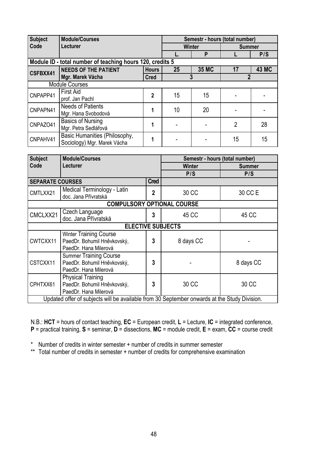| <b>Subject</b>                          | <b>Module/Courses</b>                                                                        |                |                          |                | Semestr - hours (total number) |              |  |
|-----------------------------------------|----------------------------------------------------------------------------------------------|----------------|--------------------------|----------------|--------------------------------|--------------|--|
| Code                                    | <b>Lecturer</b>                                                                              |                |                          | <b>Winter</b>  | <b>Summer</b>                  |              |  |
|                                         |                                                                                              | L.             | P                        | L              | P/S                            |              |  |
|                                         | Module ID - total number of teaching hours 120, credits 5                                    |                |                          |                |                                |              |  |
| CSFBXX41                                | <b>NEEDS OF THE PATIENT</b>                                                                  | <b>Hours</b>   | 25                       | 35 MC          | 17                             | <b>43 MC</b> |  |
|                                         | Mgr. Marek Vácha                                                                             | <b>Cred</b>    |                          | $\overline{3}$ | $\overline{2}$                 |              |  |
|                                         | <b>Module Courses</b>                                                                        |                |                          |                |                                |              |  |
| CNPAPP41                                | <b>First Aid</b>                                                                             | $\mathbf{2}$   | 15                       | 15             |                                |              |  |
|                                         | prof. Jan Pachl                                                                              |                |                          |                |                                |              |  |
| CNPAPN41                                | <b>Needs of Patients</b>                                                                     | 1              | 10                       | 20             |                                |              |  |
|                                         | Mgr. Hana Svobodová                                                                          |                |                          |                |                                |              |  |
| CNPAZO41                                | <b>Basics of Nursing</b>                                                                     | $\mathbf{1}$   |                          |                | $\overline{2}$                 | 28           |  |
|                                         | Mgr. Petra Sedlářová                                                                         |                |                          |                |                                |              |  |
| CNPAHV41                                | Basic Humanities (Philosophy,                                                                | 1              |                          |                | 15                             | 15           |  |
| Sociology) Mgr. Marek Vácha             |                                                                                              |                |                          |                |                                |              |  |
|                                         |                                                                                              |                |                          |                |                                |              |  |
| <b>Module/Courses</b><br><b>Subject</b> |                                                                                              |                |                          |                | Semestr - hours (total number) |              |  |
| Code<br>Lecturer                        |                                                                                              |                | <b>Winter</b>            |                | <b>Summer</b>                  |              |  |
|                                         |                                                                                              |                | P/S                      |                | P/S                            |              |  |
| <b>SEPARATE COURSES</b>                 |                                                                                              | <b>Cred</b>    |                          |                |                                |              |  |
| CMTLXX21                                | Medical Terminology - Latin                                                                  | $\overline{2}$ | 30 CC                    |                |                                |              |  |
|                                         | doc. Jana Přívratská                                                                         |                |                          |                | 30 CC E                        |              |  |
|                                         | <b>COMPULSORY OPTIONAL COURSE</b>                                                            |                |                          |                |                                |              |  |
| CMCLXX21                                | Czech Language                                                                               | 3              | 45 CC                    |                | 45 CC                          |              |  |
|                                         | doc. Jana Přívratská                                                                         |                |                          |                |                                |              |  |
|                                         |                                                                                              |                | <b>ELECTIVE SUBJECTS</b> |                |                                |              |  |
|                                         | <b>Winter Training Course</b>                                                                |                |                          |                |                                |              |  |
| CWTCXX11                                | PaedDr. Bohumil Hněvkovský,                                                                  | 3              | 8 days CC                |                |                                |              |  |
|                                         | PaedDr. Hana Milerová                                                                        |                |                          |                |                                |              |  |
|                                         | <b>Summer Training Course</b>                                                                |                |                          |                |                                |              |  |
| CSTCXX11                                | PaedDr. Bohumil Hněvkovský,                                                                  | 3              |                          |                | 8 days CC                      |              |  |
|                                         | PaedDr. Hana Milerová                                                                        |                |                          |                |                                |              |  |
|                                         | Physical Training                                                                            |                |                          |                |                                |              |  |
| CPHTXX61                                | PaedDr. Bohumil Hněvkovský,                                                                  | $\overline{3}$ | 30 CC                    |                | 30 CC                          |              |  |
|                                         | PaedDr. Hana Milerová                                                                        |                |                          |                |                                |              |  |
|                                         | Updated offer of subjects will be available from 30 September onwards at the Study Division. |                |                          |                |                                |              |  |

N.B.: **HCT** = hours of contact teaching, **EC** = European credit, **L** = Lecture, **IC** = integrated conference, **P** = practical training, **S** = seminar, **D** = dissections, **MC** = module credit, **E** = exam, **CC** = course credit

\* Number of credits in winter semester + number of credits in summer semester

\*\* Total number of credits in semester + number of credits for comprehensive examination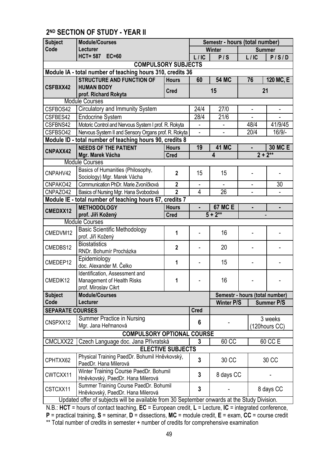# **2ND SECTION OF STUDY - YEAR II**

| <b>Subject</b>                                 | <b>Module/Courses</b>                                                                        |                          | Semestr - hours (total number) |                         |                                |                   |  |
|------------------------------------------------|----------------------------------------------------------------------------------------------|--------------------------|--------------------------------|-------------------------|--------------------------------|-------------------|--|
| Code                                           | Lecturer                                                                                     |                          |                                | Winter                  |                                | <b>Summer</b>     |  |
|                                                | HCT= 587 EC=60                                                                               |                          | L/IC                           | P/S                     | L/IC                           | P/S/D             |  |
|                                                | <b>COMPULSORY SUBJECTS</b>                                                                   |                          |                                |                         |                                |                   |  |
|                                                | Module IA - total number of teaching hours 310, credits 36                                   |                          |                                |                         |                                |                   |  |
|                                                | <b>STRUCTURE AND FUNCTION OF</b>                                                             | <b>Hours</b>             | 60                             | <b>54 MC</b>            | 76                             | 120 MC, E         |  |
| <b>CSFBXX42</b>                                | <b>HUMAN BODY</b>                                                                            | <b>Cred</b>              |                                | 15                      | 21                             |                   |  |
|                                                | prof. Richard Rokyta                                                                         |                          |                                |                         |                                |                   |  |
|                                                | <b>Module Courses</b>                                                                        |                          |                                |                         |                                |                   |  |
| CSFBOS42                                       | Circulatory and Immunity System                                                              |                          | 24/4                           | 27/0                    | $\overline{\phantom{m}}$       |                   |  |
| CSFBES42                                       | <b>Endocrine System</b>                                                                      |                          | 28/4                           | 21/6                    |                                |                   |  |
| CSFBNS42                                       | Motoric Control and Nervous System I prof. R. Rokyta                                         |                          | $\overline{\phantom{0}}$       |                         | 48/4                           | 41/9/45           |  |
| CSFBSO42                                       | Nervous System II and Sensory Organs prof. R. Rokyta                                         |                          |                                |                         | 20/4                           | 16/9/-            |  |
|                                                | Module ID - total number of teaching hours 90, credits 8                                     |                          |                                |                         |                                |                   |  |
| CNPAXX42                                       | <b>NEEDS OF THE PATIENT</b>                                                                  | <b>Hours</b>             | 19                             | <b>41 MC</b>            |                                | <b>30 MC E</b>    |  |
|                                                | Mgr. Marek Vácha                                                                             | <b>Cred</b>              |                                | $\overline{\mathbf{4}}$ | $2 + 2^{**}$                   |                   |  |
|                                                | <b>Module Courses</b>                                                                        |                          |                                |                         |                                |                   |  |
| CNPAHV42                                       | Basics of Humanities (Philosophy,<br>Sociology) Mgr. Marek Vácha                             | $\mathbf{2}$             | 15                             | 15                      |                                |                   |  |
| CNPAKO42                                       | Communication PhDr. Marie Zvoníčková                                                         | $\overline{2}$           |                                |                         | $\blacksquare$                 | 30                |  |
| CNPAZO42                                       | Basics of Nursing Mgr. Hana Svobodová                                                        | $\overline{2}$           | 4                              | $\overline{26}$         |                                |                   |  |
|                                                | Module IE - total number of teaching hours 67, credits 7                                     |                          |                                |                         |                                |                   |  |
| <b>METHODOLOGY</b><br><b>Hours</b><br>CMEDXX12 |                                                                                              |                          | $\blacksquare$                 | <b>67 MC E</b>          |                                | $\blacksquare$    |  |
|                                                | prof. Jiří Kožený                                                                            | <b>Cred</b>              | $\overline{5+2}^{**}$          |                         |                                |                   |  |
|                                                | <b>Module Courses</b>                                                                        |                          |                                |                         |                                |                   |  |
| CMEDVM12                                       | <b>Basic Scientific Methodology</b><br>prof. Jiří Kožený                                     | 1                        |                                | 16                      |                                |                   |  |
| CMEDBS12                                       | <b>Biostatistics</b><br>RNDr. Bohumír Procházka                                              | $\overline{2}$           |                                | 20                      |                                |                   |  |
| CMEDEP12                                       | Epidemiology<br>doc. Alexander M. Čelko                                                      | 1                        |                                | 15                      |                                |                   |  |
| CMEDIK12                                       | Identification, Assessment and<br>Management of Health Risks<br>prof. Miroslav Cikrt         | 1                        |                                | 16                      |                                |                   |  |
| <b>Subject</b>                                 | <b>Module/Courses</b>                                                                        |                          |                                |                         | Semestr - hours (total number) |                   |  |
| Code                                           | Lecturer                                                                                     |                          |                                | <b>Winter P/S</b>       |                                | <b>Summer P/S</b> |  |
| <b>SEPARATE COURSES</b>                        |                                                                                              |                          | <b>Cred</b>                    |                         |                                |                   |  |
| CNSPXX12                                       | Summer Practice in Nursing                                                                   |                          | 6                              |                         |                                | 3 weeks           |  |
|                                                | Mgr. Jana Heřmanová                                                                          |                          |                                |                         |                                | (120hours CC)     |  |
|                                                | <b>COMPULSORY OPTIONAL COURSE</b>                                                            |                          |                                |                         |                                |                   |  |
| CMCLXX22                                       | Czech Language doc. Jana Přívratská                                                          |                          | 3                              | 60 CC                   |                                | 60 CC E           |  |
|                                                |                                                                                              | <b>ELECTIVE SUBJECTS</b> |                                |                         |                                |                   |  |
| CPHTXX62                                       | Physical Training PaedDr. Bohumil Hněvkovský,<br>PaedDr. Hana Milerová                       |                          | 3                              | 30 CC                   |                                | 30 CC             |  |
| CWTCXX11                                       | Winter Training Course PaedDr. Bohumil<br>Hněvkovský, PaedDr. Hana Milerová                  |                          | 3                              | 8 days CC               |                                |                   |  |
| CSTCXX11                                       | Summer Training Course PaedDr. Bohumil<br>Hněvkovský, PaedDr. Hana Milerová                  |                          | 3                              |                         |                                | 8 days CC         |  |
|                                                | Updated offer of subjects will be available from 30 September onwards at the Study Division. |                          |                                |                         |                                |                   |  |

ts will be available from 30 September onwards at the Study Division. L N.B.: **HCT** = hours of contact teaching, **EC** = European credit, **L** = Lecture, **IC** = integrated conference, **P** = practical training, **S** = seminar, **D** = dissections, **MC** = module credit, **E** = exam, **CC** = course credit \*\* Total number of credits in semester + number of credits for comprehensive examination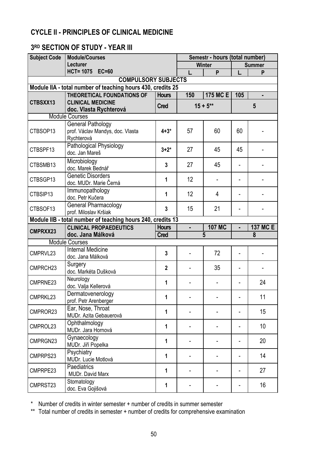## **CYCLE II - PRINCIPLES OF CLINICAL MEDICINE**

## **3RD SECTION OF STUDY - YEAR III**

| <b>Subject Code</b> | <b>Module/Courses</b>                                       | Semestr - hours (total number) |                |                |                          |                 |  |
|---------------------|-------------------------------------------------------------|--------------------------------|----------------|----------------|--------------------------|-----------------|--|
|                     | Lecturer                                                    |                                |                | <b>Winter</b>  | <b>Summer</b>            |                 |  |
|                     | HCT= 1075 EC=60                                             |                                | L.             | P              | L.                       | P               |  |
|                     | <b>COMPULSORY SUBJECTS</b>                                  |                                |                |                |                          |                 |  |
|                     | Module IIA - total number of teaching hours 430, credits 25 |                                |                |                |                          |                 |  |
|                     | <b>THEORETICAL FOUNDATIONS OF</b>                           | <b>Hours</b>                   | 150            | 175 MC E       | 105                      |                 |  |
| CTBSXX13            | <b>CLINICAL MEDICINE</b>                                    | <b>Cred</b>                    |                | $15 + 5**$     | 5                        |                 |  |
|                     | doc. Vlasta Rychterová                                      |                                |                |                |                          |                 |  |
|                     | <b>Module Courses</b>                                       |                                |                |                |                          |                 |  |
| CTBSOP13            | <b>General Pathology</b>                                    | $4 + 3*$                       | 57             | 60             | 60                       |                 |  |
|                     | prof. Václav Mandys, doc. Vlasta<br>Rychterová              |                                |                |                |                          |                 |  |
|                     | Pathological Physiology                                     |                                |                |                |                          |                 |  |
| CTBSPF13            | doc. Jan Mareš                                              | $3 + 2^*$                      | 27             | 45             | 45                       |                 |  |
|                     |                                                             |                                |                |                |                          |                 |  |
| CTBSMB13            | Microbiology<br>doc. Marek Bednář                           | $\mathbf{3}$                   | 27             | 45             | $\overline{\phantom{a}}$ |                 |  |
|                     | <b>Genetic Disorders</b>                                    |                                |                |                |                          |                 |  |
| CTBSGP13            | doc. MUDr. Marie Černá                                      | 1                              | 12             |                |                          |                 |  |
|                     | Immunopathology                                             |                                |                |                |                          |                 |  |
| CTBSIP13            | doc. Petr Kučera                                            | 1                              | 12             | 4              |                          |                 |  |
|                     | <b>General Pharmacology</b>                                 |                                |                |                |                          |                 |  |
| CTBSOF13            | prof. Miloslav Kršiak                                       | $\overline{3}$                 | 15             | 21             |                          |                 |  |
|                     | Module IIB - total number of teaching hours 240, credits 13 |                                |                |                |                          |                 |  |
|                     |                                                             |                                |                |                |                          |                 |  |
|                     | <b>CLINICAL PROPAEDEUTICS</b>                               | <b>Hours</b>                   | $\blacksquare$ | <b>107 MC</b>  |                          | <b>137 MC E</b> |  |
| CMPRXX23            | doc. Jana Málková                                           | <b>Cred</b>                    |                | $\overline{5}$ |                          | 8               |  |
|                     | <b>Module Courses</b>                                       |                                |                |                |                          |                 |  |
|                     | <b>Internal Medicine</b>                                    |                                |                |                |                          |                 |  |
| CMPRVL23            | doc. Jana Málková                                           | $\overline{3}$                 |                | 72             |                          |                 |  |
|                     | Surgery                                                     |                                |                |                |                          |                 |  |
| CMPRCH23            | doc. Markéta Dušková                                        | $\overline{2}$                 |                | 35             |                          |                 |  |
| CMPRNE23            | Neurology                                                   | 1                              |                |                |                          |                 |  |
|                     | doc. Valja Kellerová                                        |                                |                |                |                          | 24              |  |
|                     | Dermatovenerology                                           | 1                              |                |                |                          | 11              |  |
| CMPRKL23            | prof. Petr Arenberger                                       |                                |                |                |                          |                 |  |
| CMPROR23            | Ear, Nose, Throat                                           | 1                              |                |                |                          | 15              |  |
|                     | MUDr. Azita Gebauerová                                      |                                |                |                |                          |                 |  |
| CMPROL23            | Ophthalmology                                               | 1                              |                |                |                          | 10 <sup>1</sup> |  |
|                     | MUDr. Jara Hornová                                          |                                |                |                |                          |                 |  |
| CMPRGN23            | Gynaecology                                                 | 1                              |                |                |                          | 20              |  |
|                     | MUDr. Jiří Popelka                                          |                                |                |                |                          |                 |  |
| CMPRPS23            | Psychiatry                                                  | 1                              |                |                |                          | 14              |  |
|                     | MUDr. Lucie Motlová                                         |                                |                |                |                          |                 |  |
| CMPRPE23            | Paediatrics<br>MUDr. David Marx                             | 1                              |                |                |                          | 27              |  |
| CMPRST23            | Stomatology                                                 | 1                              |                |                |                          | 16              |  |

\* Number of credits in winter semester + number of credits in summer semester

\*\* Total number of credits in semester + number of credits for comprehensive examination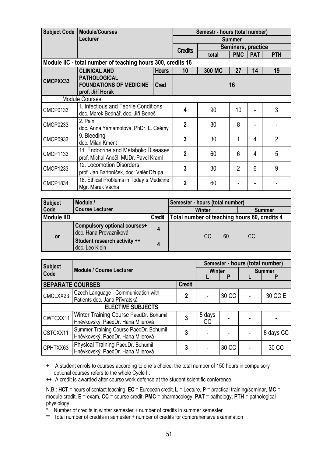| Subject Code                        | <b>Module/Courses</b>                                                         |             |                | Semestr - hours (total number) |                |            |                |  |
|-------------------------------------|-------------------------------------------------------------------------------|-------------|----------------|--------------------------------|----------------|------------|----------------|--|
|                                     | Lecturer                                                                      |             |                |                                | <b>Summer</b>  |            |                |  |
|                                     |                                                                               |             | <b>Credits</b> | Seminars, practice             |                |            |                |  |
|                                     |                                                                               |             | total          | <b>PMC</b>                     | <b>PAT</b>     | <b>PTH</b> |                |  |
|                                     | Module IIC - total number of teaching hours 300, credits 16                   |             |                |                                |                |            |                |  |
| <b>Hours</b><br><b>CLINICAL AND</b> |                                                                               | 10          | 300 MC         | 27                             | 14             | 19         |                |  |
| CMCPXX33                            | <b>PATHOLOGICAL</b><br><b>FOUNDATIONS OF MEDICINE</b>                         | <b>Cred</b> |                |                                | 16             |            |                |  |
|                                     | prof. Jiří Horák                                                              |             |                |                                |                |            |                |  |
| <b>Module Courses</b>               |                                                                               |             |                |                                |                |            |                |  |
| <b>CMCP0133</b>                     | 1. Infectious and Febrile Conditions<br>doc. Marek Bednář, doc. Jiří Beneš    |             | 4              | 90                             | 10             |            | 3              |  |
| <b>CMCP0233</b>                     | 2. Pain<br>doc. Anna Yamamotová, PhDr. L. Csémy                               |             | $\mathbf{2}$   | 30                             | 8              |            |                |  |
| <b>CMCP0933</b>                     | 9. Bleeding<br>doc. Milan Kment                                               |             | 3              | 30                             |                | 4          | $\overline{2}$ |  |
| <b>CMCP1133</b>                     | 11. Endocrine and Metabolic Diseases<br>prof. Michal Anděl, MUDr. Pavel Kraml |             | $\overline{2}$ | 60                             | 6              | 4          | 5              |  |
| <b>CMCP1233</b>                     | 12. Locomotion Disorders<br>prof. Jan Bartoníček, doc. Valér Džupa            |             | 3              | 30                             | $\overline{2}$ | 6          | 9              |  |
| <b>CMCP1834</b>                     | 18. Ethical Problems in Today's Medicine<br>Mgr. Marek Vácha                  |             | $\overline{2}$ | 60                             |                |            |                |  |

| <b>Subject</b>    | Module /                                               |               | Semester - hours (total number) |    |                                              |  |  |
|-------------------|--------------------------------------------------------|---------------|---------------------------------|----|----------------------------------------------|--|--|
| Code              | <b>Course Lecturer</b>                                 |               | Winter                          |    |                                              |  |  |
| <b>Module IID</b> |                                                        | <b>Credit</b> |                                 |    | Total number of teaching hours 60, credits 4 |  |  |
|                   | Compulsory optional courses+<br>doc. Hana Provazníková |               | CC.                             | 60 | <sub>CC</sub>                                |  |  |
| or                | Student research activity ++<br>doc. Leo Klein         | 4             |                                 |    |                                              |  |  |

|                         | <b>Subject</b><br><b>Module / Course Lecturer</b> |               |               |       | Semester - hours (total number) |               |  |
|-------------------------|---------------------------------------------------|---------------|---------------|-------|---------------------------------|---------------|--|
| Code                    |                                                   |               | <b>Winter</b> |       |                                 | <b>Summer</b> |  |
|                         |                                                   |               |               | P     |                                 |               |  |
| <b>SEPARATE COURSES</b> |                                                   | <b>Credit</b> |               |       |                                 |               |  |
| CMCLXX23                | Czech Language - Communication with               | 2             |               | 30 CC |                                 | 30 CC E       |  |
|                         | Patients doc. Jana Přívratská                     |               |               |       |                                 |               |  |
|                         | <b>ELECTIVE SUBJECTS</b>                          |               |               |       |                                 |               |  |
| CWTCXX11                | Winter Training Course PaedDr. Bohumil            |               | 8 days        |       |                                 |               |  |
|                         | Hněvkovský, PaedDr. Hana Milerová                 |               | <sub>CC</sub> |       |                                 |               |  |
| CSTCXX11                | Summer Training Course PaedDr. Bohumil            | 3             |               |       |                                 | 8 days CC     |  |
|                         | Hněvkovský, PaedDr. Hana Milerová                 |               |               |       |                                 |               |  |
| CPHTXX63                | Physical Training PaedDr. Bohumil                 | 3             |               | 30 CC |                                 | 30 CC         |  |
|                         | Hněvkovský, PaedDr. Hana Milerová                 |               |               |       |                                 |               |  |

+ A student enrols to courses according to one´s choice; the total number of 150 hours in compulsory optional courses refers to the whole Cycle II.

++ A credit is awarded after course work defence at the student scientific conference.

N.B.: **HCT** = hours of contact teaching, **EC** = European credit, **L** = Lecture, **P** = practical training/seminar, **MC** = module credit, **E** = exam, **CC** = course credit, **PMC** = pharmacology, **PAT** = pathology, **PTH** = pathological physiology

\* Number of credits in winter semester + number of credits in summer semester

\*\* Total number of credits in semester + number of credits for comprehensive examination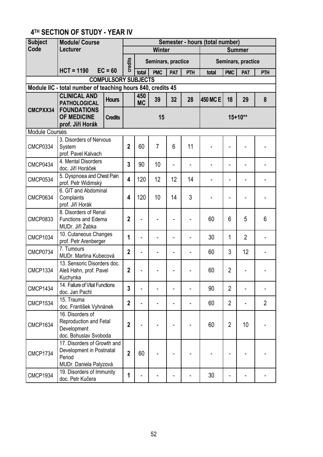# **4TH SECTION OF STUDY - YEAR IV**

| <b>Subject</b>        | <b>Module/ Course</b>                                                                       |                            | Semester - hours (total number) |                  |                    |                |     |          |                |                    |                |  |
|-----------------------|---------------------------------------------------------------------------------------------|----------------------------|---------------------------------|------------------|--------------------|----------------|-----|----------|----------------|--------------------|----------------|--|
| Code                  | Lecturer                                                                                    |                            |                                 | Winter           |                    |                |     |          | <b>Summer</b>  |                    |                |  |
|                       |                                                                                             |                            | credits                         |                  | Seminars, practice |                |     |          |                | Seminars, practice |                |  |
|                       | $HCT = 1190$                                                                                | $EC = 60$                  |                                 | total            | <b>PMC</b>         | <b>PAT</b>     | PTH | total    | <b>PMC</b>     | <b>PAT</b>         | PTH            |  |
|                       |                                                                                             | <b>COMPULSORY SUBJECTS</b> |                                 |                  |                    |                |     |          |                |                    |                |  |
|                       | Module IIC - total number of teaching hours 840, credits 45                                 |                            |                                 |                  |                    |                |     |          |                |                    |                |  |
|                       | <b>CLINICAL AND</b><br><b>PATHOLOGICAL</b>                                                  | <b>Hours</b>               |                                 | 450<br><b>MC</b> | 39                 | 32             | 28  | 450 MC E | 18             | 29                 | 8              |  |
| CMCPXX34              | <b>FOUNDATIONS</b><br><b>OF MEDICINE</b><br>prof. Jiří Horák                                | <b>Credits</b>             |                                 |                  | 15                 |                |     |          |                | $15+10**$          |                |  |
| <b>Module Courses</b> |                                                                                             |                            |                                 |                  |                    |                |     |          |                |                    |                |  |
| <b>CMCP0334</b>       | 3. Disorders of Nervous<br>System<br>prof. Pavel Kalvach                                    |                            | $\overline{2}$                  | 60               | $\overline{7}$     | 6              | 11  |          |                |                    |                |  |
| <b>CMCP0434</b>       | 4. Mental Disorders<br>doc. Jiří Horáček                                                    |                            | 3                               | 90               | 10                 | Ĭ.             |     |          |                |                    |                |  |
| <b>CMCP0534</b>       | 5. Dyspnoea and Chest Pain<br>prof. Petr Widimský                                           |                            | 4                               | 120              | 12                 | 12             | 14  |          |                |                    |                |  |
| <b>CMCP0634</b>       | 6. GIT and Abdominal<br>Complaints<br>prof. Jiří Horák                                      |                            | 4                               | 120              | 10                 | 14             | 3   |          |                |                    |                |  |
| <b>CMCP0833</b>       | 8. Disorders of Renal<br><b>Functions and Edema</b><br>MUDr. Jiří Žabka                     |                            | $\overline{2}$                  |                  |                    |                |     | 60       | 6              | 5                  | 6              |  |
| <b>CMCP1034</b>       | 10. Cutaneous Changes<br>prof. Petr Arenberger                                              |                            | 1                               |                  |                    |                |     | 30       | 1              | $\overline{2}$     |                |  |
| <b>CMCP0734</b>       | 7. Tumours<br>MUDr. Martina Kubecová                                                        |                            | $\overline{2}$                  |                  |                    |                |     | 60       | 3              | 12                 |                |  |
| <b>CMCP1334</b>       | 13. Sensoric Disorders doc.<br>Aleš Hahn, prof. Pavel<br>Kuchynka                           |                            | $\overline{2}$                  |                  |                    |                |     | 60       | $\overline{2}$ |                    |                |  |
| <b>CMCP1434</b>       | 14. Failure of Vital Functions<br>doc. Jan Pachl                                            |                            | 3                               |                  |                    |                |     | 90       | $\overline{2}$ |                    |                |  |
| <b>CMCP1534</b>       | 15. Trauma<br>doc. František Vyhnánek                                                       |                            | $\mathbf{2}$                    |                  |                    | $\blacksquare$ |     | 60       | $\overline{2}$ |                    | $\overline{2}$ |  |
| <b>CMCP1634</b>       | 16. Disorders of<br>Reproduction and Fetal<br>Development<br>doc. Bohuslav Svoboda          |                            | $\overline{2}$                  |                  |                    |                |     | 60       | $\overline{2}$ | 10                 |                |  |
| <b>CMCP1734</b>       | 17. Disorders of Growth and<br>Development in Postnatal<br>Period<br>MUDr. Daniela Palyzová |                            | $\overline{2}$                  | 60               |                    |                |     |          |                |                    |                |  |
| <b>CMCP1934</b>       | 19. Disorders of Immunity<br>doc. Petr Kučera                                               |                            | 1                               |                  |                    |                |     | 30       |                |                    |                |  |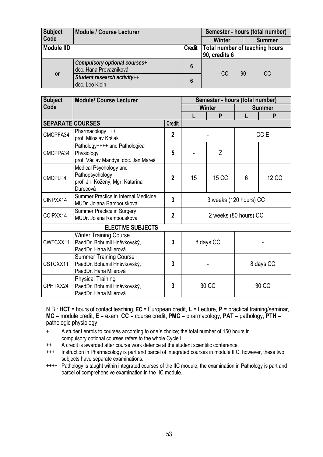| <b>Subject</b>    | <b>Module / Course Lecturer</b>                        |               | Semester - hours (total number)                 |               |  |  |
|-------------------|--------------------------------------------------------|---------------|-------------------------------------------------|---------------|--|--|
| Code              |                                                        |               | Winter                                          | <b>Summer</b> |  |  |
| <b>Module IID</b> |                                                        | <b>Credit</b> | Total number of teaching hours<br>90, credits 6 |               |  |  |
|                   | Compulsory optional courses+<br>doc. Hana Provazníková | 6             | <sub>CC</sub>                                   |               |  |  |
| <b>or</b>         | Student research activity++<br>doc. Leo Klein          | 6             |                                                 | 90<br>CC.     |  |  |

| <b>Subject</b><br><b>Module/ Course Lecturer</b> |                                                                                           |                |               | Semester - hours (total number) |                |                 |  |  |  |  |
|--------------------------------------------------|-------------------------------------------------------------------------------------------|----------------|---------------|---------------------------------|----------------|-----------------|--|--|--|--|
| Code                                             |                                                                                           |                | <b>Winter</b> |                                 | <b>Summer</b>  |                 |  |  |  |  |
|                                                  |                                                                                           |                | P             |                                 | P              |                 |  |  |  |  |
| <b>SEPARATE COURSES</b>                          |                                                                                           | <b>Credit</b>  |               |                                 |                |                 |  |  |  |  |
| CMCPFA34                                         | Pharmacology +++<br>prof. Miloslav Kršiak                                                 | $\overline{2}$ |               |                                 |                | CC <sub>E</sub> |  |  |  |  |
| CMCPPA34                                         | Pathology++++ and Pathological<br>Physiology<br>prof. Václav Mandys, doc. Jan Mareš       | 5              |               | Z                               |                |                 |  |  |  |  |
| CMCPLP4                                          | Medical Psychology and<br>Pathopsychology<br>prof. Jiří Kožený, Mgr. Katarína<br>Durecová | $\mathbf{2}$   | 15            | <b>15 CC</b>                    | $6\phantom{1}$ | <b>12 CC</b>    |  |  |  |  |
| CINPXX14                                         | Summer Practice in Internal Medicine<br>MUDr. Jolana Rambousková                          | $\overline{3}$ |               | 3 weeks (120 hours) CC          |                |                 |  |  |  |  |
| CCIPXX14                                         | Summer Practice in Surgery<br>MUDr. Jolana Rambousková                                    | $\overline{2}$ |               | 2 weeks (80 hours) CC           |                |                 |  |  |  |  |
|                                                  | <b>ELECTIVE SUBJECTS</b>                                                                  |                |               |                                 |                |                 |  |  |  |  |
| CWTCXX11                                         | <b>Winter Training Course</b><br>PaedDr. Bohumil Hněvkovský,<br>PaedDr. Hana Milerová     | 3              | 8 days CC     |                                 |                |                 |  |  |  |  |
| CSTCXX11                                         | <b>Summer Training Course</b><br>PaedDr. Bohumil Hněvkovský,<br>PaedDr. Hana Milerová     | 3              |               |                                 |                | 8 days CC       |  |  |  |  |
| CPHTXX24                                         | <b>Physical Training</b><br>PaedDr. Bohumil Hněvkovský,<br>PaedDr. Hana Milerová          | 3              |               | 30 CC                           | 30 CC          |                 |  |  |  |  |

N.B.: **HCT** = hours of contact teaching, **EC** = European credit, **L** = Lecture, **P** = practical training/seminar, **MC** = module credit, **E** = exam, **CC** = course credit, **PMC** = pharmacology, **PAT** = pathology, **PTH** = pathologic physiology

- + A student enrols to courses according to one´s choice; the total number of 150 hours in compulsory optional courses refers to the whole Cycle II.
- ++ A credit is awarded after course work defence at the student scientific conference.
- +++ Instruction in Pharmacology is part and parcel of integrated courses in module II C, however, these two subjects have separate examinations.
- ++++ Pathology is taught within integrated courses of the IIC module; the examination in Pathology is part and parcel of comprehensive examination in the IIC module.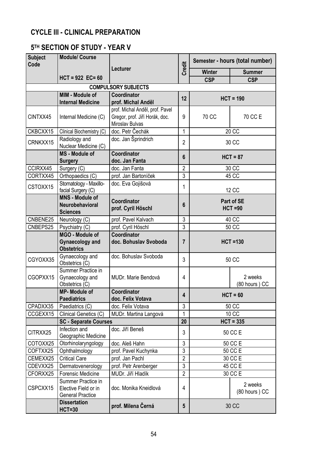## **CYCLE III - CLINICAL PREPARATION**

# **5TH SECTION OF STUDY - YEAR V**

| <b>Subject</b><br><b>Module/ Course</b><br>Code |                                                                       |                                      | Semester - hours (total number) |                          |                          |  |  |
|-------------------------------------------------|-----------------------------------------------------------------------|--------------------------------------|---------------------------------|--------------------------|--------------------------|--|--|
|                                                 |                                                                       | Lecturer                             | <b>Credit</b>                   | <b>Winter</b>            | <b>Summer</b>            |  |  |
|                                                 | $HCT = 922$ EC= 60                                                    |                                      |                                 | <b>CSP</b>               | <b>CSP</b>               |  |  |
|                                                 |                                                                       | <b>COMPULSORY SUBJECTS</b>           |                                 |                          |                          |  |  |
|                                                 | MIM - Module of                                                       | Coordinator                          |                                 |                          |                          |  |  |
|                                                 | <b>Internal Medicine</b>                                              | prof. Michal Anděl                   | 12                              | $HCT = 190$              |                          |  |  |
|                                                 |                                                                       | prof. Michal Anděl, prof. Pavel      |                                 |                          |                          |  |  |
| CINTXX45                                        | Internal Medicine (C)                                                 | Gregor, prof. Jiří Horák, doc.       | 9                               | 70 CC                    | 70 CC E                  |  |  |
|                                                 |                                                                       | Miroslav Bulvas                      |                                 |                          |                          |  |  |
| CKBCXX15                                        | Clinical Biochemistry (C)                                             | doc. Petr Čechák                     | $\mathbf{1}$                    |                          | $20$ CC                  |  |  |
| CRNKXX15                                        | Radiology and                                                         | doc. Jan Šprindrich                  | $\overline{2}$                  |                          | 30 CC                    |  |  |
|                                                 | Nuclear Medicine (C)                                                  |                                      |                                 |                          |                          |  |  |
|                                                 | <b>MS</b> - Module of                                                 | Coordinator                          | 6                               |                          | $HCT = 87$               |  |  |
|                                                 | <b>Surgery</b>                                                        | doc. Jan Fanta                       |                                 |                          |                          |  |  |
| CCIRXX45                                        | Surgery (C)                                                           | doc. Jan Fanta                       | $\overline{2}$                  |                          | 30 CC                    |  |  |
| CORTXX45                                        | Orthopaedics (C)                                                      | prof. Jan Bartoníček                 | 3                               |                          | 45 CC                    |  |  |
| CSTOXX15                                        | Stomatology - Maxillo-<br>facial Surgery (C)                          | doc. Eva Gojišová                    | 1                               | 12 CC                    |                          |  |  |
|                                                 | <b>MNS - Module of</b>                                                |                                      |                                 | Part of SE               |                          |  |  |
|                                                 | Neurobehavioral                                                       | Coordinator<br>prof. Cyril Höschl    | 6                               | $HCT = 90$               |                          |  |  |
|                                                 | <b>Sciences</b>                                                       |                                      |                                 |                          |                          |  |  |
| CNBENE25                                        | Neurology (C)                                                         | prof. Pavel Kalvach                  | $\mathfrak{Z}$                  |                          | 40 CC                    |  |  |
| CNBEPS25                                        | $\overline{P}$ sychiatry (C)                                          | prof. Cyril Höschl                   | $\overline{3}$                  | 50 CC                    |                          |  |  |
|                                                 | MGO - Module of<br><b>Gynaecology and</b><br><b>Obstetrics</b>        | Coordinator<br>doc. Bohuslav Svoboda | 7                               | <b>HCT =130</b>          |                          |  |  |
| CGYOXX35                                        | Gynaecology and<br>Obstetrics (C)                                     | doc. Bohuslav Svoboda                | 3                               |                          | 50 CC                    |  |  |
| CGOPXX15                                        | Summer Practice in<br>Gynaecology and<br>Obstetrics (C)               | MUDr. Marie Bendová                  | 4                               |                          | 2 weeks<br>(80 hours) CC |  |  |
|                                                 | <b>MP-Module of</b><br><b>Paediatrics</b>                             | Coordinator<br>doc. Felix Votava     | 4                               |                          | $HCT = 60$               |  |  |
| CPADXX35                                        | Paediatrics (C)                                                       | doc. Felix Votava                    | 3                               |                          | 50 CC                    |  |  |
| CCGEXX15                                        | Clinical Genetics (C)                                                 | MUDr. Martina Langová                | 1                               |                          | 10 CC                    |  |  |
|                                                 | <b>SC - Separate Courses</b>                                          |                                      | 20                              |                          | $HCT = 335$              |  |  |
| CITRXX25                                        | Infection and<br>Geographic Medicine                                  | doc. Jiří Beneš                      | 3                               |                          | 50 CC E                  |  |  |
| COTOXX25                                        | Otorhinolaryngology                                                   | doc. Aleš Hahn                       | 3                               |                          | 50 CC E                  |  |  |
| COFTXX25                                        | Ophthalmology                                                         | prof. Pavel Kuchynka                 | 3                               |                          | 50 CC E                  |  |  |
| CEMEXX25                                        | <b>Critical Care</b>                                                  | prof. Jan Pachl                      | $\overline{2}$                  |                          | 30 CC E                  |  |  |
| CDEVXX25                                        | Dermatovenerology                                                     | prof. Petr Arenberger                | $\overline{3}$                  |                          | 45 CC E                  |  |  |
| CFORXX25                                        | Forensic Medicine                                                     | MUDr. Jiří Hladík                    | $\overline{2}$                  |                          | 30 CC E                  |  |  |
| CSPCXX15                                        | Summer Practice in<br>Elective Field or in<br><b>General Practice</b> | doc. Monika Kneidlová                | 4                               | 2 weeks<br>(80 hours) CC |                          |  |  |
|                                                 | <b>Dissertation</b><br><b>HCT=30</b>                                  | prof. Milena Černá                   | 5                               |                          | 30 CC                    |  |  |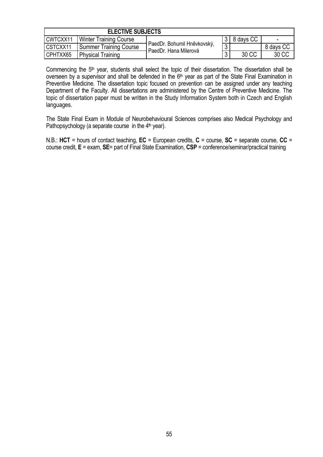| <b>ELECTIVE SUBJECTS</b> |                               |                             |          |           |           |  |  |  |  |
|--------------------------|-------------------------------|-----------------------------|----------|-----------|-----------|--|--|--|--|
| CWTCXX11                 | <b>Winter Training Course</b> |                             |          | 8 days CC | $\,$      |  |  |  |  |
| CSTCXX11                 | <b>Summer Training Course</b> | PaedDr. Bohumil Hněvkovský, | $\Omega$ |           | 8 days CC |  |  |  |  |
| CPHTXX65                 | <b>Physical Training</b>      | PaedDr. Hana Milerová       | 3        | 30 CC     | 30 CC     |  |  |  |  |

Commencing the 5<sup>th</sup> year, students shall select the topic of their dissertation. The dissertation shall be overseen by a supervisor and shall be defended in the 6<sup>th</sup> year as part of the State Final Examination in Preventive Medicine. The dissertation topic focused on prevention can be assigned under any teaching Department of the Faculty. All dissertations are administered by the Centre of Preventive Medicine. The topic of dissertation paper must be written in the Study Information System both in Czech and English languages.

The State Final Exam in Module of Neurobehavioural Sciences comprises also Medical Psychology and Pathopsychology (a separate course in the  $4<sup>th</sup>$  year).

N.B.: **HCT** = hours of contact teaching, **EC** = European credits, **C** = course, **SC** = separate course, **CC** = course credit, **E** = exam, **SE**= part of Final State Examination, **CSP** = conference/seminar/practical training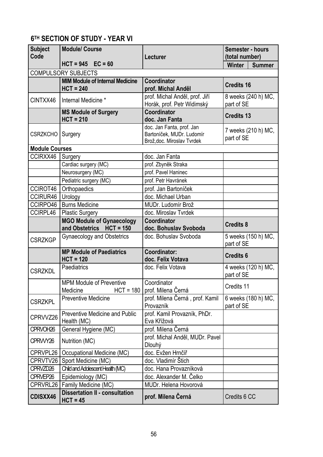# **6TH SECTION OF STUDY - YEAR VI**

| <b>Subject</b><br>Code | <b>Module/ Course</b>                                        | Lecturer                                                                             | Semester - hours<br>(total number) |
|------------------------|--------------------------------------------------------------|--------------------------------------------------------------------------------------|------------------------------------|
|                        | $HCT = 945$ $EC = 60$                                        |                                                                                      | <b>Winter</b><br><b>Summer</b>     |
|                        | <b>COMPULSORY SUBJECTS</b>                                   |                                                                                      |                                    |
|                        | <b>MIM Module of Internal Medicine</b><br>$HCT = 240$        | Coordinator<br>prof. Michal Anděl                                                    | <b>Credits 16</b>                  |
| CINTXX46               | Internal Medicine *                                          | prof. Michal Anděl, prof. Jiří<br>Horák, prof. Petr Widimský                         | 8 weeks (240 h) MC,<br>part of SE  |
|                        | <b>MS Module of Surgery</b><br>$HCT = 210$                   | <b>Coordinator</b><br>doc. Jan Fanta                                                 | <b>Credits 13</b>                  |
| <b>CSRZKCHO</b>        | Surgery                                                      | doc. Jan Fanta, prof. Jan<br>Bartoníček, MUDr. Ludomír<br>Brož, doc. Miroslav Tvrdek | 7 weeks (210 h) MC,<br>part of SE  |
| <b>Module Courses</b>  |                                                              |                                                                                      |                                    |
| CCIRXX46               | Surgery                                                      | doc. Jan Fanta                                                                       |                                    |
|                        | Cardiac surgery (MC)                                         | prof. Zbyněk Straka                                                                  |                                    |
|                        | Neurosurgery (MC)                                            | prof. Pavel Haninec                                                                  |                                    |
|                        | Pediatric surgery (MC)                                       | prof. Petr Havránek                                                                  |                                    |
| CCIROT46               | Orthopaedics                                                 | prof. Jan Bartoníček                                                                 |                                    |
| CCIRUR46               | Urology                                                      | doc. Michael Urban                                                                   |                                    |
| CCIRPO46               | <b>Burns Medicine</b>                                        | MUDr. Ludomír Brož                                                                   |                                    |
| CCIRPL46               | <b>Plastic Surgery</b>                                       | doc. Miroslav Tvrdek                                                                 |                                    |
|                        | <b>MGO Module of Gynaecology</b><br>and Obstetrics HCT = 150 | Coordinator<br>doc. Bohuslav Svoboda                                                 | <b>Credits 8</b>                   |
| <b>CSRZKGP</b>         | <b>Gynaecology and Obstetrics</b>                            | doc. Bohuslav Svoboda                                                                | 5 weeks (150 h) MC,<br>part of SE  |
|                        | <b>MP Module of Paediatrics</b><br>$HCT = 120$               | Coordinator:<br>doc. Felix Votava                                                    | <b>Credits 6</b>                   |
| <b>CSRZKDL</b>         | Paediatrics                                                  | doc. Felix Votava                                                                    | 4 weeks (120 h) MC,<br>part of SE  |
|                        | <b>MPM Module of Preventive</b><br>Medicine<br>$HCT = 180$   | Coordinator<br>prof. Milena Černá                                                    | Credits 11                         |
| <b>CSRZKPL</b>         | <b>Preventive Medicine</b>                                   | prof. Milena Cerná, prof. Kamil<br>Provazník                                         | 6 weeks (180 h) MC,<br>part of SE  |
| CPRVVZ26               | <b>Preventive Medicine and Public</b><br>Health (MC)         | prof. Kamil Provazník, PhDr.<br>Eva Křížová                                          |                                    |
| CPRVOH <sub>26</sub>   | General Hygiene (MC)                                         | prof. Milena Černá                                                                   |                                    |
| CPRWY26                | Nutrition (MC)                                               | prof. Michal Anděl, MUDr. Pavel<br>Dlouhý                                            |                                    |
| CPRVPL26               | Occupational Medicine (MC)                                   | doc. Evžen Hrnčíř                                                                    |                                    |
| CPRVTV26               | Sport Medicine (MC)                                          | doc. Vladimír Štich                                                                  |                                    |
| CPRVZD26               | Child and Adolescent Health (MC)                             | doc. Hana Provazníková                                                               |                                    |
| CPRVEP26               | Epidemiology (MC)                                            | doc. Alexander M. Čelko                                                              |                                    |
| CPRVRL26               | Family Medicine (MC)                                         | MUDr. Helena Hovorová                                                                |                                    |
| CDISXX46               | <b>Dissertation II - consultation</b><br>$HCT = 45$          | prof. Milena Černá                                                                   | Credits 6 CC                       |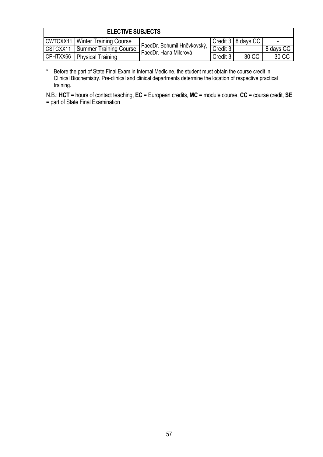| <b>ELECTIVE SUBJECTS</b> |                                   |                                                      |          |                      |           |  |  |  |  |
|--------------------------|-----------------------------------|------------------------------------------------------|----------|----------------------|-----------|--|--|--|--|
|                          | CWTCXX11   Winter Training Course |                                                      |          | Credit 3   8 days CC |           |  |  |  |  |
| CSTCXX11                 | Summer Training Course            | PaedDr. Bohumil Hněvkovský,<br>PaedDr. Hana Milerová | Credit 3 |                      | 8 days CC |  |  |  |  |
| CPHTXX66                 | <b>Physical Training</b>          |                                                      | Credit 3 | 30 CC                | 30 CC     |  |  |  |  |

\* Before the part of State Final Exam in Internal Medicine, the student must obtain the course credit in Clinical Biochemistry. Pre-clinical and clinical departments determine the location of respective practical training.

N.B.: **HCT** = hours of contact teaching, **EC** = European credits, **MC** = module course, **CC** = course credit, **SE** = part of State Final Examination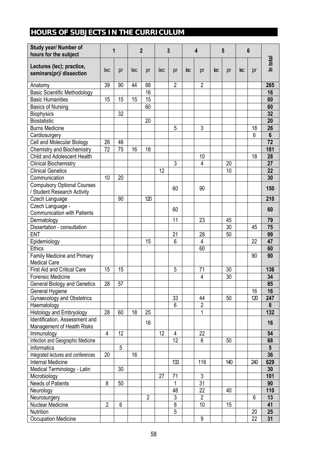# **HOURS OF SUBJECTS IN THE CURRICULUM**

| Study year/ Number of<br>hours for the subject        |                | 1  |     | $\overline{2}$ |     | 3              |    | 4               |     | 5   |     | 6   |                 |
|-------------------------------------------------------|----------------|----|-----|----------------|-----|----------------|----|-----------------|-----|-----|-----|-----|-----------------|
| Lectures (lec); practice,<br>seminars(pr)/ dissection | lec            | pr | lec | pr             | lec | pr             | ec | pr              | leс | pr  | lес | pr  | In total        |
| Anatomy                                               | 39             | 90 | 44  | 88             |     | 2              |    | $\overline{2}$  |     |     |     |     | 265             |
| <b>Basic Scientific Methodology</b>                   |                |    |     | 16             |     |                |    |                 |     |     |     |     | 16              |
| <b>Basic Humanities</b>                               | 15             | 15 | 15  | 15             |     |                |    |                 |     |     |     |     | 60              |
| <b>Basics of Nursing</b>                              |                |    |     | 60             |     |                |    |                 |     |     |     |     | 60              |
| <b>Biophysics</b>                                     |                | 32 |     |                |     |                |    |                 |     |     |     |     | 32              |
| <b>Biostatistic</b>                                   |                |    |     | 20             |     |                |    |                 |     |     |     |     | 20              |
| <b>Burns Medicine</b>                                 |                |    |     |                |     | 5              |    | 3               |     |     |     | 18  | 26              |
| Cardiosurgery                                         |                |    |     |                |     |                |    |                 |     |     |     | 6   | $6\phantom{1}6$ |
| Cell and Molecular Biology                            | 26             | 46 |     |                |     |                |    |                 |     |     |     |     | $\overline{72}$ |
| <b>Chemistry and Biochemistry</b>                     | 72             | 75 | 16  | 18             |     |                |    |                 |     |     |     |     | 181             |
| Child and Adolescent Health                           |                |    |     |                |     |                |    | 10              |     |     |     | 18  | 28              |
| <b>Clinical Biochemistry</b>                          |                |    |     |                |     | 3              |    | 4               |     | 20  |     |     | 27              |
| <b>Clinical Genetics</b>                              |                |    |     |                | 12  |                |    |                 |     | 10  |     |     | 22              |
| Communication                                         | 10             | 20 |     |                |     |                |    |                 |     |     |     |     | 30              |
| <b>Compulsory Optional Courses</b>                    |                |    |     |                |     | 60             |    | 90              |     |     |     |     | 150             |
| / Student Research Activity<br>Czech Language         |                | 90 |     | 120            |     |                |    |                 |     |     |     |     | 210             |
| Czech Language -                                      |                |    |     |                |     |                |    |                 |     |     |     |     |                 |
| <b>Communication with Patients</b>                    |                |    |     |                |     | 60             |    |                 |     |     |     |     | 60              |
| Dermatology                                           |                |    |     |                |     | 11             |    | 23              |     | 45  |     |     | 79              |
| Dissertation - consultation                           |                |    |     |                |     |                |    |                 |     | 30  |     | 45  | 75              |
| <b>ENT</b>                                            |                |    |     |                |     | 21             |    | 28              |     | 50  |     |     | 99              |
| Epidemiology                                          |                |    |     | 15             |     | 6              |    | 4               |     |     |     | 22  | 47              |
| <b>Ethics</b>                                         |                |    |     |                |     |                |    | 60              |     |     |     |     | 60              |
| <b>Family Medicine and Primary</b>                    |                |    |     |                |     |                |    |                 |     |     |     | 90  | 90              |
| <b>Medical Care</b>                                   |                |    |     |                |     |                |    |                 |     |     |     |     |                 |
| <b>First Aid and Critical Care</b>                    | 15             | 15 |     |                |     | 5              |    | 71              |     | 30  |     |     | 136             |
| <b>Forensic Medicine</b>                              |                |    |     |                |     |                |    | 4               |     | 30  |     |     | 34              |
| <b>General Biology and Genetics</b>                   | 28             | 57 |     |                |     |                |    |                 |     |     |     |     | 85              |
| General Hygiene                                       |                |    |     |                |     |                |    |                 |     |     |     | 16  | 16              |
| <b>Gynaecology and Obstetrics</b>                     |                |    |     |                |     | 33             |    | 44              |     | 50  |     | 120 | 247             |
| Haematology                                           |                |    |     |                |     | 6              |    | $\overline{2}$  |     |     |     |     | 8               |
| Histology and Embryology                              | 28             | 60 | 18  | 25             |     |                |    | 1               |     |     |     |     | 132             |
| Identification, Assessment and                        |                |    |     |                |     |                |    |                 |     |     |     |     |                 |
| Management of Health Risks                            |                |    |     | 16             |     |                |    |                 |     |     |     |     | 16              |
| Immunology                                            | $\overline{4}$ | 12 |     |                | 12  | 4              |    | 22              |     |     |     |     | 54              |
| Infection and Geographic Medicine                     |                |    |     |                |     | 12             |    | 6               |     | 50  |     |     | 68              |
| Informatics                                           |                | 5  |     |                |     |                |    |                 |     |     |     |     | $5\phantom{.0}$ |
| Integrated lectures and conferences                   | 20             |    | 16  |                |     |                |    |                 |     |     |     |     | 36              |
| Internal Medicine                                     |                |    |     |                |     | 133            |    | 116             |     | 140 |     | 240 | 629             |
| Medical Terminology - Latin                           |                | 30 |     |                |     |                |    |                 |     |     |     |     | 30              |
| Microbiology                                          |                |    |     |                | 27  | 71             |    | $\overline{3}$  |     |     |     |     | 101             |
| <b>Needs of Patients</b>                              | 8              | 50 |     |                |     | 1              |    | $\overline{31}$ |     |     |     |     | 90              |
| Neurology                                             |                |    |     |                |     | 48             |    | 22              |     | 40  |     |     | 110             |
| Neurosurgery                                          |                |    |     | $\overline{2}$ |     | $\mathfrak{Z}$ |    | $\overline{2}$  |     |     |     | 6   | 13              |
| Nuclear Medicine                                      | $\overline{2}$ | 6  |     |                |     | $\overline{8}$ |    | 10              |     | 15  |     |     | 41              |
| Nutrition                                             |                |    |     |                |     | 5              |    |                 |     |     |     | 20  | 25              |
| <b>Occupation Medicine</b>                            |                |    |     |                |     |                |    | 9               |     |     |     | 22  | 31              |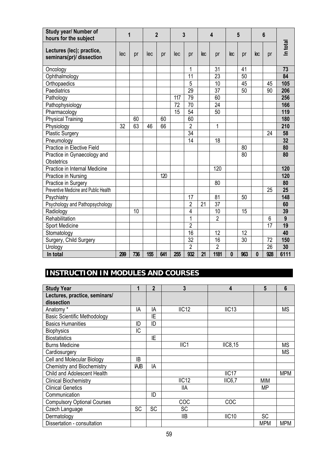| Study year/ Number of<br>hours for the subject        | 1   |     |     | $\overline{2}$ |     | 3               |                        | 4               |              | 5   |          | 6               |          |
|-------------------------------------------------------|-----|-----|-----|----------------|-----|-----------------|------------------------|-----------------|--------------|-----|----------|-----------------|----------|
| Lectures (lec); practice,<br>seminars(pr)/ dissection | lec | pr  | lec | pr             | lec | pr              | $\overline{\text{ec}}$ | pr              | lec          | pr  | lec      | pr              | In total |
| Oncology                                              |     |     |     |                |     | 1               |                        | 31              |              | 41  |          |                 | 73       |
| Ophthalmology                                         |     |     |     |                |     | 11              |                        | $\overline{23}$ |              | 50  |          |                 | 84       |
| Orthopaedics                                          |     |     |     |                |     | 5               |                        | 10              |              | 45  |          | 45              | 105      |
| Paediatrics                                           |     |     |     |                |     | $\overline{29}$ |                        | 37              |              | 50  |          | 90              | 206      |
| Pathology                                             |     |     |     |                | 117 | 79              |                        | 60              |              |     |          |                 | 256      |
| Pathophysiology                                       |     |     |     |                | 72  | $\overline{70}$ |                        | $\overline{24}$ |              |     |          |                 | 166      |
| Pharmacology                                          |     |     |     |                | 15  | 54              |                        | 50              |              |     |          |                 | 119      |
| <b>Physical Training</b>                              |     | 60  |     | 60             |     | 60              |                        |                 |              |     |          |                 | 180      |
| Physiology                                            | 32  | 63  | 46  | 66             |     | $\overline{2}$  |                        | 1               |              |     |          |                 | 210      |
| <b>Plastic Surgery</b>                                |     |     |     |                |     | 34              |                        |                 |              |     |          | 24              | 58       |
| Pneumology                                            |     |     |     |                |     | 14              |                        | 18              |              |     |          |                 | 32       |
| Practice in Elective Field                            |     |     |     |                |     |                 |                        |                 |              | 80  |          |                 | 80       |
| Practice in Gynaecology and                           |     |     |     |                |     |                 |                        |                 |              | 80  |          |                 | 80       |
| Obstetrics                                            |     |     |     |                |     |                 |                        |                 |              |     |          |                 |          |
| Practice in Internal Medicine                         |     |     |     |                |     |                 |                        | 120             |              |     |          |                 | 120      |
| Practice in Nursing                                   |     |     |     | 120            |     |                 |                        |                 |              |     |          |                 | 120      |
| Practice in Surgery                                   |     |     |     |                |     |                 |                        | 80              |              |     |          |                 | 80       |
| Preventive Medicine and Public Health                 |     |     |     |                |     |                 |                        |                 |              |     |          | 25              | 25       |
| Psychiatry                                            |     |     |     |                |     | 17              |                        | 81              |              | 50  |          |                 | 148      |
| Psychology and Pathopsychology                        |     |     |     |                |     | $\overline{2}$  | 21                     | $\overline{37}$ |              |     |          |                 | 60       |
| Radiology                                             |     | 10  |     |                |     | 4               |                        | 10              |              | 15  |          |                 | 39       |
| Rehabilitation                                        |     |     |     |                |     | 1               |                        | $\overline{2}$  |              |     |          | 6               | 9        |
| Sport Medicine                                        |     |     |     |                |     | $\overline{2}$  |                        |                 |              |     |          | 17              | 19       |
| Stomatology                                           |     |     |     |                |     | 16              |                        | 12              |              | 12  |          |                 | 40       |
| Surgery, Child Surgery                                |     |     |     |                |     | 32              |                        | 16              |              | 30  |          | 72              | 150      |
| Urology                                               |     |     |     |                |     | $\overline{2}$  |                        | $\overline{2}$  |              |     |          | $\overline{26}$ | 30       |
| In total                                              | 299 | 736 | 155 | 641            | 255 | 932             | 21                     | 1181            | $\mathbf{0}$ | 963 | $\bf{0}$ | 928             | 6111     |

# **INSTRUCTION IN MODULES AND COURSES**

| <b>Study Year</b>                   | 1            | $\mathbf{2}$ | 3                | 4                 | 5          | 6          |
|-------------------------------------|--------------|--------------|------------------|-------------------|------------|------------|
| Lectures, practice, seminars/       |              |              |                  |                   |            |            |
| dissection                          |              |              |                  |                   |            |            |
| Anatomy*                            | IA           | IA           | IIC12            | IIC13             |            | <b>MS</b>  |
| <b>Basic Scientific Methodology</b> |              | ΙE           |                  |                   |            |            |
| <b>Basics Humanities</b>            | ID           | ID           |                  |                   |            |            |
| <b>Biophysics</b>                   | IC           |              |                  |                   |            |            |
| <b>Biostatistics</b>                |              | ΙE           |                  |                   |            |            |
| <b>Burns Medicine</b>               |              |              | IIC <sub>1</sub> | IIC8,15           |            | <b>MS</b>  |
| Cardiosurgery                       |              |              |                  |                   |            | <b>MS</b>  |
| Cell and Molecular Biology          | IB           |              |                  |                   |            |            |
| <b>Chemistry and Biochemistry</b>   | <b>JA, B</b> | IA           |                  |                   |            |            |
| Child and Adolescent Health         |              |              |                  | IIC <sub>17</sub> |            | <b>MPM</b> |
| <b>Clinical Biochemistry</b>        |              |              | IIC12            | <b>IIC6.7</b>     | <b>MIM</b> |            |
| <b>Clinical Genetics</b>            |              |              | <b>IIA</b>       |                   | МP         |            |
| Communication                       |              | ID           |                  |                   |            |            |
| <b>Compulsory Optional Courses</b>  |              |              | COC              | COC               |            |            |
| Czech Language                      | <b>SC</b>    | <b>SC</b>    | <b>SC</b>        |                   |            |            |
| Dermatology                         |              |              | IIВ              | IIC <sub>10</sub> | <b>SC</b>  |            |
| Dissertation - consultation         |              |              |                  |                   | <b>MPM</b> | <b>MPM</b> |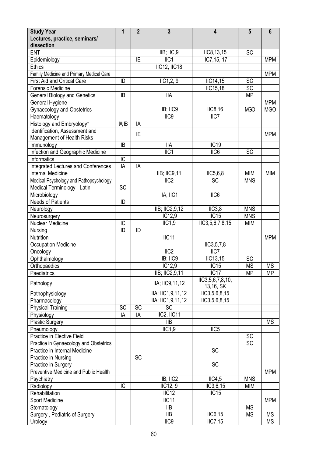| <b>Study Year</b>                          | 1         | $\overline{2}$ | $\mathbf{3}$         | $\overline{\mathbf{4}}$ | $5\phantom{1}$ | $6\phantom{1}$ |
|--------------------------------------------|-----------|----------------|----------------------|-------------------------|----------------|----------------|
| Lectures, practice, seminars/              |           |                |                      |                         |                |                |
| dissection                                 |           |                |                      |                         |                |                |
| <b>ENT</b>                                 |           |                | IIB; IIC,9           | IIC8, 13, 15            | SC             |                |
| Epidemiology                               |           | IE             | IIC <sub>1</sub>     | IIC7,15, 17             |                | <b>MPM</b>     |
| <b>Ethics</b>                              |           |                | <b>IIC12, IIC18</b>  |                         |                |                |
| Family Medicine and Primary Medical Care   |           |                |                      |                         |                | <b>MPM</b>     |
| <b>First Aid and Critical Care</b>         | ID        |                | IIC1,2,9             | IIC14,15                | <b>SC</b>      |                |
| Forensic Medicine                          |           |                |                      | <b>IIC15,18</b>         | SC             |                |
| <b>General Biology and Genetics</b>        | IB        |                | <b>IIA</b>           |                         | <b>MP</b>      |                |
| General Hygiene                            |           |                |                      |                         |                | <b>MPM</b>     |
| <b>Gynaecology and Obstetrics</b>          |           |                | IIB; IIC9            | IIC8, 16                | <b>MGO</b>     | <b>MGO</b>     |
| Haematology                                |           |                | $\overline{IC9}$     | $\overline{IC7}$        |                |                |
| Histology and Embryology*                  | IA; IB    | IA             |                      |                         |                |                |
| Identification, Assessment and             |           |                |                      |                         |                |                |
| Management of Health Risks                 |           | IE             |                      |                         |                | <b>MPM</b>     |
| Immunology                                 | ΙB        |                | <b>IIA</b>           | IIC19                   |                |                |
| Infection and Geographic Medicine          |           |                | $IIC1$               | IIC6                    | <b>SC</b>      |                |
| Informatics                                | IC        |                |                      |                         |                |                |
| <b>Integrated Lectures and Conferences</b> | IA        | IA             |                      |                         |                |                |
| <b>Internal Medicine</b>                   |           |                | <b>IIB</b> ; IIC9,11 | IIC5,6,8                | <b>MIM</b>     | <b>MIM</b>     |
| Medical Psychology and Pathopsychology     |           |                | IIC <sub>2</sub>     | SC                      | <b>MNS</b>     |                |
| Medical Terminology - Latin                | <b>SC</b> |                |                      |                         |                |                |
| Microbiology                               |           |                | IIA; IIC1            | IIC6                    |                |                |
| <b>Needs of Patients</b>                   | ID        |                |                      |                         |                |                |
| Neurology                                  |           |                | IIB; IIC2,9,12       | IC3,8                   | <b>MNS</b>     |                |
| Neurosurgery                               |           |                | <b>IIC12,9</b>       | $\overline{IC15}$       | <b>MNS</b>     |                |
| <b>Nuclear Medicine</b>                    | IC        |                | IIC1,9               | IIC3,5,6,7,8,15         | <b>MIM</b>     |                |
| Nursing                                    | ID        | ID             |                      |                         |                |                |
| Nutrition                                  |           |                | IIC11                |                         |                | <b>MPM</b>     |
| <b>Occupation Medicine</b>                 |           |                |                      | IIC3, 5, 7, 8           |                |                |
| Oncology                                   |           |                | $\overline{IC2}$     | $\overline{IC7}$        |                |                |
| Ophthalmology                              |           |                | IIB; IIC9            | IIC13,15                | SC             |                |
| Orthopaedics                               |           |                | <b>IIC12,9</b>       | IIC15                   | <b>MS</b>      | <b>MS</b>      |
| Paediatrics                                |           |                | IIB; IIC2,9,11       | IIC <sub>17</sub>       | <b>MP</b>      | <b>MP</b>      |
|                                            |           |                |                      | IIC3,5,6,7,8,10,        |                |                |
| Pathology                                  |           |                | IIA; IIC9, 11, 12    | 13,16, SK               |                |                |
| Pathophysiology                            |           |                | IIA; IIC1,9,11,12    | IIC3,5,6,8,15           |                |                |
| Pharmacology                               |           |                | IIA; IIC1,9,11,12    | IC3, 5, 6, 8, 15        |                |                |
| <b>Physical Training</b>                   | SC        | SC             | SC                   |                         |                |                |
| Physiology                                 | IA        | IA             | IIC2, IIC11          |                         |                |                |
| <b>Plastic Surgery</b>                     |           |                | <b>IIB</b>           |                         |                | <b>MS</b>      |
| Pneumology                                 |           |                | IIC1,9               | IIC <sub>5</sub>        |                |                |
| Practice in Elective Field                 |           |                |                      |                         | <b>SC</b>      |                |
| Practice in Gynaecology and Obstetrics     |           |                |                      |                         | SC             |                |
| Practice in Internal Medicine              |           |                |                      | <b>SC</b>               |                |                |
| Practice in Nursing                        |           | <b>SC</b>      |                      |                         |                |                |
| Practice in Surgery                        |           |                |                      | $\overline{SC}$         |                |                |
| Preventive Medicine and Public Health      |           |                |                      |                         |                | <b>MPM</b>     |
| Psychiatry                                 |           |                | IIB; IIC2            | IIC4,5                  | <b>MNS</b>     |                |
| Radiology                                  | IC        |                | IIC12, 9             | IIC3,6,15               | MIM            |                |
| Rehabilitation                             |           |                | IIC12                | IIC15                   |                |                |
| Sport Medicine                             |           |                | IIC <sub>11</sub>    |                         |                | <b>MPM</b>     |
| Stomatology                                |           |                | <b>IIB</b>           |                         | <b>MS</b>      |                |
| Surgery, Pediatric of Surgery              |           |                | <b>IIB</b>           | IIC6, 15                | <b>MS</b>      | <b>MS</b>      |
| Urology                                    |           |                | IIC <sub>9</sub>     | <b>IIC7,15</b>          |                | <b>MS</b>      |
|                                            |           |                |                      |                         |                |                |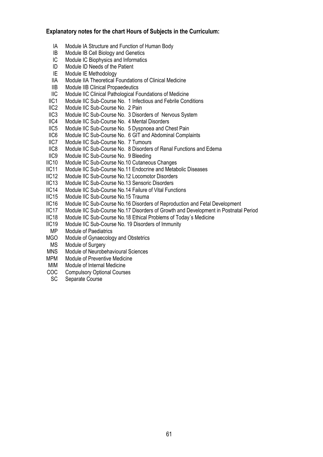#### **Explanatory notes for the chart Hours of Subjects in the Curriculum:**

- IA Module IA Structure and Function of Human Body
- IB Module IB Cell Biology and Genetics
- IC Module IC Biophysics and Informatics
- ID Module ID Needs of the Patient
- IE Module IE Methodology
- IIA Module IIA Theoretical Foundations of Clinical Medicine
- IIB Module IIB Clinical Propaedeutics
- IIC Module IIC Clinical Pathological Foundations of Medicine
- IIC1 Module IIC Sub-Course No. 1 Infectious and Febrile Conditions
- IIC2 Module IIC Sub-Course No. 2 Pain
- IIC3 Module IIC Sub-Course No. 3 Disorders of Nervous System
- IIC4 Module IIC Sub-Course No. 4 Mental Disorders<br>IIC5 Module IIC Sub-Course No. 5 Dyspnoea and Cl
- IIC5 Module IIC Sub-Course No. 5 Dyspnoea and Chest Pain<br>IIC6 Module IIC Sub-Course No. 6 GIT and Abdominal Compl
- Module IIC Sub-Course No. 6 GIT and Abdominal Complaints
- IIC7 Module IIC Sub-Course No. 7 Tumours
- IIC8 Module IIC Sub-Course No. 8 Disorders of Renal Functions and Edema
- IIC9 Module IIC Sub-Course No. 9 Bleeding
- IIC10 Module IIC Sub-Course No.10 Cutaneous Changes
- IIC11 Module IIC Sub-Course No.11 Endocrine and Metabolic Diseases<br>IIC12 Module IIC Sub-Course No.12 Locomotor Disorders
- IIC12 Module IIC Sub-Course No.12 Locomotor Disorders<br>IIC13 Module IIC Sub-Course No.13 Sensoric Disorders
- Module IIC Sub-Course No.13 Sensoric Disorders
- IIC14 Module IIC Sub-Course No.14 Failure of Vital Functions
- IIC15 Module IIC Sub-Course No.15 Trauma
- IIC16 Module IIC Sub-Course No.16 Disorders of Reproduction and Fetal Development
- IIC17 Module IIC Sub-Course No.17 Disorders of Growth and Development in Postnatal Period<br>IIC18 Module IIC Sub-Course No.18 Ethical Problems of Today's Medicine
- Module IIC Sub-Course No.18 Ethical Problems of Today´s Medicine
- IIC19 Module IIC Sub-Course No. 19 Disorders of Immunity
- MP Module of Paediatrics
- MGO Module of Gynaecology and Obstetrics
- MS Module of Surgery
- MNS Module of Neurobehavioural Sciences<br>MPM Module of Preventive Medicine
- Module of Preventive Medicine
- MIM Module of Internal Medicine
- COC Compulsory Optional Courses
- SC Separate Course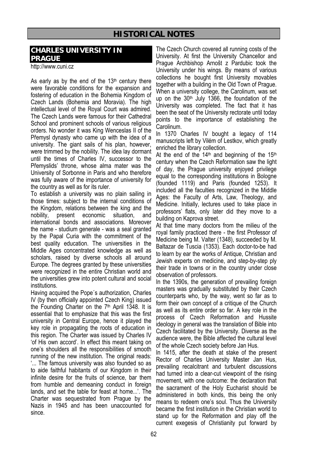## **HISTORICAL NOTES**

## **CHARLES UNIVERSITY IN PRAGUE**

http://www.cuni.cz

As early as by the end of the  $13<sup>th</sup>$  century there were favorable conditions for the expansion and fostering of education in the Bohemia Kingdom of Czech Lands (Bohemia and Moravia). The high intellectual level of the Royal Court was admired. The Czech Lands were famous for their Cathedral School and prominent schools of various religious orders. No wonder it was King Wenceslas II of the Přemysl dynasty who came up with the idea of a university. The giant sails of his plan, however, were trimmed by the nobility. The idea lay dormant until the times of Charles IV, successor to the Přemyslids' throne, whose alma mater was the University of Sorbonne in Paris and who therefore was fully aware of the importance of university for the country as well as for its ruler.

To establish a university was no plain sailing in those times: subject to the internal conditions of the Kingdom, relations between the king and the nobility, present economic situation, and international bonds and associations. Moreover the name - studium generale - was a seal granted by the Papal Curia with the commitment of the best quality education. The universities in the Middle Ages concentrated knowledge as well as scholars, raised by diverse schools all around Europe. The degrees granted by these universities were recognized in the entire Christian world and the universities grew into potent cultural and social institutions.

Having acquired the Pope´s authorization, Charles IV (by then officially appointed Czech King) issued the Founding Charter on the 7<sup>th</sup> April 1348. It is essential that to emphasize that this was the first university in Central Europe, hence it played the key role in propagating the roots of education in this region. The Charter was issued by Charles IV 'of His own accord'. In effect this meant taking on one's shoulders all the responsibilities of smooth running of the new institution. The original reads: '... The famous university was also founded so as to aide faithful habitants of our Kingdom in their infinite desire for the fruits of science, bar them from humble and demeaning conduct in foreign lands, and set the table for feast at home...'. The Charter was sequestrated from Prague by the Nazis in 1945 and has been unaccounted for since.

The Czech Church covered all running costs of the University. At first the University Chancellor and Prague Archbishop Arnošt z Pardubic took the University under his wings. By means of various collections he bought first University movables together with a building in the Old Town of Prague. When a university college, the Carolinum, was set up on the 30th July 1366, the foundation of the University was completed. The fact that it has been the seat of the University rectorate until today points to the importance of establishing the Carolinum.

In 1370 Charles IV bought a legacy of 114 manuscripts left by Vilém of Lestkov, which greatly enriched the library collection.

At the end of the  $14<sup>th</sup>$  and beginning of the  $15<sup>th</sup>$ century when the Czech Reformation saw the light of day, the Prague university enjoyed privilege equal to the corresponding institutions in Bologne (founded 1119) and Paris (founded 1253). It included all the faculties recognized in the Middle Ages: the Faculty of Arts, Law, Theology, and Medicine. Initially, lectures used to take place in professors' flats, only later did they move to a building on Kaprova street.

At that time many doctors from the milieu of the royal family practiced there - the first Professor of Medicine being M. Valter (1348), succeeded by M. Baltazar de Tuscia (1353). Each doctor-to-be had to learn by ear the works of Antique, Christian and Jewish experts on medicine, and step-by-step ply their trade in towns or in the country under close observation of professors.

In the 1390s, the generation of prevailing foreign masters was gradually substituted by their Czech counterparts who, by the way, went so far as to form their own concept of a critique of the Church as well as its entire order so far. A key role in the process of Czech Reformation and Hussite ideology in general was the translation of Bible into Czech facilitated by the University. Diverse as the audience were, the Bible affected the cultural level of the whole Czech society before Jan Hus.

In 1415, after the death at stake of the present Rector of Charles University Master Jan Hus, prevailing recalcitrant and turbulent discussions had turned into a clear-cut viewpoint of the rising movement, with one outcome: the declaration that the sacrament of the Holy Eucharist should be administered in both kinds, this being the only means to redeem one's soul. Thus the University became the first institution in the Christian world to stand up for the Reformation and play off the current exegesis of Christianity put forward by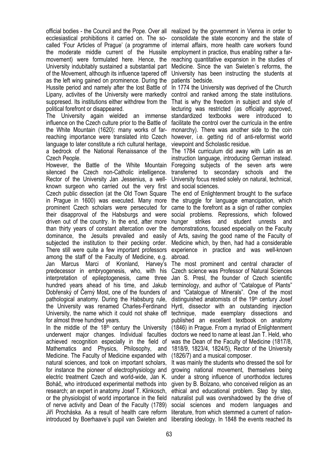official bodies - the Council and the Pope. Over all realized by the government in Vienna in order to ecclesiastical prohibitions it carried on. The socalled 'Four Articles of Prague' (a programme of the moderate middle current of the Hussite movement) were formulated here. Hence, the University indubitably sustained a substantial part of the Movement, although its influence tapered off as the left wing gained on prominence. During the Hussite period and namely after the lost Battle of In 1774 the University was deprived of the Church Lipany, activites of the University were markedly suppresed. Its institutions either withdrew from the political forefront or disappeared.

The University again wielded an immense influence on the Czech culture prior to the Battle of facilitate the control over the curricula in the entire the White Mountain (1620): many works of farreaching importance were translated into Czech language to later constitute a rich cultural heritage, a bedrock of the National Renaissance of the The 1784 curriculum did away with Latin as an Czech People.

However, the Battle of the White Mountain Foregoing subjects of the seven arts were silenced the Czech non-Catholic intelligence. transferred to secondary schools and the Rector of the University Jan Jessenius, a wellknown surgeon who carried out the very first and social sciences. Czech public dissection (at the Old Town Square The end of Enlightenment brought to the surface in Prague in 1600) was executed. Many more the struggle for language emancipation, which prominent Czech scholars were persecuted for came to the forefront as a sign of rather complex their disapproval of the Habsburgs and were social problems. Repressions, which followed driven out of the country. In the end, after more hunger strikes and student unrests and than thirty years of constant altercation over the demonstrations, focused especially on the Faculty dominance, the Jesuits prevailed and easily of Arts, saving the good name of the Faculty of subjected the institution to their pecking order. Medicine which, by then, had had a considerable There still were quite a few important professors among the staff of the Faculty of Medicine, e.g. Jan Marcus Marci of Kronland, Harvey's The most prominent and central character of predecessor in embryogenesis, who, with his interpretation of epileptogenesis, came three Jan S. Presl, the founder of Czech scientific hundred years ahead of his time, and Jakub Dobřenský of Černý Most, one of the founders of pathological anatomy. During the Habsburg rule, the University was renamed Charles-Ferdinand University, the name which it could not shake off technique, made exemplary dissections and for almost three hundred years.

In the middle of the  $18<sup>th</sup>$  century the University underwent major changes. Individual faculties achieved recognition especially in the field of Mathematics and Physics, Philosophy, and Medicine. The Faculty of Medicine expanded with natural sciences, and took on important scholars, for instance the pioneer of electrophysiology and electric treatment Czech and world-wide, Jan K. Boháč, who introduced experimental methods into research; an expert in anatomy Josef T. Klinkosch, or the physiologist of world importance in the field of nerve activity and Dean of the Faculty (1789) Jiří Procháska. As a result of health care reform literature, from which stemmed a current of nation-

consolidate the state economy and the state of internal affairs, more health care workers found employment in practice, thus enabling rather a farreaching quantitative expansion in the studies of Medicine. Since the van Swieten´s reforms, the University has been instructing the students at patients´ bedside.

control and ranked among the state institutions. That is why the freedom in subject and style of lecturing was restricted (as officially approved, standardized textbooks were introduced to monarchy). There was another side to the coin however, i.e. getting rid of anti-reformist world viewpoint and Scholastic residue.

instruction language, introducing German instead. University focus rested solely on natural, technical,

experience in practice and was well-known abroad.

Czech science was Professor of Natural Sciences terminology, and author of "Catalogue of Plants" and "Catalogue of Minerals". One of the most distinguished anatomists of the 19th century Josef Hyrtl, dissector with an outstanding injection published an excellent textbook on anatomy (1846) in Prague. From a myriad of Enlightenment doctors we need to name at least Jan T. Held, who was the Dean of the Faculty of Medicine (1817/8, 1818/9, 1823/4, 1824/5), Rector of the University (1826/7) and a musical composer.

introduced by Boerhaave's pupil van Swieten and liberating ideology. In 1848 the events reached its It was mainly the students who dressed the soil for growing national movement, themselves being under a strong influence of unorthodox lectures given by B. Bolzano, who conceived religion as an ethical and educational problem. Step by step, naturalist pull was overshadowed by the drive of social sciences and modern languages and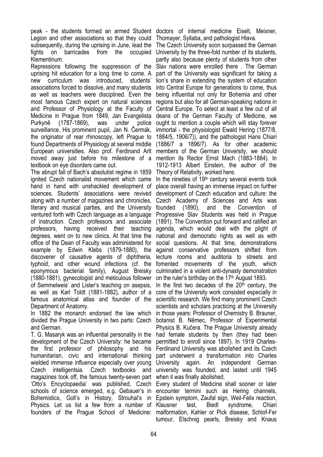peak - the students formed an armed Student doctors of internal medicine Eiselt, Meixner, Legion and other associations so that they could subsequently, during the uprising in June, lead the fights on barricades from the occupied Klementinum.

Repressions following the suppression of the uprising hit education for a long time to come. A new curriculum was introduced, students' associations forced to dissolve, and many students as well as teachers were disciplined. Even the most famous Czech expert on natural sciences and Professor of Physiology at the Faculty of Medicine in Prague from 1849, Jan Evangelista Purkyně (1787-1869), was under police surveillance. His prominent pupil, Jan N. Čermák, the originator of rear rhinoscopy, left Prague to found Departments of Physiology at several middle European universities. Also prof. Ferdinand Arlt members of the German University, we should moved away just before his milestone of a textbook on eye disorders came out.

The abrupt fall of Bach's absolutist regime in 1859 ignited Czech nationalist movement which came hand in hand with unshackled development of sciences. Students' associations were revived along with a number of magazines and chronicles, literary and musical parties, and the University founded (1890), and the Convention of ventured forth with Czech language as a language of instruction. Czech professors and associate professors, having received their teaching degrees, went on to new clinics. At that time the office of the Dean of Faculty was administered for example by Edwin Klebs (1879-1880), the discoverer of causative agents of diphtheria, typhoid, and other wound infections (cf. the eponymous bacterial family), August Breisky (1880-1881), gynecologist and meticulous follower of Semmelweis' and Lister's teaching on asepsis, as well as Karl Toldt (1881-1882), author of a famous anatomical atlas and founder of the scientific research. We find many prominent Czech Department of Anatomy.

In 1882 the monarch endorsed the law which divided the Prague University in two parts: Czech and German.

T. G. Masaryk was an influential personality in the development of the Czech University: he became the first professor of philosophy and his humanitarian, civic and international thinking wielded immense influence especially over young Czech intelligentsia. Czech textbooks and magazines took off, the famous twenty-seven part 'Otto's Encyclopaedia' was published, Czech schools of science emerged, e.g. Gebauer's in Bohemistics, Goll's in History, Strouhal's in Physics. Let us list a few from a number of Klausner founders of the Prague School of Medicine: malformation, Kahler or Pick disease, Schlof-Fer

Thomayer, Syllaba, and pathologist Hlava.

The Czech University soon surpassed the German University by the three-fold number of its students, partly also because plenty of students from other Slav nations were enrolled there . The German part of the University was significant for taking a lion's share in extending the system of education into Central Europe for generations to come, thus being influential not only for Bohemia and other regions but also for all German-speaking nations in Central Europe. To select at least a few out of all deans of the German Faculty of Medicine, we ought to mention a couple which will stay forever immortal - the physiologist Ewald Hering (1877/8, 1884/5, 1906/7)), and the pathologist Hans Chiari (1886/7 a 1896/7). As for other academic mention its Rector Ernst Mach (1883-1884). In 1912-1913 Albert Einstein, the author of the Theory of Relativity, worked here.

In the nineties of  $19<sup>th</sup>$  century several events took place overall having an immense impact on further development of Czech education and culture: the Czech Academy of Sciences and Arts was Progressive Slav Students was held in Prague (1891). The Convention put forward and ratified an agenda, which would deal with the plight of national and democratic rights as well as with social questions. At that time, demonstrations against conservative professors shifted from lecture rooms and auditoria to streets and fomented movements of the youth, which culminated in a violent anti-dynasty demonstration on the ruler's birthday on the 17<sup>th</sup> August 1893.

In the first two decades of the  $20<sup>th</sup>$  century, the core of the University work consisted especially in scientists and scholars practicing at the University in those years: Professor of Chemistry B. Brauner, botanist B. Němec, Professor of Experimental Physics B. Kučera. The Prague University already had female students by then (they had been permitted to enroll since 1897). In 1919 Charles-Ferdinand University was abolished and its Czech part underwent a transformation into Charles University again. An independent German university was founded, and lasted until 1945 when it was finally abolished.

Every student of Medicine shall sooner or later encounter termini such as Hering channels, Epstein symptom, Zaufal sign, Weil-Felix reaction, test, Biedl syndrome, Chiari tumour, Elschnig pearls, Breisky and Knaus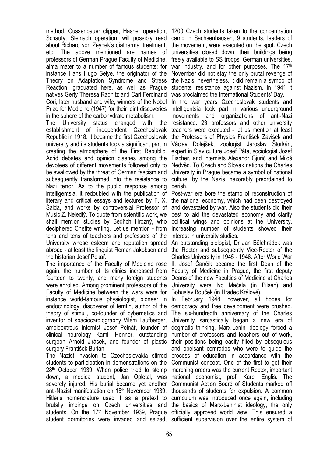method, Gussenbauer clipper, Hasner operation, 1200 Czech students taken to the concentration Schauty, Steinach operation, will possibly read about Richard von Zeynek's diathermal treatment, etc. The above mentioned are names of professors of German Prague Faculty of Medicine, alma mater to a number of famous students: for instance Hans Hugo Selye, the originator of the Theory on Adaptation Syndrome and Stress Reaction, graduated here, as well as Prague natives Gerty Theresa Radnitz and Carl Ferdinand Cori, later husband and wife, winners of the Nobel Prize for Medicine (1947) for their joint discoveries in the sphere of the carbohydrate metabolism.

The University status changed with the establishment of independent Czechoslovak Republic in 1918. It became the first Czechoslovak university and its students took a significant part in creating the atmosphere of the First Republic. Acrid debates and opinion clashes among the devotees of different movements followed only to Nedvěd. To Czech and Slovak nations the Charles be swallowed by the threat of German fascism and subsequently transformed into the resistance to culture, by the Nazis inexorably preordained to Nazi terror. As to the public response among intelligentsia, it redoubled with the publication of Post-war era bore the stamp of reconstruction of literary and critical essays and lectures by F. X. Šalda, and works by controversial Professor of Music Z. Nejedlý. To quote from scientific work, we shall mention studies by Bedřich Hrozný, who deciphered Chetite writing. Let us mention - from tens and tens of teachers and professors of the University whose esteem and reputation spread abroad - at least the linguist Roman Jakobson and the historian Josef Pekař.

The importance of the Faculty of Medicine rose II, Josef Čančík became the first Dean of the again, the number of its clinics increased from fourteen to twenty, and many foreign students Deans of the new Faculties of Medicine at Charles were enrolled. Among prominent professors of the Faculty of Medicine between the wars were for instance world-famous physiologist, pioneer in endocrinology, discoverer of ferritin, author of the theory of stimuli, co-founder of cybernetics and inventor of spaciocardiography Vilém Laufberger, ambidextrous internist Josef Pelnář, founder of clinical neurology Kamil Henner, outstanding surgeon Arnold Jirásek, and founder of plastic surgery František Burian.

The Nazist invasion to Czechoslovakia stirred students to participation in demonstrations on the 28th October 1939. When police tried to stomp down, a medical student, Jan Opletal, was severely injured. His burial became yet another Communist Action Board of Students marked off anti-Nazist manifestation on 15<sup>th</sup> November 1939. thousands of students for expulsion. A common Hitler's nomenclature used it as a pretext to curriculum was introduced once again, including brutally impinge on Czech universities and the basics of Marx-Leninist ideology, the only students. On the 17<sup>th</sup> November 1939, Prague officially approved world view. This ensured a student dormitories were invaded and seized, sufficient supervision over the entire system of

camp in Sachsenhausen, 9 students, leaders of the movement, were executed on the spot. Czech universities closed down, their buildings being freely available to SS troops, German universities, war industry, and for other purposes. The 17th November did not stay the only brutal revenge of the Nazis, nevertheless, it did remain a symbol of students' resistance against Nazism. In 1941 it was proclaimed the International Students' Day.

In the war years Czechoslovak students and intelligentsia took part in various underground movements and organizations of anti-Nazi resistance. 23 professors and other university teachers were executed - let us mention at least the Professors of Physics František Závišek and Václav Dolejšek, zoologist Jaroslav Štorkán, expert in Slav culture Josef Páta, sociologist Josef Fischer, and internists Alexandr Giurič and Miloš University in Prague became a symbol of national perish.

the national economy, which had been destroyed and devastated by war. Also the students did their best to aid the devastated economy and clarify political wings and opinions at the University. Increasing number of students showed their interest in university studies.

An outstanding biologist, Dr Jan Bělehrádek was the Rector and subsequently Vice-Rector of the Charles University in 1945 - 1946. After World War Faculty of Medicine in Prague, the first deputy University were Ivo Mačela (in Pilsen) and Bohuslav Bouček (in Hradec Králové).

In February 1948, however, all hopes for democracy and free development were crushed. The six-hundredth anniversary of the Charles University sarcastically began a new era of dogmatic thinking. Marx-Lenin ideology forced a number of professors and teachers out of work, their positions being easily filled by obsequious and obeisant comrades who were to guide the process of education in accordance with the Communist concept. One of the first to get their marching orders was the current Rector, important national economist, prof. Karel Engliš. The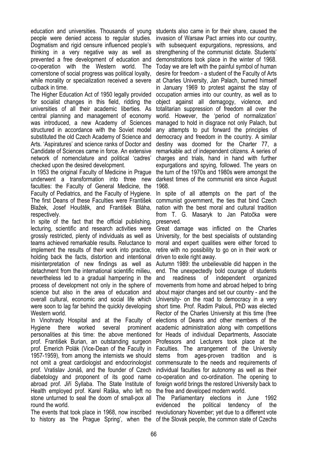education and universities. Thousands of young students also came in for their share, caused the people were denied access to regular studies. Dogmatism and rigid censure influenced people's thinking in a very negative way as well as prevented a free development of education and co-operation with the Western world. The cornerstone of social progress was political loyalty, while morality or specialization received a severe cutback in time.

The Higher Education Act of 1950 legally provided for socialist changes in this field, ridding the universities of all their academic liberties. As central planning and management of economy was introduced, a new Academy of Sciences structured in accordance with the Soviet model substituted the old Czech Academy of Science and Arts. 'Aspiratures' and science ranks of Doctor and Candidate of Sciences came in force. An extensive network of nomenclature and political 'cadres' checked upon the desired development.

In 1953 the original Faculty of Medicine in Prague underwent a transformation into three new faculties: the Faculty of General Medicine, the Faculty of Pediatrics, and the Faculty of Hygiene. The first Deans of these Faculties were František Blažek, Josef Houštěk, and František Bláha, respectively.

In spite of the fact that the official publishing, lecturing, scientific and research activities were grossly restricted, plenty of individuals as well as teams achieved remarkable results. Reluctance to implement the results of their work into practice, holding back the facts, distortion and intentional misinterpretation of new findings as well as detachment from the international scientific milieu, nevertheless led to a gradual hampering in the process of development not only in the sphere of science but also in the area of education and overall cultural, economic and social life which were soon to lag far behind the quickly developing Western world.

In Vinohrady Hospital and at the Faculty of Hygiene there worked several personalities at this time: the above mentioned prof. František Burian, an outstanding surgeon prof. Emerich Polák (Vice-Dean of the Faculty in Faculties. The arrangement of the University 1957-1959), from among the internists we should not omit a great cardiologist and endocrinologist prof. Vratislav Jonáš, and the founder of Czech diabetology and proponent of its good name abroad prof. Jiří Syllaba. The State Institute of foreign world brings the restored University back to Health employed prof. Karel Raška, who left no the free and developed modern world. stone unturned to seal the doom of small-pox all The Parliamentary elections in June 1992 round the world.

The events that took place in 1968, now inscribed revolutionary November; yet due to a different vote to history as 'the Prague Spring', when the of the Slovak people, the common state of Czechs

invasion of Warsaw Pact armies into our country, with subsequent expurgations, repressions, and strengthening of the communist dictate. Students' demonstrations took place in the winter of 1968. Today we are left with the painful symbol of human desire for freedom - a student of the Faculty of Arts at Charles University, Jan Palach, burned himself in January 1969 to protest against the stay of occupation armies into our country, as well as to object against all demagogy, violence, and totalitarian suppression of freedom all over the world. However, the 'period of normalization' managed to hold in disgrace not only Palach, but any attempts to put forward the principles of democracy and freedom in the country. A similar destiny was doomed for the Charter 77, a remarkable act of independent citizens. A series of charges and trials, hand in hand with further expurgations and spying, followed. The years on the turn of the 1970s and 1980s were amongst the darkest times of the communist era since August 1968.

In spite of all attempts on the part of the communist government, the ties that bind Czech nation with the best moral and cultural tradition from T. G. Masaryk to Jan Patočka were preserved.

Great damage was inflicted on the Charles University, for the best specialists of outstanding moral and expert qualities were either forced to retire with no possibility to go on in their work or driven to exile right away.

Autumn 1989: the unbelievable did happen in the end. The unexpectedly bold courage of students and readiness of independent organized movements from home and abroad helped to bring about major changes and set our country - and the University- on the road to democracy in a very short time. Prof. Radim Palouš, PhD was elected Rector of the Charles University at this time (free elections of Deans and other members of the academic administration along with competitions for Heads of individual Departments, Associate Professors and Lecturers took place at the stems from ages-proven tradition and is commensurate to the needs and requirements of individual faculties for autonomy as well as their co-operation and co-ordination. The opening to

evidenced the political tendency of the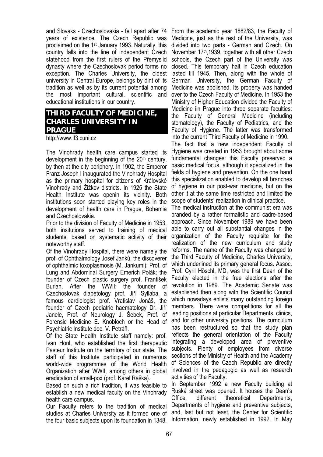and Slovaks - Czechoslovakia - fell apart after 74 years of existence. The Czech Republic was proclaimed on the 1st January 1993. Naturally, this country falls into the line of independent Czech statehood from the first rulers of the Přemyslid dynasty where the Czechoslovak period forms no exception. The Charles University, the oldest university in Central Europe, belongs by dint of its tradition as well as by its current potential among the most important cultural, scientific and educational institutions in our country.

## **THIRD FACULTY OF MEDICINE, CHARLES UNIVERSITY IN PRAGUE**

http://www.lf3.cuni.cz

The Vinohrady health care campus started its development in the beginning of the  $20<sup>th</sup>$  century. by then at the city periphery. In 1902, the Emperor Franz Joseph I inaugurated the Vinohrady Hospital as the primary hospital for citizens of Královské Vinohrady and Žižkov districts. In 1925 the State Health Institute was openin its vicinity. Both institutions soon started playing key roles in the development of health care in Prague, Bohemia and Czechoslovakia.

Prior to the division of Faculty of Medicine in 1953, both insitutions served to training of medical students, based on systematic activity of their noteworthy staff.

Of the Vinohrady Hospital, there were namely the prof. of Ophthalmology Josef Janků, the discoverer of ophthalmic toxoplasmosis (M. Jankumi); Prof. of Lung and Abdominal Surgery Emerich Polák; the founder of Czech plastic surgery prof. František Burian. After the WWII: the founder of Czechoslovak diabetology prof. Jiří Syllaba, a famous cardiologist prof. Vratislav Jonáš, the founder of Czech pediatric haematology Dr. Jiří Janele, Prof. of Neurology J. Šebek, Prof. of Forensic Medicine E. Knobloch or the Head of Psychiatric Institute doc. V. Petráň.

Of the State Health Institute staff namely: prof. Ivan Honl, who established the first therapeutic Pasteur Institute on the terrritory of our state. The staff of this Institute participated in numerous world-wide programmes of the World Health Organization after WWII, among others in global eradication of small-pox (prof. Karel Raška).

Based on such a rich tradition, it was feasible to establish a new medical faculty on the Vinohrady health care campus.

Our Faculty refers to the tradition of medical studies at Charles University as it formed one of the four basic subjects upon its foundation in 1348. Information, newly established in 1992. In May

From the academic year 1882/83, the Faculty of Medicine, just as the rest of the University, was divided into two parts - German and Czech. On November 17th,1939, together with all other Czech schools, the Czech part of the University was closed. This temporary halt in Czech education lasted till 1945. Then, along with the whole of German University, the German Faculty of Medicine was abolished. Its property was handed over to the Czech Faculty of Medicine. In 1953 the Ministry of Higher Education divided the Faculty of Medicine iin Prague into three separate faculties: the Faculty of General Medicine (including stomatology), the Faculty of Pediatrics, and the Faculty of Hygiene. The latter was transformed into the current Third Faculty of Medicine in 1990.

The fact that a new independent Faculty of Hygiene was created in 1953 brought about some fundamental changes: this Faculty preserved a basic medical focus, although it specialized in the fields of hygiene and prevention. On the one hand this specialization enabled to develop all branches of hygiene in our post-war medicine, but on the other it at the same time restricted and limited the scope of students' realization in clinical practice.

The medical instruction at the communist era was branded by a rather formalistic and cadre-based approach. Since November 1989 we have been able to carry out all substantial changes in the organization of the Faculty requisite for the realization of the new curriculum and study reforms. The name of the Faculty was changed to the Third Faculty of Medicine, Charles University, which underlined its primary general focus. Assoc. Prof. Cyril Höschl, MD, was the first Dean of the Faculty elected in the free elections after the revolution in 1989. The Academic Senate was established then along with the Scientific Council which nowadays enlists many outstanding foreign members. There were competitions for all the leading positions at particular Departments, clinics, and for other university positions. The curriculum has been restructured so that the study plan reflects the general orientation of the Faculty integrating a developed area of preventive subjects. Plenty of employees from diverse sections of the Ministry of Health and the Academy of Sciences of the Czech Republic are directly involved in the pedagogic as well as research activities of the Faculty.

In September 1992 a new Faculty building at Ruská street was opened. It houses the Dean's Office, different theoretical Departments, Departments of hygiene and preventive subjects, and, last but not least, the Center for Scientific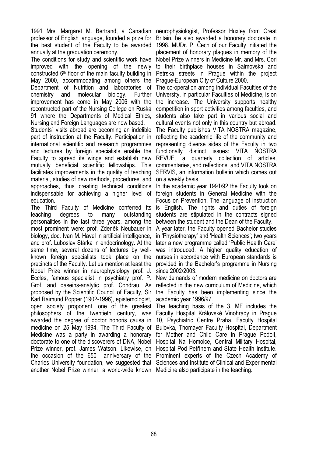1991 Mrs. Margaret M. Bertrand, a Canadian neurophysiologist, Professor Huxley from Great professor of English language, founded a prize for Britain, be also awarded a honorary doctorate in the best student of the Faculty to be awarded 1998. MUDr. P. Čech of our Faculty initiated the annually at the graduation ceremony.

The conditions for study and scientific work have Nobel Prize winners in Medicine Mr. and Mrs. Cori improved with the opening of the newly to their birthplace houses in Salmovska and constructed 6<sup>th</sup> floor of the main faculty building in Petrska streets in Prague within the project May 2000, accommodating among others the Prague-European City of Culture 2000. Department of Nutrition and laboratories of chemistry and molecular biology. Further improvement has come in May 2006 with the recontructed part of the Nursing College on Ruská 91 where the Departments of Medical Ethics, Nursing and Foreign Languages are now based.

Students´ visits abroad are becoming an indelible part of instruction at the Faculty. Participation in international scientific and research programmes and lectures by foreign specialists enable the Faculty to spread its wings and establish new mutually beneficial scientific fellowships. This commentaries, and reflections, and VITA NOSTRA facilitates improvements in the quality of teaching material, studies of new methods, procedures, and approaches, thus creating technical conditions In the academic year 1991/92 the Faculty took on indispensable for achieving a higher level of education.

The Third Faculty of Medicine conferred its is English. The rights and duties of foreign teaching degrees to many outstanding personalities in the last three years, among the most prominent were: prof. Zdeněk Neubauer in biology, doc. Ivan M. Havel in artificial intelligence, and prof. Luboslav Stárka in endocrinology. At the same time, several dozens of lectures by wellknown foreign specialists took place on the precincts of the Faculty. Let us mention at least the Nobel Prize winner in neurophysiology prof. J. Eccles, famous specialist in psychiatry prof. P. Grof, and daseins-analytic prof. Condrau. As proposed by the Scientific Council of Faculty, Sir Karl Raimund Popper (1902-1996), epistemologist, open society proponent, one of the greatest The teaching basis of the 3. MF includes the philosophers of the twentieth century, was awarded the degree of doctor honoris causa in medicine on 25 May 1994. The Third Faculty of Bulovka, Thomayer Faculty Hospital, Department Medicine was a party in awarding a honorary doctorate to one of the discoverers of DNA, Nobel Hospital Na Homolce, Central Military Hospital, Prize winner, prof. James Watson. Likewise, on Hospital Pod Petřínem and State Health Institute. the occasion of the 650<sup>th</sup> anniversary of the Prominent experts of the Czech Academy of Charles University foundation, we suggested that Sciences and Institute of Clinical and Experimental another Nobel Prize winner, a world-wide known Medicine also participate in the teaching.

placement of honorary plaques in memory of the

The co-operation among individual Faculties of the University, in particular Faculties of Medicine, is on the increase. The University supports healthy competition in sport activities among faculties, and students also take part in various social and cultural events not only in this country but abroad. The Faculty publishes VITA NOSTRA magazine, reflecting the academic life of the community and representing diverse sides of the Faculty in two functionally distinct issues: VITA NOSTRA REVUE, a quarterly collection of articles, SERVIS, an information bulletin which comes out on a weekly basis.

foreign students in General Medicine with the Focus on Prevention. The language of instruction students are stipulated in the contracts signed between the student and the Dean of the Faculty.

A year later, the Faculty opened Bachelor studies in 'Physiotherapy' and 'Health Sciences'; two years later a new programme called 'Public Health Care' was introduced. A higher quality education of nurses in accordance with European standards is provided in the Bachelor's programme in Nursing since 2002/2003.

New demands of modern medicine on doctors are reflected in the new curriculum of Medicine, which the Faculty has been implementing since the academic year 1996/97.

Faculty Hospital Královské Vinohrady in Prague 10, Psychiatric Centre Praha, Faculty Hospital for Mother and Child Care in Prague Podolí,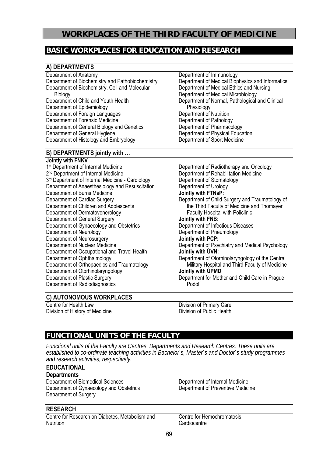## **WORKPLACES OF THE THIRD FACULTY OF MEDICINE**

## **BASIC WORKPLACES FOR EDUCATION AND RESEARCH**

#### **A) DEPARTMENTS**

Department of Anatomy Department of Biochemistry and Pathobiochemistry Department of Biochemistry, Cell and Molecular **Biology** Department of Child and Youth Health Department of Epidemiology Department of Foreign Languages Department of Forensic Medicine Department of General Biology and Genetics Department of General Hygiene Department of Histology and Embryology

#### **B) DEPARTMENTS jointly with …**

#### **Jointly with FNKV**

1<sup>st</sup> Department of Internal Medicine 2<sup>nd</sup> Department of Internal Medicine 3<sup>rd</sup> Department of Internal Medicine - Cardiology Department of Anaesthesiology and Resuscitation Department of Burns Medicine Department of Cardiac Surgery Department of Children and Adolescents Department of Dermatovenerology Department of General Surgery Department of Gynaecology and Obstetrics Department of Neurology Department of Neurosurgery Department of Nuclear Medicine Department of Occupational and Travel Health Department of Ophthalmology Department of Orthopaedics and Traumatology Department of Otorhinolaryngology Department of Plastic Surgery Department of Radiodiagnostics

Department of Immunology Department of Medical Biophysics and Informatics Department of Medical Ethics and Nursing Department of Medical Microbiology Department of Normal, Pathological and Clinical Physiology Department of Nutrition Department of Pathology Department of Pharmacology Department of Physical Education. Department of Sport Medicine

Department of Radiotherapy and Oncology Department of Rehabilitation Medicine Department of Stomatology Department of Urology **Jointly with FTNsP:**  Department of Child Surgery and Traumatology of the Third Faculty of Medicine and Thomayer Faculty Hospital with Policlinic **Jointly with FNB:**  Department of Infectious Diseases Department of Pneumology **Jointly with PCP:**  Department of Psychiatry and Medical Psychology **Jointly with ÚVN:**  Department of Otorhinolaryngology of the Central Military Hospital and Third Faculty of Medicine **Jointly with ÚPMD**  Department for Mother and Child Care in Prague Podolí

## **C) AUTONOMOUS WORKPLACES**

Centre for Health Law Division of History of Medicine Division of Primary Care Division of Public Health

## **FUNCTIONAL UNITS OF THE FACULTY**

*Functional units of the Faculty are Centres, Departments and Research Centres. These units are established to co-ordinate teaching activities in Bachelor´s, Master´s and Doctor´s study programmes and research activities, respectively.* 

## **EDUCATIONAL**

**Departments** Department of Biomedical Sciences Department of Gynaecology and Obstetrics Department of Surgery

## **RESEARCH**

Centre for Research on Diabetes, Metabolism and **Nutrition** 

Department of Internal Medicine Department of Preventive Medicine

Centre for Hemochromatosis **Cardiocentre**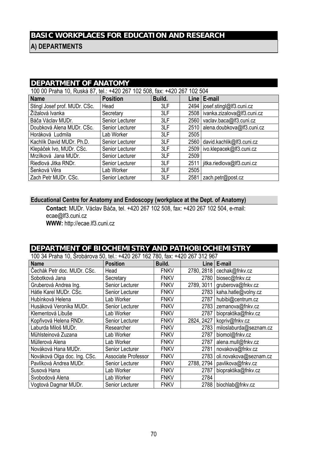## **BASIC WORKPLACES FOR EDUCATION AND RESEARCH**

**A) DEPARTMENTS** 

| <b>DEPARTMENT OF ANATOMY</b>                                             |                 |        |      |                                    |  |  |  |  |  |  |
|--------------------------------------------------------------------------|-----------------|--------|------|------------------------------------|--|--|--|--|--|--|
| 100 00 Praha 10, Ruská 87, tel.: +420 267 102 508, fax: +420 267 102 504 |                 |        |      |                                    |  |  |  |  |  |  |
| <b>Name</b>                                                              | <b>Position</b> | Build. |      | $Line$ $E$ -mail                   |  |  |  |  |  |  |
| Stingl Josef prof. MUDr. CSc.                                            | Head            | 3LF    |      | 2494   josef.stingl@lf3.cuni.cz    |  |  |  |  |  |  |
| Žížalová Ivanka                                                          | Secretary       | 3LF    |      | 2508   ivanka.zizalova@lf3.cuni.cz |  |  |  |  |  |  |
| Báča Václav MUDr.                                                        | Senior Lecturer | 3LF    | 2560 | vaclav.baca@lf3.cuni.cz            |  |  |  |  |  |  |
| Doubková Alena MUDr. CSc.                                                | Senior Lecturer | 3LF    | 2510 | alena.doubkova@lf3.cuni.cz         |  |  |  |  |  |  |
| Horáková Ludmila                                                         | Lab Worker      | 3LF    | 2505 |                                    |  |  |  |  |  |  |
| Kachlík David MUDr. Ph.D.                                                | Senior Lecturer | 3LF    | 2560 | david.kachlik@lf3.cuni.cz          |  |  |  |  |  |  |
| Klepáček Ivo, MUDr. CSc.                                                 | Senior Lecturer | 3LF    |      | 2509   ivo.klepacek@lf3.cuni.cz    |  |  |  |  |  |  |
| Mrzílková Jana MUDr.                                                     | Senior Lecturer | 3LF    | 2509 |                                    |  |  |  |  |  |  |
| Riedlová Jitka RNDr.                                                     | Senior Lecturer | 3LF    |      | 2511   jitka.riedlova@lf3.cuni.cz  |  |  |  |  |  |  |
| Šenková Věra                                                             | Lab Worker      | 3LF    | 2505 |                                    |  |  |  |  |  |  |
| Zach Petr MUDr. CSc.                                                     | Senior Lecturer | 3LF    | 2581 | zach.petr@post.cz                  |  |  |  |  |  |  |

## **Educational Centre for Anatomy and Endoscopy (workplace at the Dept. of Anatomy)**

**Contact**: MUDr. Václav Báča, tel. +420 267 102 508, fax: +420 267 102 504, e-mail: ecae@lf3.cuni.cz **WWW:** http://ecae.lf3.cuni.cz

## **DEPARTMENT OF BIOCHEMISTRY AND PATHOBIOCHEMISTRY**

100 34 Praha 10, Šrobárova 50, tel.: +420 267 162 780, fax: +420 267 312 967

| $9.11$ . The state of $9.96$ and $1.91$ . The state of $1.91$ is a state of $1.90$ is a state of $1.90$ is a state of $1.90$ is a state of $1.90$ is a state of $1.90$ is a state of $1.90$ is a state of $1.90$ is a state o<br><b>Name</b> | <b>Position</b>     | Build.      |            | Line $ E$ -mail               |
|----------------------------------------------------------------------------------------------------------------------------------------------------------------------------------------------------------------------------------------------|---------------------|-------------|------------|-------------------------------|
| Čechák Petr doc. MUDr. CSc.                                                                                                                                                                                                                  | Head                | <b>FNKV</b> |            | 2780, 2818   cechak@fnkv.cz   |
| Sobotková Jana                                                                                                                                                                                                                               | Secretary           | <b>FNKV</b> |            | 2780   biosec@fnkv.cz         |
| Gruberová Andrea Ing.                                                                                                                                                                                                                        | Senior Lecturer     | <b>FNKV</b> | 2789, 3011 | gruberova@fnkv.cz             |
| Hátle Karel MUDr. CSc.                                                                                                                                                                                                                       | Senior Lecturer     | <b>FNKV</b> |            | 2783   kaha.hatle@volny.cz    |
| Hubínková Helena                                                                                                                                                                                                                             | Lab Worker          | <b>FNKV</b> | 2787       | hubibi@centrum.cz             |
| Husáková Veronika MUDr.                                                                                                                                                                                                                      | Senior Lecturer     | <b>FNKV</b> |            | 2783 zemanova@fnkv.cz         |
| Klementová Libuše                                                                                                                                                                                                                            | Lab Worker          | <b>FNKV</b> | 2787       | biopraktika@fnkv.cz           |
| Kopřivová Helena RNDr.                                                                                                                                                                                                                       | Senior Lecturer     | <b>FNKV</b> | 2824, 2427 | kopriv@fnkv.cz                |
| Laburda Miloš MUDr.                                                                                                                                                                                                                          | Researcher          | <b>FNKV</b> |            | 2783 miloslaburda@seznam.cz   |
| Mühlsteinová Zuzana                                                                                                                                                                                                                          | Lab Worker          | <b>FNKV</b> | 2787       | biomol@fnkv.cz                |
| Müllerová Alena                                                                                                                                                                                                                              | Lab Worker          | <b>FNKV</b> | 2787       | alena.mull@fnkv.cz            |
| Nováková Hana MUDr.                                                                                                                                                                                                                          | Senior Lecturer     | <b>FNKV</b> | 2781       | novakova@fnkv.cz              |
| Nováková Olga doc. Ing. CSc.                                                                                                                                                                                                                 | Associate Professor | <b>FNKV</b> |            | 2783   oli.novakova@seznam.cz |
| Pavlíková Andrea MUDr.                                                                                                                                                                                                                       | Senior Lecturer     | <b>FNKV</b> | 2788, 2794 | pavlikova@fnkv.cz             |
| Susová Hana                                                                                                                                                                                                                                  | Lab Worker          | <b>FNKV</b> | 2787       | biopraktika@fnkv.cz           |
| Svobodová Alena                                                                                                                                                                                                                              | Lab Worker          | <b>FNKV</b> | 2784       |                               |
| Vogtová Dagmar MUDr.                                                                                                                                                                                                                         | Senior Lecturer     | <b>FNKV</b> |            | 2788   biochlab@fnkv.cz       |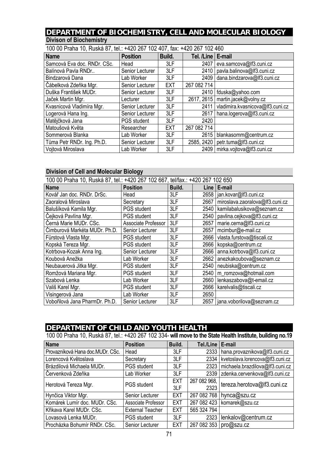## **DEPARTMENT OF BIOCHEMISTRY, CELL AND MOLECULAR BIOLOGY Divison of Biochemistry**

| 100 00 Praha 10, Ruská 87, tel.: +420 267 102 407, fax: +420 267 102 460 |                    |            |                     |                                  |  |  |  |  |  |
|--------------------------------------------------------------------------|--------------------|------------|---------------------|----------------------------------|--|--|--|--|--|
| <b>Name</b>                                                              | <b>Position</b>    | Build.     | Tel. /Line   E-mail |                                  |  |  |  |  |  |
| Samcová Eva doc. RNDr. CSc.                                              | Head               | 3LF        | 2407                | eva.samcova@lf3.cuni.cz          |  |  |  |  |  |
| Balínová Pavla RNDr                                                      | Senior Lecturer    | 3LF        | 2410                | pavla.balinova@lf3.cuni.cz       |  |  |  |  |  |
| Bindzarová Dana                                                          | Lab Worker         | 3LF        | 2409                | dana.bindzarova@lf3.cuni.cz      |  |  |  |  |  |
| Čábelková Zdeňka Mgr.                                                    | Senior Lecturer    | <b>EXT</b> | 267 082 714         |                                  |  |  |  |  |  |
| Duška František MUDr.                                                    | Senior Lecturer    | 3LF        | 2410                | fduska@yahoo.com                 |  |  |  |  |  |
| Jaček Martin Mgr.                                                        | Lecturer           | 3LF        | 2617, 2615          | martin.jacek@volny.cz            |  |  |  |  |  |
| Kvasnicová Vladimíra Mgr.                                                | Senior Lecturer    | 3LF        | 2411                | vladimira.kvasnicova@lf3.cuni.cz |  |  |  |  |  |
| Logerová Hana Ing.                                                       | Senior Lecturer    | 3LF        | 2617                | hana.logerova@lf3.cuni.cz        |  |  |  |  |  |
| Matějčková Jana                                                          | <b>PGS</b> student | 3LF        | 2420                |                                  |  |  |  |  |  |
| Matoušová Květa                                                          | Researcher         | <b>EXT</b> | 267 082 714         |                                  |  |  |  |  |  |
| Sommerová Blanka                                                         | Lab Worker         | 3LF        | 2615                | blankasomm@centrum.cz            |  |  |  |  |  |
| Tůma Petr RNDr. Ing. Ph.D.                                               | Senior Lecturer    | 3LF        | 2585, 2420          | petr.tuma@lf3.cuni.cz            |  |  |  |  |  |
| Vojtová Miroslava                                                        | Lab Worker         | 3LF        | 2409                | mirka.vojtova@lf3.cuni.cz        |  |  |  |  |  |

## **Division of Cell and Molecular Biology**

| 100 00 Praha 10, Ruská 87, tel.: +420 267 102 667, tel/fax.: +420 267 102 650 |                     |        |      |                                 |  |  |
|-------------------------------------------------------------------------------|---------------------|--------|------|---------------------------------|--|--|
| <b>Name</b>                                                                   | <b>Position</b>     | Build. | Line | E-mail                          |  |  |
| Kovář Jan doc. RNDr. DrSc.                                                    | Head                | 3LF    |      | 2658   jan.kovar@lf3.cuni.cz    |  |  |
| Zaoralová Miroslava                                                           | Secretary           | 3LF    | 2667 | miroslava.zaoralova@lf3.cuni.cz |  |  |
| Balušíková Kamila Mgr.                                                        | <b>PGS</b> student  | 3LF    | 2540 | kamilabalusikova@seznam.cz      |  |  |
| Čejková Pavlína Mgr.                                                          | <b>PGS</b> student  | 3LF    | 2540 | pavlina.cejkova@lf3.cuni.cz     |  |  |
| Černá Marie MUDr. CSc.                                                        | Associate Professor | 3LF    | 2657 | marie.cerna@lf3.cuni.cz         |  |  |
| Čimburová Markéta MUDr. Ph.D.                                                 | Senior Lecturer     | 3LF    | 2657 | mcimbur@e-mail.cz               |  |  |
| Fürstová Vlasta Mgr.                                                          | <b>PGS</b> student  | 3LF    | 2666 | vlasta.furstova@tiscali.cz      |  |  |
| Kopská Tereza Mgr.                                                            | <b>PGS</b> student  | 3LF    | 2666 | kopska@centrum.cz               |  |  |
| Kotrbova-Kozak Anna Ing.                                                      | Senior Lecturer     | 3LF    | 2666 | anna.kotrbova@lf3.cuni.cz       |  |  |
| Koubová Anežka                                                                | Lab Worker          | 3LF    | 2662 | anezkakoubova@seznam.cz         |  |  |
| Neubauerová Jitka Mgr.                                                        | <b>PGS</b> student  | 3LF    | 2540 | neubiska@centrum.cz             |  |  |
| Romžová Mariana Mgr.                                                          | <b>PGS</b> student  | 3LF    | 2540 | m_romzova@hotmail.com           |  |  |
| Szabová Lenka                                                                 | Lab Worker          | 3LF    | 2660 | lenkaszabova@t-email.cz         |  |  |
| Vališ Karel Mgr.                                                              | <b>PGS</b> student  | 3LF    | 2666 | karelvalis@tiscali.cz           |  |  |
| Visingerová Jana                                                              | Lab Worker          | 3LF    | 2650 |                                 |  |  |
| Vobořilová Jana PharmDr. Ph.D.                                                | Senior Lecturer     | 3LF    | 2657 | jana.voborilova@seznam.cz       |  |  |

## **DEPARTMENT OF CHILD AND YOUTH HEALTH**

100 00 Praha 10, Ruská 87, tel.: +420 267 102 334- **will move to the State Health Institute, building no.19**

| <b>Name</b>                      | <b>Position</b>         | Build.     | Tel./Line   E-mail |                                      |
|----------------------------------|-------------------------|------------|--------------------|--------------------------------------|
| Provazníková Hana doc.MUDr. CSc. | Head                    | 3LF        |                    | 2333   hana.provaznikova@lf3.cuni.cz |
| Lorencová Květoslava             | Secretary               | 3LF        | 2334               | kvetoslava.lorencova@lf3.cuni.cz     |
| Brázdilová Michaela MUDr.        | <b>PGS</b> student      | 3LF        | 2323               | michaela.brazdilova@lf3.cuni.cz      |
| Červenková Zdeňka                | Lab Worker              | 3LF        | 2339               | zdenka.cervenkova@lf3.cuni.cz        |
| Herotová Tereza Mgr.             | <b>PGS</b> student      | <b>EXT</b> | 267 082 968,       | tereza.herotova@lf3.cuni.cz          |
|                                  |                         | 3LF        | 2323               |                                      |
| Hynčica Viktor Mgr.              | Senior Lecturer         | <b>EXT</b> | 267 082 768        | hynca@szu.cz                         |
| Komárek Lumír doc. MUDr. CSc.    | Associate Professor     | <b>EXT</b> |                    | 267 082 423   komarek@szu.cz         |
| Křikava Karel MUDr. CSc.         | <b>External Teacher</b> | <b>EXT</b> | 565 324 794        |                                      |
| Lovasová Lenka MUDr.             | <b>PGS</b> student      | 3LF        | 2323               | lenkalov@centrum.cz                  |
| Procházka Bohumír RNDr. CSc.     | Senior Lecturer         | <b>EXT</b> | 267 082 353        | pro@szu.cz                           |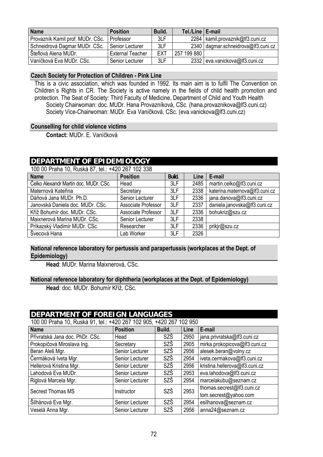| <b>Name</b>                      | <b>Position</b>         | Build. | Tel./Line   E-mail |                                     |
|----------------------------------|-------------------------|--------|--------------------|-------------------------------------|
| Provazník Kamil prof. MUDr. CSc. | Professor               | 3LF    |                    | 2264   kamil.provaznik@lf3.cuni.cz  |
| Schneidrová Dagmar MUDr. CSc.    | Senior Lecturer         | 3LF    |                    | 2340 dagmar.schneidrova@lf3.cuni.cz |
| Šteflová Alena MUDr.             | <b>External Teacher</b> | EXT    | 257 199 880        |                                     |
| Vaníčková Eva MUDr. CSc.         | Senior Lecturer         | 3LF    |                    | 2332 eva.vanickova@lf3.cuni.cz      |

#### **Czech Society for Protection of Children - Pink Line**

This is a civic association, which was founded in 1992. Its main aim is to fulfil The Convention on Children´s Rights in CR. The Society is active namely in the fields of child health promotion and protection. The Seat of Society: Third Faculty of Medicine, Department of Child and Youth Health Society Chairwoman: doc. MUDr. Hana Provazníková, CSc. (hana.provaznikova@lf3.cuni.cz) Society Vice-Chairwoman: MUDr. Eva Vaníčková, CSc. (eva.vanickova@lf3.cuni.cz)

#### **Counselling for child violence victims**

**Contact:** MUDr. E. Vaníčková

#### **DEPARTMENT OF EPIDEMIOLOGY**

100 00 Praha 10, Ruská 87, tel.: +420 267 102 338

| <b>Name</b>                           | <b>Position</b>     | Build. | Line | E-mail                         |
|---------------------------------------|---------------------|--------|------|--------------------------------|
| Čelko Alexandr Martin doc. MUDr. CSc. | Head                | 3LF    | 2485 | martin.celko@lf3.cuni.cz       |
| Maternová Kateřina                    | Secretary           | 3LF    | 2338 | katerina.maternova@lf3.cuni.cz |
| Dáňová Jana MUDr. Ph.D.               | Senior Lecturer     | 3LF    | 2336 | jana.danova@lf3.cuni.cz        |
| Janovská Daniela doc. MUDr. CSc.      | Associate Professor | 3LF    | 2337 | daniela.janovska@lf3.cuni.cz   |
| Kříž Bohumír doc. MUDr. CSc.          | Associate Professor | 3LF    | 2336 | bohukriz@szu.cz                |
| Maixnerová Marina MUDr. CSc.          | Senior Lecturer     | 3LF    | 2338 |                                |
| Príkazský Vladimír MUDr. CSc.         | Researcher          | 3LF    | 2336 | prikir@szu.cz                  |
| Švecová Hana                          | Lab Worker          | 3LF    | 2326 |                                |

#### **National reference laboratory for pertussis and parapertussis (workplaces at the Dept. of Epidemiology)**

**Head**: MUDr. Marina Maixnerová, CSc.

#### **National reference laboratory for diphtheria (workplaces at the Dept. of Epidemiology)**

**Head**: doc. MUDr. Bohumír Kříž, CSc.

#### **DEPARTMENT OF FOREIGN LANGUAGES**

100 00 Praha 10, Ruská 91, tel.: +420 267 102 905, +420 267 102 950

| <b>Name</b>                     | <b>Position</b> | Build. | Line | E-mail                         |
|---------------------------------|-----------------|--------|------|--------------------------------|
| Přívratská Jana doc. PhDr. CSc. | Head            | SZŠ    | 2950 | jana.privratska@lf3.cuni.cz    |
| Prokopičová Miroslava Ing.      | Secretary       | SZŠ    | 2905 | mirka.prokopicova@lf3.cuni.cz  |
| Beran Aleš Mgr.                 | Senior Lecturer | SZŠ    | 2956 | alesek.beran@volny.cz          |
| Čermáková Iveta Mgr.            | Senior Lecturer | SZŠ    | 2954 | iveta.cermakova@lf3.cuni.cz    |
| Hellerová Kristina Mgr.         | Senior Lecturer | SZŠ    | 2956 | kristina.hellerova@lf3.cuni.cz |
| Lahodová Eva MUDr.              | Senior Lecturer | SZŠ    | 2953 | eva.lahodova@lf3.cuni.cz       |
| Riglová Marcela Mgr.            | Senior Lecturer | SZŠ    | 2954 | marcelakubu@seznam.cz          |
| <b>Secrest Thomas MS</b>        | Instructor      | SZŠ    | 2953 | thomas.secrest@lf3.cuni.cz     |
|                                 |                 |        |      | tom.secrest@yahoo.com          |
| Šilhánová Eva Mgr.              | Senior Lecturer | SZŠ    | 2954 | esilhanova@seznam.cz           |
| Veselá Anna Mgr.                | Senior Lecturer | SZŠ    | 2956 | anna24@seznam.cz               |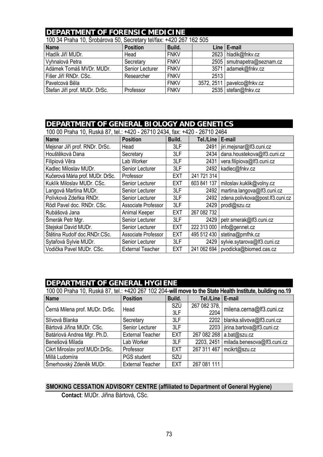#### **DEPARTMENT OF FORENSIC MEDICINE**

| TUU JA FTAHA TU, SIUDAIUVA JU, SEGERALY IEI/IAA. TAZU ZUT TUZ JUJ |                 |             |            |                       |  |  |  |  |
|-------------------------------------------------------------------|-----------------|-------------|------------|-----------------------|--|--|--|--|
| <b>Name</b>                                                       | <b>Position</b> | Build.      |            | Line   E-mail         |  |  |  |  |
| Hladík Jiří MUDr.                                                 | Head            | <b>FNKV</b> |            | 2623   hladik@fnkv.cz |  |  |  |  |
| Vyhnalová Petra                                                   | Secretary       | <b>FNKV</b> | 2505       | smutnapetra@seznam.cz |  |  |  |  |
| Adámek Tomáš MVDr. MUDr.                                          | Senior Lecturer | <b>FNKV</b> | 3571       | adamek@fnkv.cz        |  |  |  |  |
| Fišer Jiří RNDr. CSc.                                             | Researcher      | <b>FNKV</b> | 2513       |                       |  |  |  |  |
| Pavelcová Běla                                                    |                 | <b>FNKV</b> | 3572, 2511 | pavelco@fnkv.cz       |  |  |  |  |
| Štefan Jiří prof. MUDr. DrSc.                                     | Professor       | <b>FNKV</b> | 2535       | stefan@fnkv.cz        |  |  |  |  |

100 34 Praha 10, Šrobárova 50, Secretary tel/fax: +420 267 162 505

### **DEPARTMENT OF GENERAL BIOLOGY AND GENETICS**

| 100 00 Praha 10, Ruská 87, tel.: +420 - 26710 2434, fax: +420 - 26710 2464 |                         |            |                    |                                      |  |  |
|----------------------------------------------------------------------------|-------------------------|------------|--------------------|--------------------------------------|--|--|
| <b>Name</b>                                                                | <b>Position</b>         | Build.     | Tel./Line   E-mail |                                      |  |  |
| Mejsnar Jiří prof. RNDr. DrSc.                                             | Head                    | 3LF        |                    | 2491   jiri.mejsnar@lf3.cuni.cz      |  |  |
| Houštěková Dana                                                            | Secretary               | 3LF        | 2434               | dana.houstekova@lf3.cuni.cz          |  |  |
| Filipiová Věra                                                             | Lab Worker              | 3LF        | 2431               | vera.filipiova@lf3.cuni.cz           |  |  |
| Kadlec Miloslav MUDr.                                                      | Senior Lecturer         | 3LF        | 2492               | kadlec@fnkv.cz                       |  |  |
| Kučerová Mária prof. MUDr. DrSc.                                           | Professor               | <b>EXT</b> | 241 721 314        |                                      |  |  |
| Kuklík Miloslav MUDr. CSc.                                                 | Senior Lecturer         | <b>EXT</b> | 603 841 137        | miloslav.kuklik@volny.cz             |  |  |
| Langová Martina MUDr.                                                      | Senior Lecturer         | 3LF        | 2492               | martina.langova@lf3.cuni.cz          |  |  |
| Polívková Zdeňka RNDr.                                                     | Senior Lecturer         | 3LF        | 2492               | zdena.polivkova@post.lf3.cuni.cz     |  |  |
| Rödl Pavel doc. RNDr. CSc.                                                 | Associate Professor     | 3LF        | 2429               | prodl@szu.cz                         |  |  |
| Rubášová Jana                                                              | Animal Keeper           | <b>EXT</b> | 267 082 732        |                                      |  |  |
| Šmerák Petr Mgr.                                                           | Senior Lecturer         | 3LF        | 2429               | petr.smerak@lf3.cuni.cz              |  |  |
| Stejskal David MUDr.                                                       | Senior Lecturer         | <b>EXT</b> | 222 313 000        | info@gennet.cz                       |  |  |
| Štětina Rudolf doc.RNDr.CSc.                                               | Associate Professor     | <b>EXT</b> | 495 512 430        | stetina@pmfhk.cz                     |  |  |
| Sytařová Sylvie MUDr.                                                      | Senior Lecturer         | 3LF        | 2429               | sylvie.sytarova@lf3.cuni.cz          |  |  |
| Vodička Pavel MUDr. CSc.                                                   | <b>External Teacher</b> | <b>EXT</b> |                    | 241 062 694   pvodicka@biomed.cas.cz |  |  |

# **DEPARTMENT OF GENERAL HYGIENE**

| 100 00 Praha 10, Ruská 87, tel.: +420 267 102 204-will move to the State Health Institute, building no.19 |                         |            |              |                             |  |  |
|-----------------------------------------------------------------------------------------------------------|-------------------------|------------|--------------|-----------------------------|--|--|
| <b>Name</b>                                                                                               | <b>Position</b>         | Build.     | Tel./Line    | E-mail                      |  |  |
| Černá Milena prof. MUDr. DrSc.                                                                            | Head                    | SZÚ        | 267 082 378, | milena.cerna@lf3.cuni.cz    |  |  |
|                                                                                                           |                         | 3LF        | 2204         |                             |  |  |
| Slívová Blanka                                                                                            | Secretary               | 3LF        | 2202         | blanka.slivova@lf3.cuni.cz  |  |  |
| Bártová Jiřina MUDr. CSc.                                                                                 | Senior Lecturer         | 3LF        | 2203         | jirina.bartova@lf3.cuni.cz  |  |  |
| Batáriová Andrea Mgr. Ph.D.                                                                               | <b>External Teacher</b> | <b>EXT</b> | 267 082 268  | a.bat@szu.cz                |  |  |
| Benešová Milada                                                                                           | Lab Worker              | 3LF        | 2203, 2451   | milada.benesova@lf3.cuni.cz |  |  |
| Cikrt Miroslav prof.MUDr.DrSc.                                                                            | Professor               | <b>EXT</b> | 267 311 467  | mcikrt@szu.cz               |  |  |
| Millá Ludomíra                                                                                            | PGS student             | <b>SZU</b> |              |                             |  |  |
| Šmerhovský Zdeněk MUDr.                                                                                   | <b>External Teacher</b> | <b>EXT</b> | 267 081 111  |                             |  |  |

#### **SMOKING CESSATION ADVISORY CENTRE (affiliated to Department of General Hygiene)**

**Contact**: MUDr. Jiřina Bártová, CSc.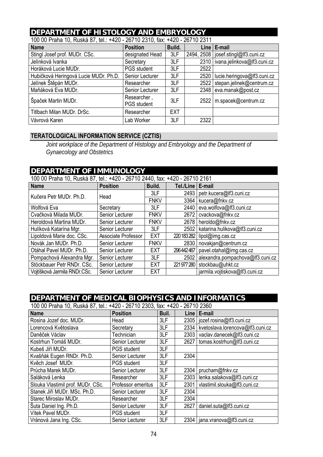#### **DEPARTMENT OF HISTOLOGY AND EMBRYOLOGY**

| TUU UU TTAHA TU, INUSKA UT, IGI THEU " ZUT TU ZUTU, IAA. THEU " ZUT TU ZUT T<br><b>Name</b> | <b>Position</b>                   | Build.     |      | Line   E-mail                         |
|---------------------------------------------------------------------------------------------|-----------------------------------|------------|------|---------------------------------------|
| Stingl Josef prof. MUDr. CSc.                                                               | designated Head                   | 3LF        |      | 2494, 2508   josef.stingl@lf3.cuni.cz |
| Jelínková Ivanka                                                                            | Secretary                         | 3LF        |      | 2310   ivana.jelinkova@lf3.cuni.cz    |
| Horáková Lucie MUDr.                                                                        | <b>PGS</b> student                | 3LF        | 2522 |                                       |
| Hubičková Heringová Lucie MUDr. Ph.D.                                                       | Senior Lecturer                   | 3LF        | 2520 | lucie.heringova@lf3.cuni.cz           |
| Jelínek Štěpán MUDr.                                                                        | Researcher                        | 3LF        | 2522 | stepan.jelinek@centrum.cz             |
| Maňáková Eva MUDr.                                                                          | Senior Lecturer                   | 3LF        | 2348 | eva.manak@post.cz                     |
| Špaček Martin MUDr.                                                                         | Researcher,<br><b>PGS</b> student | 3LF        | 2522 | m.spacek@centrum.cz                   |
| Titlbach Milan MUDr. DrSc.                                                                  | Researcher                        | <b>EXT</b> |      |                                       |
| Vávrová Karen                                                                               | Lab Worker                        | 3LF        | 2322 |                                       |

100 00 Praha 10, Ruská 87, tel.: +420 - 26710 2310, fax: +420 - 26710 2311

#### **TERATOLOGICAL INFORMATION SERVICE (CZTIS)**

*Joint workplace of the Department of Histology and Embryology and the Department of Gynaecology and Obstetrics* 

#### **DEPARTMENT OF IMMUNOLOGY**

| 100 00 Praha 10, Ruská 87, tel.: +420 - 26710 2440, fax: +420 - 26710 2161 |                        |             |                    |                                  |  |  |
|----------------------------------------------------------------------------|------------------------|-------------|--------------------|----------------------------------|--|--|
| <b>Name</b>                                                                | <b>Position</b>        | Build.      | Tel./Line   E-mail |                                  |  |  |
| Kučera Petr MUDr, Ph.D.                                                    | Head                   | 3LF         | 2493               | petr.kucera@lf3.cuni.cz          |  |  |
|                                                                            |                        | <b>FNKV</b> |                    | 3364   kucera@fnkv.cz            |  |  |
| Wolfová Eva                                                                | Secretary              | 3LF         | 2440               | eva.wolfova@lf3.cuni.cz          |  |  |
| Cvačková Milada MUDr.                                                      | Senior Lecturer        | <b>FNKV</b> | 2672               | cvackova@fnkv.cz                 |  |  |
| Heroldová Martina MUDr.                                                    | Senior Lecturer        | <b>FNKV</b> |                    | 2678   heroldo@fnkv.cz           |  |  |
| Hulíková Katarína Mgr.                                                     | Senior Lecturer        | 3LF         | 2502               | katarina.hulikova@lf3.cuni.cz    |  |  |
| Lipoldová Marie doc. CSc.                                                  | Associate Professor    | <b>EXT</b>  | 220 183 282        | lipol@img.cas.cz                 |  |  |
| Novák Jan MUDr. Ph.D.                                                      | Senior Lecturer        | <b>FNKV</b> | 2830               | novakjan@centrum.cz              |  |  |
| Otáhal Pavel MUDr. Ph.D.                                                   | Senior Lecturer        | <b>EXT</b>  | 296442467          | pavel.otahal@img.cas.cz          |  |  |
| Pompachová Alexandra Mgr.                                                  | Senior Lecturer        | 3LF         | 2502               | alexandra.pompachova@lf3.cuni.cz |  |  |
| Stöckbauer Petr RNDr. CSc.                                                 | Senior Lecturer        | <b>EXT</b>  | 221 977 280        | stockbau@uhkt.cz                 |  |  |
| Vojtíšková Jarmila RNDr.CSc.                                               | <b>Senior Lecturer</b> | <b>EXT</b>  |                    | jarmila.vojtiskova@lf3.cuni.cz   |  |  |

#### **DEPARTMENT OF MEDICAL BIOPHYSICS AND INFORMATICS**

100 00 Praha 10, Ruská 87, tel.: +420 - 26710 2303, fax: +420 - 26710 2360

| <b>Name</b>                       | <b>Position</b>    | Buil. | Line | $E$ -mail                        |
|-----------------------------------|--------------------|-------|------|----------------------------------|
| Rosina Jozef doc. MUDr.           | Head               | 3LF   | 2305 | jozef.rosina@lf3.cuni.cz         |
| Lorencová Květoslava              | Secretary          | 3LF   | 2334 | kvetoslava.lorencova@lf3.cuni.cz |
| Daněček Václav                    | Technician         | 3LF   | 2303 | vaclav.danecek@lf3.cuni.cz       |
| Kostrhun Tomáš MUDr.              | Senior Lecturer    | 3LF   | 2627 | tomas.kostrhun@lf3.cuni.cz       |
| Kubeš Jiří MUDr.                  | <b>PGS</b> student | 3LF   |      |                                  |
| Kvašňák Eugen RNDr. Ph.D.         | Senior Lecturer    | 3LF   | 2304 |                                  |
| Kvěch Josef MUDr.                 | <b>PGS</b> student | 3LF   |      |                                  |
| Průcha Marek MUDr.                | Senior Lecturer    | 3LF   | 2304 | prucham@fnkv.cz                  |
| Saláková Lenka                    | Researcher         | 3LF   | 2303 | lenka.salakova@lf3.cuni.cz       |
| Slouka Vlastimil prof. MUDr. CSc. | Professor emeritus | 3LF   | 2301 | vlastimil.slouka@lf3.cuni.cz     |
| Stanek Jiří MUDr. MSc. Ph.D.      | Senior Lecturer    | 3LF   | 2304 |                                  |
| Starec Miroslav MUDr.             | Researcher         | 3LF   | 2304 |                                  |
| Suta Daniel Ing. Ph.D.            | Senior Lecturer    | 3LF   | 2627 | daniel.suta@lf3.cuni.cz          |
| Vítek Pavel MUDr.                 | <b>PGS</b> student | 3LF   |      |                                  |
| Vránová Jana Ing. CSc.            | Senior Lecturer    | 3LF   |      | 2304   jana.vranova@lf3.cuni.cz  |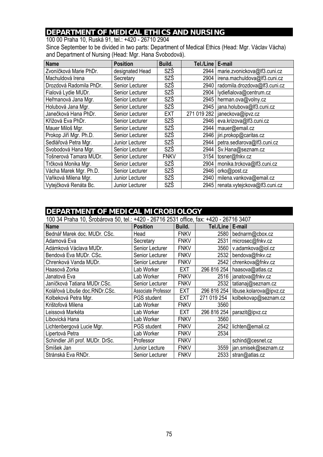### **DEPARTMENT OF MEDICAL ETHICS AND NURSING**

100 00 Praha 10, Ruská 91, tel.: +420 - 26710 2904 Since September to be divided in two parts: Department of Medical Ethics (Head: Mgr. Václav Vácha) and Department of Nursing (Head: Mgr. Hana Svobodová).

| <b>Name</b>             | <b>Position</b> | Build.      | Tel./Line   | E-mail                               |
|-------------------------|-----------------|-------------|-------------|--------------------------------------|
| Zvoníčková Marie PhDr.  | designated Head | SZŠ         | 2944        | marie.zvonickova@lf3.cuni.cz         |
| Machuldová Irena        | Secretary       | SZŠ         | 2904        | irena.machuldova@lf3.cuni.cz         |
| Drozdová Radomila PhDr. | Senior Lecturer | SZŠ         | 2940        | radomila.drozdova@lf3.cuni.cz        |
| Fialová Lydie MUDr.     | Senior Lecturer | SZŠ         | 2904        | lydiefialova@centrum.cz              |
| Heřmanová Jana Mgr.     | Senior Lecturer | SZŠ         | 2945        | herman.ova@volny.cz                  |
| Holubová Jana Mgr.      | Senior Lecturer | SZŠ         | 2945        | jana.holubova@lf3.cuni.cz            |
| Janečková Hana PhDr.    | Senior Lecturer | <b>EXT</b>  | 271 019 282 | janeckova@ipvz.cz                    |
| Křížová Eva PhDr.       | Senior Lecturer | SZŠ         | 2946        | eva.krizova@lf3.cuni.cz              |
| Mauer Miloš Mgr.        | Senior Lecturer | SZŠ         | 2944        | mauer@email.cz                       |
| Prokop Jiří Mgr. Ph.D.  | Senior Lecturer | SZŠ         | 2946        | jiri.prokop@caritas.cz               |
| Sedlářová Petra Mgr.    | Junior Lecturer | SZŠ         | 2944        | petra.sedlarova@lf3.cuni.cz          |
| Svobodová Hana Mgr.     | Senior Lecturer | SZŠ         | 2944        | Sv.Hana@seznam.cz                    |
| Tošnerová Tamara MUDr.  | Senior Lecturer | <b>FNKV</b> | 3154        | tosner@fnkv.cz                       |
| Trčková Monika Mgr.     | Senior Lecturer | <b>SZŠ</b>  | 2904        | monika.trckova@lf3.cuni.cz           |
| Vácha Marek Mgr. Ph.D.  | Senior Lecturer | SZŠ         | 2946        | orko@post.cz                         |
| Vaňková Milena Mgr.     | Junior Lecturer | SZŠ         | 2940        | milena.vankova@email.cz              |
| Vytejčková Renáta Bc.   | Junior Lecturer | SZŠ         |             | 2945   renata.vytejckova@lf3.cuni.cz |

#### **DEPARTMENT OF MEDICAL MICROBIOLOGY**

100 34 Praha 10, Šrobárova 50, tel.: +420 - 26716 2531 office, fax: +420 - 26716 3407

| <b>Name</b>                      | <b>Position</b>     | Build.      | Tel./Line   E-mail |                         |
|----------------------------------|---------------------|-------------|--------------------|-------------------------|
| Bednář Marek doc. MUDr. CSc.     | Head                | <b>FNKV</b> | 2580               | bednarm@cbox.cz         |
| Adamová Eva                      | Secretary           | <b>FNKV</b> | 2531               | microsec@fnkv.cz        |
| Adámková Václava MUDr.           | Senior Lecturer     | <b>FNKV</b> | 3560               | v.adamkova@iol.cz       |
| Bendová Eva MUDr. CSc.           | Senior Lecturer     | <b>FNKV</b> | 2532               | bendova@fnkv.cz         |
| Chrenková Vanda MUDr.            | Senior Lecturer     | <b>FNKV</b> | 2542               | chrenkova@fnkv.cz       |
| Haasová Zorka                    | Lab Worker          | EXT         | 296 816 254        | haasova@atlas.cz        |
| Janatová Eva                     | Lab Worker          | <b>FNKV</b> | 2516               | janatova@fnkv.cz        |
| Janíčková Tatiana MUDr.CSc.      | Senior Lecturer     | <b>FNKV</b> | 2532               | tatianaj@seznam.cz      |
| Kolářová Libuše doc.RNDr.CSc.    | Associate Professor | <b>EXT</b>  | 296 816 254        | libuse.kolarova@ipvz.cz |
| Kolbeková Petra Mgr.             | <b>PGS</b> student  | EXT         | 271 019 254        | kolbekovap@seznam.cz    |
| Krištofová Milena                | Lab Worker          | <b>FNKV</b> | 3560               |                         |
| Leissová Markéta                 | Lab Worker          | EXT         | 296 816 254        | parazit@ipvz.cz         |
| Libovická Hana                   | Lab Worker          | <b>FNKV</b> | 3560               |                         |
| Lichtenbergová Lucie Mgr.        | <b>PGS</b> student  | <b>FNKV</b> | 2542               | lichten@email.cz        |
| Lipertová Petra                  | Lab Worker          | <b>FNKV</b> | 2534               |                         |
| Schindler Jiří prof. MUDr. DrSc. | Professor           | <b>FNKV</b> |                    | schind@cesnet.cz        |
| Smíšek Jan                       | Junior Lecture      | <b>FNKV</b> | 3559               | jan.smisek@seznam.cz    |
| Stránská Eva RNDr.               | Senior Lecturer     | <b>FNKV</b> | 2533               | stran@atlas.cz          |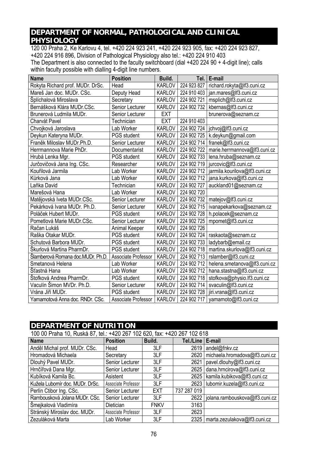### **DEPARTMENT OF NORMAL, PATHOLOGICAL AND CLINICAL PHYSIOLOGY**

120 00 Praha 2, Ke Karlovu 4, tel. +420 224 923 241, +420 224 923 905, fax: +420 224 923 827, +420 224 916 896, Division of Pathological Physiology also tel.: +420 224 910 403 The Department is also connected to the faculty switchboard (dial +420 224 90 + 4-digit line); calls within faculty possible with dialling 4-digit line numbers.

| <b>Name</b>                       | <b>Position</b>     | Build.        | Tel.        | E-mail                        |
|-----------------------------------|---------------------|---------------|-------------|-------------------------------|
| Rokyta Richard prof. MUDr. DrSc.  | Head                | <b>KARLOV</b> | 224 923 827 | richard.rokyta@lf3.cuni.cz    |
| Mareš Jan doc. MUDr. CSc.         | Deputy Head         | <b>KARLOV</b> | 224 910 403 | jan.mares@lf3.cuni.cz         |
| Šplíchalová Miroslava             | Secretary           | <b>KARLOV</b> | 224 902 721 | msplich@lf3.cuni.cz           |
| Bernášková Klára MUDr.CSc.        | Senior Lecturer     | <b>KARLOV</b> | 224 902 732 | kbernas@lf3.cuni.cz           |
| Brunerová Ludmila MUDr.           | Senior Lecturer     | <b>EXT</b>    |             | brunerova@seznam.cz           |
| Charvát Pavel                     | Technician          | <b>EXT</b>    | 224 910 403 |                               |
| Chvojková Jaroslava               | Lab Worker          | <b>KARLOV</b> | 224 902 724 | jchvoj@lf3.cuni.cz            |
| Deykun Kateryna MUDr.             | PGS student         | <b>KARLOV</b> | 224 902 725 | k.deykun@gmail.com            |
| Franěk Miloslav MUDr.Ph.D.        | Senior Lecturer     | <b>KARLOV</b> | 224 902 714 | franek@lf3.cuni.cz            |
| Herrmannova Marie PhDr.           | Documentarist       | <b>KARLOV</b> | 224 902 722 | marie.herrmannova@lf3.cuni.cz |
| Hrubá Lenka Mgr.                  | PGS student         | <b>KARLOV</b> | 224 902 733 | lena.hruba@seznam.cz          |
| Jurčovičová Jana Ing. CSc.        | Researcher          | <b>KARLOV</b> | 224 902 719 | jurcovic@lf3.cuni.cz          |
| Kouřilová Jarmila                 | Lab Worker          | KARLOV        | 224 902 712 | jarmila.kourilova@lf3.cuni.cz |
| Kůrková Jana                      | Lab Worker          | <b>KARLOV</b> | 224 902 712 | jana.kurkova@lf3.cuni.cz      |
| Laňka David                       | Technician          | <b>KARLOV</b> | 224 902 727 | auckland01@seznam.cz          |
| Marešová Hana                     | Lab Worker          | <b>KARLOV</b> | 224 902 720 |                               |
| Matějovská Iveta MUDr.CSc.        | Senior Lecturer     | <b>KARLOV</b> | 224 902 732 | matejov@lf3.cuni.cz           |
| Pekárková Ivana MUDr. Ph.D.       | Senior Lecturer     | <b>KARLOV</b> | 224 902 715 | ivanapekarkova@seznam.cz      |
| Poláček Hubert MUDr.              | <b>PGS</b> student  | <b>KARLOV</b> | 224 902 728 | h.polacek@seznam.cz           |
| Pometlová Marie MUDr.CSc.         | Senior Lecturer     | KARLOV        | 224 902 725 | mpomet@lf3.cuni.cz            |
| Račan Lukáš                       | Animal Keeper       | <b>KARLOV</b> | 224 902 726 |                               |
| Raška Otakar MUDr.                | <b>PGS</b> student  | <b>KARLOV</b> | 224 902 724 | raskaota@seznam.cz            |
| Schutová Barbora MUDr.            | PGS student         | <b>KARLOV</b> | 224 902 733 | ladybarb@email.cz             |
| Škurlová Martina PharmDr.         | PGS student         | <b>KARLOV</b> | 224 902 718 | martina.skurlova@lf3.cuni.cz  |
| Šlamberová Romana doc.MUDr. Ph.D. | Associate Professor | <b>KARLOV</b> | 224 902 713 | rslamber@lf3.cuni.cz          |
| Smetanová Helena                  | Lab Worker          | <b>KARLOV</b> | 224 902 712 | helena.smetanova@lf3.cuni.cz  |
| Šťastná Hana                      | Lab Worker          | <b>KARLOV</b> | 224 902 712 | hana.stastna@lf3.cuni.cz      |
| Štofková Andrea PharmDr.          | <b>PGS</b> student  | <b>KARLOV</b> | 224 902 718 | stofkova@physio.lf3.cuni.cz   |
| Vaculín Šimon MVDr. Ph.D.         | Senior Lecturer     | <b>KARLOV</b> | 224 902 714 | svaculin@lf3.cuni.cz          |
| Vrána Jiří MUDr.                  | PGS student         | <b>KARLOV</b> | 224 902 728 | jiri.vrana@lf3.cuni.cz        |
| Yamamotová Anna doc. RNDr. CSc.   | Associate Professor | <b>KARLOV</b> | 224 902 717 | yamamoto@lf3.cuni.cz          |

#### **DEPARTMENT OF NUTRITION**

| 100 00 Praha 10, Ruská 87, tel.: +420 267 102 620, fax: +420 267 102 618 |                     |             |                    |                                     |  |
|--------------------------------------------------------------------------|---------------------|-------------|--------------------|-------------------------------------|--|
| <b>Name</b>                                                              | <b>Position</b>     | Build.      | Tel./Line   E-mail |                                     |  |
| Anděl Michal prof. MUDr. CSc.                                            | Head                | 3LF         | 2619               | andel@fnkv.cz                       |  |
| Hromadová Michaela                                                       | Secretary           | 3LF         | 2620               | michaela.hromadova@lf3.cuni.cz      |  |
| Dlouhý Pavel MUDr.                                                       | Senior Lecturer     | 3LF         | 2621               | pavel.dlouhy@lf3.cuni.cz            |  |
| Hrnčířová Dana Mgr.                                                      | Senior Lecturer     | 3LF         | 2625               | dana.hrncirova@lf3.cuni.cz          |  |
| Kubíková Kamila Bc.                                                      | Asistent            | 3LF         | 2625               | kamila.kubikova@lf3.cuni.cz         |  |
| Kužela Lubomír doc. MUDr. DrSc.                                          | Associate Professor | 3LF         |                    | 2623   lubomir.kuzela@lf3.cuni.cz   |  |
| Perlín Ctibor Ing. CSc.                                                  | Senior Lecturer     | <b>EXT</b>  | 737 287 019        |                                     |  |
| Rambousková Jolana MUDr. CSc.                                            | Senior Lecturer     | 3LF         | 2622               | jolana.rambouskova@lf3.cuni.cz      |  |
| Šmejkalová Vladimíra                                                     | Dietician           | <b>FNKV</b> | 3163               |                                     |  |
| Stránský Miroslav doc. MUDr.                                             | Associate Professor | 3LF         | 2623               |                                     |  |
| Zezuláková Marta                                                         | Lab Worker          | 3LF         |                    | 2325   marta.zezulakova@lf3.cuni.cz |  |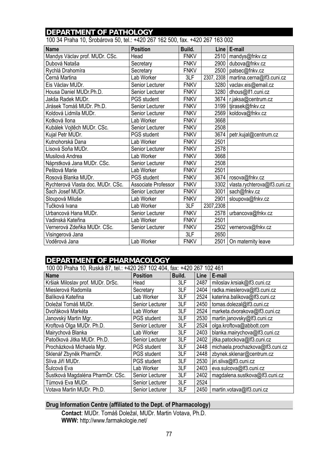#### **DEPARTMENT OF PATHOLOGY**

100 34 Praha 10, Šrobárova 50, tel.: +420 267 162 500, fax. +420 267 163 002

| <b>Name</b>                       | <b>Position</b>        | Build.      |            | Line   E-mail                 |
|-----------------------------------|------------------------|-------------|------------|-------------------------------|
| Mandys Václav prof. MUDr. CSc.    | Head                   | <b>FNKV</b> | 2510       | mandys@fnkv.cz                |
| Dubová Nataša                     | Secretary              | <b>FNKV</b> | 2900       | dubova@fnkv.cz                |
| Rychlá Drahomíra                  | Secretary              | <b>FNKV</b> | 2500       | patsec@fnkv.cz                |
| Černá Martina                     | Lab Worker             | 3LF         | 2307, 2308 | martina.cerna@lf3.cuni.cz     |
| Eis Václav MUDr.                  | Senior Lecturer        | <b>FNKV</b> | 3280       | vaclav.eis@email.cz           |
| Housa Daniel MUDr.Ph.D.           | Senior Lecturer        | <b>FNKV</b> | 3280       | dhous@lf1.cuni.cz             |
| Jakša Radek MUDr.                 | PGS student            | <b>FNKV</b> | 3674       | r.jaksa@centrum.cz            |
| Jirásek Tomáš MUDr. Ph.D.         | Senior Lecturer        | <b>FNKV</b> | 3199       | tjirasek@fnkv.cz              |
| Koldová Lidmila MUDr.             | Senior Lecturer        | <b>FNKV</b> | 2569       | koldova@fnkv.cz               |
| Kotková Ilona                     | Lab Worker             | <b>FNKV</b> | 3668       |                               |
| Kubálek Vojtěch MUDr. CSc.        | Senior Lecturer        | <b>FNKV</b> | 2508       |                               |
| Kujal Petr MUDr.                  | PGS student            | <b>FNKV</b> | 3674       | petr.kujal@centrum.cz         |
| Kutnohorská Dana                  | Lab Worker             | <b>FNKV</b> | 2501       |                               |
| Lísová Soňa MUDr.                 | Senior Lecturer        | <b>FNKV</b> | 2578       |                               |
| Musilová Andrea                   | Lab Worker             | <b>FNKV</b> | 3668       |                               |
| Náprstková Jana MUDr. CSc.        | Senior Lecturer        | <b>FNKV</b> | 2508       |                               |
| Peštová Marie                     | Lab Worker             | <b>FNKV</b> | 2501       |                               |
| Rosová Blanka MUDr.               | <b>PGS</b> student     | <b>FNKV</b> | 3674       | rosova@fnkv.cz                |
| Rychterová Vlasta doc. MUDr. CSc. | Associate Professor    | <b>FNKV</b> | 3302       | vlasta.rychterova@lf3.cuni.cz |
| Šach Josef MUDr.                  | <b>Senior Lecturer</b> | <b>FNKV</b> | 3001       | sach@fnkv.cz                  |
| Sloupová Miluše                   | Lab Worker             | <b>FNKV</b> | 2901       | sloupova@fnkv.cz              |
| Tučková Ivana                     | Lab Worker             | 3LF         | 2307,2308  |                               |
| Urbancová Hana MUDr.              | Senior Lecturer        | <b>FNKV</b> | 2578       | urbancova@fnkv.cz             |
| Vadinská Kateřina                 | Lab Worker             | <b>FNKV</b> | 2501       |                               |
| Vernerová Zdeňka MUDr. CSc.       | Senior Lecturer        | <b>FNKV</b> | 2502       | vernerova@fnkv.cz             |
| Visingerová Jana                  |                        | 3LF         | 2650       |                               |
| Voděrová Jana                     | Lab Worker             | <b>FNKV</b> | 2501       | On maternity leave            |

| DEPARTMENT OF PHARMACOLOGY                                               |                    |        |      |                                  |  |  |
|--------------------------------------------------------------------------|--------------------|--------|------|----------------------------------|--|--|
| 100 00 Praha 10, Ruská 87, tel.: +420 267 102 404, fax: +420 267 102 461 |                    |        |      |                                  |  |  |
| <b>Name</b>                                                              | <b>Position</b>    | Build. | Line | E-mail                           |  |  |
| Kršiak Miloslav prof. MUDr. DrSc.                                        | Head               | 3LF    | 2487 | miloslav.krsiak@lf3.cuni.cz      |  |  |
| Mieslerová Radomila                                                      | Secretary          | 3LF    | 2404 | radka.mieslerova@lf3.cuni.cz     |  |  |
| Balíková Kateřina                                                        | Lab Worker         | 3LF    | 2524 | katerina.balikova@lf3.cuni.cz    |  |  |
| Doležal Tomáš MUDr.                                                      | Senior Lecturer    | 3LF    | 2450 | tomas.dolezal@lf3.cuni.cz        |  |  |
| Dvořáková Markéta                                                        | Lab Worker         | 3LF    | 2524 | marketa.dvorakova@lf3.cuni.cz    |  |  |
| Janovský Martin Mgr.                                                     | <b>PGS</b> student | 3LF    | 2530 | martin.janovsky@lf3.cuni.cz      |  |  |
| Kroftová Olga MUDr. Ph.D.                                                | Senior Lecturer    | 3LF    | 2524 | olga.kroftova@abbott.com         |  |  |
| Mairychová Blanka                                                        | Lab Worker         | 3LF    | 2403 | blanka.mairychova@lf3.cuni.cz    |  |  |
| Patočková Jitka MUDr. Ph.D.                                              | Senior Lecturer    | 3LF    | 2402 | jitka.patockova@lf3.cuni.cz      |  |  |
| Procházková Michaela Mgr.                                                | <b>PGS</b> student | 3LF    | 2448 | michaela.prochazkova@lf3.cuni.cz |  |  |
| Sklenář Zbyněk PharmDr.                                                  | <b>PGS</b> student | 3LF    | 2448 | zbynek.sklenar@centrum.cz        |  |  |
| Slíva Jiří MUDr.                                                         | <b>PGS</b> student | 3LF    | 2530 | jiri.sliva@lf3.cuni.cz           |  |  |
| Šulcová Eva                                                              | Lab Worker         | 3LF    | 2403 | eva.sulcova@lf3.cuni.cz          |  |  |
| Šustková Magdaléna PharmDr. CSc.                                         | Senior Lecturer    | 3LF    | 2402 | magdalena.sustkova@lf3.cuni.cz   |  |  |
| Tůmová Eva MUDr.                                                         | Senior Lecturer    | 3LF    | 2524 |                                  |  |  |
| Votava Martin MUDr. Ph.D.                                                | Senior Lecturer    | 3LF    | 2450 | martin.votava@lf3.cuni.cz        |  |  |
|                                                                          |                    |        |      |                                  |  |  |

#### **Drug Information Centre (affiliated to the Dept. of Pharmacology)**

**Contact**: MUDr. Tomáš Doležal, MUDr. Martin Votava, Ph.D. **WWW:** http://www.farmakologie.net/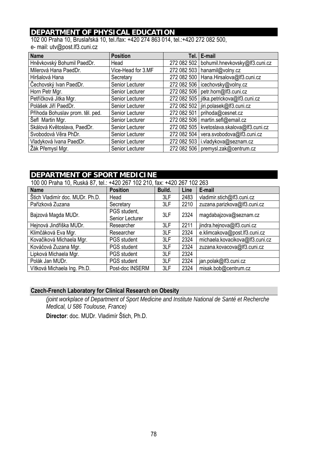### **DEPARTMENT OF PHYSICAL EDUCATION**

102 00 Praha 10, Bruslařská 10, tel./fax: +420 274 863 014, tel.:+420 272 082 500, e- mail: utv@post.lf3.cuni.cz

| <b>Name</b>                      | <b>Position</b>    |             | Tel.   E-mail                              |
|----------------------------------|--------------------|-------------|--------------------------------------------|
| Hněvkovský Bohumil PaedDr.       | Head               | 272 082 502 | bohumil.hnevkovsky@lf3.cuni.cz             |
| Milerová Hana PaedDr.            | Vice-Head for 3.MF |             | 272 082 503   hanamil@volny.cz             |
| Hiršalová Hana                   | Secretary          |             | 272 082 500   Hana. Hirsalova@lf3.cuni.cz  |
| Čechovský Ivan PaedDr.           | Senior Lecturer    |             | 272 082 506   icechovsky@volny.cz          |
| Horn Petr Mgr.                   | Senior Lecturer    | 272 082 506 | petr.horn@lf3.cuni.cz                      |
| Petříčková Jitka Mgr.            | Senior Lecturer    |             | 272 082 505   jitka.petrickova@lf3.cuni.cz |
| Polášek Jiří PaedDr.             | Senior Lecturer    |             | 272 082 502   jiri.polasek@lf3.cuni.cz     |
| Příhoda Bohuslav prom. těl. ped. | Senior Lecturer    | 272 082 501 | prihoda@cesnet.cz                          |
| Šefl Martin Mgr.                 | Senior Lecturer    | 272 082 506 | martin.sefl@email.cz                       |
| Skálová Květoslava, PaedDr.      | Senior Lecturer    | 272 082 505 | kvetoslava.skalova@lf3.cuni.cz             |
| Svobodová Věra PhDr.             | Senior Lecturer    | 272 082 504 | vera.svobodova@lf3.cuni.cz                 |
| Vladyková Ivana PaedDr.          | Senior Lecturer    | 272 082 503 | i.vladykova@seznam.cz                      |
| Žák Přemysl Mgr.                 | Senior Lecturer    |             | 272 082 506   premysl.zak@centrum.cz       |

#### **DEPARTMENT OF SPORT MEDICINE**

| 100 00 Praha 10, Ruská 87, tel.: +420 267 102 210, fax: +420 267 102 263 |                                 |        |      |                                 |  |
|--------------------------------------------------------------------------|---------------------------------|--------|------|---------------------------------|--|
| <b>Name</b>                                                              | <b>Position</b>                 | Build. | Line | E-mail                          |  |
| Štich Vladimír doc. MUDr. Ph.D.                                          | Head                            | 3LF    | 2483 | vladimir.stich@lf3.cuni.cz      |  |
| Pařízková Zuzana                                                         | Secretary                       | 3LF    | 2210 | zuzana.parizkova@lf3.cuni.cz    |  |
| Bajzová Magda MUDr.                                                      | PGS student,<br>Senior Lecturer | 3LF    | 2324 | magdabajzova@seznam.cz          |  |
| Hejnová Jindřiška MUDr.                                                  | Researcher                      | 3LF    | 2211 | jindra.hejnova@lf3.cuni.cz      |  |
| Klimčáková Eva Mgr.                                                      | Researcher                      | 3LF    | 2324 | e.klimcakova@post.lf3.cuni.cz   |  |
| Kovačiková Michaela Mgr.                                                 | <b>PGS</b> student              | 3LF    | 2324 | michaela.kovacikova@lf3.cuni.cz |  |
| Kováčová Zuzana Mgr.                                                     | <b>PGS</b> student              | 3LF    | 2324 | zuzana.kovacova@lf3.cuni.cz     |  |
| Lipková Michaela Mgr.                                                    | <b>PGS</b> student              | 3LF    | 2324 |                                 |  |
| Polák Jan MUDr.                                                          | <b>PGS</b> student              | 3LF    | 2324 | jan.polak@lf3.cuni.cz           |  |
| Vítková Michaela Ing. Ph.D.                                              | Post-doc INSERM                 | 3LF    | 2324 | misak.bob@centrum.cz            |  |

#### **Czech-French Laboratory for Clinical Research on Obesity**

*(joint workplace of Department of Sport Medicine and Institute National de Santé et Recherche Medical, U 586 Toulouse, France)* 

 **Director**: doc. MUDr. Vladimír Štich, Ph.D.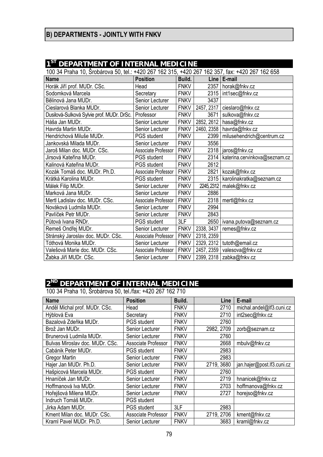# **B) DEPARTMENTS - JOINTLY WITH FNKV**

# **1ST DEPARTMENT OF INTERNAL MEDICINE**

| 100 34 Praha 10, Šrobárova 50, tel.: +420 267 162 315, +420 267 162 357, fax: +420 267 162 658 |                     |             |            |                               |  |  |
|------------------------------------------------------------------------------------------------|---------------------|-------------|------------|-------------------------------|--|--|
| <b>Name</b>                                                                                    | <b>Position</b>     | Build.      |            | $Line$ $E-mail$               |  |  |
| Horák Jiří prof. MUDr. CSc.                                                                    | Head                | <b>FNKV</b> | 2357       | horak@fnkv.cz                 |  |  |
| Sodomková Marcela                                                                              | Secretary           | <b>FNKV</b> |            | 2315   int1sec@fnkv.cz        |  |  |
| Bělinová Jana MUDr.                                                                            | Senior Lecturer     | <b>FNKV</b> | 3437       |                               |  |  |
| Cieslarová Blanka MUDr.                                                                        | Senior Lecturer     | <b>FNKV</b> | 2457, 2317 | cieslaro@fnkv.cz              |  |  |
| Dusilová-Sulková Sylvie prof. MUDr. DrSc.                                                      | Professor           | <b>FNKV</b> | 3671       | sulkova@fnkv.cz               |  |  |
| Háša Jan MUDr.                                                                                 | Senior Lecturer     | <b>FNKV</b> | 2852, 2612 | hasa@fnkv.cz                  |  |  |
| Havrda Martin MUDr.                                                                            | Senior Lecturer     | <b>FNKV</b> |            | 2460, 2358   havrda@fnkv.cz   |  |  |
| Hendrichová Miluše MUDr.                                                                       | PGS student         | <b>FNKV</b> | 2399       | milusehendrich@centrum.cz     |  |  |
| Jankovská Milada MUDr.                                                                         | Senior Lecturer     | <b>FNKV</b> | 3556       |                               |  |  |
| Jaroš Milan doc. MUDr. CSc.                                                                    | Associate Professor | <b>FNKV</b> | 2318       | jaros@fnkv.cz                 |  |  |
| Jirsová Kateřina MUDr.                                                                         | PGS student         | <b>FNKV</b> | 2314       | katerina.cervinkova@seznam.cz |  |  |
| Kalinová Kateřina MUDr.                                                                        | <b>PGS</b> student  | <b>FNKV</b> | 2612       |                               |  |  |
| Kozák Tomáš doc. MUDr. Ph.D.                                                                   | Associate Professor | <b>FNKV</b> | 2821       | kozak@fnkv.cz                 |  |  |
| Krátká Karolina MUDr.                                                                          | PGS student         | <b>FNKV</b> | 2315       | karolinakratka@seznam.cz      |  |  |
| Málek Filip MUDr.                                                                              | Senior Lecturer     | <b>FNKV</b> |            | 2245, 2312   malek@fnkv.cz    |  |  |
| Marková Jana MUDr.                                                                             | Senior Lecturer     | <b>FNKV</b> | 2886       |                               |  |  |
| Mertl Ladislav doc. MUDr. CSc.                                                                 | Associate Professor | <b>FNKV</b> |            | 2318 mertl@fnkv.cz            |  |  |
| Nováková Ludmila MUDr.                                                                         | Senior Lecturer     | <b>FNKV</b> | 2994       |                               |  |  |
| Pavlíček Petr MUDr.                                                                            | Senior Lecturer     | <b>FNKV</b> | 2843       |                               |  |  |
| Půtová Ivana RNDr.                                                                             | PGS student         | 3LF         | 2650       | ivana.putova@seznam.cz        |  |  |
| Remeš Ondřej MUDr.                                                                             | Senior Lecturer     | <b>FNKV</b> | 2338, 3437 | remes@fnkv.cz                 |  |  |
| Stránský Jaroslav doc. MUDr. CSc.                                                              | Associate Professor | <b>FNKV</b> | 2318, 2359 |                               |  |  |
| Tóthová Monika MUDr.                                                                           | Senior Lecturer     | <b>FNKV</b> | 2329, 2312 | tutoth@email.cz               |  |  |
| Valešová Marie doc. MUDr. CSc.                                                                 | Associate Professor | <b>FNKV</b> | 2457, 2359 | valesova@fnkv.cz              |  |  |
| Žabka Jiří MUDr. CSc.                                                                          | Senior Lecturer     | <b>FNKV</b> | 2399, 2318 | zabka@fnkv.cz                 |  |  |

#### **2ND DEPARTMENT OF INTERNAL MEDICINE**

100 34 Praha 10, Šrobárova 50, tel./fax: +420 267 162 710

| <b>Position</b>     | Build.      | Line       | E-mail                     |
|---------------------|-------------|------------|----------------------------|
| Head                | <b>FNKV</b> | 2710       | michal.andel@lf3.cuni.cz   |
| Secretary           | <b>FNKV</b> | 2710       | int2sec@fnkv.cz            |
| <b>PGS</b> student  | <b>FNKV</b> | 2760       |                            |
| Senior Lecturer     | <b>FNKV</b> | 2982, 2709 | zorb@seznam.cz             |
| Senior Lecturer     | <b>FNKV</b> | 2760       |                            |
| Associate Professor | <b>FNKV</b> | 2668       | mbulv@fnkv.cz              |
| <b>PGS</b> student  | <b>FNKV</b> | 2983       |                            |
| Senior Lecturer     | <b>FNKV</b> | 2983       |                            |
| Senior Lecturer     | <b>FNKV</b> | 2719, 3680 | jan.hajer@post.lf3.cuni.cz |
| <b>PGS</b> student  | <b>FNKV</b> | 2760       |                            |
| Senior Lecturer     | <b>FNKV</b> | 2719       | hnanicek@fnkv.cz           |
| Senior Lecturer     | <b>FNKV</b> | 2703       | hoffmanova@fnkv.cz         |
| Senior Lecturer     | <b>FNKV</b> | 2727       | horejso@fnkv.cz            |
| <b>PGS</b> student  |             |            |                            |
| <b>PGS</b> student  | 3LF         | 2983       |                            |
| Associate Professor | <b>FNKV</b> | 2719, 2706 | kment@fnkv.cz              |
| Senior Lecturer     | <b>FNKV</b> | 3683       | kraml@fnkv.cz              |
|                     |             |            |                            |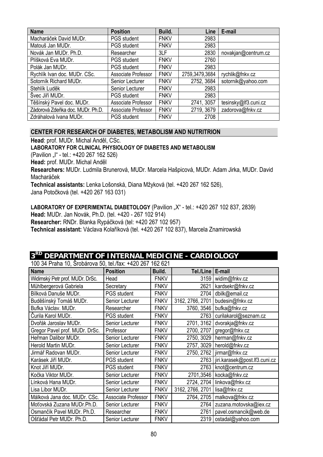| <b>Name</b>                      | <b>Position</b>     | Build.      | Line           | E-mail               |
|----------------------------------|---------------------|-------------|----------------|----------------------|
| Macharáček David MUDr.           | <b>PGS</b> student  | <b>FNKV</b> | 2983           |                      |
| Matouš Jan MUDr.                 | <b>PGS</b> student  | <b>FNKV</b> | 2983           |                      |
| Novák Jan MUDr. Ph.D.            | Researcher          | 3LF         | 2830           | novakjan@centrum.cz  |
| Plíšková Eva MUDr.               | <b>PGS</b> student  | <b>FNKV</b> | 2760           |                      |
| Polák Jan MUDr.                  | <b>PGS</b> student  | <b>FNKV</b> | 2983           |                      |
| Rychlík Ivan doc. MUDr. CSc.     | Associate Professor | <b>FNKV</b> | 2759,3479,3684 | rychlik@fnkv.cz      |
| Sotorník Richard MUDr.           | Senior Lecturer     | <b>FNKV</b> | 2752, 3684     | sotornik@yahoo.com   |
| Stehlík Luděk                    | Senior Lecturer     | <b>FNKV</b> | 2983           |                      |
| Švec Jiří MUDr.                  | <b>PGS</b> student  | <b>FNKV</b> | 2983           |                      |
| Těšínský Pavel doc. MUDr.        | Associate Professor | <b>FNKV</b> | 2741, 3057     | tesinsky@lf3.cuni.cz |
| Zádorová Zdeňka doc. MUDr. Ph.D. | Associate Professor | <b>FNKV</b> | 2719, 3679     | zadorova@fnkv.cz     |
| Zdráhalová Ivana MUDr.           | <b>PGS</b> student  | <b>FNKV</b> | 2708           |                      |

#### **CENTER FOR RESEARCH OF DIABETES, METABOLISM AND NUTRITRION**

**Head**: prof. MUDr. Michal Anděl, CSc.

#### **LABORATORY FOR CLINICAL PHYSIOLOGY OF DIABETES AND METABOLISM**

(Pavilion "I" - tel.: +420 267 162 526)

**Head:** prof. MUDr. Michal Anděl

**Researchers:** MUDr. Ludmila Brunerová, MUDr. Marcela Hašpicová, MUDr. Adam Jirka, MUDr. David Macharáček

**Technical assistants:** Lenka Lošonská, Diana Mžyková (tel. +420 267 162 526),

Jana Potočková (tel. +420 267 163 031)

LABORATORY OF EXPERIMENTAL DIABETOLOGY (Pavilion "X" - tel.: +420 267 102 837, 2839) **Head:** MUDr. Jan Novák, Ph.D. (tel. +420 - 267 102 914)

**Researcher:** RNDr. Blanka Rypáčková (tel: +420 267 102 957)

**Technical assistant:** Václava Kolaříková (tel. +420 267 102 837), Marcela Znamirowská

### **3RD DEPARTMENT OF INTERNAL MEDICINE - CARDIOLOGY**

100 34 Praha 10, Šrobárova 50, tel./fax: +420 267 162 621

| <b>Name</b>                     | <b>Position</b>     | Build.      | Tel./Line   E-mail |                                      |
|---------------------------------|---------------------|-------------|--------------------|--------------------------------------|
| Widimský Petr prof. MUDr. DrSc. | Head                | <b>FNKV</b> | 3159               | widim@fnkv.cz                        |
| Mühlbergerová Gabriela          | Secretary           | <b>FNKV</b> | 2621               | kardsekr@fnkv.cz                     |
| Bílková Danuše MUDr.            | <b>PGS</b> student  | <b>FNKV</b> | 2704               | dbilk@email.cz                       |
| Buděšínský Tomáš MUDr.          | Senior Lecturer     | <b>FNKV</b> | 3162, 2766, 2701   | budesin@fnkv.cz                      |
| Bufka Václav. MUDr.             | Researcher          | <b>FNKV</b> | 3760, 3546         | bufka@fnkv.cz                        |
| Čurila Karol MUDr.              | <b>PGS</b> student  | <b>FNKV</b> | 2763               | curilakarol@seznam.cz                |
| Dvořák Jaroslav MUDr.           | Senior Lecturer     | <b>FNKV</b> | 2701, 3162         | dvorakja@fnkv.cz                     |
| Gregor Pavel prof. MUDr. DrSc.  | Professor           | <b>FNKV</b> | 2700, 2707         | gregor@fnkv.cz                       |
| Heřman Dalibor MUDr.            | Senior Lecturer     | <b>FNKV</b> | 2750, 3029         | herman@fnkv.cz                       |
| Herold Martin MUDr.             | Senior Lecturer     | <b>FNKV</b> | 2757, 3029         | herold@fnkv.cz                       |
| Jirmář Radovan MUDr.            | Senior Lecturer     | <b>FNKV</b> |                    | 2750, 2762   jirmar@fnkv.cz          |
| Karásek Jiří MUDr.              | <b>PGS</b> student  | <b>FNKV</b> |                    | 2763   jiri.karasek@post.lf3.cuni.cz |
| Knot Jiří MUDr.                 | <b>PGS</b> student  | <b>FNKV</b> | 2763               | knot@centrum.cz                      |
| Kočka Viktor MUDr.              | Senior Lecturer     | <b>FNKV</b> | 2701,3546          | kocka@fnkv.cz                        |
| Línková Hana MUDr.              | Senior Lecturer     | <b>FNKV</b> |                    | 2724, 2704 linkova@fnkv.cz           |
| Lisa Libor MUDr.                | Senior Lecturer     | <b>FNKV</b> | 3162, 2766, 2701   | lisa@fnkv.cz                         |
| Málková Jana doc. MUDr. CSc.    | Associate Professor | <b>FNKV</b> | 2764, 2705         | malkova@fnkv.cz                      |
| Moťovská Zuzana MUDr.Ph.D.      | Senior Lecturer     | <b>FNKV</b> | 2764               | zuzana.motovska@iex.cz               |
| Osmančík Pavel MUDr. Ph.D.      | Researcher          | <b>FNKV</b> | 2761               | pavel.osmancik@web.de                |
| Ošťádal Petr MUDr. Ph.D.        | Senior Lecturer     | <b>FNKV</b> | 2319               | ostadal@yahoo.com                    |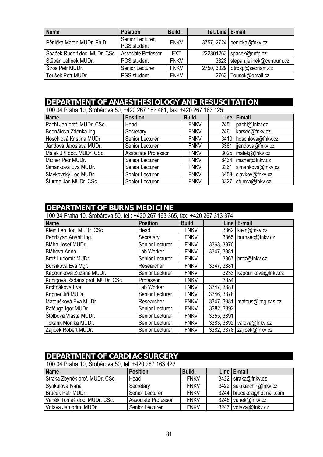| <b>Name</b>                   | <b>Position</b>                        | Build.      | Tel./Line   E-mail |                                |
|-------------------------------|----------------------------------------|-------------|--------------------|--------------------------------|
| Pěnička Martin MUDr, Ph.D.    | Senior Lecturer,<br><b>PGS</b> student | <b>FNKV</b> |                    | 3757, 2724   penicka@fnkv.cz   |
| Špaček Rudolf doc. MUDr. CSc. | Associate Professor                    | <b>EXT</b>  |                    | 222801263   spacek@nnfp.cz     |
| Štěpán Jelínek MUDr.          | PGS student                            | <b>FNKV</b> |                    | 3328 stepan.jelinek@centrum.cz |
| Štros Petr MUDr.              | Senior Lecturer                        | <b>FNKV</b> |                    | 2750, 3029 Strosp@seznam.cz    |
| Toušek Petr MUDr.             | <b>PGS</b> student                     | <b>FNKV</b> |                    | 2763   Tousek@email.cz         |

### **DEPARTMENT OF ANAESTHESIOLOGY AND RESUSCITATION**

| 100 34 Praha 10, Šrobárova 50, +420 267 162 461, fax: +420 267 163 125 |                     |             |  |                          |  |
|------------------------------------------------------------------------|---------------------|-------------|--|--------------------------|--|
| <b>Name</b>                                                            | <b>Position</b>     | Build.      |  | Line   E-mail            |  |
| Pachl Jan prof. MUDr. CSc.                                             | Head                | <b>FNKV</b> |  | 2451   pachl@fnkv.cz     |  |
| Bednářová Zdenka Ing                                                   | Secretary           | <b>FNKV</b> |  | 2461   karsec@fnkv.cz    |  |
| Höschlová Kristina MUDr.                                               | Senior Lecturer     | <b>FNKV</b> |  | 3410   hoschlova@fnkv.cz |  |
| Jandová Jaroslava MUDr.                                                | Senior Lecturer     | <b>FNKV</b> |  | 3361   jjandova@fnkv.cz  |  |
| Málek Jiří doc. MUDr. CSc.                                             | Associate Professor | <b>FNKV</b> |  | 3025   malekj@fnkv.cz    |  |
| Mizner Petr MUDr.                                                      | Senior Lecturer     | <b>FNKV</b> |  | 8434 mizner@fnkv.cz      |  |
| Šimánková Eva MUDr.                                                    | Senior Lecturer     | <b>FNKV</b> |  | 3361   simankova@fnkv.cz |  |
| Slavkovský Leo MUDr.                                                   | Senior Lecturer     | <b>FNKV</b> |  | 3458   slavkov@fnkv.cz   |  |
| Sturma Jan MUDr. CSc.                                                  | Senior Lecturer     | <b>FNKV</b> |  | 3327 sturma@fnkv.cz      |  |

### **DEPARTMENT OF BURNS MEDICINE**  100 34 Praha 10, Šrobárova 50, tel.: +420 267 163 365, fax: +420 267 313 374 **Name Position Build. Line E-mail** Klein Leo doc. MUDr. CSc. Head FNKV 3362 klein@fnkv.cz<br>
Pehrizyan Anahit Ing. Secretary FNKV 3365 burnsec@fnkv Pehrizyan Anahit Ing. Secretary FNKV 3365 burnsec@fnkv.cz Bláha Josef MUDr. Senior Lecturer | FNKV | 3368, 3370 Bláhová Anna **Lab Worker** | FNKV | 3347, 3381 Buršíková Eva Mgr. | Researcher | FNKV | 3347, 3381

| Biana Josef MUDF.                | Senior Lecturer | <b>FINKV</b> | 3300. 337U |                            |
|----------------------------------|-----------------|--------------|------------|----------------------------|
| Bláhová Anna                     | Lab Worker      | <b>FNKV</b>  | 3347, 3381 |                            |
| Brož Ludomír MUDr.               | Senior Lecturer | <b>FNKV</b>  | 3367       | broz@fnkv.cz               |
| Buršíková Eva Mgr.               | Researcher      | <b>FNKV</b>  | 3347, 3381 |                            |
| Kapounková Zuzana MUDr.          | Senior Lecturer | <b>FNKV</b>  |            | 3233 kapounkova@fnkv.cz    |
| Königová Radana prof. MUDr. CSc. | Professor       | <b>FNKV</b>  | 3354       |                            |
| Krchňáková Eva                   | Lab Worker      | <b>FNKV</b>  | 3347, 3381 |                            |
| Kripner Jiří MUDr.               | Senior Lecturer | <b>FNKV</b>  | 3346, 3378 |                            |
| Matoušková Eva MUDr.             | Researcher      | <b>FNKV</b>  | 3347, 3381 | matous@img.cas.cz          |
| Pafčuga Igor MUDr.               | Senior Lecturer | <b>FNKV</b>  | 3382, 3392 |                            |
| Štolbová Vlasta MUDr.            | Senior Lecturer | <b>FNKV</b>  | 3355, 3391 |                            |
| Tokarik Monika MUDr.             | Senior Lecturer | <b>FNKV</b>  |            | 3383, 3392 valova@fnkv.cz  |
| Zajíček Robert MUDr.             | Senior Lecturer | <b>FNKV</b>  |            | 3382, 3378 zajicek@fnkv.cz |

#### **DEPARTMENT OF CARDIAC SURGERY**

100 34 Praha 10, Šrobárova 50, tel: +420 267 163 422

| <b>Name</b>                    | <b>Position</b>     | Build.      |      | Line   E-mail               |
|--------------------------------|---------------------|-------------|------|-----------------------------|
| Straka Zbyněk prof. MUDr. CSc. | Head                | <b>FNKV</b> |      | 3422 straka@fnkv.cz         |
| Synkulová Ivana                | Secretary           | <b>FNKV</b> |      | 3422   sekrkarchir@fnkv.cz  |
| Brůček Petr MUDr.              | Senior Lecturer     | <b>FNKV</b> |      | 3244   brucekcz@hotmail.com |
| Vaněk Tomáš doc. MUDr. CSc.    | Associate Professor | <b>FNKV</b> |      | 3246 vanek@fnkv.cz          |
| Votava Jan prim. MUDr.         | Senior Lecturer     | <b>FNKV</b> | 3247 | votavaj@fnkv.cz             |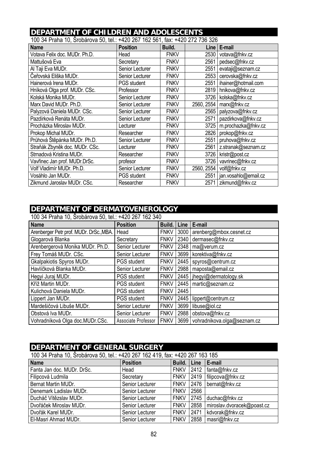# **DEPARTMENT OF CHILDREN AND ADOLESCENTS**<br>100.34 Praba 10, Šrabárova 50, tol : 1420.367.162.561, fox: 1420.272.736.326

| TUU 34 PTANA TU, STODATOVA 50, 101.: +420 207 TOZ 50T, 1AX. +420 272 730 320 |                    |             |            |                      |  |  |  |
|------------------------------------------------------------------------------|--------------------|-------------|------------|----------------------|--|--|--|
| <b>Name</b>                                                                  | <b>Position</b>    | Build.      | Line l     | E-mail               |  |  |  |
| Votava Felix doc. MUDr. Ph.D.                                                | Head               | <b>FNKV</b> | 2530       | votava@fnkv.cz       |  |  |  |
| Mattušová Eva                                                                | Secretary          | <b>FNKV</b> | 2561       | pedsec@fnkv.cz       |  |  |  |
| Al Taji Eva MUDr.                                                            | Senior Lecturer    | <b>FNKV</b> | 2551       | evataji@seznam.cz    |  |  |  |
| Čeřovská Eliška MUDr.                                                        | Senior Lecturer    | <b>FNKV</b> | 2553       | cerovska@fnkv.cz     |  |  |  |
| Hainerová Irena MUDr.                                                        | <b>PGS</b> student | <b>FNKV</b> | 2551       | ihainer@hotmail.com  |  |  |  |
| Hníková Olga prof. MUDr. CSc.                                                | Professor          | <b>FNKV</b> | 2819       | hnikova@fnkv.cz      |  |  |  |
| Kolská Monika MUDr.                                                          | Senior Lecturer    | <b>FNKV</b> | 3726       | kolska@fnkv.cz       |  |  |  |
| Marx David MUDr. Ph.D.                                                       | Senior Lecturer    | <b>FNKV</b> | 2560, 2554 | marx@fnkv.cz         |  |  |  |
| Palyzová Daniela MUDr. CSc.                                                  | Senior Lecturer    | <b>FNKV</b> | 2565       | palyzova@fnkv.cz     |  |  |  |
| Pazdírková Renáta MUDr.                                                      | Senior Lecturer    | <b>FNKV</b> | 2571       | pazdirkova@fnkv.cz   |  |  |  |
| Procházka Miroslav MUDr.                                                     | Lecturer           | <b>FNKV</b> | 3725       | m.prochazka@fnkv.cz  |  |  |  |
| Prokop Michal MUDr.                                                          | Researcher         | <b>FNKV</b> | 2826       | prokop@fnkv.cz       |  |  |  |
| Průhová Štěpánka MUDr. Ph.D.                                                 | Senior Lecturer    | <b>FNKV</b> | 2551       | pruhova@fnkv.cz      |  |  |  |
| Straňák Zbyněk doc. MUDr. CSc.                                               | Lecturer           | <b>FNKV</b> | 2561       | z.stranak@seznam.cz  |  |  |  |
| Strnadová Kristina MUDr.                                                     | Researcher         | <b>FNKV</b> | 3726       | kristr@post.cz       |  |  |  |
| Vavřinec Jan prof. MUDr.DrSc.                                                | profesor           | <b>FNKV</b> | 3726       | vavrinec@fnkv.cz     |  |  |  |
| Volf Vladimír MUDr. Ph.D.                                                    | Senior Lecturer    | <b>FNKV</b> | 2560, 2554 | volf@fnkv.cz         |  |  |  |
| Vosáhlo Jan MUDr.                                                            | PGS student        | <b>FNKV</b> | 2551       | jan.vosahlo@email.cz |  |  |  |
| Zikmund Jaroslav MUDr. CSc.                                                  | Researcher         | <b>FNKV</b> | 2571       | zikmund@fnkv.cz      |  |  |  |

100 34 Praha 10, Šrobárova 50, tel.: +420 267 162 561, fax: +420 272 736 326

#### **DEPARTMENT OF DERMATOVENEROLOGY**

100 34 Praha 10, Šrobárova 50, tel.: +420 267 162 340

| $1000$ of Trangello, Orobarova 00, ton. The Eq. To Eq. 1970<br><b>Name</b> | <b>Position</b>     | Build.      | Line | E-mail                       |
|----------------------------------------------------------------------------|---------------------|-------------|------|------------------------------|
| Arenberger Petr prof. MUDr. DrSc., MBA.                                    | Head                | <b>FNKV</b> | 3000 | arenberg@mbox.cesnet.cz      |
| Glogarová Blanka                                                           | Secretary           | <b>FNKV</b> | 2340 | dermasec@fnkv.cz             |
| Arenbergerová Monika MUDr. Ph.D.                                           | Senior Lecturer     | <b>FNKV</b> | 2348 | ma@verum.cz                  |
| Frey Tomáš MUDr. CSc.                                                      | Senior Lecturer     | <b>FNKV</b> | 3699 | korektiva@fnkv.cz            |
| <b>Gkalpakiotis Spyros MUDr.</b>                                           | <b>PGS</b> student  | <b>FNKV</b> | 2445 | spyros@centrum.cz            |
| Havlíčková Blanka MUDr.                                                    | Senior Lecturer     | <b>FNKV</b> | 2988 | maposta@email.cz             |
| Hegyi Juraj MUDr.                                                          | <b>PGS</b> student  | <b>FNKV</b> |      | 2445   jhegyi@dermatology.sk |
| Kříž Martin MUDr.                                                          | <b>PGS</b> student  | <b>FNKV</b> | 2445 | martic@seznam.cz             |
| Kulichová Daniela MUDr.                                                    | <b>PGS</b> student  | <b>FNKV</b> | 2445 |                              |
| Lippert Jan MUDr.                                                          | <b>PGS</b> student  | <b>FNKV</b> | 2445 | lippert@centrum.cz           |
| Mardešičová Libuše MUDr.                                                   | Senior Lecturer     | <b>FNKV</b> | 3699 | libuse@iol.cz                |
| Obstová Iva MUDr.                                                          | Senior Lecturer     | <b>FNKV</b> | 2988 | obstova@fnkv.cz              |
| Vohradníková Olga doc. MUDr. CSc.                                          | Associate Professor | <b>FNKV</b> | 3699 | vohradnikova.olga@seznam.cz  |

#### **DEPARTMENT OF GENERAL SURGERY**

| 100 34 Praha 10, Šrobárova 50, tel.: +420 267 162 419, fax: +420 267 163 185 |                 |             |      |                            |  |  |  |
|------------------------------------------------------------------------------|-----------------|-------------|------|----------------------------|--|--|--|
| <b>Name</b>                                                                  | <b>Position</b> | Build.      | Line | E-mail                     |  |  |  |
| Fanta Jan doc. MUDr. DrSc.                                                   | Head            | <b>FNKV</b> | 2412 | fanta@fnkv.cz              |  |  |  |
| Filipcová Ludmila                                                            | Secretary       | <b>FNKV</b> | 2419 | filipcova@fnkv.cz          |  |  |  |
| Bernat Martin MUDr.                                                          | Senior Lecturer | <b>FNKV</b> | 2476 | bernat@fnkv.cz             |  |  |  |
| Denemark Ladislav MUDr.                                                      | Senior Lecturer | <b>FNKV</b> | 2566 |                            |  |  |  |
| Ducháč Vítězslav MUDr.                                                       | Senior Lecturer | <b>FNKV</b> | 2745 | duchac@fnkv.cz             |  |  |  |
| Dvořáček Miroslav MUDr.                                                      | Senior Lecturer | <b>FNKV</b> | 2858 | miroslav.dvoracek@poast.cz |  |  |  |
| Dvořák Karel MUDr.                                                           | Senior Lecturer | <b>FNKV</b> | 2471 | kdvorak@fnkv.cz            |  |  |  |
| El-Masri Ahmad MUDr.                                                         | Senior Lecturer | <b>FNKV</b> | 2858 | masri@fnkv.cz              |  |  |  |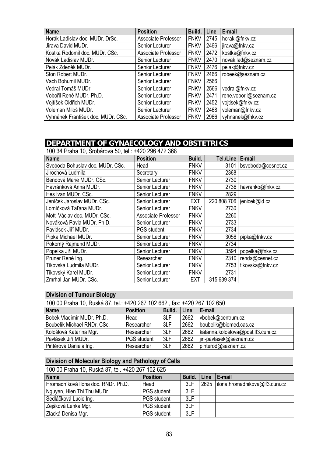| <b>Name</b>                        | <b>Position</b>     | Build.      | Line | E-mail                 |
|------------------------------------|---------------------|-------------|------|------------------------|
| Horák Ladislav doc. MUDr. DrSc.    | Associate Professor | <b>FNKV</b> | 2745 | horakl@fnkv.cz         |
| Jirava David MUDr.                 | Senior Lecturer     | <b>FNKV</b> | 2466 | jirava@fnkv.cz         |
| Kostka Rodomil doc. MUDr. CSc.     | Associate Professor | <b>FNKV</b> | 2472 | kostka@fnkv.cz         |
| Novák Ladislav MUDr.               | Senior Lecturer     | <b>FNKV</b> | 2470 | novak.lad@seznam.cz    |
| Pelák Zdeněk MUDr.                 | Senior Lecturer     | <b>FNKV</b> | 2476 | pelak@fnkv.cz          |
| Ston Robert MUDr.                  | Senior Lecturer     | <b>FNKV</b> | 2466 | robeek@seznam.cz       |
| Vach Bohumil MUDr.                 | Senior Lecturer     | <b>FNKV</b> | 2566 |                        |
| Vedral Tomáš MUDr.                 | Senior Lecturer     | <b>FNKV</b> | 2566 | vedral@fnkv.cz         |
| Vobořil René MUDr. Ph.D.           | Senior Lecturer     | <b>FNKV</b> | 2471 | rene.voboril@seznam.cz |
| Vojtíšek Oldřich MUDr.             | Senior Lecturer     | <b>FNKV</b> | 2452 | vojtisek@fnkv.cz       |
| Voleman Miloš MUDr.                | Senior Lecturer     | <b>FNKV</b> | 2468 | voleman@fnkv.cz        |
| Vyhnánek František doc. MUDr. CSc. | Associate Professor | <b>FNKV</b> | 2966 | vyhnanek@fnkv.cz       |

#### **DEPARTMENT OF GYNAECOLOGY AND OBSTETRICS**

100 34 Praha 10, Šrobárova 50, tel.: +420 296 472 368

| <b>Name</b>                      | <b>Position</b>        | Build.      | Tel./Line   | E-mail             |
|----------------------------------|------------------------|-------------|-------------|--------------------|
| Svoboda Bohuslav doc. MUDr. CSc. | Head                   | <b>FNKV</b> | 3101        | bsvoboda@cesnet.cz |
| Jirochová Ludmila                | Secretary              | <b>FNKV</b> | 2368        |                    |
| Bendová Marie MUDr. CSc.         | <b>Senior Lecturer</b> | <b>FNKV</b> | 2730        |                    |
| Havránková Anna MUDr.            | Senior Lecturer        | <b>FNKV</b> | 2736        | havranko@fnkv.cz   |
| Hes Ivan MUDr. CSc.              | Senior Lecturer        | <b>FNKV</b> | 2829        |                    |
| Jeníček Jaroslav MUDr. CSc.      | Senior Lecturer        | <b>EXT</b>  | 220 808 706 | jenicek@ld.cz      |
| Lomíčková Taťána MUDr.           | Senior Lecturer        | <b>FNKV</b> | 2730        |                    |
| Mottl Václav doc. MUDr. CSc.     | Associate Professor    | <b>FNKV</b> | 2260        |                    |
| Nováková Pavla MUDr. Ph.D.       | Senior Lecturer        | <b>FNKV</b> | 2733        |                    |
| Pavlásek Jiří MUDr.              | PGS student            | <b>FNKV</b> | 2734        |                    |
| Pipka Michael MUDr.              | Senior Lecturer        | <b>FNKV</b> | 3056        | pipka@fnkv.cz      |
| Pokorný Rajmund MUDr.            | Senior Lecturer        | <b>FNKV</b> | 2734        |                    |
| Popelka Jiří MUDr.               | Senior Lecturer        | <b>FNKV</b> | 3594        | popelka@fnkv.cz    |
| Pruner René Ing.                 | Researcher             | <b>FNKV</b> | 2310        | renda@cesnet.cz    |
| Tikovská Ludmila MUDr.           | Senior Lecturer        | <b>FNKV</b> | 2753        | tikovska@fnkv.cz   |
| Tikovský Karel MUDr.             | Senior Lecturer        | <b>FNKV</b> | 2731        |                    |
| Zmrhal Jan MUDr. CSc.            | <b>Senior Lecturer</b> | <b>EXT</b>  | 315 639 374 |                    |

#### **Division of Tumour Biology**

| 100 00 Praha 10, Ruská 87, tel.: +420 267 102 662, fax: +420 267 102 650 |                    |        |      |                                     |  |
|--------------------------------------------------------------------------|--------------------|--------|------|-------------------------------------|--|
| <b>Name</b>                                                              | <b>Position</b>    | Build. | Line | E-mail                              |  |
| Bobek Vladimír MUDr. Ph.D.                                               | Head               | 3LF    | 2662 | vbobek@centrum.cz                   |  |
| Boubelik Michael RNDr. CSc.                                              | Researcher         | 3LF    | 2662 | boubelik@biomed.cas.cz              |  |
| Kološtová Katarína Mgr.                                                  | Researcher         | 3LF    | 2662 | katarina.kolostova@post.lf3.cuni.cz |  |
| Pavlásek Jiří MUDr.                                                      | <b>PGS</b> student | 3LF    | 2662 | iiri-pavlasek@seznam.cz             |  |
| Pintěrová Daniela Ing.                                                   | Researcher         | 3LF    | 2662 | pinterod@seznam.cz                  |  |

#### **Division of Molecular Biology and Pathology of Cells**

| 100 00 Praha 10, Ruská 87, tel. +420 267 102 625 |                    |        |      |                                       |  |  |
|--------------------------------------------------|--------------------|--------|------|---------------------------------------|--|--|
| <b>Name</b>                                      | <b>Position</b>    | Build. | Line | E-mail                                |  |  |
| Hromadníková Ilona doc. RNDr. Ph.D.              | Head               | 3LF    |      | 2625   ilona.hromadnikova@lf3.cuni.cz |  |  |
| Nguyen, Hien Thi Thu MUDr.                       | <b>PGS</b> student | 3LF    |      |                                       |  |  |
| Sedláčková Lucie Ing.                            | PGS student        | 3LF    |      |                                       |  |  |
| Žejšková Lenka Mgr.                              | <b>PGS</b> student | 3LF    |      |                                       |  |  |
| Zlacká Denisa Mgr.                               | <b>PGS</b> student | 3LF    |      |                                       |  |  |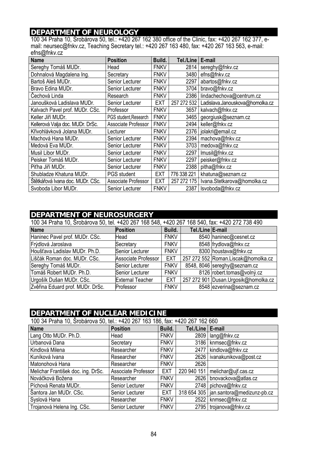### **DEPARTMENT OF NEUROLOGY**

100 34 Praha 10, Šrobárova 50, tel.: +420 267 162 380 office of the Clinic, fax: +420 267 162 377, email: neursec@fnkv.cz, Teaching Secretary tel.: +420 267 163 480, fax: +420 267 163 563, e-mail: efns@fnkv.cz

| <b>Name</b>                      | <b>Position</b>        | Build.      | Tel./Line   | E-mail                                    |
|----------------------------------|------------------------|-------------|-------------|-------------------------------------------|
| Sereghy Tomáš MUDr.              | Head                   | <b>FNKV</b> |             | 2814   sereghy@fnkv.cz                    |
| Dohnalová Magdalena Ing.         | Secretary              | <b>FNKV</b> | 3480        | efns@fnkv.cz                              |
| Bartoš Aleš MUDr.                | Senior Lecturer        | <b>FNKV</b> | 2297        | abartos@fnkv.cz                           |
| Bravo Edina MUDr.                | Senior Lecturer        | <b>FNKV</b> | 3704        | bravo@fnkv.cz                             |
| Čechová Linda                    | Research               | <b>FNKV</b> | 2386        | lindachechova@centrum.cz                  |
| Janoušková Ladislava MUDr.       | Senior Lecturer        | EXT         | 257 272 532 | Ladislava.Janouskova@homolka.cz           |
| Kalvach Pavel prof. MUDr. CSc.   | Professor              | <b>FNKV</b> | 3657        | kalvach@fnkv.cz                           |
| Keller Jiří MUDr.                | PGS student, Research  | <b>FNKV</b> |             | 3465   georgiusk@seznam.cz                |
| Kellerová Valja doc. MUDr. DrSc. | Associate Professor    | <b>FNKV</b> | 2494        | keller@fnkv.cz                            |
| Křivohlávková Jolana MUDr.       | Lecturer               | <b>FNKV</b> |             | 2376   jolakri@email.cz                   |
| Machová Hana MUDr.               | Senior Lecturer        | <b>FNKV</b> | 2394        | machova@fnkv.cz                           |
| Medová Eva MUDr.                 | Senior Lecturer        | <b>FNKV</b> | 3703        | medova@fnkv.cz                            |
| Musil Libor MUDr.                | <b>Senior Lecturer</b> | <b>FNKV</b> | 2297        | Imusil@fnkv.cz                            |
| Peisker Tomáš MUDr.              | Senior Lecturer        | <b>FNKV</b> | 2297        | peisker@fnkv.cz                           |
| Piťha Jiří MUDr.                 | Senior Lecturer        | <b>FNKV</b> | 2388        | pitha@fnkv.cz                             |
| Shubladze Khatuna MUDr.          | <b>PGS</b> student     | <b>EXT</b>  | 776 338 221 | khatuna@seznam.cz                         |
| Štětkářová Ivana doc. MUDr. CSc. | Associate Professor    | <b>EXT</b>  |             | 257 272 175   Ivana.Stetkarova@homolka.cz |
| Svoboda Libor MUDr.              | Senior Lecturer        | <b>FNKV</b> | 2387        | Isvoboda@fnkv.cz                          |

#### **DEPARTMENT OF NEUROSURGERY**

| 100 34 Praha 10, Šrobárova 50, tel. +420 267 168 548, +420 267 168 540, fax: +420 272 738 490 |                         |             |                  |                                       |  |  |
|-----------------------------------------------------------------------------------------------|-------------------------|-------------|------------------|---------------------------------------|--|--|
| <b>Name</b>                                                                                   | <b>Position</b>         | Build.      | Tel./Line E-mail |                                       |  |  |
| Haninec Pavel prof. MUDr. CSc.                                                                | Head                    | <b>FNKV</b> |                  | 8540 haninec@cesnet.cz                |  |  |
| Frýdlová Jaroslava                                                                            | Secretary               | <b>FNKV</b> |                  | 8548 frydlova@fnkv.cz                 |  |  |
| Houšťava Ladislav MUDr. Ph.D.                                                                 | Senior Lecturer         | <b>FNKV</b> |                  | 8300 houstava@fnkv.cz                 |  |  |
| Liščák Roman doc. MUDr. CSc.                                                                  | Associate Professor     | EXT         |                  | 257 272 552 Roman.Liscak@homolka.cz   |  |  |
| Sereghy Tomáš MUDr.                                                                           | Senior Lecturer         | <b>FNKV</b> |                  | 8548, 8046 sereghy@seznam.cz          |  |  |
| Tomáš Robert MUDr. Ph.D.                                                                      | Senior Lecturer         | <b>FNKV</b> |                  | 8126 robert.tomas@volný.cz            |  |  |
| Urgošík Dušan MUDr. CSc.                                                                      | <b>External Teacher</b> | <b>EXT</b>  |                  | 257 272 901 Dusan. Urgosik@homolka.cz |  |  |
| Zvěřina Eduard prof. MUDr. DrSc.                                                              | Professor               | <b>FNKV</b> |                  | 8548 ezverina@seznam.cz               |  |  |

# **DEPARTMENT OF NUCLEAR MEDICINE**

| 100 34 Praha 10, Srobárova 50, tel.: +420 267 163 186, fax: +420 267 162 660 |                     |             |                    |                                          |  |  |  |
|------------------------------------------------------------------------------|---------------------|-------------|--------------------|------------------------------------------|--|--|--|
| <b>Name</b>                                                                  | <b>Position</b>     | Build.      | Tel./Line   E-mail |                                          |  |  |  |
| Lang Otto MUDr. Ph.D.                                                        | Head                | <b>FNKV</b> |                    | 2809   lang@fnkv.cz                      |  |  |  |
| Urbanová Dana                                                                | Secretary           | <b>FNKV</b> |                    | 3186   knmsec@fnkv.cz                    |  |  |  |
| Kindlová Milena                                                              | Researcher          | <b>FNKV</b> | 2477               | kindlova@fnkv.cz                         |  |  |  |
| Kuníková Ivana                                                               | Researcher          | <b>FNKV</b> |                    | 2626   ivanakunikova@post.cz             |  |  |  |
| Matonohová Hana                                                              | Researcher          | <b>FNKV</b> | 2626               |                                          |  |  |  |
| Melichar František doc. ing. DrSc.                                           | Associate Professor | <b>EXT</b>  | 220 940 151        | melichar@ujf.cas.cz                      |  |  |  |
| Nováčková Božena                                                             | Researcher          | <b>FNKV</b> |                    | 2626   bnovackova@atlas.cz               |  |  |  |
| Píchová Renata MUDr.                                                         | Senior Lecturer     | <b>FNKV</b> | 2748               | pichova@fnkv.cz                          |  |  |  |
| Šantora Jan MUDr. CSc.                                                       | Senior Lecturer     | <b>EXT</b>  |                    | 318 654 305   jan.santora@medizunz-pb.cz |  |  |  |
| Syslová Hana                                                                 | Researcher          | <b>FNKV</b> | 2522               | knmsec@fnkv.cz                           |  |  |  |
| Trojanová Helena Ing. CSc.                                                   | Senior Lecturer     | <b>FNKV</b> |                    | 2795   trojanova@fnkv.cz                 |  |  |  |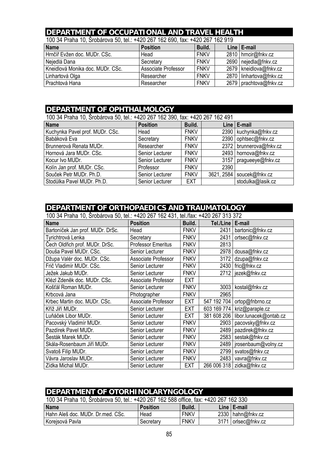# **DEPARTMENT OF OCCUPATIONAL AND TRAVEL HEALTH**

|  |  | 100 34 Praha 10, Šrobárova 50, tel.: +420 267 162 690, fax: +420 267 162 919 |  |  |
|--|--|------------------------------------------------------------------------------|--|--|
|--|--|------------------------------------------------------------------------------|--|--|

| $1000$ or $11100$ $1000$ or $0000$ or $0000$ . The $1000$ $1000$ $1000$ $1000$ $1000$ $1000$ |                     |             |  |                          |  |  |  |
|----------------------------------------------------------------------------------------------|---------------------|-------------|--|--------------------------|--|--|--|
| <b>Name</b>                                                                                  | <b>Position</b>     | Build.      |  | Line $E$ -mail           |  |  |  |
| Hrnčíř Evžen doc. MUDr. CSc.                                                                 | Head                | <b>FNKV</b> |  | 2810   hrncir@fnkv.cz    |  |  |  |
| Nejedlá Dana                                                                                 | Secretary           | <b>FNKV</b> |  | 2690   nejedla@fnkv.cz   |  |  |  |
| Kneidlová Monika doc. MUDr. CSc.                                                             | Associate Professor | <b>FNKV</b> |  | 2679   kneidlova@fnkv.cz |  |  |  |
| Linhartová Olga                                                                              | Researcher          | <b>FNKV</b> |  | 2870 linhartova@fnkv.cz  |  |  |  |
| Prachtová Hana                                                                               | Researcher          | <b>FNKV</b> |  | 2679   prachtova@fnkv.cz |  |  |  |

#### **DEPARTMENT OF OPHTHALMOLOGY**

| 100 34 Praha 10, Šrobárova 50, tel.: +420 267 162 390, fax: +420 267 162 491 |                 |             |      |                             |  |
|------------------------------------------------------------------------------|-----------------|-------------|------|-----------------------------|--|
| <b>Name</b>                                                                  | <b>Position</b> | Build.      |      | Line $E$ -mail              |  |
| Kuchynka Pavel prof. MUDr. CSc.                                              | Head            | <b>FNKV</b> |      | 2390   kuchynka@fnkv.cz     |  |
| Babáková Eva                                                                 | Secretary       | <b>FNKV</b> |      | 2390 ophtsec@fnkv.cz        |  |
| Brunnerová Renata MUDr.                                                      | Researcher      | <b>FNKV</b> |      | 2372   brunnerova@fnkv.cz   |  |
| Hornová Jara MUDr. CSc.                                                      | Senior Lecturer | <b>FNKV</b> |      | 2493   hornova@fnkv.cz      |  |
| Kocur Ivo MUDr.                                                              | Senior Lecturer | <b>FNKV</b> |      | 3157   pragueeye@fnkv.cz    |  |
| Kolín Jan prof. MUDr. CSc.                                                   | Professor       | <b>FNKV</b> | 2390 |                             |  |
| Souček Petr MUDr. Ph.D.                                                      | Senior Lecturer | <b>FNKV</b> |      | 3621, 2584   soucek@fnkv.cz |  |
| Stodůlka Pavel MUDr. Ph.D.                                                   | Senior Lecturer | <b>EXT</b>  |      | stodulka@lasik.cz           |  |

#### **DEPARTMENT OF ORTHOPAEDICS AND TRAUMATOLOGY**

100 34 Praha 10, Šrobárova 50, tel.: +420 267 162 431, tel./fax: +420 267 313 372

| $50.11$ . $60.100$ . $60.90$ $60.10$ . $60.11$<br><b>Name</b> | <b>Position</b>           | Build.      | Tel./Line   E-mail |                               |
|---------------------------------------------------------------|---------------------------|-------------|--------------------|-------------------------------|
| Bartoníček Jan prof. MUDr. DrSc.                              | Head                      | <b>FNKV</b> | 2431               | bartonic@fnkv.cz              |
| Tyrichtrová Lenka                                             | Secretary                 | <b>FNKV</b> | 2431               | ortsec@fnkv.cz                |
| Čech Oldřich prof. MUDr. DrSc.                                | <b>Professor Emeritus</b> | <b>FNKV</b> | 2813               |                               |
| Douša Pavel MUDr. CSc.                                        | Senior Lecturer           | <b>FNKV</b> | 2978               | dousa@fnkv.cz                 |
| Džupa Valér doc. MUDr. CSc.                                   | Associate Professor       | <b>FNKV</b> | 3172               | dzupa@fnkv.cz                 |
| Frič Vladimír MUDr. CSc.                                      | Senior Lecturer           | <b>FNKV</b> |                    | 2430   fric@fnkv.cz           |
| Ježek Jakub MUDr.                                             | Senior Lecturer           | <b>FNKV</b> |                    | 2712   jezek@fnkv.cz          |
| Klézl Zdeněk doc. MUDr. CSc.                                  | Associate Professor       | <b>EXT</b>  |                    |                               |
| Košťál Roman MUDr.                                            | Senior Lecturer           | <b>FNKV</b> | 3003               | kostal@fnkv.cz                |
| Krbcová Jana                                                  | Photographer              | <b>FNKV</b> | 2965               |                               |
| Krbec Martin doc. MUDr. CSc.                                  | Associate Professor       | EXT         | 547 192 704        | ortop@fnbrno.cz               |
| Kříž Jiří MUDr.                                               | Senior Lecturer           | EXT         |                    | 603 169 774   kriz@paraple.cz |
| Luňáček Libor MUDr.                                           | Senior Lecturer           | <b>EXT</b>  | 381 608 206        | libor.lunacek@ontab.cz        |
| Pacovský Vladimír MUDr.                                       | Senior Lecturer           | <b>FNKV</b> | 2903               | pacovsky@fnkv.cz              |
| Pazdírek Pavel MUDr.                                          | Senior Lecturer           | <b>FNKV</b> | 2489               | pazdirek@fnkv.cz              |
| Šesták Marek MUDr.                                            | Senior Lecturer           | <b>FNKV</b> | 2583               | sestak@fnkv.cz                |
| Skála-Rosenbaum Jiří MUDr.                                    | Senior Lecturer           | <b>FNKV</b> | 2489               | jrosenbaum@volny.cz           |
| Svatoš Filip MUDr.                                            | Senior Lecturer           | <b>FNKV</b> | 2799               | svatos@fnkv.cz                |
| Vávra Jaroslav MUDr.                                          | Senior Lecturer           | <b>FNKV</b> | 2483               | vavra@fnkv.cz                 |
| Zídka Michal MUDr.                                            | Senior Lecturer           | EXT         |                    | 266 006 318   zidka@fnkv.cz   |

#### **DEPARTMENT OF OTORHINOLARYNGOLOGY**

100 34 Praha 10, Šrobárova 50, tel.: +420 267 162 588 office, fax: +420 267 162 330

| <b>Name</b>                       | <b>Position</b> | <sup>1</sup> Build. | Line   E-mail         |
|-----------------------------------|-----------------|---------------------|-----------------------|
| Hahn Aleš doc. MUDr. Dr.med. CSc. | Head            | <b>FNKV</b>         | 2330   hahn@fnkv.cz   |
| Korejsová Pavla                   | Secretary       | <b>FNKV</b>         | 3171   orlsec@fnkv.cz |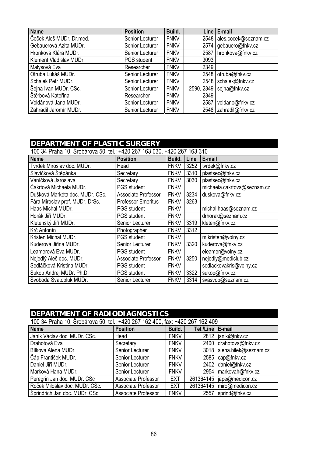| <b>Name</b>              | <b>Position</b>    | Build.      |      | Line   E-mail              |
|--------------------------|--------------------|-------------|------|----------------------------|
| Čoček Aleš MUDr. Dr.med. | Senior Lecturer    | <b>FNKV</b> |      | 2548 ales.cocek@seznam.cz  |
| Gebauerová Azita MUDr.   | Senior Lecturer    | <b>FNKV</b> |      | 2574 gebauero@fnkv.cz      |
| Hronková Klára MUDr.     | Senior Lecturer    | <b>FNKV</b> |      | 2587   hronkova@fnkv.cz    |
| Klement Vladislav MUDr.  | <b>PGS</b> student | <b>FNKV</b> | 3093 |                            |
| Malysová Eva             | Researcher         | <b>FNKV</b> | 2349 |                            |
| Otruba Lukáš MUDr.       | Senior Lecturer    | <b>FNKV</b> | 2548 | otruba@fnkv.cz             |
| Schalek Petr MUDr.       | Senior Lecturer    | <b>FNKV</b> |      | 2548   schalek@fnkv.cz     |
| Šejna Ivan MUDr. CSc.    | Senior Lecturer    | <b>FNKV</b> |      | 2590, 2349   sejna@fnkv.cz |
| Štěrbová Kateřina        | Researcher         | <b>FNKV</b> | 2349 |                            |
| Voldánová Jana MUDr.     | Senior Lecturer    | <b>FNKV</b> | 2587 | voldano@fnkv.cz            |
| Zahradil Jaromír MUDr.   | Senior Lecturer    | <b>FNKV</b> |      | 2548 zahradil@fnkv.cz      |

# **DEPARTMENT OF PLASTIC SURGERY**

| 100 34 Praha 10, Šrobárova 50, tel.: +420 267 163 030, +420 267 163 310 |                            |             |      |                             |  |
|-------------------------------------------------------------------------|----------------------------|-------------|------|-----------------------------|--|
| <b>Name</b>                                                             | <b>Position</b>            | Build.      | Line | E-mail                      |  |
| Tyrdek Miroslav doc. MUDr.                                              | Head                       | <b>FNKV</b> | 3252 | tvrdek@fnkv.cz              |  |
| Slavíčková Štěpánka                                                     | Secretary                  | <b>FNKV</b> | 3310 | plastsec@fnkv.cz            |  |
| Vaníčková Jaroslava                                                     | Secretary                  | <b>FNKV</b> | 3030 | plastsec@fnkv.cz            |  |
| Čakrtová Michaela MUDr.                                                 | PGS student                | <b>FNKV</b> |      | michaela.cakrtova@seznam.cz |  |
| Dušková Markéta doc. MUDr. CSc.                                         | Associate Professor        | <b>FNKV</b> | 3234 | duskova@fnkv.cz             |  |
| Fára Miroslav prof. MUDr. DrSc.                                         | <b>Professor Emeritus</b>  | <b>FNKV</b> | 3263 |                             |  |
| Haas Michal MUDr.                                                       | <b>PGS</b> student         | <b>FNKV</b> |      | michal.haas@seznam.cz       |  |
| Horák Jiří MUDr.                                                        | <b>PGS</b> student         | <b>FNKV</b> |      | drhorak@seznam.cz           |  |
| Kletenský Jiří MUDr.                                                    | Senior Lecturer            | <b>FNKV</b> | 3319 | kleten@fnkv.cz              |  |
| Krč Antonín                                                             | Photographer               | <b>FNKV</b> | 3312 |                             |  |
| Kristen Michal MUDr.                                                    | <b>PGS</b> student         | <b>FNKV</b> |      | m.kristen@volny.cz          |  |
| Kuderová Jiřina MUDr.                                                   | Senior Lecturer            | <b>FNKV</b> | 3320 | kuderova@fnkv.cz            |  |
| Leamerová Eva MUDr.                                                     | <b>PGS</b> student         | <b>FNKV</b> |      | eleamer@volny.cz            |  |
| Nejedlý Aleš doc. MUDr.                                                 | <b>Associate Professor</b> | <b>FNKV</b> | 3250 | nejedly@mediclub.cz         |  |
| Sedláčková Kristina MUDr.                                               | <b>PGS</b> student         | <b>FNKV</b> |      | sedlackovakris@volny.cz     |  |
| Sukop Andrej MUDr. Ph.D.                                                | <b>PGS</b> student         | <b>FNKV</b> | 3322 | sukop@fnkv.cz               |  |
| Svoboda Svatopluk MUDr.                                                 | Senior Lecturer            | <b>FNKV</b> | 3314 | svasvob@seznam.cz           |  |

| <b>DEPARTMENT OF RADIODIAGNOSTICS</b><br>100 34 Praha 10, Šrobárova 50, tel.: +420 267 162 400, fax: +420 267 162 409 |                     |             |           |                             |  |  |
|-----------------------------------------------------------------------------------------------------------------------|---------------------|-------------|-----------|-----------------------------|--|--|
| <b>Position</b><br><b>Name</b><br>Build.<br>E-mail<br>Tel./Line                                                       |                     |             |           |                             |  |  |
| Janík Václav doc. MUDr. CSc.                                                                                          | Head                | <b>FNKV</b> | 2812      | janik@fnkv.cz               |  |  |
| Drahotová Eva                                                                                                         | Secretary           | <b>FNKV</b> | 2400      | drahotova@fnkv.cz           |  |  |
| Bílková Alena MUDr.                                                                                                   | Senior Lecturer     | <b>FNKV</b> | 3018      | alena.bilek@seznam.cz       |  |  |
| Čáp František MUDr.                                                                                                   | Senior Lecturer     | <b>FNKV</b> | 2585      | cap@fnkv.cz                 |  |  |
| Daniel Jiří MUDr.                                                                                                     | Senior Lecturer     | <b>FNKV</b> | 2402      | daniel@fnkv.cz              |  |  |
| Marková Hana MUDr.                                                                                                    | Senior Lecturer     | <b>FNKV</b> | 2954      | markovah@fnkv.cz            |  |  |
| Peregrin Jan doc. MUDr. CSc                                                                                           | Associate Professor | <b>EXT</b>  |           | 261364145   jape@medicon.cz |  |  |
| Roček Miloslav doc. MUDr. CSc.                                                                                        | Associate Professor | <b>EXT</b>  | 261364145 | miro@medicon.cz             |  |  |
| Šprindrich Jan doc. MUDr. CSc.                                                                                        | Associate Professor | <b>FNKV</b> | 2557      | sprind@fnkv.cz              |  |  |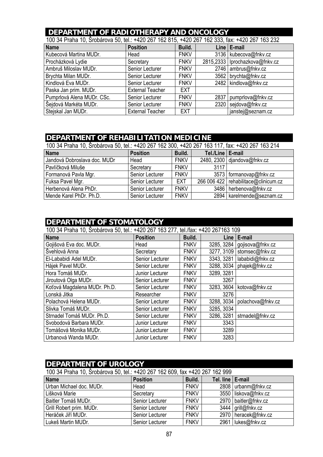# **DEPARTMENT OF RADIOTHERAPY AND ONCOLOGY**<br>100.34 Praba 10. Šrabárova 50. tol + 420.267.162.815. +420.267.162.333. fox:

| TUU 34 PTANA TU, STODATOVA 50, TEL.: +4ZU Z67 T6Z 8T5, +4ZU Z67 T6Z 333, TAX: +4ZU Z67 T63 Z3Z |                         |             |      |                                  |  |
|------------------------------------------------------------------------------------------------|-------------------------|-------------|------|----------------------------------|--|
| <b>Name</b>                                                                                    | <b>Position</b>         | Build.      |      | Line   E-mail                    |  |
| Kubecová Martina MUDr.                                                                         | Head                    | <b>FNKV</b> |      | 3136   kubecova@fnkv.cz          |  |
| Procházková Lydie                                                                              | Secretary               | <b>FNKV</b> |      | 2815,2333   lprochazkova@fnkv.cz |  |
| Ambruš Miloslav MUDr.                                                                          | Senior Lecturer         | <b>FNKV</b> | 2746 | ambrus@fnkv.cz                   |  |
| Brychta Milan MUDr.                                                                            | Senior Lecturer         | <b>FNKV</b> | 3562 | brychta@fnkv.cz                  |  |
| Kindlová Eva MUDr.                                                                             | Senior Lecturer         | <b>FNKV</b> |      | 2482   kindlova@fnkv.cz          |  |
| Paska Jan prim. MUDr.                                                                          | <b>External Teacher</b> | <b>EXT</b>  |      |                                  |  |
| Pumprlová Alena MUDr. CSc.                                                                     | Senior Lecturer         | <b>FNKV</b> | 2837 | pumprlova@fnkv.cz                |  |
| Šejdová Markéta MUDr.                                                                          | Senior Lecturer         | <b>FNKV</b> | 2320 | sejdova@fnkv.cz                  |  |
| Stejskal Jan MUDr.                                                                             | <b>External Teacher</b> | EXT         |      | janstej@seznam.cz                |  |

100 34 Praha 10, Šrobárova 50, tel.: +420 267 162 815, +420 267 162 333, fax: +420 267 163 232

# **DEPARTMENT OF REHABILITATION MEDICINE**

| 100 34 Praha 10, Šrobárova 50, tel.: +420 267 162 300, +420 267 163 117, fax: +420 267 163 214 |                 |             |                    |                                        |  |
|------------------------------------------------------------------------------------------------|-----------------|-------------|--------------------|----------------------------------------|--|
| <b>Name</b>                                                                                    | <b>Position</b> | Build.      | Tel./Line   E-mail |                                        |  |
| Jandová Dobroslava doc. MUDr                                                                   | Head            | <b>FNKV</b> |                    | 2480, 2300 djandova@fnkv.cz            |  |
| Pavlíčková Miluše                                                                              | Secretary       | <b>FNKV</b> | 3117               |                                        |  |
| Formanová Pavla Mgr.                                                                           | Senior Lecturer | <b>FNKV</b> |                    | 3573   formanovap@fnkv.cz              |  |
| Fuksa Pavel Mgr.                                                                               | Senior Lecturer | <b>EXT</b>  |                    | 266 006 422   rehabilitace@clinicum.cz |  |
| Herbenová Alena PhDr.                                                                          | Senior Lecturer | <b>FNKV</b> |                    | 3486   herbenova@fnkv.cz               |  |
| Mende Karel PhDr. Ph.D.                                                                        | Senior Lecturer | <b>FNKV</b> |                    | 2894   karelmende@seznam.cz            |  |

#### **DEPARTMENT OF STOMATOLOGY**

| 100 34 Praha 10, Šrobárova 50, tel.: +420 267 163 277, tel./fax: +420 267163 109 |                 |             |            |                               |
|----------------------------------------------------------------------------------|-----------------|-------------|------------|-------------------------------|
| <b>Name</b>                                                                      | <b>Position</b> | Build.      |            | Line $E$ -mail                |
| Gojišová Eva doc. MUDr.                                                          | Head            | <b>FNKV</b> | 3285, 3284 | gojisova@fnkv.cz              |
| Švehlová Anna                                                                    | Secretary       | <b>FNKV</b> | 3277, 3109 | stomsec@fnkv.cz               |
| El-Lababidi Adel MUDr.                                                           | Senior Lecturer | <b>FNKV</b> |            | 3343, 3281   lababidi@fnkv.cz |
| Hájek Pavel MUDr.                                                                | Senior Lecturer | <b>FNKV</b> |            | 3288, 3034   phajek@fnkv.cz   |
| Hora Tomáš MUDr.                                                                 | Junior Lecturer | <b>FNKV</b> | 3289, 3281 |                               |
| Jiroutová Olga MUDr.                                                             | Senior Lecturer | <b>FNKV</b> | 3267       |                               |
| Koťová Magdalena MUDr. Ph.D.                                                     | Senior Lecturer | <b>FNKV</b> | 3283, 3604 | kotova@fnkv.cz                |
| Lonská Jitka                                                                     | Researcher      | <b>FNKV</b> | 3276       |                               |
| Polachová Helena MUDr.                                                           | Senior Lecturer | <b>FNKV</b> | 3288, 3034 | polachova@fnkv.cz             |
| Slivka Tomáš MUDr.                                                               | Senior Lecturer | <b>FNKV</b> | 3285, 3034 |                               |
| Strnadel Tomáš MUDr. Ph.D.                                                       | Senior Lecturer | <b>FNKV</b> | 3286, 3281 | strnadel@fnkv.cz              |
| Svobodová Barbara MUDr.                                                          | Junior Lecturer | <b>FNKV</b> | 3343       |                               |
| Tomášová Monika MUDr.                                                            | Junior Lecturer | <b>FNKV</b> | 3289       |                               |
| Urbanová Wanda MUDr.                                                             | Junior Lecturer | <b>FNKV</b> | 3283       |                               |

| <b>DEPARTMENT OF UROLOGY</b>                                                |                 |             |  |                        |  |
|-----------------------------------------------------------------------------|-----------------|-------------|--|------------------------|--|
| 100 34 Praha 10, Šrobárova 50, tel.: +420 267 162 609, fax +420 267 162 999 |                 |             |  |                        |  |
| <b>Name</b><br>Build.<br>Tel. line   E-mail<br><b>Position</b>              |                 |             |  |                        |  |
| Urban Michael doc. MUDr.                                                    | Head            | <b>FNKV</b> |  | 2808   urbanm@fnkv.cz  |  |
| Lišková Marie                                                               | Secretary       | <b>FNKV</b> |  | 3550 liskova@fnkv.cz   |  |
| Baitler Tomáš MUDr.                                                         | Senior Lecturer | <b>FNKV</b> |  | 2970   baitler@fnkv.cz |  |
| Grill Robert prim. MUDr.                                                    | Senior Lecturer | <b>FNKV</b> |  | 3444 grill@fnkv.cz     |  |
| Heráček Jiří MUDr.                                                          | Senior Lecturer | <b>FNKV</b> |  | 2970   heracek@fnkv.cz |  |
| Lukeš Martin MUDr.                                                          | Senior Lecturer | <b>FNKV</b> |  | 2961 lukes@fnkv.cz     |  |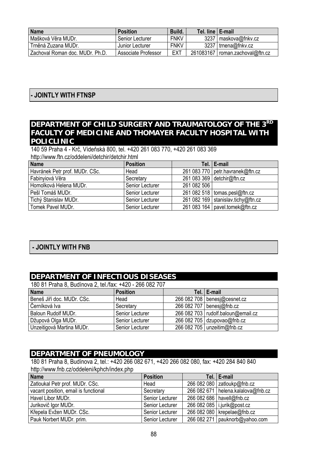| <b>Name</b>                     | <b>Position</b>     | Build.      | Tel. line   E-mail |                                   |
|---------------------------------|---------------------|-------------|--------------------|-----------------------------------|
| l Mašková Věra MUDr.            | Senior Lecturer     | <b>FNKV</b> |                    | 3237   maskova@fnkv.cz            |
| Trněná Zuzana MUDr.             | Junior Lecturer     | <b>FNKV</b> |                    | 3237   trnena@fnkv.cz             |
| Zachoval Roman doc. MUDr. Ph.D. | Associate Professor | EXT         |                    | 261083167   roman.zachoval@ftn.cz |

#### **- JOINTLY WITH FTNSP**

#### **DEPARTMENT OF CHILD SURGERY AND TRAUMATOLOGY OF THE 3RD FACULTY OF MEDICINE AND THOMAYER FACULTY HOSPITAL WITH POLICLINIC**

140 59 Praha 4 - Krč, Vídeňská 800, tel. +420 261 083 770, +420 261 083 369 http://www.ftn.cz/oddeleni/detchir/detchir.html

| <b>Name</b>                    | <b>Position</b> |             | Tel.   E-mail                        |  |  |
|--------------------------------|-----------------|-------------|--------------------------------------|--|--|
| Havránek Petr prof. MUDr. CSc. | Head            |             | 261 083 770   petr.havranek@ftn.cz   |  |  |
| Fabinyiová Věra                | Secretary       |             | 261 083 369 detchir@ftn.cz           |  |  |
| Homolková Helena MUDr.         | Senior Lecturer | 261 082 506 |                                      |  |  |
| Pešl Tomáš MUDr.               | Senior Lecturer |             | 261 082 518   tomas.pesi@ftn.cz      |  |  |
| Tichý Stanislav MUDr.          | Senior Lecturer |             | 261 082 169   stanislav.tichy@ftn.cz |  |  |
| Tomek Pavel MUDr.              | Senior Lecturer |             | 261 083 164   pavel.tomek@ftn.cz     |  |  |

#### **- JOINTLY WITH FNB**

#### **DEPARTMENT OF INFECTIOUS DISEASES**

180 81 Praha 8, Budínova 2, tel./fax: +420 - 266 082 707

| Name                       | <b>Position</b> | Tel.   E-mail                        |
|----------------------------|-----------------|--------------------------------------|
| Beneš Jiří doc. MUDr. CSc. | Head            | 266 082 708   benesj@cesnet.cz       |
| Černíková Iva              | Secretary       | 266 082 707   benesj@fnb.cz          |
| Baloun Rudolf MUDr.        | Senior Lecturer | 266 082 703   rudolf.baloun@email.cz |
| Džupová Olga MUDr.         | Senior Lecturer | 266 082 705 dzupovao@fnb.cz          |
| Unzeitigová Martina MUDr.  | Senior Lecturer | 266 082 705   unzeitim@fnb.cz        |

#### **DEPARTMENT OF PNEUMOLOGY**

180 81 Praha 8, Budínova 2, tel.: +420 266 082 671, +420 266 082 080, fax: +420 284 840 840 http://www.fnb.cz/oddeleni/kphch/index.php

| <b>Name</b>                          | <b>Position</b> | Tel.   E-mail                        |
|--------------------------------------|-----------------|--------------------------------------|
| Zatloukal Petr prof. MUDr. CSc.      | Head            | 266 082 080 $z$ atloukp@fnb.cz       |
| vacant position, email is functional | Secretary       | 266 082 671   helena.kalalova@fnb.cz |
| Havel Libor MUDr.                    | Senior Lecturer | 266 082 686   havell@fnb.cz          |
| Jurikovič Igor MUDr.                 | Senior Lecturer | 266 082 085   i.jurik@post.cz        |
| Křepela Evžen MUDr. CSc.             | Senior Lecturer | 266 082 080   krepelae@fnb.cz        |
| Pauk Norbert MUDr. prim.             | Senior Lecturer | 266 082 271   pauknorb@yahoo.com     |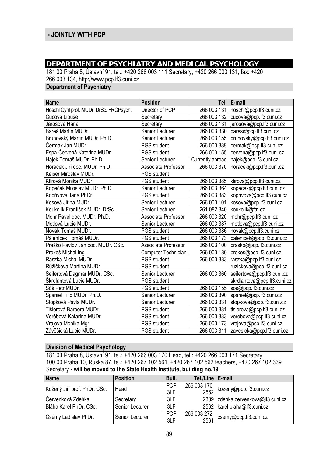### **DEPARTMENT OF PSYCHIATRY AND MEDICAL PSYCHOLOGY**

181 03 Praha 8, Ústavní 91, tel.: +420 266 003 111 Secretary, +420 266 003 131, fax: +420 266 003 134, http://www.pcp.lf3.cuni.cz

**Department of Psychiatry** 

| <b>Name</b>                              | <b>Position</b>     | Tel. I           | E-mail                      |
|------------------------------------------|---------------------|------------------|-----------------------------|
| Höschl Cyril prof. MUDr. DrSc. FRCPsych. | Director of PCP     | 266 003 131      | hoschl@pcp.lf3.cuni.cz      |
| Cucová Libuše                            | Secretary           | 266 003 132      | cucova@pcp.lf3.cuni.cz      |
| Jarošová Hana                            | Secretary           | 266 003 131      | jarosova@pcp.lf3.cuni.cz    |
| Bareš Martin MUDr.                       | Senior Lecturer     | 266 003 330      | bares@pcp.lf3.cuni.cz       |
| Brunovský Martin MUDr. Ph.D.             | Senior Lecturer     | 266 003 155      | brunovsky@pcp.lf3.cuni.cz   |
| Čermák Jan MUDr.                         | PGS student         | 266 003 389      | cermak@pcp.lf3.cuni.cz      |
| Espa-Červená Kateřina MUDr.              | PGS student         | 266 003 155      | cervena@pcp.lf3.cuni.cz     |
| Hájek Tomáš MUDr. Ph.D.                  | Senior Lecturer     | Currently abroad | hajek@pcp.lf3.cuni.cz       |
| Horáček Jiří doc. MUDr. Ph.D.            | Associate Professor | 266 003 370      | horacek@pcp.lf3.cuni.cz     |
| Kaiser Miroslav MUDr.                    | <b>PGS</b> student  |                  |                             |
| Klírová Monika MUDr.                     | PGS student         | 266 003 385      | klirova@pcp.lf3.cuni.cz     |
| Kopeček Miloslav MUDr. Ph.D.             | Senior Lecturer     | 266 003 364      | kopecek@pcp.lf3.cuni.cz     |
| Kopřivová Jana PhDr.                     | PGS student         | 266 003 383      | koprivova@pcp.lf3.cuni.cz   |
| Kosová Jiřina MUDr.                      | Senior Lecturer     | 266 003 101      | kosova@pcp.lf3.cuni.cz      |
| Koukolík František MUDr. DrSc.           | Senior Lecturer     | 261 082 340      | koukolik@ftn.cz             |
| Mohr Pavel doc. MUDr. Ph.D.              | Associate Professor | 266 003 320      | mohr@pcp.lf3.cuni.cz        |
| Motlová Lucie MUDr.                      | Senior Lecturer     | 266 003 387      | motlova@pcp.lf3.cuni.cz     |
| Novák Tomáš MUDr.                        | <b>PGS</b> student  | 266 003 386      | novak@pcp.lf3.cuni.cz       |
| Páleníček Tomáš MUDr.                    | <b>PGS</b> student  | 266 003 173      | palenicek@pcp.lf3.cuni.cz   |
| Praško Pavlov Ján doc. MUDr. CSc.        | Associate Professor | 266 003 100      | prasko@pcp.lf3.cuni.cz      |
| Prokeš Michal Ing.                       | Computer Technician | 266 003 180      | prokes@pcp.lf3.cuni.cz      |
| Raszka Michal MUDr.                      | PGS student         | 266 003 383      | raszka@pcp.lf3.cuni.cz      |
| Růžičková Martina MUDr.                  | PGS student         |                  | ruzickova@pcp.lf3.cuni.cz   |
| Seifertová Dagmar MUDr. CSc.             | Senior Lecturer     | 266 003 360      | seifertova@pcp.lf3.cuni.cz  |
| Škrdlantová Lucie MUDr.                  | PGS student         |                  | skrdlantova@pcp.lf3.cuni.cz |
| Šóš Petr MUDr.                           | PGS student         | 266 003 155      | sos@pcp.lf3.cuni.cz         |
| Španiel Filip MUDr. Ph.D.                | Senior Lecturer     | 266 003 390      | spaniel@pcp.lf3.cuni.cz     |
| Stopková Pavla MUDr.                     | Senior Lecturer     | 266 003 331      | stopkova@pcp.lf3.cuni.cz    |
| Tišlerová Barbora MUDr.                  | PGS student         | 266 003 381      | tislerova@pcp.lf3.cuni.cz   |
| Verébová Katarína MUDr.                  | PGS student         | 266 003 383      | verebova@pcp.lf3.cuni.cz    |
| Vrajová Monika Mgr.                      | PGS student         | 266 003 173      | vrajova@pcp.lf3.cuni.cz     |
| Závěšická Lucie MUDr.                    | PGS student         | 266 003 311      | zavesicka@pcp.lf3.cuni.cz   |

#### **Division of Medical Psychology**

181 03 Praha 8, Ústavní 91, tel.: +420 266 003 170 Head, tel.: +420 266 003 171 Secretary 100 00 Praha 10, Ruská 87, tel.: +420 267 102 561, +420 267 102 562 teachers, +420 267 102 339 Secretary **- will be moved to the State Health Institute, building no.19** 

| Name                         | <b>Position</b> | Buil.      | Tel./Line   E-mail |                                       |
|------------------------------|-----------------|------------|--------------------|---------------------------------------|
| Kožený Jiří prof. PhDr. CSc. | Head            | <b>PCP</b> |                    | 266 003 170,   kozeny@pcp.lf3.cuni.cz |
|                              |                 | 3LF        |                    |                                       |
| Červenková Zdeňka            | Secretary       | 3LF        |                    | 2339 zdenka.cervenkova@lf3.cuni.cz    |
| Bláha Karel PhDr. CSc.       | Senior Lecturer | 3LF        |                    | 2562   karel.blaha@lf3.cuni.cz        |
|                              |                 | <b>PCP</b> | 266 003 272,       |                                       |
| Csémy Ladislav PhDr.         | Senior Lecturer | 3LF        |                    | $2561$ csemy@pcp.lf3.cuni.cz          |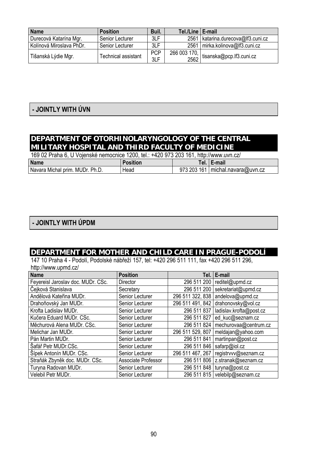| <b>Name</b>              | <b>Position</b>            | Buil.      | Tel./Line   E-mail |                                      |
|--------------------------|----------------------------|------------|--------------------|--------------------------------------|
| Durecová Katarína Mgr.   | Senior Lecturer            | 3LF        |                    | 2561   katarina.durecova@lf3.cuni.cz |
| Kolínová Miroslava PhDr. | Senior Lecturer            | 3LF        |                    | 2561   mirka.kolinova@lf3.cuni.cz    |
|                          | <b>Technical assistant</b> | <b>PCP</b> | 266 003 170,       | tisanska@pcp.lf3.cuni.cz             |
| Tišanská Lýdie Mgr.      |                            | 3LF        | 2562               |                                      |

# **- JOINTLY WITH ÚVN**

### **DEPARTMENT OF OTORHINOLARYNGOLOGY OF THE CENTRAL MILITARY HOSPITAL AND THIRD FACULTY OF MEDICINE**

| 169 02 Praha 6, U Vojenské nemocnice 1200, tel.: +420 973 203 161, http://www.uvn.cz/ |                 |  |                                    |  |
|---------------------------------------------------------------------------------------|-----------------|--|------------------------------------|--|
| <b>Name</b>                                                                           | <b>Position</b> |  | Tel.   E-mail                      |  |
| Navara Michal prim. MUDr. Ph.D.                                                       | Head            |  | 973 203 161   michal.navara@uvn.cz |  |

### **- JOINTLY WITH ÚPDM**

#### **DEPARTMENT FOR MOTHER AND CHILD CARE IN PRAGUE-PODOLÍ**

147 10 Praha 4 - Podolí, Podolské nábřeží 157, tel: +420 296 511 111, fax +420 296 511 296, http://www.upmd.cz/

| <b>Name</b>                        | <b>Position</b>     | Tel. I           | E-mail                            |
|------------------------------------|---------------------|------------------|-----------------------------------|
| Feyereisl Jaroslav doc. MUDr. CSc. | Director            | 296 511 200      | reditel@upmd.cz                   |
| Čejková Stanislava                 | Secretary           | 296 511 200      | sekretariat@upmd.cz               |
| Andělová Kateřina MUDr.            | Senior Lecturer     | 296 511 322, 838 | andelova@upmd.cz                  |
| Drahoňovský Jan MUDr.              | Senior Lecturer     | 296 511 491, 842 | drahonovsky@vol.cz                |
| Krofta Ladislav MUDr.              | Senior Lecturer     | 296 511 837      | ladislav.krofta@post.cz           |
| Kučera Eduard MUDr. CSc.           | Senior Lecturer     | 296 511 827      | ed_kuc@seznam.cz                  |
| Měchurová Alena MUDr. CSc.         | Senior Lecturer     | 296 511 824      | mechurovaa@centrum.cz             |
| Melichar Jan MUDr.                 | Senior Lecturer     | 296 511 529, 807 | meldajan@yahoo.com                |
| Pán Martin MUDr.                   | Senior Lecturer     | 296 511 841      | martinpan@post.cz                 |
| Šafář Petr MUDr.CSc.               | Senior Lecturer     | 296 511 846      | safarp@iol.cz                     |
| Šípek Antonín MUDr. CSc.           | Senior Lecturer     | 296 511 467, 267 | registrvvv@seznam.cz              |
| Straňák Zbyněk doc. MUDr. CSc.     | Associate Professor |                  | 296 511 806   z.stranak@seznam.cz |
| Turyna Radovan MUDr.               | Senior Lecturer     | 296 511 848      | turyna@post.cz                    |
| Velebil Petr MUDr.                 | Senior Lecturer     |                  | 296 511 815   velebilp@seznam.cz  |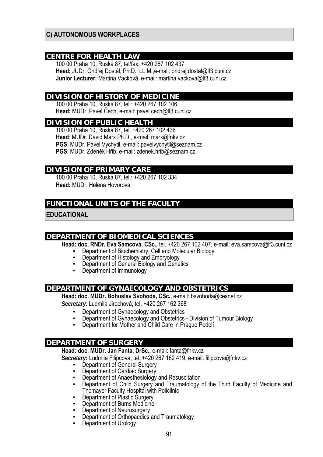#### **C) AUTONOMOUS WORKPLACES**

#### **CENTRE FOR HEALTH LAW**

100 00 Praha 10, Ruská 87, tel/fax: +420 267 102 437 **Head:** JUDr. Ondřej Dostál, Ph.D., LL.M.,e-mail: ondrej.dostal@lf3.cuni.cz **Junior Lecturer:** Martina Vacková, e-mail: martina.vackova@lf3.cuni.cz

#### **DIVISION OF HISTORY OF MEDICINE**

100 00 Praha 10, Ruská 87, tel.: +420 267 102 106 **Head:** MUDr. Pavel Čech, e-mail: pavel.cech@lf3.cuni.cz

#### **DIVISION OF PUBLIC HEALTH**

100 00 Praha 10, Ruská 87, tel. +420 267 102 436 **Head**: MUDr. David Marx Ph.D., e-mail: marx@fnkv.cz **PGS**: MUDr. Pavel Vychytil, e-mail: pavelvychytil@seznam.cz **PGS**: MUDr. Zdeněk Hřib, e-mail: zdenek.hrib@seznam.cz

#### **DIVISION OF PRIMARY CARE**

100 00 Praha 10, Ruská 87, tel.: +420 267 102 334 **Head***:* MUDr. Helena Hovorová

### **FUNCTIONAL UNITS OF THE FACULTY**

**EDUCATIONAL** 

#### **DEPARTMENT OF BIOMEDICAL SCIENCES**

**Head: doc. RNDr. Eva Samcová, CSc.,** tel. +420 267 102 407, e-mail: eva.samcova@lf3.cuni.cz

- Department of Biochemistry, Cell and Molecular Biology
- Department of Histology and Embryology
- **Department of General Biology and Genetics**<br>• Department of Immunology
- Department of Immunology

#### **DEPARTMENT OF GYNAECOLOGY AND OBSTETRICS**

**Head: doc. MUDr. Bohuslav Svoboda, CSc.,** e-mail: bsvoboda@cesnet.cz

*Secretary*: Ludmila Jirochová, tel. +420 267 162 368

- 
- **Department of Gynaecology and Obstetrics**<br>• Department of Gynaecology and Obstetrics Division of Tumour Biology
- **Department for Mother and Child Care in Prague Podoli**

#### **DEPARTMENT OF SURGERY**

**Head: doc. MUDr. Jan Fanta, DrSc.,** e-mail: fanta@fnkv.cz

*Secretary***:** Ludmila Filipcová, tel. +420 267 162 419, e-mail: filipcova@fnkv.cz

- Department of General Surgery
- Department of Cardiac Surgery
- **Department of Anaesthesiology and Resuscitation**
- **Department of Child Surgery and Traumatology of the Third Faculty of Medicine and** Thomayer Faculty Hospital with Policlinic
- **Department of Plastic Surgery**
- **Department of Burns Medicine**
- 
- Department of Neurosurgery<br>
Department of Orthopaedics and Traumatology<br>
Department of Urology
-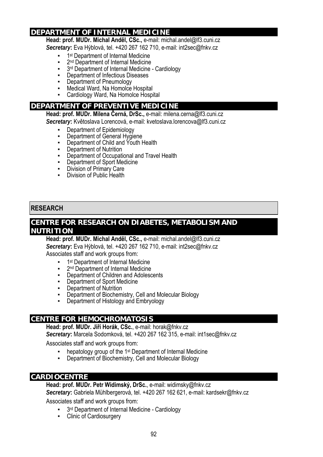#### **DEPARTMENT OF INTERNAL MEDICINE**

**Head: prof. MUDr. Michal Anděl, CSc.,** e-mail: michal.andel@lf3.cuni.cz

*Secretary***:** Eva Hýblová, tel. +420 267 162 710, e-mail: int2sec@fnkv.cz

- 1<sup>st</sup> Department of Internal Medicine
- 2<sup>nd</sup> Department of Internal Medicine
- 3<sup>rd</sup> Department of Internal Medicine Cardiology
- **•** Department of Infectious Diseases
- **Department of Pneumology**
- Medical Ward, Na Homolce Hospital
- Cardiology Ward, Na Homolce Hospital

#### **DEPARTMENT OF PREVENTIVE MEDICINE**

**Head: prof. MUDr. Milena Černá, DrSc.,** e-mail: milena.cerna@lf3.cuni.cz

*Secretary***:** Květoslava Lorencová, e-mail: kvetoslava.lorencova@lf3.cuni.cz

- Department of Epidemiology
- Department of General Hygiene
- Department of Child and Youth Health
- 
- **•** Department of Nutrition<br>• Department of Occupati **Department of Occupational and Travel Health**
- Department of Sport Medicine
- **Division of Primary Care**
- Division of Public Health

#### **RESEARCH**

#### **CENTRE FOR RESEARCH ON DIABETES, METABOLISM AND NUTRITION**

**Head: prof. MUDr. Michal Anděl, CSc.,** e-mail: michal.andel@lf3.cuni.cz *Secretary***:** Eva Hýblová, tel. +420 267 162 710, e-mail: int2sec@fnkv.cz

Associates staff and work groups from:

- 1<sup>st</sup> Department of Internal Medicine
- 2<sup>nd</sup> Department of Internal Medicine
- Department of Children and Adolescents
- Department of Sport Medicine
- **•** Department of Nutrition
- Department of Biochemistry, Cell and Molecular Biology
- Department of Histology and Embryology

#### **CENTRE FOR HEMOCHROMATOSIS**

**Head: prof. MUDr. Jiří Horák, CSc.**, e-mail: horak@fnkv.cz *Secretary***:** Marcela Sodomková, tel. +420 267 162 315, e-mail: int1sec@fnkv.cz

Associates staff and work groups from:

- **•** hepatology group of the 1<sup>st</sup> Department of Internal Medicine
- Department of Biochemistry, Cell and Molecular Biology

#### **CARDIOCENTRE**

#### **Head: prof. MUDr. Petr Widimský, DrSc.**, e-mail: widimsky@fnkv.cz

*Secretary***:** Gabriela Mühlbergerová, tel. +420 267 162 621, e-mail: kardsekr@fnkv.cz

Associates staff and work groups from:

- 3<sup>rd</sup> Department of Internal Medicine Cardiology
- Clinic of Cardiosurgery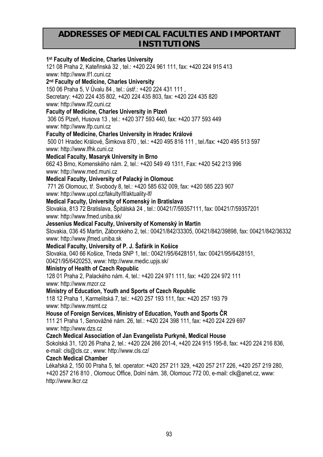# **ADDRESSES OF MEDICAL FACULTIES AND IMPORTANT INSTITUTIONS**

| 1 <sup>st</sup> Faculty of Medicine, Charles University<br>121 08 Praha 2, Kateřinská 32, tel.: +420 224 961 111, fax: +420 224 915 413<br>www: http://www.lf1.cuni.cz<br>2 <sup>nd</sup> Faculty of Medicine, Charles University<br>150 06 Praha 5, V Úvalu 84, tel.: ústř.: +420 224 431 111,<br>Secretary: +420 224 435 802, +420 224 435 803, fax: +420 224 435 820<br>www: http://www.lf2.cuni.cz<br>Faculty of Medicine, Charles University in Plzeň<br>306 05 Plzeň, Husova 13, tel.: +420 377 593 440, fax: +420 377 593 449<br>www: http://www.lfp.cuni.cz<br>Faculty of Medicine, Charles University in Hradec Králové<br>500 01 Hradec Králové, Šimkova 870, tel.: +420 495 816 111, tel./fax: +420 495 513 597 |
|----------------------------------------------------------------------------------------------------------------------------------------------------------------------------------------------------------------------------------------------------------------------------------------------------------------------------------------------------------------------------------------------------------------------------------------------------------------------------------------------------------------------------------------------------------------------------------------------------------------------------------------------------------------------------------------------------------------------------|
| www: http://www.lfhk.cuni.cz                                                                                                                                                                                                                                                                                                                                                                                                                                                                                                                                                                                                                                                                                               |
| <b>Medical Faculty, Masaryk University in Brno</b>                                                                                                                                                                                                                                                                                                                                                                                                                                                                                                                                                                                                                                                                         |
| 662 43 Brno, Komenského nám. 2, tel.: +420 549 49 1311, Fax: +420 542 213 996                                                                                                                                                                                                                                                                                                                                                                                                                                                                                                                                                                                                                                              |
| www: http://www.med.muni.cz                                                                                                                                                                                                                                                                                                                                                                                                                                                                                                                                                                                                                                                                                                |
| Medical Faculty, University of Palacký in Olomouc                                                                                                                                                                                                                                                                                                                                                                                                                                                                                                                                                                                                                                                                          |
| 771 26 Olomouc, tř. Svobody 8, tel.: +420 585 632 009, fax: +420 585 223 907<br>www: http://www.upol.cz/fakulty/lf/aktuality-lf/                                                                                                                                                                                                                                                                                                                                                                                                                                                                                                                                                                                           |
| Medical Faculty, University of Komenský in Bratislava                                                                                                                                                                                                                                                                                                                                                                                                                                                                                                                                                                                                                                                                      |
| Slovakia, 813 72 Bratislava, Špitálská 24, tel.: 00421/7/59357111, fax: 00421/7/59357201                                                                                                                                                                                                                                                                                                                                                                                                                                                                                                                                                                                                                                   |
| www: http://www.fmed.uniba.sk/                                                                                                                                                                                                                                                                                                                                                                                                                                                                                                                                                                                                                                                                                             |
| Jessenius Medical Faculty, University of Komenský in Martin                                                                                                                                                                                                                                                                                                                                                                                                                                                                                                                                                                                                                                                                |
| Slovakia, 036 45 Martin, Záborského 2, tel.: 00421/842/33305, 00421/842/39898, fax: 00421/842/36332                                                                                                                                                                                                                                                                                                                                                                                                                                                                                                                                                                                                                        |
| www: http://www.jfmed.uniba.sk                                                                                                                                                                                                                                                                                                                                                                                                                                                                                                                                                                                                                                                                                             |
| Medical Faculty, University of P. J. Šafárik in Košice                                                                                                                                                                                                                                                                                                                                                                                                                                                                                                                                                                                                                                                                     |
| Slovakia, 040 66 Košice, Trieda SNP 1, tel.: 00421/95/6428151, fax: 00421/95/6428151,                                                                                                                                                                                                                                                                                                                                                                                                                                                                                                                                                                                                                                      |
| 00421/95/6420253, www: http://www.medic.upjs.sk/                                                                                                                                                                                                                                                                                                                                                                                                                                                                                                                                                                                                                                                                           |
| <b>Ministry of Health of Czech Republic</b>                                                                                                                                                                                                                                                                                                                                                                                                                                                                                                                                                                                                                                                                                |
| 128 01 Praha 2, Palackého nám. 4, tel.: +420 224 971 111, fax: +420 224 972 111                                                                                                                                                                                                                                                                                                                                                                                                                                                                                                                                                                                                                                            |
| www: http://www.mzcr.cz                                                                                                                                                                                                                                                                                                                                                                                                                                                                                                                                                                                                                                                                                                    |
| Ministry of Education, Youth and Sports of Czech Republic                                                                                                                                                                                                                                                                                                                                                                                                                                                                                                                                                                                                                                                                  |
| 118 12 Praha 1, Karmelitská 7, tel.: +420 257 193 111, fax: +420 257 193 79                                                                                                                                                                                                                                                                                                                                                                                                                                                                                                                                                                                                                                                |
| www: http://www.msmt.cz                                                                                                                                                                                                                                                                                                                                                                                                                                                                                                                                                                                                                                                                                                    |
| House of Foreign Services, Ministry of Education, Youth and Sports ČR<br>111 21 Praha 1, Senovážné nám. 26, tel.: +420 224 398 111, fax: +420 224 229 697                                                                                                                                                                                                                                                                                                                                                                                                                                                                                                                                                                  |
| www: http://www.dzs.cz                                                                                                                                                                                                                                                                                                                                                                                                                                                                                                                                                                                                                                                                                                     |
| Czech Medical Association of Jan Evangelista Purkyně, Medical House                                                                                                                                                                                                                                                                                                                                                                                                                                                                                                                                                                                                                                                        |
| Sokolská 31, 120 26 Praha 2, tel.: +420 224 266 201-4, +420 224 915 195-8, fax: +420 224 216 836,                                                                                                                                                                                                                                                                                                                                                                                                                                                                                                                                                                                                                          |
| e-mail: cls@cls.cz, www: http://www.cls.cz/                                                                                                                                                                                                                                                                                                                                                                                                                                                                                                                                                                                                                                                                                |
| <b>Czech Medical Chamber</b>                                                                                                                                                                                                                                                                                                                                                                                                                                                                                                                                                                                                                                                                                               |
| Lékařská 2, 150 00 Praha 5, tel. operator: +420 257 211 329, +420 257 217 226, +420 257 219 280,                                                                                                                                                                                                                                                                                                                                                                                                                                                                                                                                                                                                                           |
| +420 257 216 810, Olomouc Office, Dolní nám. 38, Olomouc 772 00, e-mail: clk@anet.cz, www:                                                                                                                                                                                                                                                                                                                                                                                                                                                                                                                                                                                                                                 |
| http://www.lkcr.cz                                                                                                                                                                                                                                                                                                                                                                                                                                                                                                                                                                                                                                                                                                         |
|                                                                                                                                                                                                                                                                                                                                                                                                                                                                                                                                                                                                                                                                                                                            |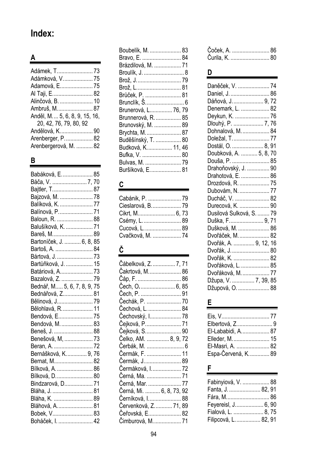# **Index:**

# **A**

| Adámková, V.  75               |
|--------------------------------|
| Adamová, E 75                  |
| Al Taji, E 82                  |
| Alinčová, B.  10               |
| Ambruš, M 87                   |
| Anděl, M.  5, 6, 8, 9, 15, 16, |
| 20, 42, 76, 79, 80, 92         |
| Andělová, K90                  |
| Arenberger, P 82               |
| Arenbergerová, M.  82          |

# **B**

| Babáková, E 85              |  |
|-----------------------------|--|
|                             |  |
| Bajtler, T 87               |  |
| Bajzová, M.  78             |  |
| Balíková, K.  77            |  |
| Balínová, P 71              |  |
| Baloun, R.  88              |  |
| Balušíková, K.  71          |  |
| Bareš, M.  89               |  |
| Bartoníček, J.  6, 8, 85    |  |
| Bartoš, A.  84              |  |
| Bártová, J.  73             |  |
| Bartůňková, J.  15          |  |
| Batáriová, A 73             |  |
| Bazalová, Z.  79            |  |
| Bednář, M 5, 6, 7, 8, 9, 75 |  |
| Bednářová, Z 81             |  |
| Bělinová, J 79              |  |
| Bělohlavá, R.  11           |  |
| Bendová, E 75               |  |
| Bendová, M.  83             |  |
| Beneš, J.  88               |  |
| Benešová, M,  73            |  |
| Beran, A. 72                |  |
| Bernášková, K.  9, 76       |  |
| Bernat, M 82                |  |
| Bílková, A.  86             |  |
| Bílková, D…………………… 80       |  |
| Bindzarová, D 71            |  |
| Bláha, J.  81               |  |
| Bláha, K.  89               |  |
| Bláhová, A…………………… 81       |  |
| Bobek, V 83                 |  |
| Boháček, I.  42             |  |

| Boubelík, M.  83        |  |
|-------------------------|--|
| Bravo, E.  84           |  |
| Brázdilová, M.  71      |  |
| Broulík, J.  8          |  |
| Brož, J.  79            |  |
| Brož, L………………………… 81    |  |
| Brůček, P.  81          |  |
| Brunclík, Š 6           |  |
| Brunerová, L 76, 79     |  |
| Brunnerová, R.  85      |  |
| Brunovský, M. ……………… 89 |  |
| Brychta, M.  87         |  |
| Buděšínský, T.  80      |  |
| Budková, K 11, 46       |  |
| Bufka, V.  80           |  |
| Bulvas, M.  79          |  |
| Buršíková, E 81         |  |

# **C**

| Cieslarová, B.  79 |  |
|--------------------|--|
|                    |  |
| Csémy, L 89        |  |
| Cucová, L.  89     |  |
| Cvačková, M.  74   |  |

# **Č**

| Čábelková, Z.  7, 71<br>Čakrtová, M 86 |  |
|----------------------------------------|--|
| Cáp, F.  86<br>Čech, O.  6, 85         |  |
| Čech, P.  91                           |  |
| Čechák, P.  70                         |  |
| Čechová, L.  84                        |  |
| Čechovský, I 78                        |  |
| Čejková, P………………… 71                   |  |
| Čejková, S………………… 90                   |  |
| Celko, AM.  8, 9, 72                   |  |
| Čerbák, M.  6                          |  |
| Cermák, F.  11                         |  |
| Čermák, J.  89                         |  |
| Cermáková, I………………. 72                 |  |
| Cerná, Ma.  71                         |  |
| Cerná, Mar.  77                        |  |
| Černá, Mi.  6, 8, 73, 92               |  |
| Černíková, I.  88                      |  |
| Červenková, Z.  71, 89                 |  |
| Čeřovská, E………………… 82                  |  |
| Čimburová, M.  71                      |  |

| Čoček, A.  86  |  |
|----------------|--|
| Čurila, K.  80 |  |

# **D**

| Daněček, V.  74<br>Daniel, J.  86<br>Dáňová, J.  9, 72<br>Denemark, L.  82 |  |
|----------------------------------------------------------------------------|--|
| Deykun, K.  76<br>Dlouhý, P.  7, 76                                        |  |
| Dohnalová, M.  84                                                          |  |
| Doležal, T 77                                                              |  |
| Dostál, O.  8, 91                                                          |  |
| Doubková, A.  5, 8, 70                                                     |  |
| Douša, P.  85                                                              |  |
| Drahoňovský, J.  90                                                        |  |
| Drahotová, E.  86                                                          |  |
| Drozdová, R.  75                                                           |  |
| Dubovám, N.  77                                                            |  |
| Ducháč, V.  82                                                             |  |
| Durecová, K.  90                                                           |  |
| Dusilová Sulková, S.  79                                                   |  |
| Duška, F 9, 71                                                             |  |
| Dušková, M.  86                                                            |  |
| Dvořáček, M.  82                                                           |  |
| Dvořák, A.  9, 12, 16                                                      |  |
| Dvořák, J.  80                                                             |  |
| Dvořák, K.  82                                                             |  |
| Dvořáková, L.  85                                                          |  |
| Dvořáková, M.  77                                                          |  |
| Džupa, V.  7, 39, 85                                                       |  |
| Džupová, O.  88                                                            |  |

# **E**

| Elbertová, Z9      |  |
|--------------------|--|
| El-Lababidi, A 87  |  |
| Elleder, M.  15    |  |
| El-Masri, A.  82   |  |
| Espa-Červená, K 89 |  |

# **F**

| Fabinyiová, V.  88    |  |
|-----------------------|--|
| Fanta, J.  82, 91     |  |
|                       |  |
| Feyereisl, J 6, 90    |  |
| Fialová, L.  8, 75    |  |
| Filipcová, L.  82, 91 |  |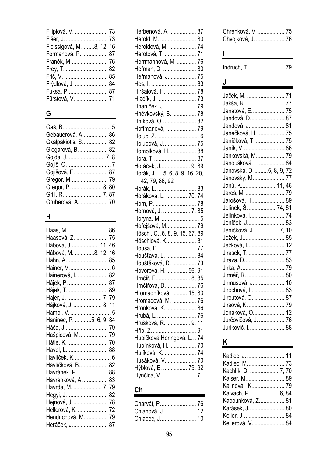| Filipiová, V.  73         |
|---------------------------|
|                           |
| Fleissigová, M. 8, 12, 16 |
| Formanová, P.  87         |
|                           |
| Frey, T.  82              |
|                           |
| Frýdlová, J.  84          |
| Fuksa, P 87               |
| Fürstová, V.  71          |
|                           |

# **G**

| Gebauerová, A.  86   |
|----------------------|
| Gkalpakiotis, S.  82 |
| Glogarová, B.  82    |
|                      |
|                      |
| Gojišová, E.  87     |
|                      |
| Gregor, P.  8, 80    |
| Grill, R.  7, 87     |
| Gruberová, A.  70    |
|                      |

### **H**

| Haas, M.  86              |  |
|---------------------------|--|
| Haasová, Z.  75           |  |
| Hábová, J……………… 11, 46    |  |
| Hábová, M. ………….8, 12, 16 |  |
| Hahn, A……………………… 85       |  |
| Hainer, V 6               |  |
| Hainerová, I.  82         |  |
| Hájek, P.  87             |  |
| Hájek, T.  89             |  |
| Hajer, J.  7, 79          |  |
| Hájková, J.  8, 11        |  |
| Hampl, V.  5              |  |
| Haninec, P. 5, 6, 9, 84   |  |
| Háša, J……………………… 79       |  |
| Hašpicová, M.  79         |  |
| Hátle, K.  70             |  |
| Havel, L 88               |  |
| Havlíček, K…………………… 6     |  |
| Havlíčková, B.  82        |  |
| Havránek, P.  88          |  |
| Havránková, A.  83        |  |
| Havrda, M.  7, 79         |  |
| Hegyi, J.  82             |  |
| Hejnová, J………………… 78      |  |
| Hellerová, K.  72         |  |
| Hendrichová, M.  79       |  |
| Heráček, J………………… 87      |  |

| Herbenová, A.  87                    |  |
|--------------------------------------|--|
| Herold, M.  80                       |  |
| Heroldová, M.  74                    |  |
| Herotová, T.  71                     |  |
| Herrmannová, M.  76                  |  |
| Heřman, D.  80                       |  |
| Heřmanová, J.  75                    |  |
| Hes, I.  83                          |  |
| Hiršalová, H.  78                    |  |
| Hladík, J.  73                       |  |
| Hnaníček, J.  79                     |  |
| Hněvkovský, B.  78                   |  |
| Hníková, O.  82                      |  |
| Hoffmanová, I.  79                   |  |
| Holub, Z.  6                         |  |
| Holubová, J.  75                     |  |
| Homolková, H.  88                    |  |
| Hora, T 87                           |  |
| Horáček, J 9, 89                     |  |
| Horák, J. 5, 6, 8, 9, 16, 20,        |  |
| 42, 79, 86, 92                       |  |
| Horák, L.  83                        |  |
| Horáková, L.  70, 74                 |  |
| Horn, P 78                           |  |
| Hornová, J.  7, 85                   |  |
| Horyna, M.  5                        |  |
| Hořejšová, M.  79                    |  |
| Höschl, C. .6, 8, 9, 15, 67, 89      |  |
| Höschlová, K………………. 81               |  |
| Housa, D 77                          |  |
| Houšťava, L.  84                     |  |
| Houštěková, D.  73                   |  |
| Hovorová, H.  56, 91                 |  |
| Hrnčíř, E…………………… 8, 85              |  |
| Hrnčířová, D.  76                    |  |
| Hromadníková, I 15, 83               |  |
| Hromadová, M.  76                    |  |
| Hronková, K.  86                     |  |
| Hrubá, L.  76                        |  |
| Hrušková, R.  9, 11                  |  |
| Hřib, Z.  91                         |  |
| Hubičková Heringová, L 74            |  |
| Hubínková, H.  70                    |  |
| Hulíková, K.  74                     |  |
| Husáková, V.  70                     |  |
|                                      |  |
| Hýblová, E.  79, 92<br>Hynčica, V 71 |  |

# **Ch**

| Charvát, P.  76  |  |
|------------------|--|
| Chlanová, J.  12 |  |
|                  |  |

| Chrenková, V.  75 |  |
|-------------------|--|
| Chvojková, J.  76 |  |

Indruch, T. ........................ 79

# **J**

**I**

| Jaček, M.  71            |    |
|--------------------------|----|
| Jakša, R.  77            |    |
| Janatová, E 75           |    |
| Jandová, D 87            |    |
| Jandová, J.  81          |    |
| Janečková, H.  75        |    |
| Janíčková, T.  75        |    |
| Janík, V.  86            |    |
| Jankovská, M.  79        |    |
| Janoušková, L            | 84 |
| Janovská, D. 5, 8, 9, 72 |    |
| Janovský, M.  77         |    |
| Janů, K11, 46            |    |
|                          |    |
| Jarošová, H 89           |    |
| Jelínek, Š. 74, 81       |    |
| Jelínková, I 74          |    |
| Jeníček, J 83            |    |
| Jeníčková, J. 7, 10      |    |
| Ježek, J 85              |    |
| Ježková, I 12            |    |
| Jirásek, T.  77          |    |
| Jirava, D 83             |    |
|                          |    |
| Jirmář, R.  80           |    |
| Jirmusová, J 10          |    |
| Jirochová, L.  83        |    |
| Jiroutová, O.  87        |    |
| Jirsová, K.  79          |    |
| Jonáková, O 12           |    |
| Jurčovičová, J.  76      |    |
| Jurikovič, I.  88        |    |

# **K**

| Kadlec, J.  11<br>Kadlec, M 73<br>Kachlík, D. 7, 70<br>Kaiser, M 89<br>Kalinová, K 79<br>Kapounková, Z 81<br>Karásek, J.  80<br>Keller, J 84 |  |
|----------------------------------------------------------------------------------------------------------------------------------------------|--|
| Kellerová, V.  84                                                                                                                            |  |
|                                                                                                                                              |  |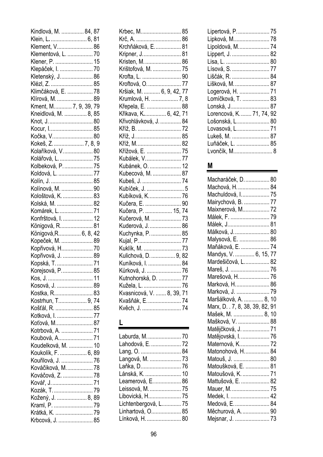| Kindlová, M.  84, 87        |  |
|-----------------------------|--|
| Klein, L.  6, 81            |  |
| Klement, V 86               |  |
| Klementová, L.  70          |  |
| Klener, P.  15              |  |
| Klepáček, I.  70            |  |
| Kletenský, J.  86           |  |
|                             |  |
| Klézl, Z.  85               |  |
| Klimčáková, E.  78          |  |
| Klírová, M.  89             |  |
| Kment, M 7, 9, 39, 79       |  |
| Kneidlová, M.  8, 85        |  |
| Knot, J.  80                |  |
| Kocur, I 85                 |  |
| Kočka, V……………………. 80        |  |
| Kokeš, Z.  7, 8, 9          |  |
| Kolaříková, V.  80          |  |
| Kolářová, L.  75            |  |
| Kolbeková, P.  75           |  |
| Koldová, L.  77             |  |
| Kolín, J.  85               |  |
|                             |  |
| Kolínová, M.  90            |  |
| Kološtová, K.  83           |  |
| Kolská, M.  82              |  |
| Komárek, L 71               |  |
| Konfrštová, I.  12          |  |
| Königová, R 81              |  |
| Königová,R 6, 8, 42         |  |
| Kopeček, M.  89             |  |
| Kopřivová, H 70             |  |
| Kopřivová, J.  89           |  |
| Kopská, T.  71              |  |
| Korejsová, P… 85            |  |
| Kos, J.  11                 |  |
| Kosová, J.  89              |  |
| Kostka, R 83                |  |
| Kostrhun, T 9, 74           |  |
|                             |  |
| Košťál, R.  85              |  |
| Kotková, I.  77             |  |
| Koťová, M 87                |  |
| Kotrbová, A.  71            |  |
| Koubová, A 71               |  |
| Koudelková, M.  10          |  |
| Koukolík, F.  6, 89         |  |
| Kouřilová, J.  76           |  |
| Kováčiková, M.  78          |  |
| Kováčová, Z.  78            |  |
| Kovář, J.  71               |  |
|                             |  |
| Kožený, J.  8, 89           |  |
| Kraml, P. 79                |  |
| Krátká, K. <mark>7</mark> 9 |  |
|                             |  |
| Krbcová, J.  85             |  |

| Krbec, M 85               |
|---------------------------|
| Krč. A. ………………………… 86     |
| Krchňáková, E.  81        |
| Kripner, J……………………… 81    |
| Kristen, M.  86           |
| Krištofová, M.  75        |
| Krofta, L.  90            |
| Kroftová, O.  77          |
| Kršiak, M.  6, 9, 42, 77  |
| Krumlová, H.  7, 8        |
| Křepela, E.  88           |
| Křikava, K 6, 42, 71      |
| Křivohlávková, J.  84     |
|                           |
| Kříž, J………………………… 85      |
| Kříž, M………………………. 82      |
| Křížová, E.  75           |
| Kubálek, V………………… 77      |
| Kubánek, O.  12           |
| Kubecová, M.  87          |
| Kubeš, J.  74             |
| Kubíček, J.  5            |
| Kubíková, K………………… 76     |
| Kučera, E.  90            |
| Kučera, P.  15, 74        |
| Kučerová, M.  73          |
| Kuderová, J.  86          |
| Kuchynka, P.  85          |
| Kujal, P77                |
| Kuklík, M.  73            |
| Kulichová, D.  9, 82      |
| Kuníková, I.  84          |
| Kůrková, J.  76           |
| Kutnohorská, D.  77       |
| Kužela, L.  76            |
| Kvasnicová, V.  8, 39, 71 |
| Kvašňák, E.  74           |
| Kvěch, J.  74             |
|                           |

#### **L**

| Laburda, M.  70      |  |
|----------------------|--|
| Lahodová, E.  72     |  |
| Lang, O.  84         |  |
| Langová, M.  73      |  |
| Laňka, D 76          |  |
| Lánská, K.  10       |  |
| Leamerová, E 86      |  |
| Leissová, M.  75     |  |
| Libovická, H 75      |  |
| Lichtenbergová, L 75 |  |
| Linhartová, O 85     |  |
| Línková, H.  80      |  |
|                      |  |

| Lipertová, P………………… 75    |  |
|---------------------------|--|
| Lipková, M 78             |  |
| Lipoldová, M 74           |  |
| Lippert, J.  82           |  |
| Lisa, L.  80              |  |
| Lísová, S.  77            |  |
| Liščák, R.  84            |  |
| Lišková, M.  87           |  |
| Logerová, H.  71          |  |
| Lomíčková, T. ……………… 83   |  |
| Lonská, J 87              |  |
| Lorencová, K.  71, 74, 92 |  |
| Lošonská, L 80            |  |
| Lovasová, L………………… 71     |  |
| Lukeš, M.  87             |  |
| Luňáček, L.  85           |  |
| Lvončík, M 8              |  |

# **M**

| Macharáček, D.  80              |  |
|---------------------------------|--|
| Machová, H.  84                 |  |
| Machuldová, I 75                |  |
| Mairychová, B.  77              |  |
| Maixnerová, M 72                |  |
| Málek, F.  79                   |  |
| Málek, J 81                     |  |
| Málková, J.  80                 |  |
| Malysová, E.  86                |  |
| Maňáková, E.  74                |  |
| Mandys, V.  6, 15, 77           |  |
| Mardešičová, L 82               |  |
| Mareš, J.  76                   |  |
| Marešová, H 76                  |  |
| Marková, H 86                   |  |
| Marková, J.  79                 |  |
| Maršálková, A.  8, 10           |  |
|                                 |  |
| Marx, D. . 7, 8, 38, 39, 82, 91 |  |
| Mašek, M.  8, 10                |  |
| Mašková, V.  88                 |  |
| Matějčková, J.  71              |  |
| Matějovská, I.  76              |  |
| Maternová, K 72                 |  |
| Matonohová, H 84                |  |
| Matouš, J.  80                  |  |
| Matoušková, E.  81              |  |
| Matoušová, K.  71               |  |
| Mattušová, E.  82               |  |
| Mauer, M.  75                   |  |
| Medek, I.  42                   |  |
| Medová, E 84                    |  |
| Měchurová, A.  90               |  |
| Mejsnar, J.  73                 |  |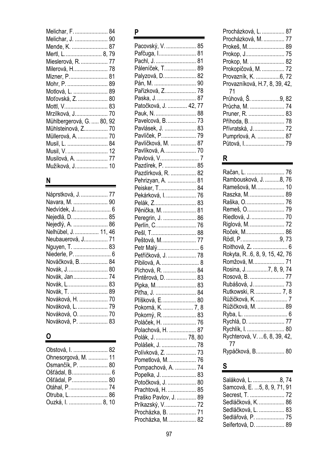| Melichar, F.  84          |  |
|---------------------------|--|
| Melichar, J.  90          |  |
| Mende, K.  87             |  |
| Mertl, L…………………… 8, 79    |  |
| Mieslerová, R.  77        |  |
| Milerová, H 78            |  |
| Mizner, P 81              |  |
| Mohr, P.  89              |  |
| Motlová, L.  89           |  |
| Moťovská, Z.  80          |  |
| Mottl, V 83               |  |
| Mrzílková, J………………… 70    |  |
| Mühlbergerová, G.  80, 92 |  |
| Mühlsteinová, Z 70        |  |
| Müllerová, A.  70         |  |
| Musil, L.  84             |  |
| Musil, V.  12             |  |
| Musilová, A.  77          |  |
| Mužíková, J………………… 10     |  |

# **N**

| Náprstková, J.  77   |
|----------------------|
| Navara, M.  90       |
|                      |
| Nejedlá, D.  85      |
| Nejedlý, A.  86      |
| Nelhübel, J.  11, 46 |
| Neubauerová, J 71    |
| Nguyen, T.  83       |
| Niederle, P.  6      |
| Nováčková, B.  84    |
| Novák, J.  80        |
| Novák, Jan  74       |
| Novák, L 83          |
| Novák, T.  89        |
| Nováková, H.  70     |
| Nováková, L.  79     |
| Nováková, O.  70     |
| Nováková, P.  83     |
|                      |

# **O**

| Obstová, I.  82     |  |
|---------------------|--|
| Ohnesorgová, M.  11 |  |
| Osmančík, P.  80    |  |
| Ošťádal, B 6        |  |
| Ošťádal, P 80       |  |
| Otáhal, P.  74      |  |
|                     |  |
| Ouzká, I.  8, 10    |  |

# **P**

| Pacovský, V.  85      |    |
|-----------------------|----|
| Pafčuga, I 81         |    |
| Pachl, J.  81         |    |
| Páleníček, T.  89     |    |
| Palyzová, D 82        |    |
| Pán, M.  90           |    |
| Pařízková, Z 78       |    |
| Paska, J.  87         |    |
| Patočková, J.  42,    | 77 |
| Pauk, N.              | 88 |
| Pavelcová, B.  73     |    |
| Pavlásek, J.  83      |    |
| Pavlíček, P.  79      |    |
| Pavlíčková, M.  87    |    |
| Pavlíková, A.  70     |    |
| Pavlová, V 7          |    |
| Pazdírek, P.  85      |    |
| Pazdírková, R.  82    |    |
|                       |    |
| Pehrizyan, A.  81     |    |
| Peisker, T 84         |    |
| Pekárková, I.  76     |    |
| Pelák, Z 83           |    |
| Pěnička, M.  81       |    |
| Peregrin, J.  86      |    |
| Perlín, C 76          |    |
| Pešl, T 88            |    |
| Peštová, M.  77       |    |
| Petr Malý 6           |    |
| Petříčková, J.  78    |    |
| Pibilová, A.  8       |    |
| Píchová, R.  84       |    |
| Pintěrová, D.  83     |    |
| Pipka, M 83           |    |
| Piťha, J.  84         |    |
| Plíšková, E.  80      |    |
| Pokorná, K.  7, 8     |    |
| Pokorný, R.  83       |    |
| Poláček, H.  76       |    |
| Polachová, H.  87     |    |
| Polák, J.  78, 80     |    |
| Polášek, J.  78       |    |
| Polívková, Z.  73     |    |
| Pometlová, M.  76     |    |
| Pompachová, A.  74    |    |
| Popelka, J.  83       |    |
| Potočková, J.  80     |    |
| Prachtová, H.  85     |    |
| Praško Pavlov, J.  89 |    |
| Príkazský, V… 72      |    |
| Procházka, B.  71     |    |
| Procházka, M.  82     |    |
|                       |    |

| Procházková, L.  87           |  |
|-------------------------------|--|
| Procházková, M.  77           |  |
| Prokeš, M 89                  |  |
| Prokop, J 75                  |  |
| Prokop, M.  82                |  |
| Prokopičová, M.  72           |  |
| Provazník, K. 6, 72           |  |
| Provazníková, H.7, 8, 39, 42, |  |
| 71                            |  |
| Průhová, Š. 9, 82             |  |
| Průcha, M.  74                |  |
| Pruner, R.  83                |  |
| Příhoda, B 78                 |  |
| Přívratská, J.  72            |  |
| Pumprlová, A.  87             |  |
| Půtová, I 79                  |  |
|                               |  |

# **R**

| Račan, L.  76<br>Rambousková, J. 8, 76<br>Ramešová, M 10<br>Raszka, M.  89<br>Raška, O…………………… 76<br>Riedlová, J.  70<br>Riglová, M.  72<br>Roček, M…………………… 86<br>Rödl, P…………………….9, 73<br>Roithová, Z.  6<br>Rokyta, R. .6, 8, 9, 15, 42, 76<br>Romžová, M 71<br>Rosina, J7, 8, 9, 74<br>Rosová, B.  77 |  |
|-----------------------------------------------------------------------------------------------------------------------------------------------------------------------------------------------------------------------------------------------------------------------------------------------------------|--|
| Rubášová, J………………… 73<br>Rutkowski, R.  7, 8                                                                                                                                                                                                                                                              |  |
| Růžičková, K. 7                                                                                                                                                                                                                                                                                           |  |
| Růžičková, M.  89                                                                                                                                                                                                                                                                                         |  |
| Ryba, L.  6                                                                                                                                                                                                                                                                                               |  |
| Rychlá, D.  77                                                                                                                                                                                                                                                                                            |  |
| Rychlík, I.  80                                                                                                                                                                                                                                                                                           |  |
| Rychterová, V. 6, 8, 39, 42,<br>-77                                                                                                                                                                                                                                                                       |  |
| Rypáčková, B 80                                                                                                                                                                                                                                                                                           |  |

# **S**

| Saláková, L. 8, 74           |  |
|------------------------------|--|
| Samcová, E.  5, 8, 9, 71, 91 |  |
| Secrest, T.  72              |  |
| Sedláčková, K.  86           |  |
| Sedláčková, L.  83           |  |
| Sedlářová, P.  75            |  |
| Seifertová, D.  89           |  |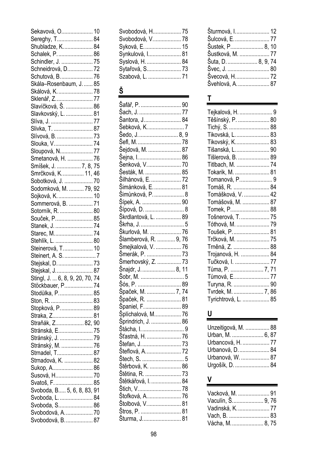| Sekavová, O 10                                   |  |
|--------------------------------------------------|--|
| Sereghy, T 84                                    |  |
| Shubladze, K 84                                  |  |
| Schalek, P.  86                                  |  |
| Schindler, J.  75                                |  |
| Schneidrová, D 72                                |  |
| Schutová, B.  76                                 |  |
| Skála-Rosenbaum, J.  85                          |  |
|                                                  |  |
| Skálová, K.  78                                  |  |
| Sklenář, Z…………………… 77<br>Slavíčková, Š. …………… 86 |  |
|                                                  |  |
| Slavkovský, L.  81                               |  |
| Slíva, J.  77                                    |  |
| Slivka, T.  87                                   |  |
| Slívová, B.  73                                  |  |
| Slouka, V74                                      |  |
| Sloupová, N 77                                   |  |
| Smetanová, H.  76                                |  |
| Smíšek, J.  7, 8, 75                             |  |
| Smrčková, K 11, 46                               |  |
| Sobotková, J.  70                                |  |
| Sodomková, M.  79, 92                            |  |
| Sojková, K.  10                                  |  |
| Sommerová, B.  71                                |  |
| Sotorník, R.  80                                 |  |
| Souček, P 85                                     |  |
| Stanek, J.  74                                   |  |
|                                                  |  |
| Starec, M 74                                     |  |
| Stehlík, L.  80                                  |  |
| Steinerová, T.  10                               |  |
| Steinert, A. S. 7                                |  |
| Stejskal, D.  73                                 |  |
| Steiskal. J.  87                                 |  |
| Stingl, J.  6, 8, 9, 20, 70, 74                  |  |
| Stöckbauer, P 74                                 |  |
| Stodůlka, P 85                                   |  |
| Ston, R.  83                                     |  |
| Stopková, P 89                                   |  |
| Straka, Z 81                                     |  |
| Straňák, Z 82, 90                                |  |
| Stránská, E 75                                   |  |
| Stránský, J.  79                                 |  |
| Stránský, M.  76                                 |  |
| Strnadel, T 87                                   |  |
| Strnadová, K.  82                                |  |
| Sukop, A 86                                      |  |
| Susová, H 70                                     |  |
| Svatoš, F.  85                                   |  |
| Svoboda, B 5, 6, 8, 83, 91                       |  |
|                                                  |  |
| Svoboda, L.  84                                  |  |
| Svoboda, S 86                                    |  |
| Svobodová, A.  70                                |  |
| Svobodová, B.  87                                |  |

| Svobodová, H 75   |  |
|-------------------|--|
| Svobodová, V.  78 |  |
| Syková, E.  15    |  |
| Synkulová, I 81   |  |
| Syslová, H.  84   |  |
| Sytařová, S 73    |  |
| Szabová, L.  71   |  |

# **Š**

| Šafář, P.  90         |  |
|-----------------------|--|
| Šach, J. 77           |  |
| Šantora, J 84         |  |
| Šebková, K7           |  |
| Šedo, J.  8, 9        |  |
| Šefl, M……………………… 78   |  |
| Šejdová, M.  87       |  |
| Šejna, I.  86         |  |
| Šenková, V………………… 70  |  |
| Šesták, M.  85        |  |
| Šilhánová, E.  72     |  |
| Šimánková, E.  81     |  |
| Šimůnková, P……………… 8  |  |
| Šípek, A.  90         |  |
| Šípová, D.  8         |  |
| Škrdlantová, L.  89   |  |
| Škrha, J…………………………5   |  |
| Škurlová, M.  76      |  |
| Šlamberová, R.  9, 76 |  |
| Šmejkalová, V.  76    |  |
| Šmerák, P.  73        |  |
|                       |  |
|                       |  |
| Šmerhovský, Z.  73    |  |
| Šnajdr, J…8, 11       |  |
|                       |  |
| Šós, P.  89           |  |
| Špaček, M.  7, 74     |  |
| Špaček, R.  81        |  |
| Španiel, F…………………… 89 |  |
| Šplíchalová, M 76     |  |
| Sprindrich, J.  86    |  |
|                       |  |
| Šťastná, H.  76       |  |
| Štefan. J……………………. 73 |  |
|                       |  |
|                       |  |
| Štěrbová, K.  86      |  |
|                       |  |
| Štětkářová, I.  84    |  |
|                       |  |
| Štofková, A.  76      |  |
| Štolbová, V.  81      |  |
| Šturma, J81           |  |

| Šturmová, I 12     |  |
|--------------------|--|
| Šulcová, E.  77    |  |
| Šustek, P 8, 10    |  |
| Šustková, M.  77   |  |
| Šuta, D.  8, 9, 74 |  |
|                    |  |
| Švecová, H 72      |  |
| Švehlová, A.  87   |  |
|                    |  |

# **T**

g,

| Tejkalová, H.  9<br>Těšínský, P.  80<br>Tichý, S.  88<br>Tikovská, L.  83<br>Tikovský, K 83<br>Tišanská, L 90<br>Tišlerová, B.  89<br>Titlbach, M.  74<br>Tokarik, M.  81<br>Tomanová, P9<br>Tomáš, R.  84<br>Tomášková, V.  42<br>Tomášová, M.  87<br>Tomek, P 88<br>Tošnerová, T.  75<br>Tóthová, M.  79<br>Toušek, P.  81<br>Trčková, M.  75<br>Trněná, Z.  88<br>Trojanová, H.  84<br>Tučková, I.  77 |  |
|-----------------------------------------------------------------------------------------------------------------------------------------------------------------------------------------------------------------------------------------------------------------------------------------------------------------------------------------------------------------------------------------------------------|--|
| Tůma, P.  7, 71                                                                                                                                                                                                                                                                                                                                                                                           |  |
| Tůmová, E 77<br>Turyna, R.  90<br>Tvrdek, M.  7, 86<br>Tyrichtrová, L.  85                                                                                                                                                                                                                                                                                                                                |  |
|                                                                                                                                                                                                                                                                                                                                                                                                           |  |

# **U**

| Unzeitigová, M.  88 |  |
|---------------------|--|
| Urban, M.  6, 87    |  |
| Urbancová, H.  77   |  |
| Urbanová, D.  84    |  |
| Urbanová, W.  87    |  |
| Urgošík, D.  84     |  |

# **V**

| Vacková, M.  91  |  |
|------------------|--|
| Vaculín, Š 9, 76 |  |
| Vadinská, K.  77 |  |
|                  |  |
| Vácha, M.  8, 75 |  |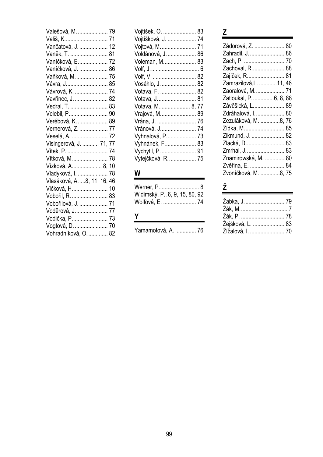| Valešová, M.  79            |    |
|-----------------------------|----|
| Vališ, K 71                 |    |
| Vančatová, J.  12           |    |
| Vaněk, T.  81               |    |
| Vaníčková, E 72             |    |
| Vaníčková, J.  86           |    |
| Vaňková, M.  75             |    |
| Vávra, J 85                 |    |
| Vávrová, K.  74             |    |
| Vavřinec, J.  82            |    |
| Vedral, T.  83              |    |
| Velebil, P 90               |    |
| Verébová, K.  89            |    |
| Vernerová, Z.  77           |    |
| Veselá, A.  72              |    |
| Visingerová, J.  71, 77     |    |
| Vítek, P.  74               |    |
| Vítková, M.  78             |    |
| Vízková, A 8, 10            |    |
| Vladyková, I.               | 78 |
| Vlasáková, A. 8, 11, 16, 46 |    |
| Vlčková, H…………………. 10       |    |
| Vobořil, R.  83             |    |
| Vobořilová, J.  71          |    |
| Voděrová, J 77              |    |
| Vodička, P 73               |    |
| Vogtová, D.  70             |    |
| Vohradníková, O.  82        |    |

| Vojtíšek, O.  83   |  |
|--------------------|--|
| Vojtíšková, J.  74 |  |
| Vojtová, M.  71    |  |
| Voldánová, J.  86  |  |
| Voleman, M 83      |  |
|                    |  |
|                    |  |
| Vosáhlo, J.  82    |  |
| Votava, F.  82     |  |
| Votava, J 81       |  |
| Votava, M 8, 77    |  |
| Vrajová, M 89      |  |
| Vrána, J.  76      |  |
| Vránová, J 74      |  |
| Vyhnalová, P 73    |  |
| Vyhnánek, F 83     |  |
| Vychytil, P.  91   |  |
| Vytejčková, R.  75 |  |

# **W**

| Widimský, P. . 6, 9, 15, 80, 92 |  |
|---------------------------------|--|
| Wolfová, E.  74                 |  |

# **Y**

Yamamotová, A. .............. 76

# **Z**

| Zádorová, Z.  80        |  |
|-------------------------|--|
| Zahradil, J.  86        |  |
|                         |  |
|                         |  |
| Zachoval, R 88          |  |
| Zajíček, R 81           |  |
| Zamrazilová, L.  11, 46 |  |
| Zaoralová, M.  71       |  |
| Zatloukal, P6, 8, 88    |  |
| Závěšická, L 89         |  |
| Zdráhalová, I.  80      |  |
| Zezuláková, M. 8, 76    |  |
| Zídka, M 85             |  |
| Zikmund, J.  82         |  |
| Zlacká, D 83            |  |
| Zmrhal, J 83            |  |
| Znamirowská, M.  80     |  |
| Zvěřina, E.  84         |  |
| Zvoníčková, M. 8, 75    |  |
|                         |  |

# **Ž**

| Žabka, J.  79      |  |
|--------------------|--|
| Žák, M………………………… 7 |  |
| Žák, P.  78        |  |
| Žejšková, L.  83   |  |
| Žížalová, I.  70   |  |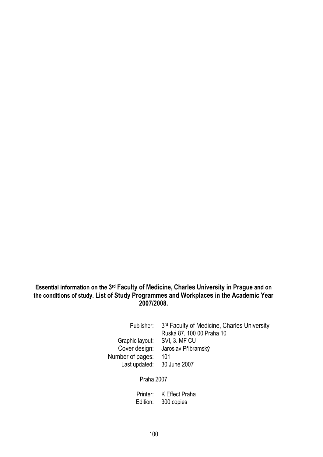#### **Essential information on the 3rd Faculty of Medicine, Charles University in Prague and on the conditions of study. List of Study Programmes and Workplaces in the Academic Year 2007/2008.**

Graphic layout: SVI, 3. MF CU<br>Cover design: Jaroslav Příbra Number of pages: 101 Last updated: 30 June 2007

Publisher: 3<sup>rd</sup> Faculty of Medicine, Charles University Ruská 87, 100 00 Praha 10 Jaroslav Příbramský

Praha 2007

 Printer: K Effect Praha Edition: 300 copies